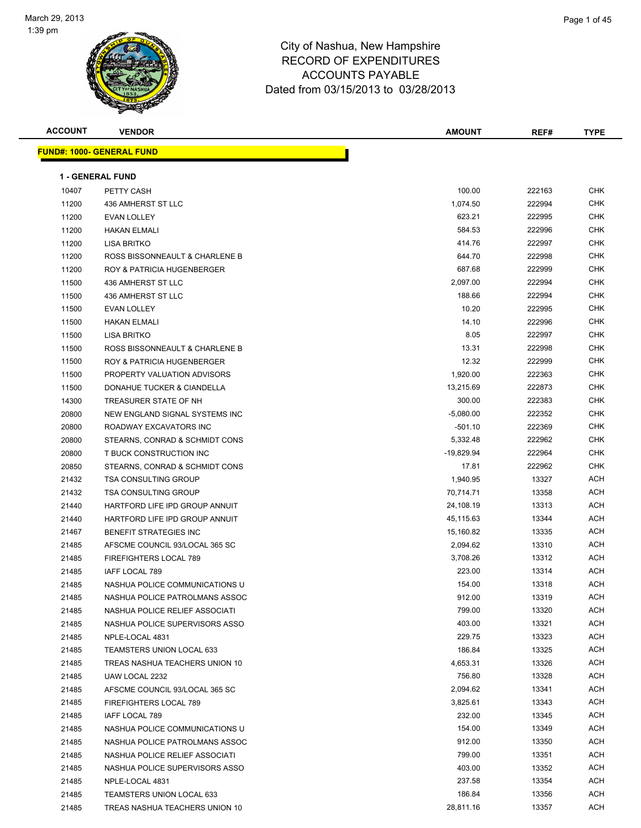

| <b>ACCOUNT</b> | <b>VENDOR</b>                             | AMOUNT       | REF#             | <b>TYPE</b> |
|----------------|-------------------------------------------|--------------|------------------|-------------|
|                | <b>FUND#: 1000- GENERAL FUND</b>          |              |                  |             |
|                | <b>1 - GENERAL FUND</b>                   |              |                  |             |
|                |                                           | 100.00       | 222163           | CHK         |
| 10407          | PETTY CASH                                | 1,074.50     | 222994           | <b>CHK</b>  |
| 11200          | 436 AMHERST ST LLC<br><b>EVAN LOLLEY</b>  | 623.21       | 222995           | CHK         |
| 11200          |                                           | 584.53       |                  | <b>CHK</b>  |
| 11200          | <b>HAKAN ELMALI</b><br><b>LISA BRITKO</b> | 414.76       | 222996<br>222997 | CHK         |
| 11200<br>11200 | ROSS BISSONNEAULT & CHARLENE B            | 644.70       | 222998           | CHK         |
| 11200          | <b>ROY &amp; PATRICIA HUGENBERGER</b>     | 687.68       | 222999           | <b>CHK</b>  |
| 11500          |                                           | 2,097.00     | 222994           | <b>CHK</b>  |
|                | 436 AMHERST ST LLC<br>436 AMHERST ST LLC  | 188.66       | 222994           | <b>CHK</b>  |
| 11500<br>11500 |                                           | 10.20        | 222995           | <b>CHK</b>  |
|                | EVAN LOLLEY                               |              |                  | <b>CHK</b>  |
| 11500          | <b>HAKAN ELMALI</b>                       | 14.10        | 222996           | <b>CHK</b>  |
| 11500          | <b>LISA BRITKO</b>                        | 8.05         | 222997           | <b>CHK</b>  |
| 11500          | ROSS BISSONNEAULT & CHARLENE B            | 13.31        | 222998           |             |
| 11500          | <b>ROY &amp; PATRICIA HUGENBERGER</b>     | 12.32        | 222999           | <b>CHK</b>  |
| 11500          | PROPERTY VALUATION ADVISORS               | 1,920.00     | 222363           | CHK         |
| 11500          | DONAHUE TUCKER & CIANDELLA                | 13,215.69    | 222873           | CHK         |
| 14300          | TREASURER STATE OF NH                     | 300.00       | 222383           | CHK         |
| 20800          | NEW ENGLAND SIGNAL SYSTEMS INC            | $-5,080.00$  | 222352           | <b>CHK</b>  |
| 20800          | ROADWAY EXCAVATORS INC                    | $-501.10$    | 222369           | <b>CHK</b>  |
| 20800          | STEARNS, CONRAD & SCHMIDT CONS            | 5,332.48     | 222962           | <b>CHK</b>  |
| 20800          | T BUCK CONSTRUCTION INC                   | $-19,829.94$ | 222964           | CHK         |
| 20850          | STEARNS, CONRAD & SCHMIDT CONS            | 17.81        | 222962           | CHK         |
| 21432          | <b>TSA CONSULTING GROUP</b>               | 1,940.95     | 13327            | ACH         |
| 21432          | <b>TSA CONSULTING GROUP</b>               | 70,714.71    | 13358            | ACH         |
| 21440          | HARTFORD LIFE IPD GROUP ANNUIT            | 24,108.19    | 13313            | ACH         |
| 21440          | HARTFORD LIFE IPD GROUP ANNUIT            | 45,115.63    | 13344            | ACH         |
| 21467          | <b>BENEFIT STRATEGIES INC</b>             | 15,160.82    | 13335            | ACH         |
| 21485          | AFSCME COUNCIL 93/LOCAL 365 SC            | 2,094.62     | 13310            | ACH         |
| 21485          | <b>FIREFIGHTERS LOCAL 789</b>             | 3,708.26     | 13312            | ACH         |
| 21485          | IAFF LOCAL 789                            | 223.00       | 13314            | ACH         |
| 21485          | NASHUA POLICE COMMUNICATIONS U            | 154.00       | 13318            | ACH         |
| 21485          | NASHUA POLICE PATROLMANS ASSOC            | 912.00       | 13319            | ACH         |
| 21485          | NASHUA POLICE RELIEF ASSOCIATI            | 799.00       | 13320            | ACH         |
| 21485          | NASHUA POLICE SUPERVISORS ASSO            | 403.00       | 13321            | ACH         |
| 21485          | NPLE-LOCAL 4831                           | 229.75       | 13323            | ACH         |
| 21485          | TEAMSTERS UNION LOCAL 633                 | 186.84       | 13325            | ACH         |
| 21485          | TREAS NASHUA TEACHERS UNION 10            | 4,653.31     | 13326            | ACH         |
| 21485          | UAW LOCAL 2232                            | 756.80       | 13328            | ACH         |
| 21485          | AFSCME COUNCIL 93/LOCAL 365 SC            | 2,094.62     | 13341            | ACH         |
| 21485          | FIREFIGHTERS LOCAL 789                    | 3,825.61     | 13343            | ACH         |
| 21485          | IAFF LOCAL 789                            | 232.00       | 13345            | ACH         |
| 21485          | NASHUA POLICE COMMUNICATIONS U            | 154.00       | 13349            | ACH         |
| 21485          | NASHUA POLICE PATROLMANS ASSOC            | 912.00       | 13350            | ACH         |
| 21485          | NASHUA POLICE RELIEF ASSOCIATI            | 799.00       | 13351            | ACH         |
| 21485          | NASHUA POLICE SUPERVISORS ASSO            | 403.00       | 13352            | ACH         |
| 21485          | NPLE-LOCAL 4831                           | 237.58       | 13354            | ACH         |
| 21485          | TEAMSTERS UNION LOCAL 633                 | 186.84       | 13356            | ACH         |
| 21485          | TREAS NASHUA TEACHERS UNION 10            | 28,811.16    | 13357            | ACH         |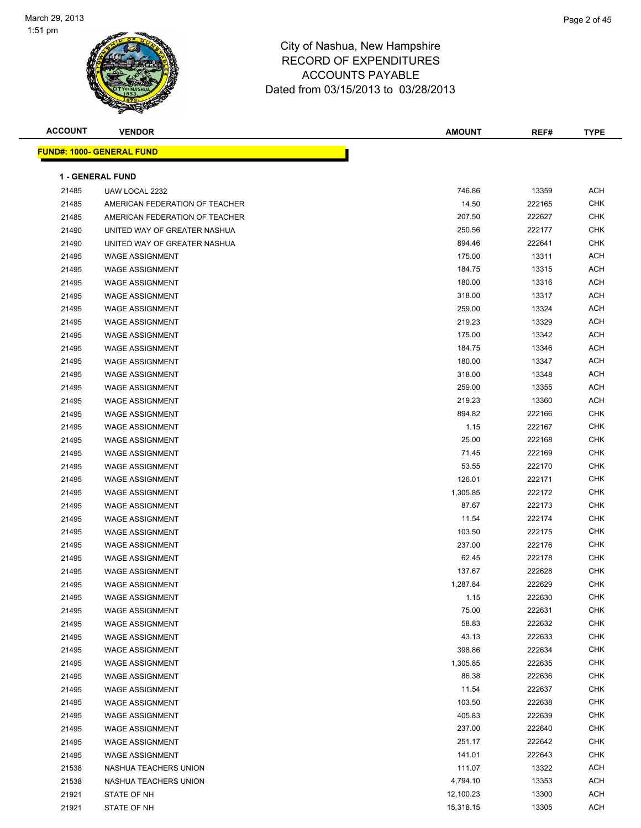

| <b>ACCOUNT</b> | <b>VENDOR</b>                                    | <b>AMOUNT</b>    | REF#   | <b>TYPE</b> |
|----------------|--------------------------------------------------|------------------|--------|-------------|
|                | <b>FUND#: 1000- GENERAL FUND</b>                 |                  |        |             |
|                | <b>1 - GENERAL FUND</b>                          |                  |        |             |
| 21485          | UAW LOCAL 2232                                   | 746.86           | 13359  | <b>ACH</b>  |
| 21485          | AMERICAN FEDERATION OF TEACHER                   | 14.50            | 222165 | <b>CHK</b>  |
| 21485          | AMERICAN FEDERATION OF TEACHER                   | 207.50           | 222627 | <b>CHK</b>  |
| 21490          | UNITED WAY OF GREATER NASHUA                     | 250.56           | 222177 | <b>CHK</b>  |
| 21490          | UNITED WAY OF GREATER NASHUA                     | 894.46           | 222641 | <b>CHK</b>  |
| 21495          | <b>WAGE ASSIGNMENT</b>                           | 175.00           | 13311  | <b>ACH</b>  |
| 21495          | <b>WAGE ASSIGNMENT</b>                           | 184.75           | 13315  | <b>ACH</b>  |
| 21495          | <b>WAGE ASSIGNMENT</b>                           | 180.00           | 13316  | <b>ACH</b>  |
| 21495          | <b>WAGE ASSIGNMENT</b>                           | 318.00           | 13317  | <b>ACH</b>  |
| 21495          | <b>WAGE ASSIGNMENT</b>                           | 259.00           | 13324  | <b>ACH</b>  |
| 21495          | <b>WAGE ASSIGNMENT</b>                           | 219.23           | 13329  | <b>ACH</b>  |
| 21495          | <b>WAGE ASSIGNMENT</b>                           | 175.00           | 13342  | <b>ACH</b>  |
|                | <b>WAGE ASSIGNMENT</b>                           | 184.75           | 13346  | <b>ACH</b>  |
| 21495<br>21495 | <b>WAGE ASSIGNMENT</b>                           | 180.00           | 13347  | <b>ACH</b>  |
|                |                                                  |                  | 13348  | <b>ACH</b>  |
| 21495          | <b>WAGE ASSIGNMENT</b><br><b>WAGE ASSIGNMENT</b> | 318.00<br>259.00 | 13355  | <b>ACH</b>  |
| 21495          | <b>WAGE ASSIGNMENT</b>                           | 219.23           | 13360  | ACH         |
| 21495<br>21495 | <b>WAGE ASSIGNMENT</b>                           | 894.82           | 222166 | <b>CHK</b>  |
|                | <b>WAGE ASSIGNMENT</b>                           | 1.15             | 222167 | <b>CHK</b>  |
| 21495<br>21495 | <b>WAGE ASSIGNMENT</b>                           | 25.00            | 222168 | <b>CHK</b>  |
| 21495          | <b>WAGE ASSIGNMENT</b>                           | 71.45            | 222169 | <b>CHK</b>  |
| 21495          | <b>WAGE ASSIGNMENT</b>                           | 53.55            | 222170 | <b>CHK</b>  |
| 21495          | <b>WAGE ASSIGNMENT</b>                           | 126.01           | 222171 | <b>CHK</b>  |
| 21495          | <b>WAGE ASSIGNMENT</b>                           | 1,305.85         | 222172 | <b>CHK</b>  |
| 21495          | <b>WAGE ASSIGNMENT</b>                           | 87.67            | 222173 | <b>CHK</b>  |
| 21495          | <b>WAGE ASSIGNMENT</b>                           | 11.54            | 222174 | <b>CHK</b>  |
| 21495          | <b>WAGE ASSIGNMENT</b>                           | 103.50           | 222175 | <b>CHK</b>  |
| 21495          | <b>WAGE ASSIGNMENT</b>                           | 237.00           | 222176 | <b>CHK</b>  |
| 21495          | <b>WAGE ASSIGNMENT</b>                           | 62.45            | 222178 | <b>CHK</b>  |
| 21495          | <b>WAGE ASSIGNMENT</b>                           | 137.67           | 222628 | <b>CHK</b>  |
| 21495          | <b>WAGE ASSIGNMENT</b>                           | 1,287.84         | 222629 | <b>CHK</b>  |
| 21495          | <b>WAGE ASSIGNMENT</b>                           | 1.15             | 222630 | <b>CHK</b>  |
| 21495          | <b>WAGE ASSIGNMENT</b>                           | 75.00            | 222631 | <b>CHK</b>  |
| 21495          | <b>WAGE ASSIGNMENT</b>                           | 58.83            | 222632 | <b>CHK</b>  |
| 21495          | <b>WAGE ASSIGNMENT</b>                           | 43.13            | 222633 | CHK         |
| 21495          | WAGE ASSIGNMENT                                  | 398.86           | 222634 | CHK         |
| 21495          | <b>WAGE ASSIGNMENT</b>                           | 1,305.85         | 222635 | <b>CHK</b>  |
| 21495          | <b>WAGE ASSIGNMENT</b>                           | 86.38            | 222636 | <b>CHK</b>  |
| 21495          | WAGE ASSIGNMENT                                  | 11.54            | 222637 | <b>CHK</b>  |
| 21495          | <b>WAGE ASSIGNMENT</b>                           | 103.50           | 222638 | <b>CHK</b>  |
| 21495          | <b>WAGE ASSIGNMENT</b>                           | 405.83           | 222639 | CHK         |
| 21495          | <b>WAGE ASSIGNMENT</b>                           | 237.00           | 222640 | CHK         |
| 21495          | <b>WAGE ASSIGNMENT</b>                           | 251.17           | 222642 | CHK         |
| 21495          | <b>WAGE ASSIGNMENT</b>                           | 141.01           | 222643 | CHK         |
| 21538          | NASHUA TEACHERS UNION                            | 111.07           | 13322  | ACH         |
| 21538          | NASHUA TEACHERS UNION                            | 4,794.10         | 13353  | <b>ACH</b>  |
| 21921          | STATE OF NH                                      | 12,100.23        | 13300  | ACH         |
| 21921          | STATE OF NH                                      | 15,318.15        | 13305  | <b>ACH</b>  |
|                |                                                  |                  |        |             |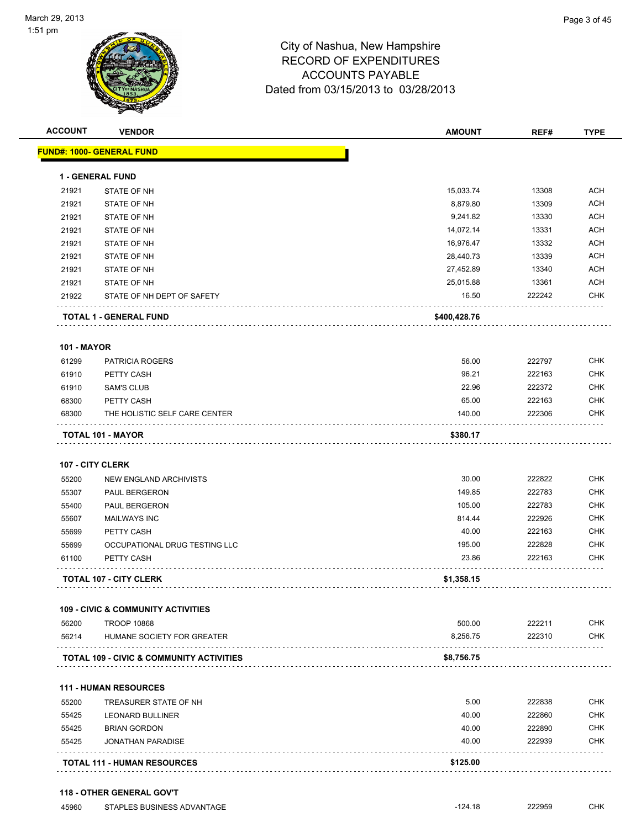

| <b>ACCOUNT</b>     | <b>VENDOR</b>                                 | <b>AMOUNT</b> | REF#   | <b>TYPE</b> |
|--------------------|-----------------------------------------------|---------------|--------|-------------|
|                    | FUND#: 1000- GENERAL FUND                     |               |        |             |
|                    | <b>1 - GENERAL FUND</b>                       |               |        |             |
| 21921              | STATE OF NH                                   | 15,033.74     | 13308  | ACH         |
| 21921              | STATE OF NH                                   | 8,879.80      | 13309  | <b>ACH</b>  |
| 21921              | STATE OF NH                                   | 9,241.82      | 13330  | <b>ACH</b>  |
| 21921              | STATE OF NH                                   | 14,072.14     | 13331  | <b>ACH</b>  |
| 21921              | STATE OF NH                                   | 16,976.47     | 13332  | <b>ACH</b>  |
| 21921              | <b>STATE OF NH</b>                            | 28,440.73     | 13339  | <b>ACH</b>  |
| 21921              | STATE OF NH                                   | 27,452.89     | 13340  | <b>ACH</b>  |
| 21921              | STATE OF NH                                   | 25,015.88     | 13361  | <b>ACH</b>  |
| 21922              | STATE OF NH DEPT OF SAFETY                    | 16.50         | 222242 | <b>CHK</b>  |
|                    | TOTAL 1 - GENERAL FUND                        | \$400,428.76  |        |             |
| <b>101 - MAYOR</b> |                                               |               |        |             |
| 61299              | <b>PATRICIA ROGERS</b>                        | 56.00         | 222797 | <b>CHK</b>  |
| 61910              | PETTY CASH                                    | 96.21         | 222163 | <b>CHK</b>  |
| 61910              | <b>SAM'S CLUB</b>                             | 22.96         | 222372 | <b>CHK</b>  |
| 68300              | PETTY CASH                                    | 65.00         | 222163 | <b>CHK</b>  |
| 68300              | THE HOLISTIC SELF CARE CENTER                 | 140.00        | 222306 | <b>CHK</b>  |
|                    | TOTAL 101 - MAYOR                             | \$380.17      |        |             |
|                    | 107 - CITY CLERK                              |               |        |             |
| 55200              | NEW ENGLAND ARCHIVISTS                        | 30.00         | 222822 | <b>CHK</b>  |
| 55307              | PAUL BERGERON                                 | 149.85        | 222783 | <b>CHK</b>  |
| 55400              | PAUL BERGERON                                 | 105.00        | 222783 | <b>CHK</b>  |
| 55607              | <b>MAILWAYS INC</b>                           | 814.44        | 222926 | <b>CHK</b>  |
| 55699              | PETTY CASH                                    | 40.00         | 222163 | <b>CHK</b>  |
| 55699              | OCCUPATIONAL DRUG TESTING LLC                 | 195.00        | 222828 | <b>CHK</b>  |
| 61100              | PETTY CASH                                    | 23.86         | 222163 | <b>CHK</b>  |
|                    | <b>TOTAL 107 - CITY CLERK</b>                 | \$1,358.15    |        |             |
|                    | <b>109 - CIVIC &amp; COMMUNITY ACTIVITIES</b> |               |        |             |
| 56200              | <b>TROOP 10868</b>                            | 500.00        | 222211 | <b>CHK</b>  |
| 56214              | HUMANE SOCIETY FOR GREATER                    | 8,256.75      | 222310 | <b>CHK</b>  |
|                    | TOTAL 109 - CIVIC & COMMUNITY ACTIVITIES      | \$8,756.75    |        |             |
|                    | <b>111 - HUMAN RESOURCES</b>                  |               |        |             |
| 55200              | TREASURER STATE OF NH                         | 5.00          | 222838 | <b>CHK</b>  |
| 55425              | <b>LEONARD BULLINER</b>                       | 40.00         | 222860 | <b>CHK</b>  |
| 55425              | <b>BRIAN GORDON</b>                           | 40.00         | 222890 | <b>CHK</b>  |
|                    |                                               | 40.00         | 222939 | <b>CHK</b>  |
| 55425              | <b>JONATHAN PARADISE</b>                      |               |        |             |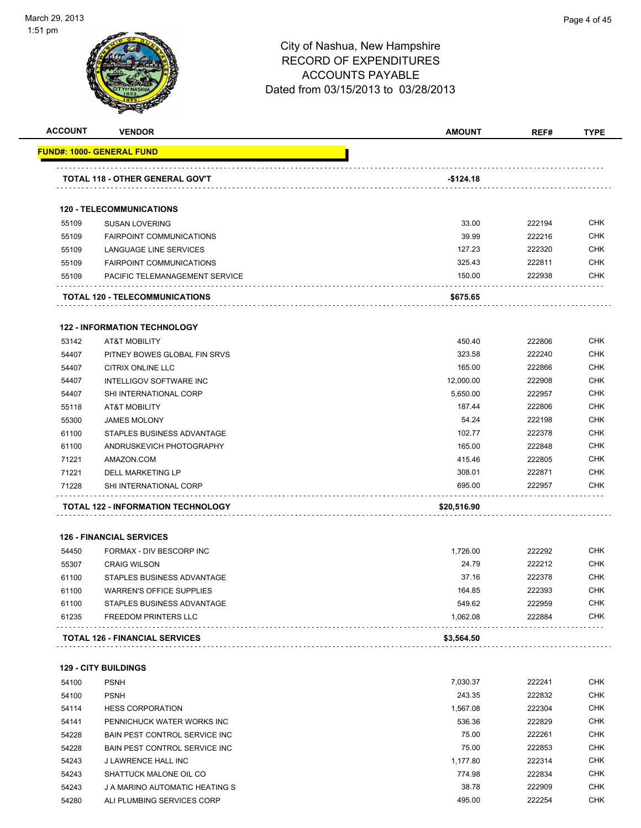

**ACCOUNT VENDOR AMOUNT REF# TYPE**

|                | <u> FUND#: 1000- GENERAL FUND</u>                              |                  |                  |                                                                                                                                                                                                  |
|----------------|----------------------------------------------------------------|------------------|------------------|--------------------------------------------------------------------------------------------------------------------------------------------------------------------------------------------------|
|                | <b>TOTAL 118 - OTHER GENERAL GOV'T</b>                         | -\$124.18        |                  |                                                                                                                                                                                                  |
|                | <b>120 - TELECOMMUNICATIONS</b>                                |                  |                  |                                                                                                                                                                                                  |
| 55109          | <b>SUSAN LOVERING</b>                                          | 33.00            | 222194           | <b>CHK</b>                                                                                                                                                                                       |
| 55109          | <b>FAIRPOINT COMMUNICATIONS</b>                                | 39.99            | 222216           | <b>CHK</b>                                                                                                                                                                                       |
| 55109          | LANGUAGE LINE SERVICES                                         | 127.23           | 222320           | <b>CHK</b>                                                                                                                                                                                       |
| 55109          | <b>FAIRPOINT COMMUNICATIONS</b>                                | 325.43           | 222811           | <b>CHK</b>                                                                                                                                                                                       |
| 55109          | PACIFIC TELEMANAGEMENT SERVICE                                 | 150.00           | 222938           | <b>CHK</b>                                                                                                                                                                                       |
|                | <b>TOTAL 120 - TELECOMMUNICATIONS</b>                          | \$675.65         |                  |                                                                                                                                                                                                  |
|                | <b>122 - INFORMATION TECHNOLOGY</b>                            |                  |                  |                                                                                                                                                                                                  |
| 53142          | <b>AT&amp;T MOBILITY</b>                                       | 450.40           | 222806           | <b>CHK</b>                                                                                                                                                                                       |
| 54407          | PITNEY BOWES GLOBAL FIN SRVS                                   | 323.58           | 222240           | <b>CHK</b>                                                                                                                                                                                       |
| 54407          | <b>CITRIX ONLINE LLC</b>                                       | 165.00           | 222866           | <b>CHK</b>                                                                                                                                                                                       |
| 54407          | INTELLIGOV SOFTWARE INC                                        | 12,000.00        | 222908           | <b>CHK</b>                                                                                                                                                                                       |
| 54407          | SHI INTERNATIONAL CORP                                         | 5,650.00         | 222957           | <b>CHK</b>                                                                                                                                                                                       |
| 55118          | <b>AT&amp;T MOBILITY</b>                                       | 187.44           | 222806           | <b>CHK</b>                                                                                                                                                                                       |
| 55300          | <b>JAMES MOLONY</b>                                            | 54.24            | 222198           | <b>CHK</b>                                                                                                                                                                                       |
| 61100          | STAPLES BUSINESS ADVANTAGE                                     | 102.77           | 222378           | <b>CHK</b>                                                                                                                                                                                       |
| 61100          | ANDRUSKEVICH PHOTOGRAPHY                                       | 165.00           | 222848           | <b>CHK</b>                                                                                                                                                                                       |
| 71221          | AMAZON.COM                                                     | 415.46           | 222805           | <b>CHK</b>                                                                                                                                                                                       |
| 71221          | DELL MARKETING LP                                              | 308.01           | 222871           | <b>CHK</b>                                                                                                                                                                                       |
| 71228          | SHI INTERNATIONAL CORP                                         | 695.00           | 222957           | CHK                                                                                                                                                                                              |
|                | TOTAL 122 - INFORMATION TECHNOLOGY                             | \$20,516.90      |                  |                                                                                                                                                                                                  |
|                |                                                                |                  |                  |                                                                                                                                                                                                  |
|                |                                                                |                  |                  |                                                                                                                                                                                                  |
|                | <b>126 - FINANCIAL SERVICES</b>                                |                  |                  |                                                                                                                                                                                                  |
| 54450          | FORMAX - DIV BESCORP INC                                       | 1,726.00         | 222292           |                                                                                                                                                                                                  |
| 55307          | <b>CRAIG WILSON</b>                                            | 24.79            | 222212           |                                                                                                                                                                                                  |
| 61100          | STAPLES BUSINESS ADVANTAGE                                     | 37.16            | 222378           |                                                                                                                                                                                                  |
| 61100          | <b>WARREN'S OFFICE SUPPLIES</b>                                | 164.85<br>549.62 | 222393           |                                                                                                                                                                                                  |
| 61100<br>61235 | STAPLES BUSINESS ADVANTAGE<br>FREEDOM PRINTERS LLC             | 1,062.08         | 222959<br>222884 |                                                                                                                                                                                                  |
|                | <b>TOTAL 126 - FINANCIAL SERVICES</b>                          | \$3,564.50       |                  |                                                                                                                                                                                                  |
|                | <b>129 - CITY BUILDINGS</b>                                    |                  |                  |                                                                                                                                                                                                  |
| 54100          | <b>PSNH</b>                                                    | 7,030.37         | 222241           |                                                                                                                                                                                                  |
|                | <b>PSNH</b>                                                    | 243.35           | 222832           |                                                                                                                                                                                                  |
| 54100<br>54114 | <b>HESS CORPORATION</b>                                        | 1,567.08         | 222304           |                                                                                                                                                                                                  |
| 54141          | PENNICHUCK WATER WORKS INC                                     | 536.36           | 222829           |                                                                                                                                                                                                  |
|                |                                                                | 75.00            | 222261           |                                                                                                                                                                                                  |
| 54228          | BAIN PEST CONTROL SERVICE INC<br>BAIN PEST CONTROL SERVICE INC | 75.00            | 222853           |                                                                                                                                                                                                  |
| 54228          |                                                                |                  |                  |                                                                                                                                                                                                  |
| 54243          | J LAWRENCE HALL INC                                            | 1,177.80         | 222314           |                                                                                                                                                                                                  |
| 54243<br>54243 | SHATTUCK MALONE OIL CO<br>J A MARINO AUTOMATIC HEATING S       | 774.98<br>38.78  | 222834<br>222909 | <b>CHK</b><br><b>CHK</b><br><b>CHK</b><br><b>CHK</b><br><b>CHK</b><br>CHK<br><b>CHK</b><br><b>CHK</b><br><b>CHK</b><br><b>CHK</b><br><b>CHK</b><br><b>CHK</b><br><b>CHK</b><br><b>CHK</b><br>CHK |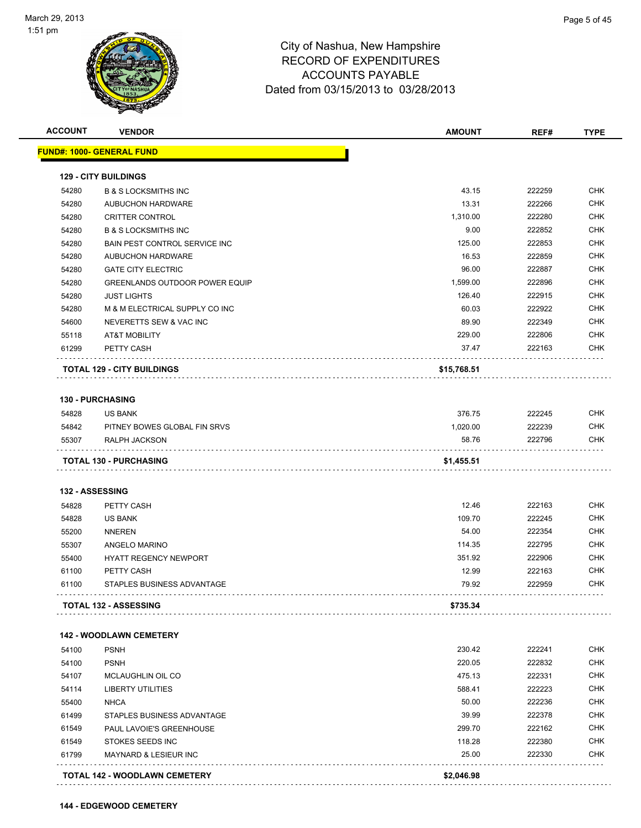| <b>FUND#: 1000- GENERAL FUND</b><br><b>129 - CITY BUILDINGS</b><br>43.15<br>222259<br>54280<br><b>B &amp; S LOCKSMITHS INC</b><br>13.31<br>54280<br>222266<br><b>AUBUCHON HARDWARE</b><br>222280<br>54280<br>1,310.00<br><b>CRITTER CONTROL</b><br>9.00<br>222852<br>54280<br><b>B &amp; S LOCKSMITHS INC</b><br>54280<br><b>BAIN PEST CONTROL SERVICE INC</b><br>125.00<br>222853<br>54280<br>16.53<br>222859<br><b>AUBUCHON HARDWARE</b><br>96.00<br>222887<br>54280<br><b>GATE CITY ELECTRIC</b><br>54280<br><b>GREENLANDS OUTDOOR POWER EQUIP</b><br>1,599.00<br>222896<br>126.40<br>222915<br>54280<br><b>JUST LIGHTS</b><br>54280<br>M & M ELECTRICAL SUPPLY CO INC<br>60.03<br>222922<br>54600<br>NEVERETTS SEW & VAC INC<br>89.90<br>222349<br>229.00<br>222806<br>55118<br><b>AT&amp;T MOBILITY</b><br>222163<br>61299<br>PETTY CASH<br>37.47<br><b>TOTAL 129 - CITY BUILDINGS</b><br>\$15,768.51<br><b>130 - PURCHASING</b><br>376.75<br>222245<br>54828<br><b>US BANK</b><br>1,020.00<br>222239<br>54842<br>PITNEY BOWES GLOBAL FIN SRVS<br>58.76<br>222796<br>55307<br>RALPH JACKSON<br><b>TOTAL 130 - PURCHASING</b><br>\$1,455.51<br>132 - ASSESSING<br>222163<br>54828<br>PETTY CASH<br>12.46<br>109.70<br>222245<br>54828<br><b>US BANK</b><br>54.00<br>222354<br>55200<br><b>NNEREN</b><br>55307<br>114.35<br>222795<br>ANGELO MARINO<br>351.92<br>222906<br>55400<br><b>HYATT REGENCY NEWPORT</b><br>12.99<br>222163<br>61100<br>PETTY CASH<br>79.92<br>222959<br>61100<br>STAPLES BUSINESS ADVANTAGE<br><b>TOTAL 132 - ASSESSING</b><br>\$735.34<br><b>142 - WOODLAWN CEMETERY</b><br>230.42<br>222241<br>54100<br><b>PSNH</b><br>220.05<br>222832<br><b>PSNH</b><br>54100<br>475.13<br>222331<br>54107<br>MCLAUGHLIN OIL CO<br>222223<br>588.41<br>54114<br><b>LIBERTY UTILITIES</b><br><b>NHCA</b><br>50.00<br>222236<br>55400<br>39.99<br>222378<br>61499<br>STAPLES BUSINESS ADVANTAGE<br>61549<br>299.70<br>222162<br>PAUL LAVOIE'S GREENHOUSE<br>222380<br>61549<br>STOKES SEEDS INC<br>118.28<br>61799<br>25.00<br>222330<br>MAYNARD & LESIEUR INC | <b>ACCOUNT</b> | <b>VENDOR</b> | <b>AMOUNT</b> | REF# | <b>TYPE</b> |
|------------------------------------------------------------------------------------------------------------------------------------------------------------------------------------------------------------------------------------------------------------------------------------------------------------------------------------------------------------------------------------------------------------------------------------------------------------------------------------------------------------------------------------------------------------------------------------------------------------------------------------------------------------------------------------------------------------------------------------------------------------------------------------------------------------------------------------------------------------------------------------------------------------------------------------------------------------------------------------------------------------------------------------------------------------------------------------------------------------------------------------------------------------------------------------------------------------------------------------------------------------------------------------------------------------------------------------------------------------------------------------------------------------------------------------------------------------------------------------------------------------------------------------------------------------------------------------------------------------------------------------------------------------------------------------------------------------------------------------------------------------------------------------------------------------------------------------------------------------------------------------------------------------------------------------------------------------------------------------------------------------------------------------------------------------------------------|----------------|---------------|---------------|------|-------------|
|                                                                                                                                                                                                                                                                                                                                                                                                                                                                                                                                                                                                                                                                                                                                                                                                                                                                                                                                                                                                                                                                                                                                                                                                                                                                                                                                                                                                                                                                                                                                                                                                                                                                                                                                                                                                                                                                                                                                                                                                                                                                              |                |               |               |      |             |
|                                                                                                                                                                                                                                                                                                                                                                                                                                                                                                                                                                                                                                                                                                                                                                                                                                                                                                                                                                                                                                                                                                                                                                                                                                                                                                                                                                                                                                                                                                                                                                                                                                                                                                                                                                                                                                                                                                                                                                                                                                                                              |                |               |               |      |             |
|                                                                                                                                                                                                                                                                                                                                                                                                                                                                                                                                                                                                                                                                                                                                                                                                                                                                                                                                                                                                                                                                                                                                                                                                                                                                                                                                                                                                                                                                                                                                                                                                                                                                                                                                                                                                                                                                                                                                                                                                                                                                              |                |               |               |      | <b>CHK</b>  |
|                                                                                                                                                                                                                                                                                                                                                                                                                                                                                                                                                                                                                                                                                                                                                                                                                                                                                                                                                                                                                                                                                                                                                                                                                                                                                                                                                                                                                                                                                                                                                                                                                                                                                                                                                                                                                                                                                                                                                                                                                                                                              |                |               |               |      | <b>CHK</b>  |
|                                                                                                                                                                                                                                                                                                                                                                                                                                                                                                                                                                                                                                                                                                                                                                                                                                                                                                                                                                                                                                                                                                                                                                                                                                                                                                                                                                                                                                                                                                                                                                                                                                                                                                                                                                                                                                                                                                                                                                                                                                                                              |                |               |               |      | <b>CHK</b>  |
|                                                                                                                                                                                                                                                                                                                                                                                                                                                                                                                                                                                                                                                                                                                                                                                                                                                                                                                                                                                                                                                                                                                                                                                                                                                                                                                                                                                                                                                                                                                                                                                                                                                                                                                                                                                                                                                                                                                                                                                                                                                                              |                |               |               |      | <b>CHK</b>  |
|                                                                                                                                                                                                                                                                                                                                                                                                                                                                                                                                                                                                                                                                                                                                                                                                                                                                                                                                                                                                                                                                                                                                                                                                                                                                                                                                                                                                                                                                                                                                                                                                                                                                                                                                                                                                                                                                                                                                                                                                                                                                              |                |               |               |      | <b>CHK</b>  |
|                                                                                                                                                                                                                                                                                                                                                                                                                                                                                                                                                                                                                                                                                                                                                                                                                                                                                                                                                                                                                                                                                                                                                                                                                                                                                                                                                                                                                                                                                                                                                                                                                                                                                                                                                                                                                                                                                                                                                                                                                                                                              |                |               |               |      | <b>CHK</b>  |
|                                                                                                                                                                                                                                                                                                                                                                                                                                                                                                                                                                                                                                                                                                                                                                                                                                                                                                                                                                                                                                                                                                                                                                                                                                                                                                                                                                                                                                                                                                                                                                                                                                                                                                                                                                                                                                                                                                                                                                                                                                                                              |                |               |               |      | <b>CHK</b>  |
|                                                                                                                                                                                                                                                                                                                                                                                                                                                                                                                                                                                                                                                                                                                                                                                                                                                                                                                                                                                                                                                                                                                                                                                                                                                                                                                                                                                                                                                                                                                                                                                                                                                                                                                                                                                                                                                                                                                                                                                                                                                                              |                |               |               |      | <b>CHK</b>  |
|                                                                                                                                                                                                                                                                                                                                                                                                                                                                                                                                                                                                                                                                                                                                                                                                                                                                                                                                                                                                                                                                                                                                                                                                                                                                                                                                                                                                                                                                                                                                                                                                                                                                                                                                                                                                                                                                                                                                                                                                                                                                              |                |               |               |      | <b>CHK</b>  |
|                                                                                                                                                                                                                                                                                                                                                                                                                                                                                                                                                                                                                                                                                                                                                                                                                                                                                                                                                                                                                                                                                                                                                                                                                                                                                                                                                                                                                                                                                                                                                                                                                                                                                                                                                                                                                                                                                                                                                                                                                                                                              |                |               |               |      | <b>CHK</b>  |
|                                                                                                                                                                                                                                                                                                                                                                                                                                                                                                                                                                                                                                                                                                                                                                                                                                                                                                                                                                                                                                                                                                                                                                                                                                                                                                                                                                                                                                                                                                                                                                                                                                                                                                                                                                                                                                                                                                                                                                                                                                                                              |                |               |               |      | CHK         |
|                                                                                                                                                                                                                                                                                                                                                                                                                                                                                                                                                                                                                                                                                                                                                                                                                                                                                                                                                                                                                                                                                                                                                                                                                                                                                                                                                                                                                                                                                                                                                                                                                                                                                                                                                                                                                                                                                                                                                                                                                                                                              |                |               |               |      | <b>CHK</b>  |
|                                                                                                                                                                                                                                                                                                                                                                                                                                                                                                                                                                                                                                                                                                                                                                                                                                                                                                                                                                                                                                                                                                                                                                                                                                                                                                                                                                                                                                                                                                                                                                                                                                                                                                                                                                                                                                                                                                                                                                                                                                                                              |                |               |               |      | CHK         |
|                                                                                                                                                                                                                                                                                                                                                                                                                                                                                                                                                                                                                                                                                                                                                                                                                                                                                                                                                                                                                                                                                                                                                                                                                                                                                                                                                                                                                                                                                                                                                                                                                                                                                                                                                                                                                                                                                                                                                                                                                                                                              |                |               |               |      |             |
|                                                                                                                                                                                                                                                                                                                                                                                                                                                                                                                                                                                                                                                                                                                                                                                                                                                                                                                                                                                                                                                                                                                                                                                                                                                                                                                                                                                                                                                                                                                                                                                                                                                                                                                                                                                                                                                                                                                                                                                                                                                                              |                |               |               |      |             |
|                                                                                                                                                                                                                                                                                                                                                                                                                                                                                                                                                                                                                                                                                                                                                                                                                                                                                                                                                                                                                                                                                                                                                                                                                                                                                                                                                                                                                                                                                                                                                                                                                                                                                                                                                                                                                                                                                                                                                                                                                                                                              |                |               |               |      |             |
|                                                                                                                                                                                                                                                                                                                                                                                                                                                                                                                                                                                                                                                                                                                                                                                                                                                                                                                                                                                                                                                                                                                                                                                                                                                                                                                                                                                                                                                                                                                                                                                                                                                                                                                                                                                                                                                                                                                                                                                                                                                                              |                |               |               |      | <b>CHK</b>  |
|                                                                                                                                                                                                                                                                                                                                                                                                                                                                                                                                                                                                                                                                                                                                                                                                                                                                                                                                                                                                                                                                                                                                                                                                                                                                                                                                                                                                                                                                                                                                                                                                                                                                                                                                                                                                                                                                                                                                                                                                                                                                              |                |               |               |      | <b>CHK</b>  |
|                                                                                                                                                                                                                                                                                                                                                                                                                                                                                                                                                                                                                                                                                                                                                                                                                                                                                                                                                                                                                                                                                                                                                                                                                                                                                                                                                                                                                                                                                                                                                                                                                                                                                                                                                                                                                                                                                                                                                                                                                                                                              |                |               |               |      | CHK         |
|                                                                                                                                                                                                                                                                                                                                                                                                                                                                                                                                                                                                                                                                                                                                                                                                                                                                                                                                                                                                                                                                                                                                                                                                                                                                                                                                                                                                                                                                                                                                                                                                                                                                                                                                                                                                                                                                                                                                                                                                                                                                              |                |               |               |      |             |
|                                                                                                                                                                                                                                                                                                                                                                                                                                                                                                                                                                                                                                                                                                                                                                                                                                                                                                                                                                                                                                                                                                                                                                                                                                                                                                                                                                                                                                                                                                                                                                                                                                                                                                                                                                                                                                                                                                                                                                                                                                                                              |                |               |               |      |             |
|                                                                                                                                                                                                                                                                                                                                                                                                                                                                                                                                                                                                                                                                                                                                                                                                                                                                                                                                                                                                                                                                                                                                                                                                                                                                                                                                                                                                                                                                                                                                                                                                                                                                                                                                                                                                                                                                                                                                                                                                                                                                              |                |               |               |      | <b>CHK</b>  |
|                                                                                                                                                                                                                                                                                                                                                                                                                                                                                                                                                                                                                                                                                                                                                                                                                                                                                                                                                                                                                                                                                                                                                                                                                                                                                                                                                                                                                                                                                                                                                                                                                                                                                                                                                                                                                                                                                                                                                                                                                                                                              |                |               |               |      | <b>CHK</b>  |
|                                                                                                                                                                                                                                                                                                                                                                                                                                                                                                                                                                                                                                                                                                                                                                                                                                                                                                                                                                                                                                                                                                                                                                                                                                                                                                                                                                                                                                                                                                                                                                                                                                                                                                                                                                                                                                                                                                                                                                                                                                                                              |                |               |               |      | <b>CHK</b>  |
|                                                                                                                                                                                                                                                                                                                                                                                                                                                                                                                                                                                                                                                                                                                                                                                                                                                                                                                                                                                                                                                                                                                                                                                                                                                                                                                                                                                                                                                                                                                                                                                                                                                                                                                                                                                                                                                                                                                                                                                                                                                                              |                |               |               |      | <b>CHK</b>  |
|                                                                                                                                                                                                                                                                                                                                                                                                                                                                                                                                                                                                                                                                                                                                                                                                                                                                                                                                                                                                                                                                                                                                                                                                                                                                                                                                                                                                                                                                                                                                                                                                                                                                                                                                                                                                                                                                                                                                                                                                                                                                              |                |               |               |      | <b>CHK</b>  |
|                                                                                                                                                                                                                                                                                                                                                                                                                                                                                                                                                                                                                                                                                                                                                                                                                                                                                                                                                                                                                                                                                                                                                                                                                                                                                                                                                                                                                                                                                                                                                                                                                                                                                                                                                                                                                                                                                                                                                                                                                                                                              |                |               |               |      | CHK         |
|                                                                                                                                                                                                                                                                                                                                                                                                                                                                                                                                                                                                                                                                                                                                                                                                                                                                                                                                                                                                                                                                                                                                                                                                                                                                                                                                                                                                                                                                                                                                                                                                                                                                                                                                                                                                                                                                                                                                                                                                                                                                              |                |               |               |      | <b>CHK</b>  |
|                                                                                                                                                                                                                                                                                                                                                                                                                                                                                                                                                                                                                                                                                                                                                                                                                                                                                                                                                                                                                                                                                                                                                                                                                                                                                                                                                                                                                                                                                                                                                                                                                                                                                                                                                                                                                                                                                                                                                                                                                                                                              |                |               |               |      |             |
|                                                                                                                                                                                                                                                                                                                                                                                                                                                                                                                                                                                                                                                                                                                                                                                                                                                                                                                                                                                                                                                                                                                                                                                                                                                                                                                                                                                                                                                                                                                                                                                                                                                                                                                                                                                                                                                                                                                                                                                                                                                                              |                |               |               |      |             |
|                                                                                                                                                                                                                                                                                                                                                                                                                                                                                                                                                                                                                                                                                                                                                                                                                                                                                                                                                                                                                                                                                                                                                                                                                                                                                                                                                                                                                                                                                                                                                                                                                                                                                                                                                                                                                                                                                                                                                                                                                                                                              |                |               |               |      |             |
|                                                                                                                                                                                                                                                                                                                                                                                                                                                                                                                                                                                                                                                                                                                                                                                                                                                                                                                                                                                                                                                                                                                                                                                                                                                                                                                                                                                                                                                                                                                                                                                                                                                                                                                                                                                                                                                                                                                                                                                                                                                                              |                |               |               |      | <b>CHK</b>  |
|                                                                                                                                                                                                                                                                                                                                                                                                                                                                                                                                                                                                                                                                                                                                                                                                                                                                                                                                                                                                                                                                                                                                                                                                                                                                                                                                                                                                                                                                                                                                                                                                                                                                                                                                                                                                                                                                                                                                                                                                                                                                              |                |               |               |      | <b>CHK</b>  |
|                                                                                                                                                                                                                                                                                                                                                                                                                                                                                                                                                                                                                                                                                                                                                                                                                                                                                                                                                                                                                                                                                                                                                                                                                                                                                                                                                                                                                                                                                                                                                                                                                                                                                                                                                                                                                                                                                                                                                                                                                                                                              |                |               |               |      | <b>CHK</b>  |
|                                                                                                                                                                                                                                                                                                                                                                                                                                                                                                                                                                                                                                                                                                                                                                                                                                                                                                                                                                                                                                                                                                                                                                                                                                                                                                                                                                                                                                                                                                                                                                                                                                                                                                                                                                                                                                                                                                                                                                                                                                                                              |                |               |               |      | <b>CHK</b>  |
|                                                                                                                                                                                                                                                                                                                                                                                                                                                                                                                                                                                                                                                                                                                                                                                                                                                                                                                                                                                                                                                                                                                                                                                                                                                                                                                                                                                                                                                                                                                                                                                                                                                                                                                                                                                                                                                                                                                                                                                                                                                                              |                |               |               |      | <b>CHK</b>  |
|                                                                                                                                                                                                                                                                                                                                                                                                                                                                                                                                                                                                                                                                                                                                                                                                                                                                                                                                                                                                                                                                                                                                                                                                                                                                                                                                                                                                                                                                                                                                                                                                                                                                                                                                                                                                                                                                                                                                                                                                                                                                              |                |               |               |      | <b>CHK</b>  |
|                                                                                                                                                                                                                                                                                                                                                                                                                                                                                                                                                                                                                                                                                                                                                                                                                                                                                                                                                                                                                                                                                                                                                                                                                                                                                                                                                                                                                                                                                                                                                                                                                                                                                                                                                                                                                                                                                                                                                                                                                                                                              |                |               |               |      | <b>CHK</b>  |
|                                                                                                                                                                                                                                                                                                                                                                                                                                                                                                                                                                                                                                                                                                                                                                                                                                                                                                                                                                                                                                                                                                                                                                                                                                                                                                                                                                                                                                                                                                                                                                                                                                                                                                                                                                                                                                                                                                                                                                                                                                                                              |                |               |               |      | <b>CHK</b>  |
|                                                                                                                                                                                                                                                                                                                                                                                                                                                                                                                                                                                                                                                                                                                                                                                                                                                                                                                                                                                                                                                                                                                                                                                                                                                                                                                                                                                                                                                                                                                                                                                                                                                                                                                                                                                                                                                                                                                                                                                                                                                                              |                |               |               |      | CHK         |
| TOTAL 142 - WOODLAWN CEMETERY                                                                                                                                                                                                                                                                                                                                                                                                                                                                                                                                                                                                                                                                                                                                                                                                                                                                                                                                                                                                                                                                                                                                                                                                                                                                                                                                                                                                                                                                                                                                                                                                                                                                                                                                                                                                                                                                                                                                                                                                                                                |                |               | \$2,046.98    |      |             |

**144 - EDGEWOOD CEMETERY**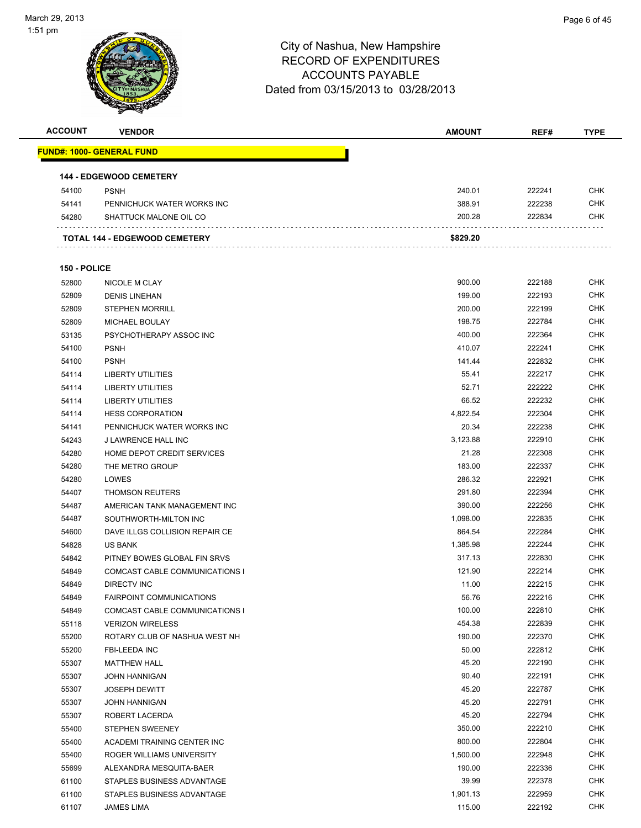

| <b>ACCOUNT</b> | <b>VENDOR</b>                         | <b>AMOUNT</b> | REF#   | <b>TYPE</b> |
|----------------|---------------------------------------|---------------|--------|-------------|
|                | <u> FUND#: 1000- GENERAL FUND</u>     |               |        |             |
|                | <b>144 - EDGEWOOD CEMETERY</b>        |               |        |             |
| 54100          | <b>PSNH</b>                           | 240.01        | 222241 | <b>CHK</b>  |
| 54141          | PENNICHUCK WATER WORKS INC            | 388.91        | 222238 | <b>CHK</b>  |
| 54280          | SHATTUCK MALONE OIL CO                | 200.28        | 222834 | CHK         |
|                | TOTAL 144 - EDGEWOOD CEMETERY         | \$829.20      |        |             |
| 150 - POLICE   |                                       |               |        |             |
| 52800          | NICOLE M CLAY                         | 900.00        | 222188 | <b>CHK</b>  |
| 52809          | <b>DENIS LINEHAN</b>                  | 199.00        | 222193 | <b>CHK</b>  |
| 52809          | <b>STEPHEN MORRILL</b>                | 200.00        | 222199 | <b>CHK</b>  |
| 52809          | MICHAEL BOULAY                        | 198.75        | 222784 | <b>CHK</b>  |
| 53135          | PSYCHOTHERAPY ASSOC INC               | 400.00        | 222364 | <b>CHK</b>  |
| 54100          | <b>PSNH</b>                           | 410.07        | 222241 | <b>CHK</b>  |
| 54100          | <b>PSNH</b>                           | 141.44        | 222832 | <b>CHK</b>  |
| 54114          | <b>LIBERTY UTILITIES</b>              | 55.41         | 222217 | <b>CHK</b>  |
| 54114          | <b>LIBERTY UTILITIES</b>              | 52.71         | 222222 | <b>CHK</b>  |
| 54114          | <b>LIBERTY UTILITIES</b>              | 66.52         | 222232 | <b>CHK</b>  |
| 54114          | <b>HESS CORPORATION</b>               | 4,822.54      | 222304 | <b>CHK</b>  |
| 54141          | PENNICHUCK WATER WORKS INC            | 20.34         | 222238 | CHK         |
| 54243          | J LAWRENCE HALL INC                   | 3,123.88      | 222910 | <b>CHK</b>  |
| 54280          | HOME DEPOT CREDIT SERVICES            | 21.28         | 222308 | <b>CHK</b>  |
| 54280          | THE METRO GROUP                       | 183.00        | 222337 | <b>CHK</b>  |
| 54280          | LOWES                                 | 286.32        | 222921 | <b>CHK</b>  |
| 54407          | <b>THOMSON REUTERS</b>                | 291.80        | 222394 | <b>CHK</b>  |
| 54487          | AMERICAN TANK MANAGEMENT INC          | 390.00        | 222256 | <b>CHK</b>  |
| 54487          | SOUTHWORTH-MILTON INC                 | 1,098.00      | 222835 | <b>CHK</b>  |
| 54600          | DAVE ILLGS COLLISION REPAIR CE        | 864.54        | 222284 | <b>CHK</b>  |
| 54828          | <b>US BANK</b>                        | 1,385.98      | 222244 | <b>CHK</b>  |
| 54842          | PITNEY BOWES GLOBAL FIN SRVS          | 317.13        | 222830 | <b>CHK</b>  |
| 54849          | <b>COMCAST CABLE COMMUNICATIONS I</b> | 121.90        | 222214 | <b>CHK</b>  |
| 54849          | <b>DIRECTV INC</b>                    | 11.00         | 222215 | <b>CHK</b>  |
| 54849          | FAIRPOINT COMMUNICATIONS              | 56.76         | 222216 | <b>CHK</b>  |
| 54849          | COMCAST CABLE COMMUNICATIONS I        | 100.00        | 222810 | CHK         |
| 55118          | <b>VERIZON WIRELESS</b>               | 454.38        | 222839 | <b>CHK</b>  |
| 55200          | ROTARY CLUB OF NASHUA WEST NH         | 190.00        | 222370 | <b>CHK</b>  |
| 55200          | FBI-LEEDA INC                         | 50.00         | 222812 | <b>CHK</b>  |
| 55307          | <b>MATTHEW HALL</b>                   | 45.20         | 222190 | <b>CHK</b>  |
| 55307          | <b>JOHN HANNIGAN</b>                  | 90.40         | 222191 | <b>CHK</b>  |
| 55307          | <b>JOSEPH DEWITT</b>                  | 45.20         | 222787 | <b>CHK</b>  |
| 55307          | <b>JOHN HANNIGAN</b>                  | 45.20         | 222791 | <b>CHK</b>  |
| 55307          | ROBERT LACERDA                        | 45.20         | 222794 | <b>CHK</b>  |
| 55400          | STEPHEN SWEENEY                       | 350.00        | 222210 | <b>CHK</b>  |
| 55400          | ACADEMI TRAINING CENTER INC           | 800.00        | 222804 | <b>CHK</b>  |
| 55400          | ROGER WILLIAMS UNIVERSITY             | 1,500.00      | 222948 | <b>CHK</b>  |
| 55699          | ALEXANDRA MESQUITA-BAER               | 190.00        | 222336 | <b>CHK</b>  |
| 61100          | STAPLES BUSINESS ADVANTAGE            | 39.99         | 222378 | <b>CHK</b>  |
| 61100          | STAPLES BUSINESS ADVANTAGE            | 1,901.13      | 222959 | <b>CHK</b>  |
| 61107          | JAMES LIMA                            | 115.00        | 222192 | <b>CHK</b>  |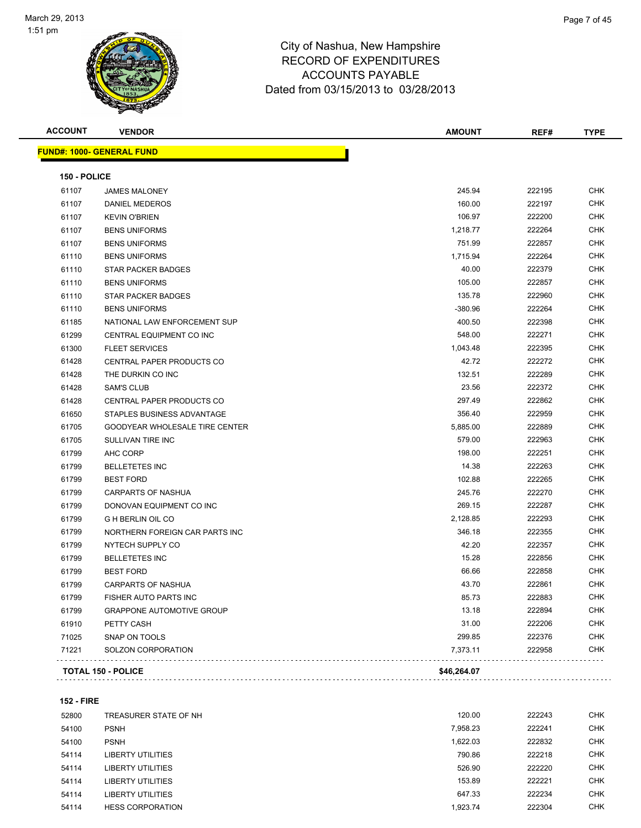

| <b>ACCOUNT</b> | <b>VENDOR</b>                    | <b>AMOUNT</b> | REF#   | <b>TYPE</b> |
|----------------|----------------------------------|---------------|--------|-------------|
|                | <b>FUND#: 1000- GENERAL FUND</b> |               |        |             |
| 150 - POLICE   |                                  |               |        |             |
| 61107          | <b>JAMES MALONEY</b>             | 245.94        | 222195 | <b>CHK</b>  |
| 61107          | DANIEL MEDEROS                   | 160.00        | 222197 | <b>CHK</b>  |
| 61107          | <b>KEVIN O'BRIEN</b>             | 106.97        | 222200 | <b>CHK</b>  |
| 61107          | <b>BENS UNIFORMS</b>             | 1,218.77      | 222264 | CHK         |
| 61107          | <b>BENS UNIFORMS</b>             | 751.99        | 222857 | <b>CHK</b>  |
| 61110          | <b>BENS UNIFORMS</b>             | 1,715.94      | 222264 | <b>CHK</b>  |
| 61110          | STAR PACKER BADGES               | 40.00         | 222379 | CHK         |
| 61110          | <b>BENS UNIFORMS</b>             | 105.00        | 222857 | <b>CHK</b>  |
| 61110          | STAR PACKER BADGES               | 135.78        | 222960 | <b>CHK</b>  |
| 61110          | <b>BENS UNIFORMS</b>             | $-380.96$     | 222264 | <b>CHK</b>  |
| 61185          | NATIONAL LAW ENFORCEMENT SUP     | 400.50        | 222398 | <b>CHK</b>  |
| 61299          | CENTRAL EQUIPMENT CO INC         | 548.00        | 222271 | CHK         |
| 61300          | <b>FLEET SERVICES</b>            | 1,043.48      | 222395 | <b>CHK</b>  |
| 61428          | CENTRAL PAPER PRODUCTS CO        | 42.72         | 222272 | CHK         |
| 61428          | THE DURKIN CO INC                | 132.51        | 222289 | CHK         |
| 61428          | <b>SAM'S CLUB</b>                | 23.56         | 222372 | <b>CHK</b>  |
| 61428          | CENTRAL PAPER PRODUCTS CO        | 297.49        | 222862 | <b>CHK</b>  |
| 61650          | STAPLES BUSINESS ADVANTAGE       | 356.40        | 222959 | CHK         |
| 61705          | GOODYEAR WHOLESALE TIRE CENTER   | 5,885.00      | 222889 | CHK         |
| 61705          | SULLIVAN TIRE INC                | 579.00        | 222963 | <b>CHK</b>  |
| 61799          | AHC CORP                         | 198.00        | 222251 | <b>CHK</b>  |
| 61799          | <b>BELLETETES INC</b>            | 14.38         | 222263 | <b>CHK</b>  |
| 61799          | <b>BEST FORD</b>                 | 102.88        | 222265 | CHK         |
| 61799          | CARPARTS OF NASHUA               | 245.76        | 222270 | <b>CHK</b>  |
| 61799          | DONOVAN EQUIPMENT CO INC         | 269.15        | 222287 | <b>CHK</b>  |
| 61799          | <b>G H BERLIN OIL CO</b>         | 2,128.85      | 222293 | <b>CHK</b>  |
| 61799          | NORTHERN FOREIGN CAR PARTS INC   | 346.18        | 222355 | <b>CHK</b>  |
| 61799          | NYTECH SUPPLY CO                 | 42.20         | 222357 | <b>CHK</b>  |
| 61799          | <b>BELLETETES INC</b>            | 15.28         | 222856 | CHK         |
| 61799          | <b>BEST FORD</b>                 | 66.66         | 222858 | <b>CHK</b>  |
| 61799          | CARPARTS OF NASHUA               | 43.70         | 222861 | <b>CHK</b>  |
| 61799          | FISHER AUTO PARTS INC            | 85.73         | 222883 | <b>CHK</b>  |
| 61799          | <b>GRAPPONE AUTOMOTIVE GROUP</b> | 13.18         | 222894 | <b>CHK</b>  |
| 61910          | PETTY CASH                       | 31.00         | 222206 | <b>CHK</b>  |
| 71025          | SNAP ON TOOLS                    | 299.85        | 222376 | <b>CHK</b>  |
| 71221          | SOLZON CORPORATION               | 7,373.11      | 222958 | CHK         |
|                |                                  |               |        |             |
|                | <b>TOTAL 150 - POLICE</b>        | \$46,264.07   |        |             |

**152 - FIRE**

| 52800 | TREASURER STATE OF NH   | 120.00   | 222243 | <b>CHK</b> |
|-------|-------------------------|----------|--------|------------|
| 54100 | <b>PSNH</b>             | 7,958.23 | 222241 | <b>CHK</b> |
| 54100 | <b>PSNH</b>             | 1.622.03 | 222832 | <b>CHK</b> |
| 54114 | LIBERTY UTILITIES       | 790.86   | 222218 | <b>CHK</b> |
| 54114 | LIBERTY UTILITIES       | 526.90   | 222220 | <b>CHK</b> |
| 54114 | LIBERTY UTILITIES       | 153.89   | 222221 | <b>CHK</b> |
| 54114 | LIBERTY UTILITIES       | 647.33   | 222234 | <b>CHK</b> |
| 54114 | <b>HESS CORPORATION</b> | 1.923.74 | 222304 | <b>CHK</b> |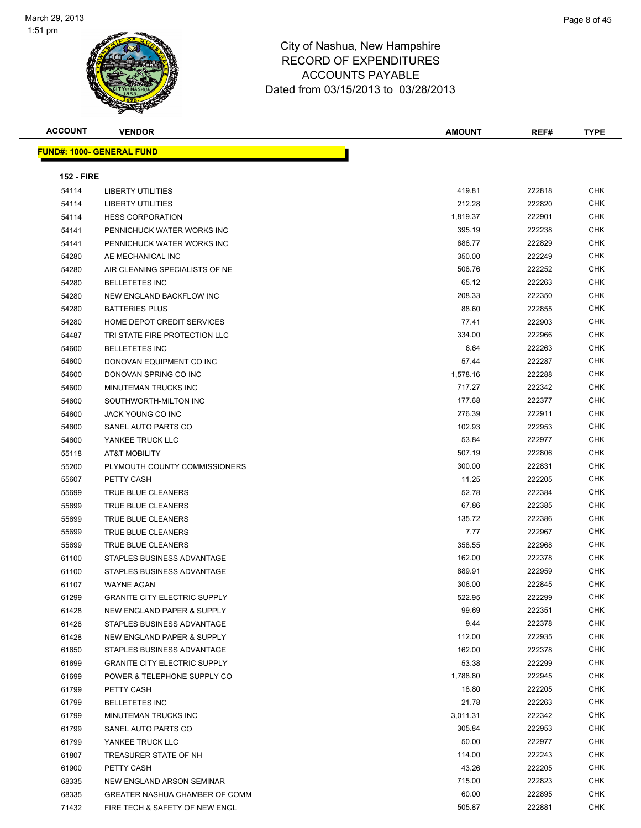

| <b>ACCOUNT</b>    | <b>VENDOR</b>                       | <b>AMOUNT</b> | REF#   | <b>TYPE</b> |
|-------------------|-------------------------------------|---------------|--------|-------------|
|                   | <b>FUND#: 1000- GENERAL FUND</b>    |               |        |             |
|                   |                                     |               |        |             |
| <b>152 - FIRE</b> |                                     |               |        |             |
| 54114             | <b>LIBERTY UTILITIES</b>            | 419.81        | 222818 | <b>CHK</b>  |
| 54114             | <b>LIBERTY UTILITIES</b>            | 212.28        | 222820 | <b>CHK</b>  |
| 54114             | <b>HESS CORPORATION</b>             | 1,819.37      | 222901 | CHK         |
| 54141             | PENNICHUCK WATER WORKS INC          | 395.19        | 222238 | CHK         |
| 54141             | PENNICHUCK WATER WORKS INC          | 686.77        | 222829 | CHK         |
| 54280             | AE MECHANICAL INC                   | 350.00        | 222249 | CHK         |
| 54280             | AIR CLEANING SPECIALISTS OF NE      | 508.76        | 222252 | CHK         |
| 54280             | <b>BELLETETES INC</b>               | 65.12         | 222263 | CHK         |
| 54280             | NEW ENGLAND BACKFLOW INC            | 208.33        | 222350 | <b>CHK</b>  |
| 54280             | <b>BATTERIES PLUS</b>               | 88.60         | 222855 | <b>CHK</b>  |
| 54280             | HOME DEPOT CREDIT SERVICES          | 77.41         | 222903 | CHK         |
| 54487             | TRI STATE FIRE PROTECTION LLC       | 334.00        | 222966 | CHK         |
| 54600             | <b>BELLETETES INC</b>               | 6.64          | 222263 | CHK         |
| 54600             | DONOVAN EQUIPMENT CO INC            | 57.44         | 222287 | CHK         |
| 54600             | DONOVAN SPRING CO INC               | 1,578.16      | 222288 | CHK         |
| 54600             | MINUTEMAN TRUCKS INC                | 717.27        | 222342 | CHK         |
| 54600             | SOUTHWORTH-MILTON INC               | 177.68        | 222377 | CHK         |
| 54600             | JACK YOUNG CO INC                   | 276.39        | 222911 | CHK         |
| 54600             | SANEL AUTO PARTS CO                 | 102.93        | 222953 | <b>CHK</b>  |
| 54600             | YANKEE TRUCK LLC                    | 53.84         | 222977 | <b>CHK</b>  |
| 55118             | <b>AT&amp;T MOBILITY</b>            | 507.19        | 222806 | CHK         |
| 55200             | PLYMOUTH COUNTY COMMISSIONERS       | 300.00        | 222831 | <b>CHK</b>  |
| 55607             | PETTY CASH                          | 11.25         | 222205 | <b>CHK</b>  |
| 55699             | TRUE BLUE CLEANERS                  | 52.78         | 222384 | CHK         |
| 55699             | TRUE BLUE CLEANERS                  | 67.86         | 222385 | CHK         |
| 55699             | TRUE BLUE CLEANERS                  | 135.72        | 222386 | CHK         |
| 55699             | TRUE BLUE CLEANERS                  | 7.77          | 222967 | CHK         |
| 55699             | TRUE BLUE CLEANERS                  | 358.55        | 222968 | <b>CHK</b>  |
| 61100             | STAPLES BUSINESS ADVANTAGE          | 162.00        | 222378 | <b>CHK</b>  |
| 61100             | STAPLES BUSINESS ADVANTAGE          | 889.91        | 222959 | CHK         |
| 61107             | <b>WAYNE AGAN</b>                   | 306.00        | 222845 | CHK         |
| 61299             | <b>GRANITE CITY ELECTRIC SUPPLY</b> | 522.95        | 222299 | <b>CHK</b>  |
| 61428             | NEW ENGLAND PAPER & SUPPLY          | 99.69         | 222351 | <b>CHK</b>  |
| 61428             | STAPLES BUSINESS ADVANTAGE          | 9.44          | 222378 | <b>CHK</b>  |
| 61428             | NEW ENGLAND PAPER & SUPPLY          | 112.00        | 222935 | CHK         |
| 61650             | STAPLES BUSINESS ADVANTAGE          | 162.00        | 222378 | <b>CHK</b>  |
| 61699             | <b>GRANITE CITY ELECTRIC SUPPLY</b> | 53.38         | 222299 | CHK         |
| 61699             | POWER & TELEPHONE SUPPLY CO         | 1,788.80      | 222945 | CHK         |
| 61799             | PETTY CASH                          | 18.80         | 222205 | CHK         |
| 61799             | <b>BELLETETES INC</b>               | 21.78         | 222263 | CHK         |
| 61799             | MINUTEMAN TRUCKS INC                | 3,011.31      | 222342 | CHK         |
| 61799             | SANEL AUTO PARTS CO                 | 305.84        | 222953 | CHK         |
| 61799             | YANKEE TRUCK LLC                    | 50.00         | 222977 | CHK         |
| 61807             | TREASURER STATE OF NH               | 114.00        | 222243 | CHK         |
| 61900             | PETTY CASH                          | 43.26         | 222205 | CHK         |
| 68335             | NEW ENGLAND ARSON SEMINAR           | 715.00        | 222823 | CHK         |
| 68335             | GREATER NASHUA CHAMBER OF COMM      | 60.00         | 222895 | CHK         |
| 71432             | FIRE TECH & SAFETY OF NEW ENGL      | 505.87        | 222881 | CHK         |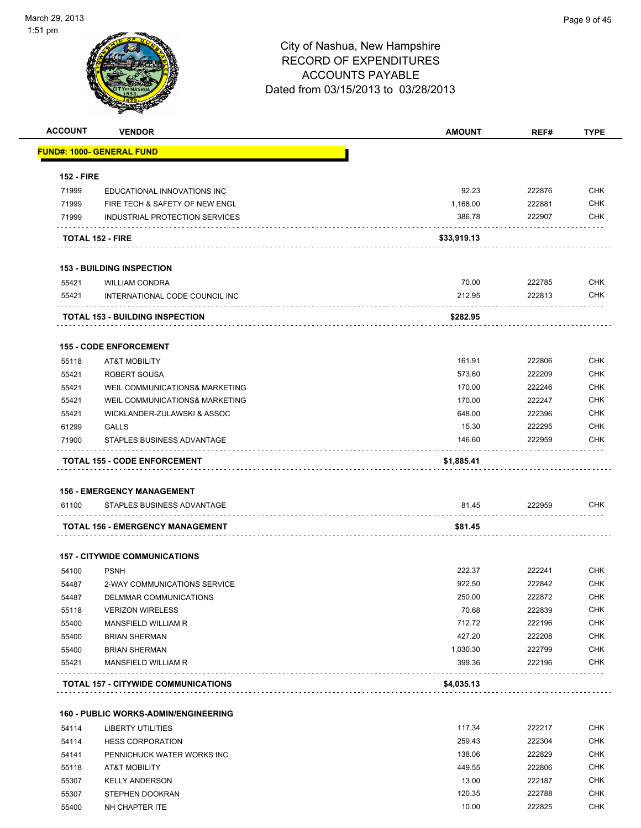| <b>ACCOUNT</b>    | <b>VENDOR</b>                                             | <b>AMOUNT</b> | REF#   | <b>TYPE</b>              |
|-------------------|-----------------------------------------------------------|---------------|--------|--------------------------|
|                   | <b>FUND#: 1000- GENERAL FUND</b>                          |               |        |                          |
|                   |                                                           |               |        |                          |
| <b>152 - FIRE</b> |                                                           |               |        |                          |
| 71999             | EDUCATIONAL INNOVATIONS INC                               | 92.23         | 222876 | <b>CHK</b><br><b>CHK</b> |
| 71999             | FIRE TECH & SAFETY OF NEW ENGL                            | 1,168.00      | 222881 |                          |
| 71999             | INDUSTRIAL PROTECTION SERVICES                            | 386.78        | 222907 | <b>CHK</b>               |
|                   | <b>TOTAL 152 - FIRE</b>                                   | \$33,919.13   |        |                          |
|                   | <b>153 - BUILDING INSPECTION</b>                          |               |        |                          |
| 55421             | <b>WILLIAM CONDRA</b>                                     | 70.00         | 222785 | <b>CHK</b>               |
| 55421             | INTERNATIONAL CODE COUNCIL INC                            | 212.95        | 222813 | <b>CHK</b>               |
|                   | <b>TOTAL 153 - BUILDING INSPECTION</b>                    | \$282.95      |        |                          |
|                   |                                                           |               |        |                          |
| 55118             | <b>155 - CODE ENFORCEMENT</b><br><b>AT&amp;T MOBILITY</b> | 161.91        | 222806 | <b>CHK</b>               |
| 55421             | <b>ROBERT SOUSA</b>                                       | 573.60        | 222209 | <b>CHK</b>               |
| 55421             | WEIL COMMUNICATIONS& MARKETING                            | 170.00        | 222246 | <b>CHK</b>               |
| 55421             | WEIL COMMUNICATIONS& MARKETING                            | 170.00        | 222247 | <b>CHK</b>               |
| 55421             | WICKLANDER-ZULAWSKI & ASSOC                               | 648.00        | 222396 | <b>CHK</b>               |
| 61299             |                                                           | 15.30         | 222295 | <b>CHK</b>               |
| 71900             | <b>GALLS</b><br>STAPLES BUSINESS ADVANTAGE                | 146.60        | 222959 | <b>CHK</b>               |
|                   |                                                           |               |        |                          |
|                   | TOTAL 155 - CODE ENFORCEMENT                              | \$1,885.41    |        |                          |
|                   | <b>156 - EMERGENCY MANAGEMENT</b>                         |               |        |                          |
| 61100             | STAPLES BUSINESS ADVANTAGE                                | 81.45         | 222959 | <b>CHK</b>               |
|                   | TOTAL 156 - EMERGENCY MANAGEMENT                          | \$81.45       |        |                          |
|                   | <b>157 - CITYWIDE COMMUNICATIONS</b>                      |               |        |                          |
| 54100             | <b>PSNH</b>                                               | 222.37        | 222241 | <b>CHK</b>               |
| 54487             | 2-WAY COMMUNICATIONS SERVICE                              | 922.50        | 222842 | <b>CHK</b>               |
| 54487             | DELMMAR COMMUNICATIONS                                    | 250.00        | 222872 | CHK                      |
| 55118             | <b>VERIZON WIRELESS</b>                                   | 70.68         | 222839 | <b>CHK</b>               |
| 55400             | MANSFIELD WILLIAM R                                       | 712.72        | 222196 | <b>CHK</b>               |
| 55400             | <b>BRIAN SHERMAN</b>                                      | 427.20        | 222208 | <b>CHK</b>               |
| 55400             | <b>BRIAN SHERMAN</b>                                      | 1,030.30      | 222799 | <b>CHK</b>               |
| 55421             | MANSFIELD WILLIAM R                                       | 399.36        | 222196 | <b>CHK</b>               |
|                   | TOTAL 157 - CITYWIDE COMMUNICATIONS                       | \$4,035.13    |        |                          |
|                   |                                                           |               |        |                          |
|                   | <b>160 - PUBLIC WORKS-ADMIN/ENGINEERING</b>               |               |        |                          |
| 54114             | <b>LIBERTY UTILITIES</b>                                  | 117.34        | 222217 | <b>CHK</b>               |
| 54114             | <b>HESS CORPORATION</b>                                   | 259.43        | 222304 | <b>CHK</b>               |
| 54141             | PENNICHUCK WATER WORKS INC                                | 138.06        | 222829 | <b>CHK</b>               |
| 55118             | <b>AT&amp;T MOBILITY</b>                                  | 449.55        | 222806 | <b>CHK</b>               |
| 55307             | <b>KELLY ANDERSON</b>                                     | 13.00         | 222187 | <b>CHK</b>               |
| 55307             | STEPHEN DOOKRAN                                           | 120.35        | 222788 | <b>CHK</b>               |
| 55400             | NH CHAPTER ITE                                            | 10.00         | 222825 | <b>CHK</b>               |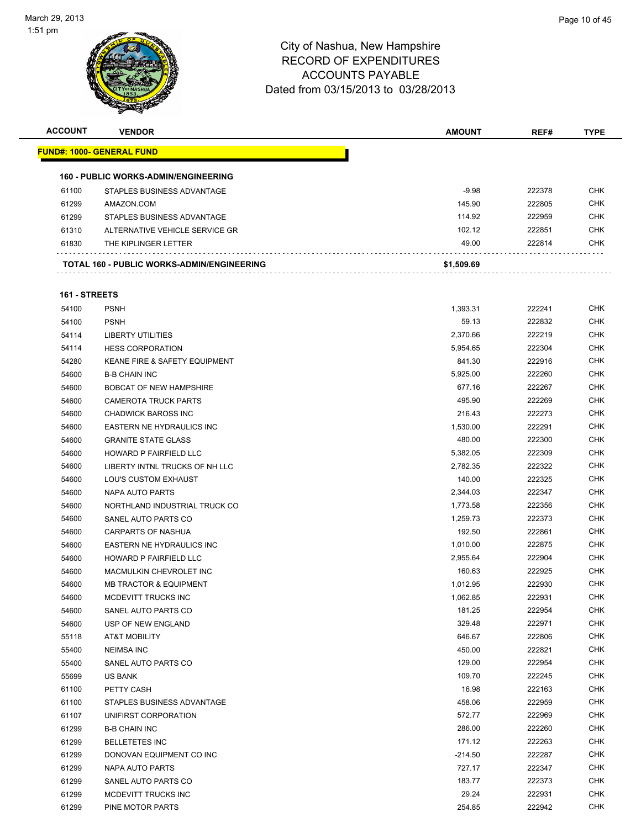| <b>ACCOUNT</b> | <b>VENDOR</b>                                     | <b>AMOUNT</b> | REF#   | <b>TYPE</b> |
|----------------|---------------------------------------------------|---------------|--------|-------------|
|                | <u> FUND#: 1000- GENERAL FUND</u>                 |               |        |             |
|                | <b>160 - PUBLIC WORKS-ADMIN/ENGINEERING</b>       |               |        |             |
| 61100          | STAPLES BUSINESS ADVANTAGE                        | $-9.98$       | 222378 | <b>CHK</b>  |
| 61299          | AMAZON.COM                                        | 145.90        | 222805 | <b>CHK</b>  |
| 61299          | STAPLES BUSINESS ADVANTAGE                        | 114.92        | 222959 | <b>CHK</b>  |
| 61310          | ALTERNATIVE VEHICLE SERVICE GR                    | 102.12        | 222851 | <b>CHK</b>  |
| 61830          | THE KIPLINGER LETTER                              | 49.00         | 222814 | <b>CHK</b>  |
|                | <b>TOTAL 160 - PUBLIC WORKS-ADMIN/ENGINEERING</b> | \$1,509.69    |        |             |
| 161 - STREETS  |                                                   |               |        |             |
| 54100          | <b>PSNH</b>                                       | 1,393.31      | 222241 | <b>CHK</b>  |
| 54100          | <b>PSNH</b>                                       | 59.13         | 222832 | <b>CHK</b>  |
| 54114          | <b>LIBERTY UTILITIES</b>                          | 2,370.66      | 222219 | <b>CHK</b>  |
| 54114          | <b>HESS CORPORATION</b>                           | 5,954.65      | 222304 | <b>CHK</b>  |
| 54280          | <b>KEANE FIRE &amp; SAFETY EQUIPMENT</b>          | 841.30        | 222916 | <b>CHK</b>  |
| 54600          | <b>B-B CHAIN INC</b>                              | 5,925.00      | 222260 | <b>CHK</b>  |
| 54600          | <b>BOBCAT OF NEW HAMPSHIRE</b>                    | 677.16        | 222267 | <b>CHK</b>  |
| 54600          | <b>CAMEROTA TRUCK PARTS</b>                       | 495.90        | 222269 | <b>CHK</b>  |
| 54600          | <b>CHADWICK BAROSS INC</b>                        | 216.43        | 222273 | <b>CHK</b>  |
| 54600          | EASTERN NE HYDRAULICS INC                         | 1,530.00      | 222291 | <b>CHK</b>  |
| 54600          | <b>GRANITE STATE GLASS</b>                        | 480.00        | 222300 | <b>CHK</b>  |
| 54600          | HOWARD P FAIRFIELD LLC                            | 5,382.05      | 222309 | <b>CHK</b>  |
| 54600          | LIBERTY INTNL TRUCKS OF NH LLC                    | 2,782.35      | 222322 | <b>CHK</b>  |
| 54600          | LOU'S CUSTOM EXHAUST                              | 140.00        | 222325 | <b>CHK</b>  |
| 54600          | NAPA AUTO PARTS                                   | 2,344.03      | 222347 | <b>CHK</b>  |
| 54600          | NORTHLAND INDUSTRIAL TRUCK CO                     | 1,773.58      | 222356 | <b>CHK</b>  |
| 54600          | SANEL AUTO PARTS CO                               | 1,259.73      | 222373 | <b>CHK</b>  |
| 54600          | <b>CARPARTS OF NASHUA</b>                         | 192.50        | 222861 | <b>CHK</b>  |
| 54600          | <b>EASTERN NE HYDRAULICS INC</b>                  | 1,010.00      | 222875 | <b>CHK</b>  |
| 54600          | HOWARD P FAIRFIELD LLC                            | 2,955.64      | 222904 | <b>CHK</b>  |
| 54600          | MACMULKIN CHEVROLET INC                           | 160.63        | 222925 | <b>CHK</b>  |
| 54600          | <b>MB TRACTOR &amp; EQUIPMENT</b>                 | 1,012.95      | 222930 | <b>CHK</b>  |
| 54600          | MCDEVITT TRUCKS INC                               | 1,062.85      | 222931 | <b>CHK</b>  |
| 54600          | SANEL AUTO PARTS CO                               | 181.25        | 222954 | <b>CHK</b>  |
| 54600          | USP OF NEW ENGLAND                                | 329.48        | 222971 | <b>CHK</b>  |
| 55118          | AT&T MOBILITY                                     | 646.67        | 222806 | <b>CHK</b>  |
| 55400          | <b>NEIMSA INC</b>                                 | 450.00        | 222821 | <b>CHK</b>  |
| 55400          | SANEL AUTO PARTS CO                               | 129.00        | 222954 | <b>CHK</b>  |
| 55699          | US BANK                                           | 109.70        | 222245 | <b>CHK</b>  |
| 61100          | PETTY CASH                                        | 16.98         | 222163 | <b>CHK</b>  |
| 61100          | STAPLES BUSINESS ADVANTAGE                        | 458.06        | 222959 | <b>CHK</b>  |
| 61107          | UNIFIRST CORPORATION                              | 572.77        | 222969 | <b>CHK</b>  |
| 61299          | <b>B-B CHAIN INC</b>                              | 286.00        | 222260 | <b>CHK</b>  |
| 61299          | <b>BELLETETES INC</b>                             | 171.12        | 222263 | <b>CHK</b>  |
| 61299          | DONOVAN EQUIPMENT CO INC                          | $-214.50$     | 222287 | <b>CHK</b>  |
| 61299          | NAPA AUTO PARTS                                   | 727.17        | 222347 | <b>CHK</b>  |
| 61299          | SANEL AUTO PARTS CO                               | 183.77        | 222373 | <b>CHK</b>  |
| 61299          | MCDEVITT TRUCKS INC                               | 29.24         | 222931 | <b>CHK</b>  |
| 61299          | PINE MOTOR PARTS                                  | 254.85        | 222942 | <b>CHK</b>  |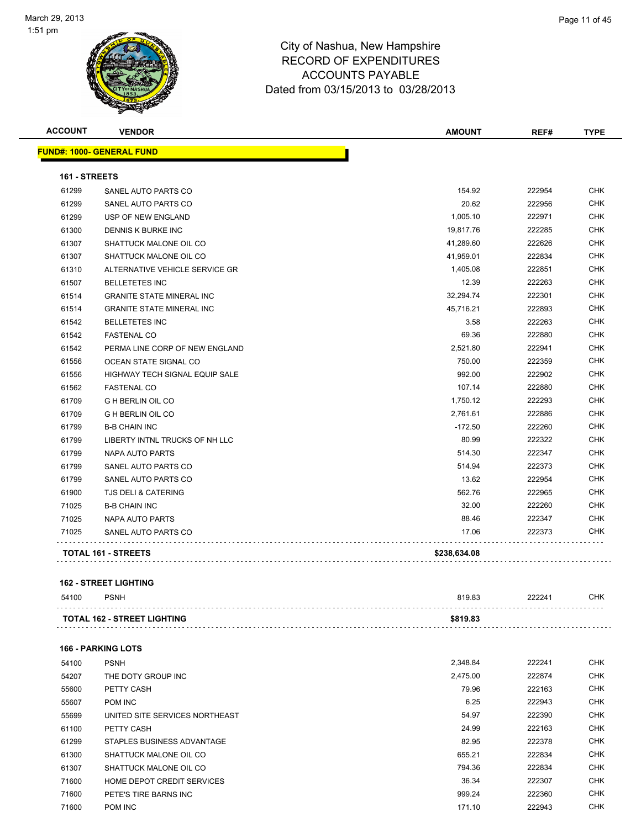| <b>ACCOUNT</b> | <b>VENDOR</b>                         | <b>AMOUNT</b> | REF#   | <b>TYPE</b> |
|----------------|---------------------------------------|---------------|--------|-------------|
|                | <b>FUND#: 1000- GENERAL FUND</b>      |               |        |             |
| 161 - STREETS  |                                       |               |        |             |
| 61299          | SANEL AUTO PARTS CO                   | 154.92        | 222954 | <b>CHK</b>  |
| 61299          | SANEL AUTO PARTS CO                   | 20.62         | 222956 | <b>CHK</b>  |
| 61299          | USP OF NEW ENGLAND                    | 1,005.10      | 222971 | <b>CHK</b>  |
| 61300          | DENNIS K BURKE INC                    | 19,817.76     | 222285 | <b>CHK</b>  |
| 61307          | SHATTUCK MALONE OIL CO                | 41,289.60     | 222626 | <b>CHK</b>  |
| 61307          | SHATTUCK MALONE OIL CO                | 41,959.01     | 222834 | <b>CHK</b>  |
| 61310          | ALTERNATIVE VEHICLE SERVICE GR        | 1,405.08      | 222851 | <b>CHK</b>  |
| 61507          | <b>BELLETETES INC</b>                 | 12.39         | 222263 | <b>CHK</b>  |
| 61514          | <b>GRANITE STATE MINERAL INC</b>      | 32,294.74     | 222301 | <b>CHK</b>  |
| 61514          | <b>GRANITE STATE MINERAL INC</b>      | 45,716.21     | 222893 | <b>CHK</b>  |
| 61542          | <b>BELLETETES INC</b>                 | 3.58          | 222263 | <b>CHK</b>  |
| 61542          | <b>FASTENAL CO</b>                    | 69.36         | 222880 | <b>CHK</b>  |
| 61542          | PERMA LINE CORP OF NEW ENGLAND        | 2,521.80      | 222941 | <b>CHK</b>  |
| 61556          | OCEAN STATE SIGNAL CO                 | 750.00        | 222359 | CHK         |
| 61556          | <b>HIGHWAY TECH SIGNAL EQUIP SALE</b> | 992.00        | 222902 | CHK         |
| 61562          | <b>FASTENAL CO</b>                    | 107.14        | 222880 | <b>CHK</b>  |
| 61709          | <b>G H BERLIN OIL CO</b>              | 1,750.12      | 222293 | <b>CHK</b>  |
| 61709          | <b>G H BERLIN OIL CO</b>              | 2,761.61      | 222886 | <b>CHK</b>  |
| 61799          | <b>B-B CHAIN INC</b>                  | $-172.50$     | 222260 | <b>CHK</b>  |
| 61799          | LIBERTY INTNL TRUCKS OF NH LLC        | 80.99         | 222322 | <b>CHK</b>  |
| 61799          | <b>NAPA AUTO PARTS</b>                | 514.30        | 222347 | <b>CHK</b>  |
| 61799          | SANEL AUTO PARTS CO                   | 514.94        | 222373 | <b>CHK</b>  |
| 61799          | SANEL AUTO PARTS CO                   | 13.62         | 222954 | CHK         |
| 61900          | <b>TJS DELI &amp; CATERING</b>        | 562.76        | 222965 | <b>CHK</b>  |
| 71025          | <b>B-B CHAIN INC</b>                  | 32.00         | 222260 | <b>CHK</b>  |
| 71025          | <b>NAPA AUTO PARTS</b>                | 88.46         | 222347 | <b>CHK</b>  |
| 71025          | SANEL AUTO PARTS CO                   | 17.06         | 222373 | <b>CHK</b>  |
|                | TOTAL 161 - STREETS                   | \$238,634.08  |        |             |
|                |                                       |               |        |             |

### **162 - STREET LIGHTING**

| 54100 | <b>PSNH</b>                        | 819.83   | 222241 | СНК |
|-------|------------------------------------|----------|--------|-----|
|       | <b>TOTAL 162 - STREET LIGHTING</b> | \$819.83 |        |     |
|       |                                    |          |        |     |

|  | <b>166 - PARKING LOTS</b> |  |  |
|--|---------------------------|--|--|
|--|---------------------------|--|--|

| 54100 | <b>PSNH</b>                    | 2,348.84 | 222241 | <b>CHK</b> |
|-------|--------------------------------|----------|--------|------------|
| 54207 | THE DOTY GROUP INC             | 2.475.00 | 222874 | <b>CHK</b> |
| 55600 | PETTY CASH                     | 79.96    | 222163 | <b>CHK</b> |
| 55607 | POM INC                        | 6.25     | 222943 | <b>CHK</b> |
| 55699 | UNITED SITE SERVICES NORTHEAST | 54.97    | 222390 | <b>CHK</b> |
| 61100 | PETTY CASH                     | 24.99    | 222163 | <b>CHK</b> |
| 61299 | STAPLES BUSINESS ADVANTAGE     | 82.95    | 222378 | <b>CHK</b> |
| 61300 | SHATTUCK MALONE OIL CO         | 655.21   | 222834 | <b>CHK</b> |
| 61307 | SHATTUCK MALONE OIL CO         | 794.36   | 222834 | <b>CHK</b> |
| 71600 | HOME DEPOT CREDIT SERVICES     | 36.34    | 222307 | <b>CHK</b> |
| 71600 | PETE'S TIRE BARNS INC          | 999.24   | 222360 | <b>CHK</b> |
| 71600 | <b>POM INC</b>                 | 171.10   | 222943 | <b>CHK</b> |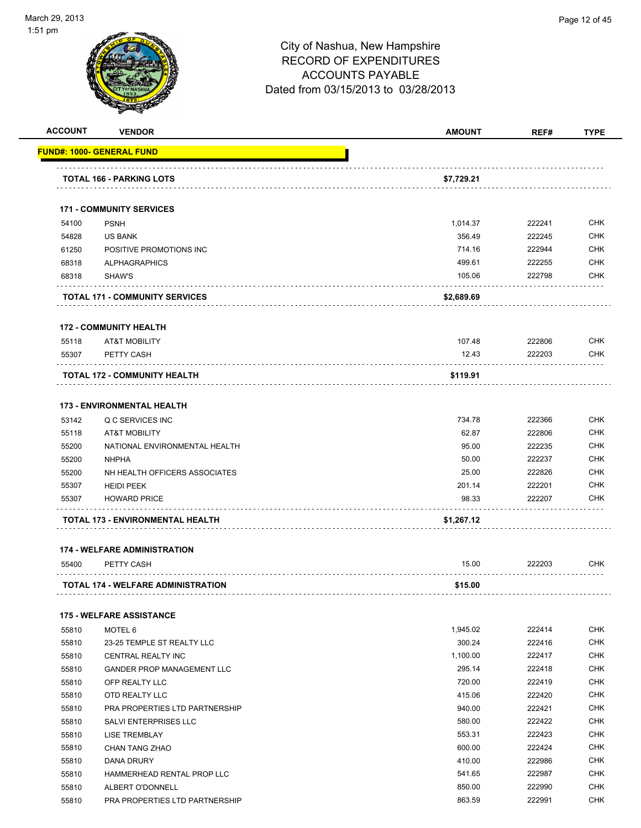

**ACCOUNT VENDOR AMOUNT REF# TYPE**

|       | <u> FUND#: 1000- GENERAL FUND</u>         |            |        |            |
|-------|-------------------------------------------|------------|--------|------------|
|       | <b>TOTAL 166 - PARKING LOTS</b>           | \$7,729.21 |        |            |
|       | <b>171 - COMMUNITY SERVICES</b>           |            |        |            |
| 54100 | <b>PSNH</b>                               | 1,014.37   | 222241 | <b>CHK</b> |
| 54828 | <b>US BANK</b>                            | 356.49     | 222245 | <b>CHK</b> |
| 61250 | POSITIVE PROMOTIONS INC                   | 714.16     | 222944 | CHK        |
| 68318 | <b>ALPHAGRAPHICS</b>                      | 499.61     | 222255 | <b>CHK</b> |
| 68318 | SHAW'S                                    | 105.06     | 222798 | <b>CHK</b> |
|       | <b>TOTAL 171 - COMMUNITY SERVICES</b>     | \$2,689.69 |        |            |
|       | <b>172 - COMMUNITY HEALTH</b>             |            |        |            |
| 55118 | <b>AT&amp;T MOBILITY</b>                  | 107.48     | 222806 | <b>CHK</b> |
| 55307 | PETTY CASH                                | 12.43      | 222203 | <b>CHK</b> |
|       | <b>TOTAL 172 - COMMUNITY HEALTH</b>       | \$119.91   |        |            |
|       | <b>173 - ENVIRONMENTAL HEALTH</b>         |            |        |            |
| 53142 | Q C SERVICES INC                          | 734.78     | 222366 | <b>CHK</b> |
| 55118 | <b>AT&amp;T MOBILITY</b>                  | 62.87      | 222806 | CHK        |
| 55200 | NATIONAL ENVIRONMENTAL HEALTH             | 95.00      | 222235 | <b>CHK</b> |
| 55200 | <b>NHPHA</b>                              | 50.00      | 222237 | <b>CHK</b> |
| 55200 | NH HEALTH OFFICERS ASSOCIATES             | 25.00      | 222826 | CHK        |
| 55307 | <b>HEIDI PEEK</b>                         | 201.14     | 222201 | <b>CHK</b> |
| 55307 | <b>HOWARD PRICE</b>                       | 98.33      | 222207 | <b>CHK</b> |
|       | TOTAL 173 - ENVIRONMENTAL HEALTH          | \$1,267.12 |        |            |
|       | <b>174 - WELFARE ADMINISTRATION</b>       |            |        |            |
| 55400 | PETTY CASH                                | 15.00      | 222203 | CHK        |
|       | <b>TOTAL 174 - WELFARE ADMINISTRATION</b> | \$15.00    |        |            |
|       | <b>175 - WELFARE ASSISTANCE</b>           |            |        |            |
| 55810 | MOTEL 6                                   | 1,945.02   | 222414 | <b>CHK</b> |
| 55810 | 23-25 TEMPLE ST REALTY LLC                | 300.24     | 222416 | <b>CHK</b> |
| 55810 | CENTRAL REALTY INC                        | 1,100.00   | 222417 | <b>CHK</b> |
| 55810 | <b>GANDER PROP MANAGEMENT LLC</b>         | 295.14     | 222418 | <b>CHK</b> |
| 55810 | OFP REALTY LLC                            | 720.00     | 222419 | <b>CHK</b> |
| 55810 | OTD REALTY LLC                            | 415.06     | 222420 | <b>CHK</b> |
| 55810 | PRA PROPERTIES LTD PARTNERSHIP            | 940.00     | 222421 | <b>CHK</b> |
| 55810 | SALVI ENTERPRISES LLC                     | 580.00     | 222422 | <b>CHK</b> |
| 55810 | <b>LISE TREMBLAY</b>                      | 553.31     | 222423 | <b>CHK</b> |
| 55810 | CHAN TANG ZHAO                            | 600.00     | 222424 | <b>CHK</b> |
| 55810 | DANA DRURY                                | 410.00     | 222986 | <b>CHK</b> |
| 55810 | HAMMERHEAD RENTAL PROP LLC                | 541.65     | 222987 | <b>CHK</b> |
| 55810 | ALBERT O'DONNELL                          | 850.00     | 222990 | <b>CHK</b> |
|       |                                           |            |        |            |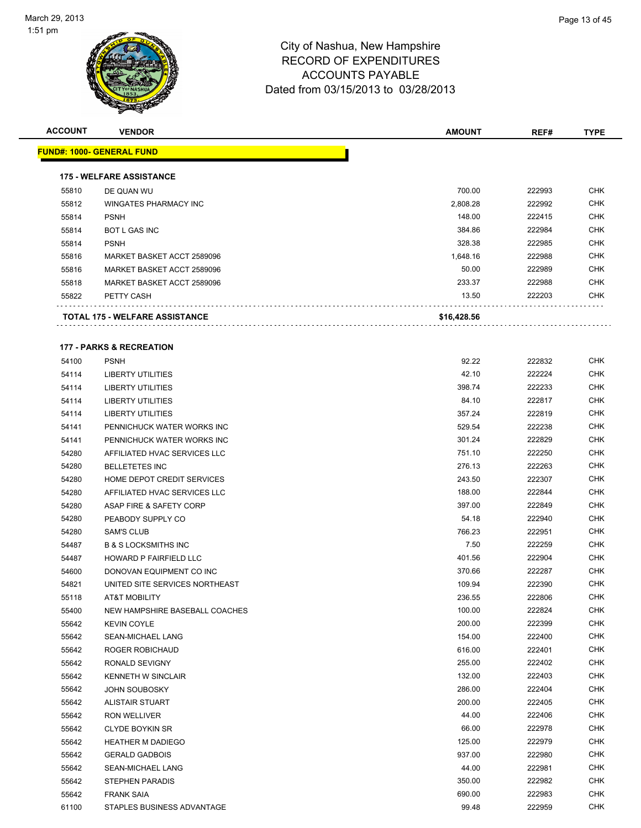

| <b>ACCOUNT</b> | <b>VENDOR</b>                         | <b>AMOUNT</b> | REF#   | <b>TYPE</b> |
|----------------|---------------------------------------|---------------|--------|-------------|
|                | <u> FUND#: 1000- GENERAL FUND</u>     |               |        |             |
|                | <b>175 - WELFARE ASSISTANCE</b>       |               |        |             |
| 55810          | DE QUAN WU                            | 700.00        | 222993 | <b>CHK</b>  |
| 55812          | <b>WINGATES PHARMACY INC</b>          | 2,808.28      | 222992 | <b>CHK</b>  |
| 55814          | <b>PSNH</b>                           | 148.00        | 222415 | <b>CHK</b>  |
| 55814          | <b>BOT L GAS INC</b>                  | 384.86        | 222984 | <b>CHK</b>  |
| 55814          | <b>PSNH</b>                           | 328.38        | 222985 | <b>CHK</b>  |
| 55816          | MARKET BASKET ACCT 2589096            | 1,648.16      | 222988 | <b>CHK</b>  |
| 55816          | MARKET BASKET ACCT 2589096            | 50.00         | 222989 | <b>CHK</b>  |
| 55818          | MARKET BASKET ACCT 2589096            | 233.37        | 222988 | <b>CHK</b>  |
| 55822          | PETTY CASH                            | 13.50         | 222203 | <b>CHK</b>  |
|                |                                       |               |        |             |
|                | <b>TOTAL 175 - WELFARE ASSISTANCE</b> | \$16,428.56   |        |             |
|                | <b>177 - PARKS &amp; RECREATION</b>   |               |        |             |
| 54100          | <b>PSNH</b>                           | 92.22         | 222832 | <b>CHK</b>  |
| 54114          | <b>LIBERTY UTILITIES</b>              | 42.10         | 222224 | <b>CHK</b>  |
| 54114          | <b>LIBERTY UTILITIES</b>              | 398.74        | 222233 | <b>CHK</b>  |
| 54114          | <b>LIBERTY UTILITIES</b>              | 84.10         | 222817 | <b>CHK</b>  |
| 54114          | <b>LIBERTY UTILITIES</b>              | 357.24        | 222819 | <b>CHK</b>  |
| 54141          | PENNICHUCK WATER WORKS INC            | 529.54        | 222238 | <b>CHK</b>  |
| 54141          | PENNICHUCK WATER WORKS INC            | 301.24        | 222829 | <b>CHK</b>  |
| 54280          | AFFILIATED HVAC SERVICES LLC          | 751.10        | 222250 | CHK         |
| 54280          | <b>BELLETETES INC</b>                 | 276.13        | 222263 | <b>CHK</b>  |
| 54280          | HOME DEPOT CREDIT SERVICES            | 243.50        | 222307 | CHK         |
| 54280          | AFFILIATED HVAC SERVICES LLC          | 188.00        | 222844 | <b>CHK</b>  |
| 54280          | ASAP FIRE & SAFETY CORP               | 397.00        | 222849 | <b>CHK</b>  |
| 54280          | PEABODY SUPPLY CO                     | 54.18         | 222940 | <b>CHK</b>  |
| 54280          | <b>SAM'S CLUB</b>                     | 766.23        | 222951 | <b>CHK</b>  |
| 54487          | <b>B &amp; S LOCKSMITHS INC</b>       | 7.50          | 222259 | CHK         |
| 54487          | HOWARD P FAIRFIELD LLC                | 401.56        | 222904 | <b>CHK</b>  |
| 54600          | DONOVAN EQUIPMENT CO INC              | 370.66        | 222287 | <b>CHK</b>  |
| 54821          | UNITED SITE SERVICES NORTHEAST        | 109.94        | 222390 | <b>CHK</b>  |
| 55118          | AT&T MOBILITY                         | 236.55        | 222806 | <b>CHK</b>  |
| 55400          | NEW HAMPSHIRE BASEBALL COACHES        | 100.00        | 222824 | CHK         |
| 55642          | <b>KEVIN COYLE</b>                    | 200.00        | 222399 | <b>CHK</b>  |
| 55642          | SEAN-MICHAEL LANG                     | 154.00        | 222400 | <b>CHK</b>  |
| 55642          | ROGER ROBICHAUD                       | 616.00        | 222401 | <b>CHK</b>  |
| 55642          | RONALD SEVIGNY                        | 255.00        | 222402 | <b>CHK</b>  |
| 55642          | <b>KENNETH W SINCLAIR</b>             | 132.00        | 222403 | <b>CHK</b>  |
| 55642          | <b>JOHN SOUBOSKY</b>                  | 286.00        | 222404 | <b>CHK</b>  |
| 55642          | <b>ALISTAIR STUART</b>                | 200.00        | 222405 | <b>CHK</b>  |
| 55642          | <b>RON WELLIVER</b>                   | 44.00         | 222406 | <b>CHK</b>  |
| 55642          | <b>CLYDE BOYKIN SR</b>                | 66.00         | 222978 | <b>CHK</b>  |
| 55642          | <b>HEATHER M DADIEGO</b>              | 125.00        | 222979 | <b>CHK</b>  |
| 55642          | <b>GERALD GADBOIS</b>                 | 937.00        | 222980 | <b>CHK</b>  |
| 55642          | SEAN-MICHAEL LANG                     | 44.00         | 222981 | <b>CHK</b>  |
| 55642          | STEPHEN PARADIS                       | 350.00        | 222982 | <b>CHK</b>  |
| 55642          | <b>FRANK SAIA</b>                     | 690.00        | 222983 | <b>CHK</b>  |
| 61100          | STAPLES BUSINESS ADVANTAGE            | 99.48         | 222959 | <b>CHK</b>  |
|                |                                       |               |        |             |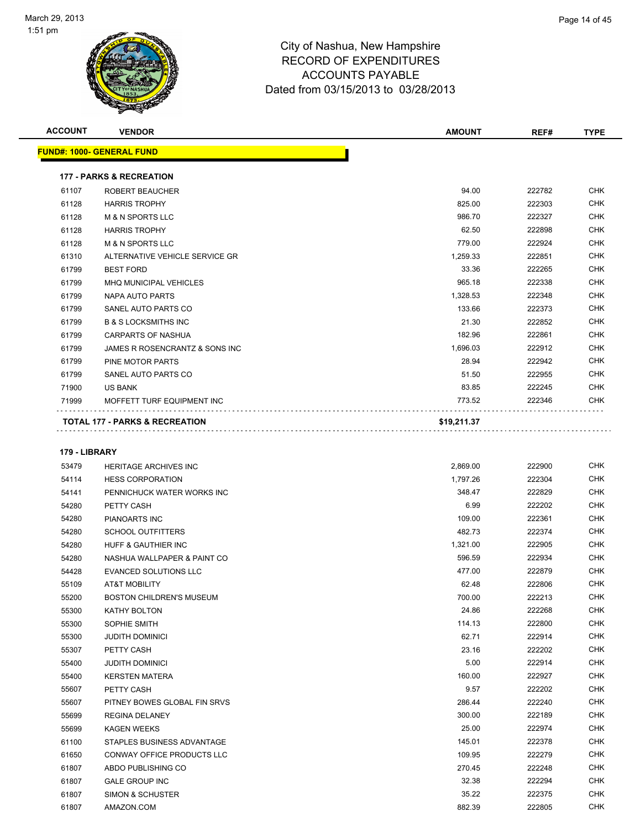

| <b>VENDOR</b>                             | <b>AMOUNT</b>                                                                         | REF#            | <b>TYPE</b>      |
|-------------------------------------------|---------------------------------------------------------------------------------------|-----------------|------------------|
| <b>FUND#: 1000- GENERAL FUND</b>          |                                                                                       |                 |                  |
|                                           |                                                                                       |                 |                  |
|                                           |                                                                                       |                 |                  |
|                                           |                                                                                       |                 | <b>CHK</b>       |
|                                           |                                                                                       |                 | <b>CHK</b>       |
| <b>M &amp; N SPORTS LLC</b>               | 986.70                                                                                | 222327          | <b>CHK</b>       |
| <b>HARRIS TROPHY</b>                      | 62.50                                                                                 | 222898          | <b>CHK</b>       |
| <b>M &amp; N SPORTS LLC</b>               | 779.00                                                                                | 222924          | <b>CHK</b>       |
| ALTERNATIVE VEHICLE SERVICE GR            | 1,259.33                                                                              | 222851          | <b>CHK</b>       |
| <b>BEST FORD</b>                          | 33.36                                                                                 | 222265          | <b>CHK</b>       |
| <b>MHQ MUNICIPAL VEHICLES</b>             | 965.18                                                                                | 222338          | <b>CHK</b>       |
| <b>NAPA AUTO PARTS</b>                    | 1,328.53                                                                              | 222348          | <b>CHK</b>       |
| SANEL AUTO PARTS CO                       | 133.66                                                                                | 222373          | <b>CHK</b>       |
| <b>B &amp; S LOCKSMITHS INC</b>           | 21.30                                                                                 | 222852          | <b>CHK</b>       |
| <b>CARPARTS OF NASHUA</b>                 | 182.96                                                                                | 222861          | <b>CHK</b>       |
| JAMES R ROSENCRANTZ & SONS INC            | 1,696.03                                                                              | 222912          | <b>CHK</b>       |
| PINE MOTOR PARTS                          | 28.94                                                                                 | 222942          | <b>CHK</b>       |
| SANEL AUTO PARTS CO                       | 51.50                                                                                 | 222955          | <b>CHK</b>       |
| <b>US BANK</b>                            | 83.85                                                                                 | 222245          | <b>CHK</b>       |
| MOFFETT TURF EQUIPMENT INC                | 773.52                                                                                | 222346          | <b>CHK</b>       |
| <b>TOTAL 177 - PARKS &amp; RECREATION</b> | \$19,211.37                                                                           |                 |                  |
|                                           | <b>177 - PARKS &amp; RECREATION</b><br><b>ROBERT BEAUCHER</b><br><b>HARRIS TROPHY</b> | 94.00<br>825.00 | 222782<br>222303 |

### **179 - LIBRARY**

| 53479 | <b>HERITAGE ARCHIVES INC</b>      | 2,869.00 | 222900 | <b>CHK</b> |
|-------|-----------------------------------|----------|--------|------------|
| 54114 | <b>HESS CORPORATION</b>           | 1,797.26 | 222304 | <b>CHK</b> |
| 54141 | PENNICHUCK WATER WORKS INC        | 348.47   | 222829 | <b>CHK</b> |
| 54280 | PETTY CASH                        | 6.99     | 222202 | <b>CHK</b> |
| 54280 | PIANOARTS INC                     | 109.00   | 222361 | <b>CHK</b> |
| 54280 | <b>SCHOOL OUTFITTERS</b>          | 482.73   | 222374 | <b>CHK</b> |
| 54280 | <b>HUFF &amp; GAUTHIER INC</b>    | 1,321.00 | 222905 | <b>CHK</b> |
| 54280 | NASHUA WALLPAPER & PAINT CO       | 596.59   | 222934 | <b>CHK</b> |
| 54428 | <b>EVANCED SOLUTIONS LLC</b>      | 477.00   | 222879 | <b>CHK</b> |
| 55109 | AT&T MOBILITY                     | 62.48    | 222806 | <b>CHK</b> |
| 55200 | <b>BOSTON CHILDREN'S MUSEUM</b>   | 700.00   | 222213 | <b>CHK</b> |
| 55300 | <b>KATHY BOLTON</b>               | 24.86    | 222268 | <b>CHK</b> |
| 55300 | SOPHIE SMITH                      | 114.13   | 222800 | <b>CHK</b> |
| 55300 | <b>JUDITH DOMINICI</b>            | 62.71    | 222914 | <b>CHK</b> |
| 55307 | PETTY CASH                        | 23.16    | 222202 | <b>CHK</b> |
| 55400 | <b>JUDITH DOMINICI</b>            | 5.00     | 222914 | <b>CHK</b> |
| 55400 | <b>KERSTEN MATERA</b>             | 160.00   | 222927 | <b>CHK</b> |
| 55607 | PETTY CASH                        | 9.57     | 222202 | <b>CHK</b> |
| 55607 | PITNEY BOWES GLOBAL FIN SRVS      | 286.44   | 222240 | <b>CHK</b> |
| 55699 | <b>REGINA DELANEY</b>             | 300.00   | 222189 | <b>CHK</b> |
| 55699 | <b>KAGEN WEEKS</b>                | 25.00    | 222974 | <b>CHK</b> |
| 61100 | STAPLES BUSINESS ADVANTAGE        | 145.01   | 222378 | <b>CHK</b> |
| 61650 | <b>CONWAY OFFICE PRODUCTS LLC</b> | 109.95   | 222279 | <b>CHK</b> |
| 61807 | ABDO PUBLISHING CO                | 270.45   | 222248 | <b>CHK</b> |
| 61807 | <b>GALE GROUP INC</b>             | 32.38    | 222294 | <b>CHK</b> |
| 61807 | <b>SIMON &amp; SCHUSTER</b>       | 35.22    | 222375 | <b>CHK</b> |
| 61807 | AMAZON.COM                        | 882.39   | 222805 | <b>CHK</b> |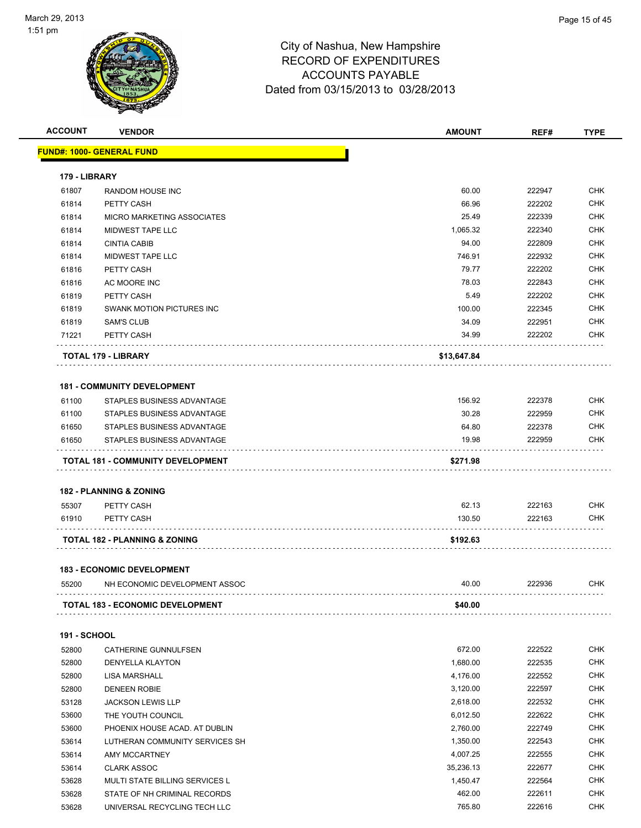

| <b>ACCOUNT</b>      | <b>VENDOR</b>                           | <b>AMOUNT</b> | REF#   | <b>TYPE</b> |
|---------------------|-----------------------------------------|---------------|--------|-------------|
|                     | FUND#: 1000- GENERAL FUND               |               |        |             |
|                     |                                         |               |        |             |
| 179 - LIBRARY       |                                         |               |        |             |
| 61807               | <b>RANDOM HOUSE INC</b>                 | 60.00         | 222947 | <b>CHK</b>  |
| 61814               | PETTY CASH                              | 66.96         | 222202 | <b>CHK</b>  |
| 61814               | <b>MICRO MARKETING ASSOCIATES</b>       | 25.49         | 222339 | <b>CHK</b>  |
| 61814               | MIDWEST TAPE LLC                        | 1,065.32      | 222340 | <b>CHK</b>  |
| 61814               | <b>CINTIA CABIB</b>                     | 94.00         | 222809 | <b>CHK</b>  |
| 61814               | MIDWEST TAPE LLC                        | 746.91        | 222932 | <b>CHK</b>  |
| 61816               | PETTY CASH                              | 79.77         | 222202 | <b>CHK</b>  |
| 61816               | AC MOORE INC                            | 78.03         | 222843 | <b>CHK</b>  |
| 61819               | PETTY CASH                              | 5.49          | 222202 | <b>CHK</b>  |
| 61819               | SWANK MOTION PICTURES INC               | 100.00        | 222345 | <b>CHK</b>  |
| 61819               | <b>SAM'S CLUB</b>                       | 34.09         | 222951 | <b>CHK</b>  |
| 71221               | PETTY CASH                              | 34.99         | 222202 | СНК         |
|                     | TOTAL 179 - LIBRARY                     | \$13,647.84   |        |             |
|                     |                                         |               |        |             |
|                     | <b>181 - COMMUNITY DEVELOPMENT</b>      |               |        |             |
| 61100               | STAPLES BUSINESS ADVANTAGE              | 156.92        | 222378 | <b>CHK</b>  |
| 61100               | STAPLES BUSINESS ADVANTAGE              | 30.28         | 222959 | <b>CHK</b>  |
| 61650               | STAPLES BUSINESS ADVANTAGE              | 64.80         | 222378 | <b>CHK</b>  |
| 61650               | STAPLES BUSINESS ADVANTAGE              | 19.98         | 222959 | <b>CHK</b>  |
|                     | TOTAL 181 - COMMUNITY DEVELOPMENT       | \$271.98      |        |             |
|                     | <b>182 - PLANNING &amp; ZONING</b>      |               |        |             |
| 55307               | PETTY CASH                              | 62.13         | 222163 | <b>CHK</b>  |
| 61910               | PETTY CASH                              | 130.50        | 222163 | CHK         |
|                     | TOTAL 182 - PLANNING & ZONING           | \$192.63      |        |             |
|                     |                                         |               |        |             |
|                     | <b>183 - ECONOMIC DEVELOPMENT</b>       |               |        |             |
| 55200               | NH ECONOMIC DEVELOPMENT ASSOC           | 40.00         | 222936 | CHK         |
|                     | <b>TOTAL 183 - ECONOMIC DEVELOPMENT</b> | \$40.00       |        |             |
| <b>191 - SCHOOL</b> |                                         |               |        |             |
| 52800               | CATHERINE GUNNULFSEN                    | 672.00        | 222522 | <b>CHK</b>  |
| 52800               | <b>DENYELLA KLAYTON</b>                 | 1,680.00      | 222535 | <b>CHK</b>  |
| 52800               | <b>LISA MARSHALL</b>                    | 4,176.00      | 222552 | <b>CHK</b>  |
| 52800               | <b>DENEEN ROBIE</b>                     | 3,120.00      | 222597 | <b>CHK</b>  |
| 53128               | <b>JACKSON LEWIS LLP</b>                | 2,618.00      | 222532 | <b>CHK</b>  |
| 53600               | THE YOUTH COUNCIL                       | 6,012.50      | 222622 | <b>CHK</b>  |
| 53600               | PHOENIX HOUSE ACAD. AT DUBLIN           | 2,760.00      | 222749 | CHK         |
| 53614               | LUTHERAN COMMUNITY SERVICES SH          | 1,350.00      | 222543 | CHK         |
| 53614               | AMY MCCARTNEY                           | 4,007.25      | 222555 | <b>CHK</b>  |
| 53614               | <b>CLARK ASSOC</b>                      | 35,236.13     | 222677 | CHK         |
| 53628               | MULTI STATE BILLING SERVICES L          | 1,450.47      | 222564 | CHK         |
| 53628               | STATE OF NH CRIMINAL RECORDS            | 462.00        | 222611 | CHK         |
| 53628               | UNIVERSAL RECYCLING TECH LLC            | 765.80        | 222616 | CHK         |
|                     |                                         |               |        |             |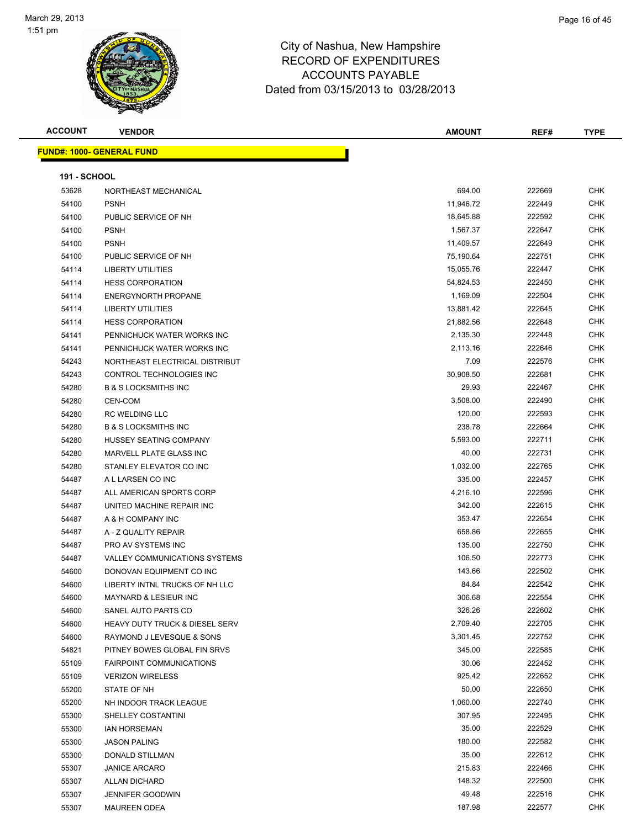

| <b>ACCOUNT</b>      | <b>VENDOR</b>                             | <b>AMOUNT</b> | REF#   | <b>TYPE</b> |
|---------------------|-------------------------------------------|---------------|--------|-------------|
|                     | <b>FUND#: 1000- GENERAL FUND</b>          |               |        |             |
|                     |                                           |               |        |             |
| <b>191 - SCHOOL</b> |                                           |               |        |             |
| 53628               | NORTHEAST MECHANICAL                      | 694.00        | 222669 | <b>CHK</b>  |
| 54100               | <b>PSNH</b>                               | 11,946.72     | 222449 | <b>CHK</b>  |
| 54100               | PUBLIC SERVICE OF NH                      | 18,645.88     | 222592 | CHK         |
| 54100               | <b>PSNH</b>                               | 1,567.37      | 222647 | CHK         |
| 54100               | <b>PSNH</b>                               | 11,409.57     | 222649 | CHK         |
| 54100               | PUBLIC SERVICE OF NH                      | 75,190.64     | 222751 | CHK         |
| 54114               | <b>LIBERTY UTILITIES</b>                  | 15,055.76     | 222447 | <b>CHK</b>  |
| 54114               | <b>HESS CORPORATION</b>                   | 54,824.53     | 222450 | CHK         |
| 54114               | <b>ENERGYNORTH PROPANE</b>                | 1,169.09      | 222504 | <b>CHK</b>  |
| 54114               | <b>LIBERTY UTILITIES</b>                  | 13,881.42     | 222645 | <b>CHK</b>  |
| 54114               | <b>HESS CORPORATION</b>                   | 21,882.56     | 222648 | <b>CHK</b>  |
| 54141               | PENNICHUCK WATER WORKS INC                | 2,135.30      | 222448 | CHK         |
| 54141               | PENNICHUCK WATER WORKS INC                | 2,113.16      | 222646 | <b>CHK</b>  |
| 54243               | NORTHEAST ELECTRICAL DISTRIBUT            | 7.09          | 222576 | CHK         |
| 54243               | CONTROL TECHNOLOGIES INC                  | 30,908.50     | 222681 | CHK         |
| 54280               | <b>B &amp; S LOCKSMITHS INC</b>           | 29.93         | 222467 | <b>CHK</b>  |
| 54280               | CEN-COM                                   | 3,508.00      | 222490 | CHK         |
| 54280               | <b>RC WELDING LLC</b>                     | 120.00        | 222593 | <b>CHK</b>  |
| 54280               | <b>B &amp; S LOCKSMITHS INC</b>           | 238.78        | 222664 | <b>CHK</b>  |
| 54280               | HUSSEY SEATING COMPANY                    | 5,593.00      | 222711 | <b>CHK</b>  |
| 54280               | MARVELL PLATE GLASS INC                   | 40.00         | 222731 | <b>CHK</b>  |
| 54280               | STANLEY ELEVATOR CO INC                   | 1,032.00      | 222765 | <b>CHK</b>  |
| 54487               | A L LARSEN CO INC                         | 335.00        | 222457 | <b>CHK</b>  |
| 54487               | ALL AMERICAN SPORTS CORP                  | 4,216.10      | 222596 | CHK         |
| 54487               | UNITED MACHINE REPAIR INC                 | 342.00        | 222615 | <b>CHK</b>  |
| 54487               | A & H COMPANY INC                         | 353.47        | 222654 | <b>CHK</b>  |
| 54487               | A - Z QUALITY REPAIR                      | 658.86        | 222655 | CHK         |
| 54487               | PRO AV SYSTEMS INC                        | 135.00        | 222750 | CHK         |
| 54487               | VALLEY COMMUNICATIONS SYSTEMS             | 106.50        | 222773 | <b>CHK</b>  |
| 54600               | DONOVAN EQUIPMENT CO INC                  | 143.66        | 222502 | <b>CHK</b>  |
| 54600               | LIBERTY INTNL TRUCKS OF NH LLC            | 84.84         | 222542 | <b>CHK</b>  |
| 54600               | <b>MAYNARD &amp; LESIEUR INC</b>          | 306.68        | 222554 | <b>CHK</b>  |
| 54600               | SANEL AUTO PARTS CO                       | 326.26        | 222602 | <b>CHK</b>  |
| 54600               | <b>HEAVY DUTY TRUCK &amp; DIESEL SERV</b> | 2,709.40      | 222705 | <b>CHK</b>  |
| 54600               | RAYMOND J LEVESQUE & SONS                 | 3,301.45      | 222752 | <b>CHK</b>  |
| 54821               | PITNEY BOWES GLOBAL FIN SRVS              | 345.00        | 222585 | <b>CHK</b>  |
| 55109               | <b>FAIRPOINT COMMUNICATIONS</b>           | 30.06         | 222452 | <b>CHK</b>  |
| 55109               | <b>VERIZON WIRELESS</b>                   | 925.42        | 222652 | <b>CHK</b>  |
| 55200               | STATE OF NH                               | 50.00         | 222650 | <b>CHK</b>  |
| 55200               | NH INDOOR TRACK LEAGUE                    | 1,060.00      | 222740 | CHK         |
| 55300               | SHELLEY COSTANTINI                        | 307.95        | 222495 | CHK         |
| 55300               | <b>IAN HORSEMAN</b>                       | 35.00         | 222529 | <b>CHK</b>  |
| 55300               | <b>JASON PALING</b>                       | 180.00        | 222582 | CHK         |
| 55300               | DONALD STILLMAN                           | 35.00         | 222612 | <b>CHK</b>  |
| 55307               | <b>JANICE ARCARO</b>                      | 215.83        | 222466 | <b>CHK</b>  |
| 55307               | <b>ALLAN DICHARD</b>                      | 148.32        | 222500 | CHK         |
| 55307               | <b>JENNIFER GOODWIN</b>                   | 49.48         | 222516 | CHK         |
| 55307               | <b>MAUREEN ODEA</b>                       | 187.98        | 222577 | CHK         |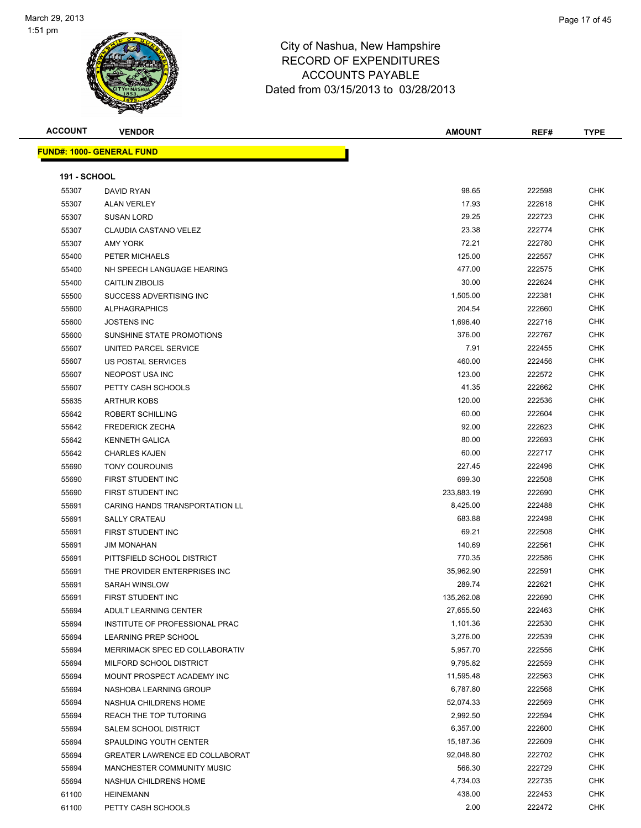

| <b>ACCOUNT</b>      | <b>VENDOR</b>                         | <b>AMOUNT</b> | REF#   | <b>TYPE</b> |
|---------------------|---------------------------------------|---------------|--------|-------------|
|                     | <u> FUND#: 1000- GENERAL FUND</u>     |               |        |             |
|                     |                                       |               |        |             |
| <b>191 - SCHOOL</b> |                                       |               |        |             |
| 55307               | DAVID RYAN                            | 98.65         | 222598 | <b>CHK</b>  |
| 55307               | <b>ALAN VERLEY</b>                    | 17.93         | 222618 | CHK         |
| 55307               | <b>SUSAN LORD</b>                     | 29.25         | 222723 | CHK         |
| 55307               | <b>CLAUDIA CASTANO VELEZ</b>          | 23.38         | 222774 | CHK         |
| 55307               | <b>AMY YORK</b>                       | 72.21         | 222780 | CHK         |
| 55400               | PETER MICHAELS                        | 125.00        | 222557 | CHK         |
| 55400               | NH SPEECH LANGUAGE HEARING            | 477.00        | 222575 | CHK         |
| 55400               | <b>CAITLIN ZIBOLIS</b>                | 30.00         | 222624 | CHK         |
| 55500               | SUCCESS ADVERTISING INC               | 1,505.00      | 222381 | CHK         |
| 55600               | <b>ALPHAGRAPHICS</b>                  | 204.54        | 222660 | CHK         |
| 55600               | <b>JOSTENS INC</b>                    | 1,696.40      | 222716 | CHK         |
| 55600               | SUNSHINE STATE PROMOTIONS             | 376.00        | 222767 | CHK         |
| 55607               | UNITED PARCEL SERVICE                 | 7.91          | 222455 | CHK         |
| 55607               | <b>US POSTAL SERVICES</b>             | 460.00        | 222456 | CHK         |
| 55607               | NEOPOST USA INC                       | 123.00        | 222572 | CHK         |
| 55607               | PETTY CASH SCHOOLS                    | 41.35         | 222662 | CHK         |
| 55635               | <b>ARTHUR KOBS</b>                    | 120.00        | 222536 | CHK         |
| 55642               | ROBERT SCHILLING                      | 60.00         | 222604 | <b>CHK</b>  |
| 55642               | <b>FREDERICK ZECHA</b>                | 92.00         | 222623 | CHK         |
| 55642               | <b>KENNETH GALICA</b>                 | 80.00         | 222693 | CHK         |
| 55642               | <b>CHARLES KAJEN</b>                  | 60.00         | 222717 | CHK         |
| 55690               | <b>TONY COUROUNIS</b>                 | 227.45        | 222496 | CHK         |
| 55690               | FIRST STUDENT INC                     | 699.30        | 222508 | CHK         |
| 55690               | FIRST STUDENT INC                     | 233,883.19    | 222690 | CHK         |
| 55691               | CARING HANDS TRANSPORTATION LL        | 8,425.00      | 222488 | CHK         |
| 55691               | <b>SALLY CRATEAU</b>                  | 683.88        | 222498 | CHK         |
| 55691               | FIRST STUDENT INC                     | 69.21         | 222508 | CHK         |
| 55691               | <b>JIM MONAHAN</b>                    | 140.69        | 222561 | CHK         |
| 55691               | PITTSFIELD SCHOOL DISTRICT            | 770.35        | 222586 | CHK         |
| 55691               | THE PROVIDER ENTERPRISES INC          | 35,962.90     | 222591 | <b>CHK</b>  |
| 55691               | <b>SARAH WINSLOW</b>                  | 289.74        | 222621 | CHK         |
| 55691               | FIRST STUDENT INC                     | 135,262.08    | 222690 | CHK         |
| 55694               | ADULT LEARNING CENTER                 | 27,655.50     | 222463 | <b>CHK</b>  |
| 55694               | INSTITUTE OF PROFESSIONAL PRAC        | 1,101.36      | 222530 | <b>CHK</b>  |
| 55694               | LEARNING PREP SCHOOL                  | 3,276.00      | 222539 | <b>CHK</b>  |
| 55694               | MERRIMACK SPEC ED COLLABORATIV        | 5,957.70      | 222556 | <b>CHK</b>  |
| 55694               | MILFORD SCHOOL DISTRICT               | 9,795.82      | 222559 | <b>CHK</b>  |
| 55694               | MOUNT PROSPECT ACADEMY INC            | 11,595.48     | 222563 | CHK         |
| 55694               | NASHOBA LEARNING GROUP                | 6,787.80      | 222568 | <b>CHK</b>  |
| 55694               | NASHUA CHILDRENS HOME                 | 52,074.33     | 222569 | <b>CHK</b>  |
| 55694               | REACH THE TOP TUTORING                | 2,992.50      | 222594 | <b>CHK</b>  |
| 55694               | SALEM SCHOOL DISTRICT                 | 6,357.00      | 222600 | <b>CHK</b>  |
| 55694               | SPAULDING YOUTH CENTER                | 15,187.36     | 222609 | <b>CHK</b>  |
| 55694               | <b>GREATER LAWRENCE ED COLLABORAT</b> | 92,048.80     | 222702 | <b>CHK</b>  |
| 55694               | MANCHESTER COMMUNITY MUSIC            | 566.30        | 222729 | <b>CHK</b>  |
| 55694               | NASHUA CHILDRENS HOME                 | 4,734.03      | 222735 | <b>CHK</b>  |
| 61100               | <b>HEINEMANN</b>                      | 438.00        | 222453 | <b>CHK</b>  |
| 61100               | PETTY CASH SCHOOLS                    | 2.00          | 222472 | CHK         |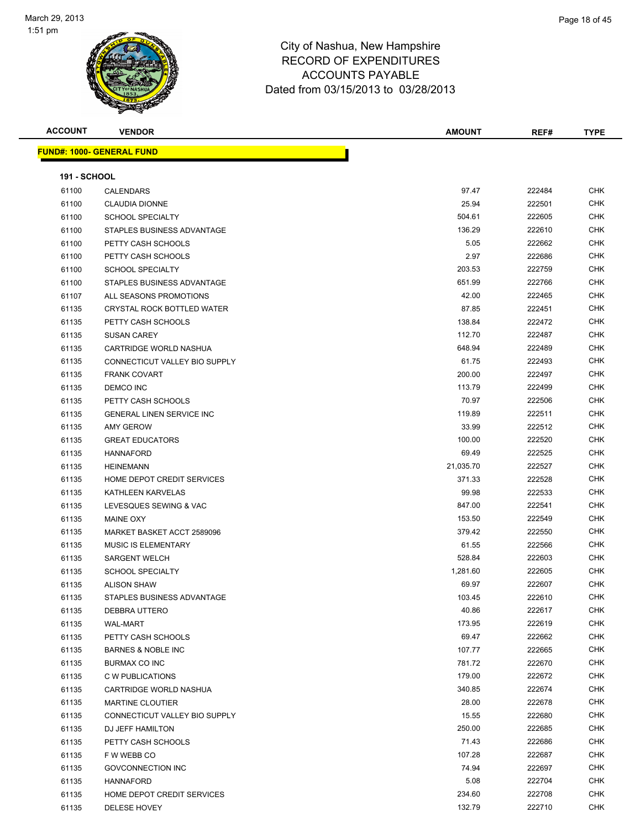

| <b>ACCOUNT</b>      | <b>VENDOR</b>                    | <b>AMOUNT</b> | REF#   | <b>TYPE</b> |
|---------------------|----------------------------------|---------------|--------|-------------|
|                     | <b>FUND#: 1000- GENERAL FUND</b> |               |        |             |
|                     |                                  |               |        |             |
| <b>191 - SCHOOL</b> |                                  |               |        |             |
| 61100               | <b>CALENDARS</b>                 | 97.47         | 222484 | <b>CHK</b>  |
| 61100               | <b>CLAUDIA DIONNE</b>            | 25.94         | 222501 | <b>CHK</b>  |
| 61100               | <b>SCHOOL SPECIALTY</b>          | 504.61        | 222605 | <b>CHK</b>  |
| 61100               | STAPLES BUSINESS ADVANTAGE       | 136.29        | 222610 | CHK         |
| 61100               | PETTY CASH SCHOOLS               | 5.05          | 222662 | <b>CHK</b>  |
| 61100               | PETTY CASH SCHOOLS               | 2.97          | 222686 | <b>CHK</b>  |
| 61100               | <b>SCHOOL SPECIALTY</b>          | 203.53        | 222759 | <b>CHK</b>  |
| 61100               | STAPLES BUSINESS ADVANTAGE       | 651.99        | 222766 | <b>CHK</b>  |
| 61107               | ALL SEASONS PROMOTIONS           | 42.00         | 222465 | CHK         |
| 61135               | CRYSTAL ROCK BOTTLED WATER       | 87.85         | 222451 | CHK         |
| 61135               | PETTY CASH SCHOOLS               | 138.84        | 222472 | <b>CHK</b>  |
| 61135               | <b>SUSAN CAREY</b>               | 112.70        | 222487 | CHK         |
| 61135               | CARTRIDGE WORLD NASHUA           | 648.94        | 222489 | CHK         |
| 61135               | CONNECTICUT VALLEY BIO SUPPLY    | 61.75         | 222493 | <b>CHK</b>  |
| 61135               | <b>FRANK COVART</b>              | 200.00        | 222497 | CHK         |
| 61135               | DEMCO INC                        | 113.79        | 222499 | <b>CHK</b>  |
| 61135               | PETTY CASH SCHOOLS               | 70.97         | 222506 | <b>CHK</b>  |
| 61135               | <b>GENERAL LINEN SERVICE INC</b> | 119.89        | 222511 | <b>CHK</b>  |
| 61135               | <b>AMY GEROW</b>                 | 33.99         | 222512 | <b>CHK</b>  |
| 61135               | <b>GREAT EDUCATORS</b>           | 100.00        | 222520 | <b>CHK</b>  |
| 61135               | <b>HANNAFORD</b>                 | 69.49         | 222525 | CHK         |
| 61135               | <b>HEINEMANN</b>                 | 21,035.70     | 222527 | CHK         |
| 61135               | HOME DEPOT CREDIT SERVICES       | 371.33        | 222528 | CHK         |
| 61135               | KATHLEEN KARVELAS                | 99.98         | 222533 | <b>CHK</b>  |
| 61135               | LEVESQUES SEWING & VAC           | 847.00        | 222541 | CHK         |
| 61135               | <b>MAINE OXY</b>                 | 153.50        | 222549 | CHK         |
| 61135               | MARKET BASKET ACCT 2589096       | 379.42        | 222550 | <b>CHK</b>  |
| 61135               | <b>MUSIC IS ELEMENTARY</b>       | 61.55         | 222566 | <b>CHK</b>  |
| 61135               | <b>SARGENT WELCH</b>             | 528.84        | 222603 | <b>CHK</b>  |
| 61135               | <b>SCHOOL SPECIALTY</b>          | 1,281.60      | 222605 | <b>CHK</b>  |
| 61135               | <b>ALISON SHAW</b>               | 69.97         | 222607 | CHK         |
| 61135               | STAPLES BUSINESS ADVANTAGE       | 103.45        | 222610 | CHK         |
| 61135               | DEBBRA UTTERO                    | 40.86         | 222617 | <b>CHK</b>  |
| 61135               | <b>WAL-MART</b>                  | 173.95        | 222619 | <b>CHK</b>  |
| 61135               | PETTY CASH SCHOOLS               | 69.47         | 222662 | CHK         |
| 61135               | <b>BARNES &amp; NOBLE INC</b>    | 107.77        | 222665 | CHK         |
| 61135               | BURMAX CO INC                    | 781.72        | 222670 | <b>CHK</b>  |
| 61135               | C W PUBLICATIONS                 | 179.00        | 222672 | CHK         |
| 61135               | CARTRIDGE WORLD NASHUA           | 340.85        | 222674 | <b>CHK</b>  |
| 61135               | <b>MARTINE CLOUTIER</b>          | 28.00         | 222678 | <b>CHK</b>  |
| 61135               | CONNECTICUT VALLEY BIO SUPPLY    | 15.55         | 222680 | CHK         |
| 61135               | DJ JEFF HAMILTON                 | 250.00        | 222685 | <b>CHK</b>  |
| 61135               | PETTY CASH SCHOOLS               | 71.43         | 222686 | <b>CHK</b>  |
| 61135               | F W WEBB CO                      | 107.28        | 222687 | CHK         |
| 61135               | <b>GOVCONNECTION INC</b>         | 74.94         | 222697 | CHK         |
| 61135               | <b>HANNAFORD</b>                 | 5.08          | 222704 | CHK         |
| 61135               | HOME DEPOT CREDIT SERVICES       | 234.60        | 222708 | CHK         |
| 61135               | DELESE HOVEY                     | 132.79        | 222710 | <b>CHK</b>  |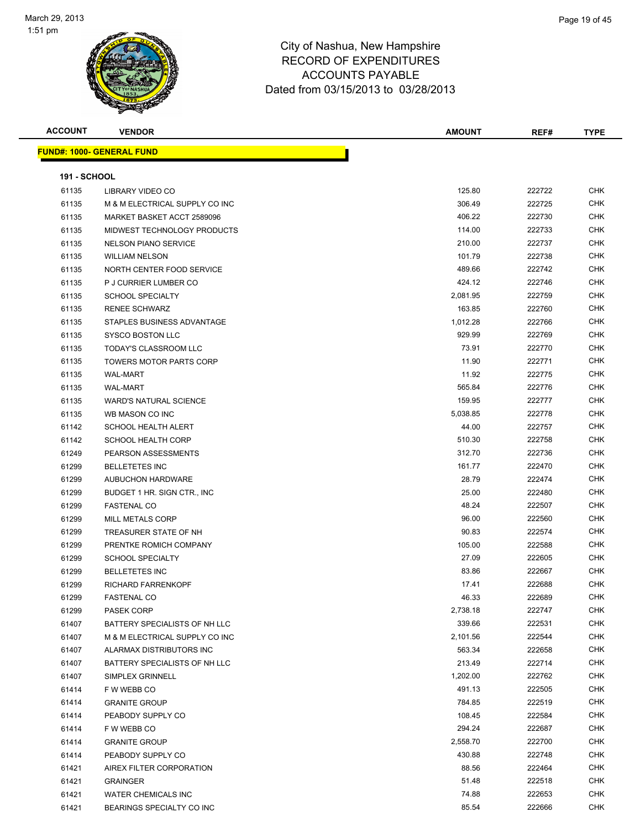

| <b>ACCOUNT</b>      | <b>VENDOR</b>                     | <b>AMOUNT</b> | REF#   | <b>TYPE</b> |
|---------------------|-----------------------------------|---------------|--------|-------------|
|                     | <u> FUND#: 1000- GENERAL FUND</u> |               |        |             |
|                     |                                   |               |        |             |
| <b>191 - SCHOOL</b> |                                   |               |        |             |
| 61135               | LIBRARY VIDEO CO                  | 125.80        | 222722 | <b>CHK</b>  |
| 61135               | M & M ELECTRICAL SUPPLY CO INC    | 306.49        | 222725 | <b>CHK</b>  |
| 61135               | MARKET BASKET ACCT 2589096        | 406.22        | 222730 | <b>CHK</b>  |
| 61135               | MIDWEST TECHNOLOGY PRODUCTS       | 114.00        | 222733 | <b>CHK</b>  |
| 61135               | <b>NELSON PIANO SERVICE</b>       | 210.00        | 222737 | CHK         |
| 61135               | <b>WILLIAM NELSON</b>             | 101.79        | 222738 | CHK         |
| 61135               | NORTH CENTER FOOD SERVICE         | 489.66        | 222742 | CHK         |
| 61135               | P J CURRIER LUMBER CO             | 424.12        | 222746 | <b>CHK</b>  |
| 61135               | <b>SCHOOL SPECIALTY</b>           | 2,081.95      | 222759 | <b>CHK</b>  |
| 61135               | <b>RENEE SCHWARZ</b>              | 163.85        | 222760 | <b>CHK</b>  |
| 61135               | STAPLES BUSINESS ADVANTAGE        | 1,012.28      | 222766 | CHK         |
| 61135               | SYSCO BOSTON LLC                  | 929.99        | 222769 | <b>CHK</b>  |
| 61135               | <b>TODAY'S CLASSROOM LLC</b>      | 73.91         | 222770 | CHK         |
| 61135               | <b>TOWERS MOTOR PARTS CORP</b>    | 11.90         | 222771 | CHK         |
| 61135               | <b>WAL-MART</b>                   | 11.92         | 222775 | CHK         |
| 61135               | <b>WAL-MART</b>                   | 565.84        | 222776 | CHK         |
| 61135               | <b>WARD'S NATURAL SCIENCE</b>     | 159.95        | 222777 | CHK         |
| 61135               | WB MASON CO INC                   | 5,038.85      | 222778 | CHK         |
| 61142               | SCHOOL HEALTH ALERT               | 44.00         | 222757 | CHK         |
| 61142               | <b>SCHOOL HEALTH CORP</b>         | 510.30        | 222758 | <b>CHK</b>  |
| 61249               | PEARSON ASSESSMENTS               | 312.70        | 222736 | CHK         |
| 61299               | <b>BELLETETES INC</b>             | 161.77        | 222470 | <b>CHK</b>  |
| 61299               | <b>AUBUCHON HARDWARE</b>          | 28.79         | 222474 | <b>CHK</b>  |
| 61299               | BUDGET 1 HR. SIGN CTR., INC       | 25.00         | 222480 | CHK         |
| 61299               | <b>FASTENAL CO</b>                | 48.24         | 222507 | CHK         |
| 61299               | MILL METALS CORP                  | 96.00         | 222560 | CHK         |
| 61299               | TREASURER STATE OF NH             | 90.83         | 222574 | CHK         |
| 61299               | PRENTKE ROMICH COMPANY            | 105.00        | 222588 | <b>CHK</b>  |
| 61299               | <b>SCHOOL SPECIALTY</b>           | 27.09         | 222605 | <b>CHK</b>  |
| 61299               | <b>BELLETETES INC</b>             | 83.86         | 222667 | CHK         |
| 61299               | <b>RICHARD FARRENKOPF</b>         | 17.41         | 222688 | <b>CHK</b>  |
| 61299               | <b>FASTENAL CO</b>                | 46.33         | 222689 | <b>CHK</b>  |
| 61299               | PASEK CORP                        | 2,738.18      | 222747 | <b>CHK</b>  |
| 61407               | BATTERY SPECIALISTS OF NH LLC     | 339.66        | 222531 | <b>CHK</b>  |
| 61407               | M & M ELECTRICAL SUPPLY CO INC    | 2,101.56      | 222544 | CHK         |
| 61407               | ALARMAX DISTRIBUTORS INC          | 563.34        | 222658 | <b>CHK</b>  |
| 61407               | BATTERY SPECIALISTS OF NH LLC     | 213.49        | 222714 | CHK         |
| 61407               | SIMPLEX GRINNELL                  | 1,202.00      | 222762 | CHK         |
| 61414               | F W WEBB CO                       | 491.13        | 222505 | <b>CHK</b>  |
| 61414               | <b>GRANITE GROUP</b>              | 784.85        | 222519 | CHK         |
| 61414               | PEABODY SUPPLY CO                 | 108.45        | 222584 | CHK         |
| 61414               | F W WEBB CO                       | 294.24        | 222687 | <b>CHK</b>  |
| 61414               | <b>GRANITE GROUP</b>              | 2,558.70      | 222700 | CHK         |
| 61414               | PEABODY SUPPLY CO                 | 430.88        | 222748 | CHK         |
| 61421               | AIREX FILTER CORPORATION          | 88.56         | 222464 | CHK         |
| 61421               | <b>GRAINGER</b>                   | 51.48         | 222518 | CHK         |
| 61421               | <b>WATER CHEMICALS INC</b>        | 74.88         | 222653 | CHK         |
| 61421               | BEARINGS SPECIALTY CO INC         | 85.54         | 222666 | CHK         |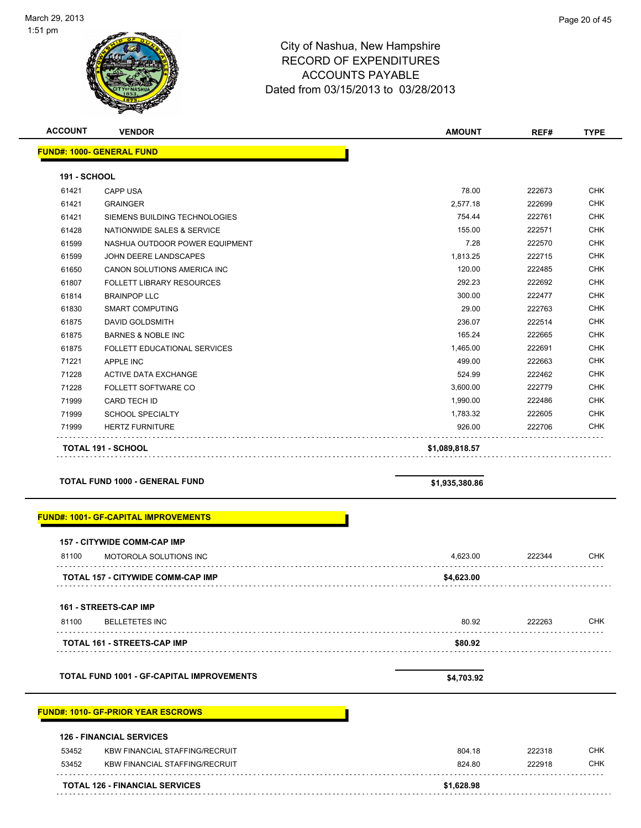

| <b>ACCOUNT</b>      | <b>VENDOR</b>                                    | <b>AMOUNT</b>  | REF#   | <b>TYPE</b> |
|---------------------|--------------------------------------------------|----------------|--------|-------------|
|                     | <b>FUND#: 1000- GENERAL FUND</b>                 |                |        |             |
| <b>191 - SCHOOL</b> |                                                  |                |        |             |
| 61421               | <b>CAPP USA</b>                                  | 78.00          | 222673 | <b>CHK</b>  |
| 61421               | <b>GRAINGER</b>                                  | 2,577.18       | 222699 | <b>CHK</b>  |
| 61421               | SIEMENS BUILDING TECHNOLOGIES                    | 754.44         | 222761 | <b>CHK</b>  |
| 61428               | NATIONWIDE SALES & SERVICE                       | 155.00         | 222571 | <b>CHK</b>  |
| 61599               | NASHUA OUTDOOR POWER EQUIPMENT                   | 7.28           | 222570 | <b>CHK</b>  |
| 61599               | JOHN DEERE LANDSCAPES                            | 1,813.25       | 222715 | <b>CHK</b>  |
| 61650               | CANON SOLUTIONS AMERICA INC                      | 120.00         | 222485 | <b>CHK</b>  |
| 61807               | <b>FOLLETT LIBRARY RESOURCES</b>                 | 292.23         | 222692 | <b>CHK</b>  |
| 61814               | <b>BRAINPOP LLC</b>                              | 300.00         | 222477 | <b>CHK</b>  |
| 61830               | <b>SMART COMPUTING</b>                           | 29.00          | 222763 | <b>CHK</b>  |
| 61875               | DAVID GOLDSMITH                                  | 236.07         | 222514 | <b>CHK</b>  |
| 61875               | <b>BARNES &amp; NOBLE INC</b>                    | 165.24         | 222665 | <b>CHK</b>  |
| 61875               | FOLLETT EDUCATIONAL SERVICES                     | 1,465.00       | 222691 | <b>CHK</b>  |
| 71221               | APPLE INC                                        | 499.00         | 222663 | <b>CHK</b>  |
| 71228               | <b>ACTIVE DATA EXCHANGE</b>                      | 524.99         | 222462 | <b>CHK</b>  |
| 71228               | FOLLETT SOFTWARE CO                              | 3,600.00       | 222779 | <b>CHK</b>  |
| 71999               | CARD TECH ID                                     | 1,990.00       | 222486 | <b>CHK</b>  |
| 71999               | <b>SCHOOL SPECIALTY</b>                          | 1,783.32       | 222605 | <b>CHK</b>  |
| 71999               | <b>HERTZ FURNITURE</b>                           | 926.00         | 222706 | <b>CHK</b>  |
|                     | <b>TOTAL 191 - SCHOOL</b>                        | \$1,089,818.57 |        |             |
|                     | <b>TOTAL FUND 1000 - GENERAL FUND</b>            | \$1,935,380.86 |        |             |
|                     | <b>FUND#: 1001- GF-CAPITAL IMPROVEMENTS</b>      |                |        |             |
|                     | <b>157 - CITYWIDE COMM-CAP IMP</b>               |                |        |             |
| 81100               | MOTOROLA SOLUTIONS INC                           | 4,623.00       | 222344 | <b>CHK</b>  |
|                     | <b>TOTAL 157 - CITYWIDE COMM-CAP IMP</b>         | \$4,623.00     |        |             |
|                     | <b>161 - STREETS-CAP IMP</b>                     |                |        |             |
| 81100<br>.          | <b>BELLETETES INC</b>                            | 80.92          | 222263 | <b>CHK</b>  |
|                     | TOTAL 161 - STREETS-CAP IMP                      | \$80.92        |        |             |
|                     | <b>TOTAL FUND 1001 - GF-CAPITAL IMPROVEMENTS</b> | \$4,703.92     |        |             |
|                     | <b>FUND#: 1010- GF-PRIOR YEAR ESCROWS</b>        |                |        |             |

### **126 - FINANCIAL SERVICES**

|       | <b>TOTAL 126 - FINANCIAL SERVICES</b> | \$1,628.98 |        |     |
|-------|---------------------------------------|------------|--------|-----|
| 53452 | KBW FINANCIAL STAFFING/RECRUIT        | 824.80     | 222918 | СНК |
| 53452 | KBW FINANCIAL STAFFING/RECRUIT        | 804.18     | 222318 | СНК |
|       | <b>126 - FINANCIAL SERVICES</b>       |            |        |     |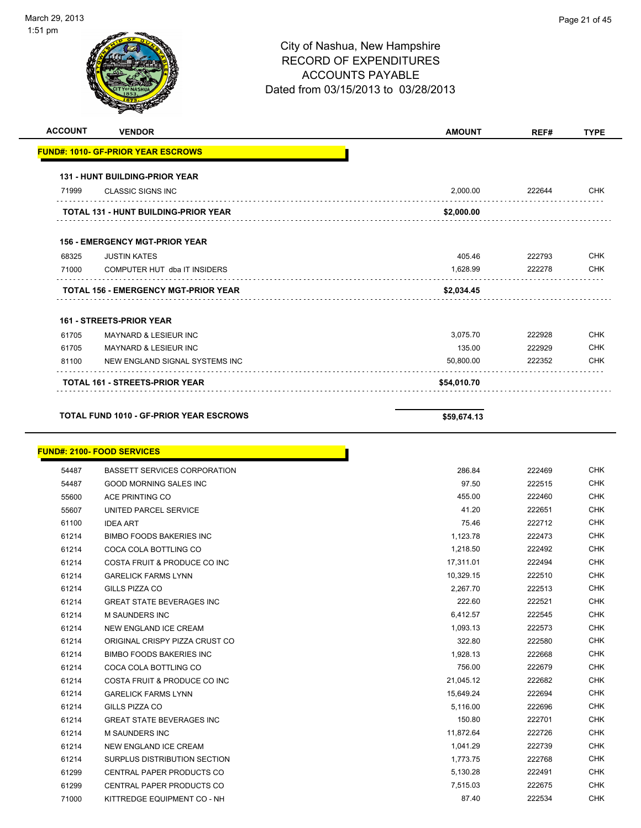# City of Nashua, New Hampshire RECORD OF EXPENDITURES ACCOUNTS PAYABLE Dated from 03/15/2013 to 03/28/2013 **ACCOUNT VENDOR AMOUNT REF# TYPE FUND#: 1010- GF-PRIOR YEAR ESCROWS 131 - HUNT BUILDING-PRIOR YEAR** CLASSIC SIGNS INC 2,000.00 222644 CHK

#### **156 - EMERGENCY MGT-PRIOR YEAR**

| 68325 | <b>JUSTIN KATES</b>                         | 405.46     | 222793 | <b>CHK</b> |
|-------|---------------------------------------------|------------|--------|------------|
| 71000 | COMPUTER HUT dba IT INSIDERS                | 1.628.99   | 222278 | <b>CHK</b> |
|       |                                             |            |        |            |
|       | <b>TOTAL 156 - EMERGENCY MGT-PRIOR YEAR</b> | \$2,034.45 |        |            |

**TOTAL 131 - HUNT BUILDING-PRIOR YEAR \$2,000.00**

#### **161 - STREETS-PRIOR YEAR**

|       | <b>TOTAL 161 - STREETS-PRIOR YEAR</b> | \$54,010.70 |        |            |
|-------|---------------------------------------|-------------|--------|------------|
| 81100 | NEW ENGLAND SIGNAL SYSTEMS INC        | 50.800.00   | 222352 | CHK        |
| 61705 | MAYNARD & LESIEUR INC                 | 135.00      | 222929 | <b>CHK</b> |
| 61705 | <b>MAYNARD &amp; LESIEUR INC</b>      | 3.075.70    | 222928 | <b>CHK</b> |

### **TOTAL FUND 1010 - GF-PRIOR YEAR ESCROWS \$59,674.13**

**FUND#: 2100- FOOD SERVICES**

|       | ло <del>м</del> . 2100-т ООВ эскуюсэ |           |
|-------|--------------------------------------|-----------|
| 54487 | <b>BASSETT SERVICES CORPORATION</b>  |           |
| 54487 | <b>GOOD MORNING SALES INC</b>        |           |
| 55600 | ACE PRINTING CO                      |           |
| 55607 | UNITED PARCEL SERVICE                |           |
| 61100 | <b>IDEA ART</b>                      |           |
| 61214 | <b>BIMBO FOODS BAKERIES INC</b>      |           |
| 61214 | COCA COLA BOTTLING CO                |           |
| 61214 | COSTA FRUIT & PRODUCE CO INC         |           |
| 61214 | <b>GARELICK FARMS LYNN</b>           |           |
| 61214 | GILLS PIZZA CO                       |           |
| 61214 | <b>GREAT STATE BEVERAGES INC</b>     |           |
| 61214 | M SAUNDERS INC                       | 6,412.57  |
| 61214 | NEW ENGLAND ICE CREAM                | 1,093.13  |
| 61214 | ORIGINAL CRISPY PIZZA CRUST CO       | 322.80    |
| 61214 | <b>BIMBO FOODS BAKERIES INC</b>      | 1,928.13  |
| 61214 | COCA COLA BOTTLING CO                | 756.00    |
| 61214 | COSTA FRUIT & PRODUCE CO INC         | 21,045.12 |
| 61214 | <b>GARELICK FARMS LYNN</b>           | 15,649.24 |
| 61214 | GILLS PIZZA CO                       | 5,116.00  |
| 61214 | <b>GREAT STATE BEVERAGES INC</b>     | 150.80    |
| 61214 | <b>M SAUNDERS INC</b>                | 11,872.64 |
| 61214 | NEW ENGLAND ICE CREAM                | 1,041.29  |
| 61214 | SURPLUS DISTRIBUTION SECTION         | 1,773.75  |
| 61299 | CENTRAL PAPER PRODUCTS CO            | 5,130.28  |
| 61299 | CENTRAL PAPER PRODUCTS CO            | 7,515.03  |
| 71000 | KITTREDGE EQUIPMENT CO - NH          | 87.40     |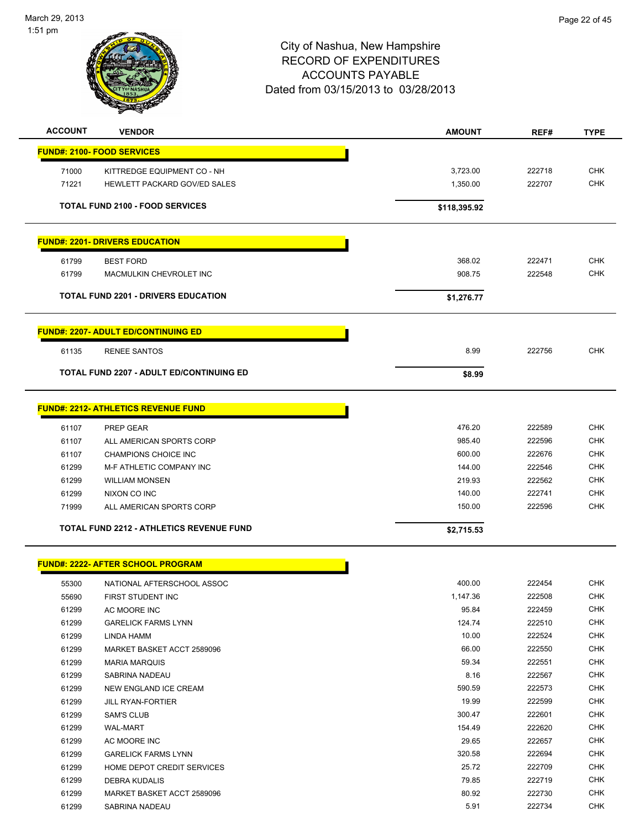

| <b>ACCOUNT</b> | <b>VENDOR</b>                                    | <b>AMOUNT</b>    | REF#             | <b>TYPE</b> |
|----------------|--------------------------------------------------|------------------|------------------|-------------|
|                | <b>FUND#: 2100- FOOD SERVICES</b>                |                  |                  |             |
|                |                                                  |                  |                  |             |
| 71000          | KITTREDGE EQUIPMENT CO - NH                      | 3,723.00         | 222718           | <b>CHK</b>  |
| 71221          | HEWLETT PACKARD GOV/ED SALES                     | 1,350.00         | 222707           | <b>CHK</b>  |
|                | <b>TOTAL FUND 2100 - FOOD SERVICES</b>           | \$118,395.92     |                  |             |
|                | <b>FUND#: 2201- DRIVERS EDUCATION</b>            |                  |                  |             |
| 61799          | <b>BEST FORD</b>                                 | 368.02           | 222471           | <b>CHK</b>  |
| 61799          | MACMULKIN CHEVROLET INC                          | 908.75           | 222548           | <b>CHK</b>  |
|                | <b>TOTAL FUND 2201 - DRIVERS EDUCATION</b>       | \$1,276.77       |                  |             |
|                |                                                  |                  |                  |             |
|                | <b>FUND#: 2207- ADULT ED/CONTINUING ED</b>       |                  |                  |             |
| 61135          | <b>RENEE SANTOS</b>                              | 8.99             | 222756           | <b>CHK</b>  |
|                | TOTAL FUND 2207 - ADULT ED/CONTINUING ED         | \$8.99           |                  |             |
|                | <b>FUND#: 2212- ATHLETICS REVENUE FUND</b>       |                  |                  |             |
|                |                                                  |                  |                  | <b>CHK</b>  |
| 61107          | PREP GEAR                                        | 476.20<br>985.40 | 222589<br>222596 | CHK         |
| 61107          | ALL AMERICAN SPORTS CORP                         | 600.00           | 222676           | <b>CHK</b>  |
| 61107<br>61299 | CHAMPIONS CHOICE INC<br>M-F ATHLETIC COMPANY INC | 144.00           | 222546           | <b>CHK</b>  |
| 61299          | <b>WILLIAM MONSEN</b>                            | 219.93           | 222562           | CHK         |
| 61299          | NIXON CO INC                                     | 140.00           | 222741           | <b>CHK</b>  |
| 71999          | ALL AMERICAN SPORTS CORP                         | 150.00           | 222596           | <b>CHK</b>  |
|                |                                                  |                  |                  |             |
|                | <b>TOTAL FUND 2212 - ATHLETICS REVENUE FUND</b>  | \$2,715.53       |                  |             |
|                | <b>FUND#: 2222- AFTER SCHOOL PROGRAM</b>         |                  |                  |             |
| 55300          | NATIONAL AFTERSCHOOL ASSOC                       | 400.00           | 222454           | CHK         |
| 55690          | FIRST STUDENT INC                                | 1,147.36         | 222508           | <b>CHK</b>  |
| 61299          | AC MOORE INC                                     | 95.84            | 222459           | <b>CHK</b>  |
| 61299          | <b>GARELICK FARMS LYNN</b>                       | 124.74           | 222510           | <b>CHK</b>  |
| 61299          | LINDA HAMM                                       | 10.00            | 222524           | <b>CHK</b>  |
| 61299          | MARKET BASKET ACCT 2589096                       | 66.00            | 222550           | <b>CHK</b>  |
| 61299          | <b>MARIA MARQUIS</b>                             | 59.34            | 222551           | <b>CHK</b>  |
| 61299          | SABRINA NADEAU                                   | 8.16             | 222567           | <b>CHK</b>  |
| 61299          | NEW ENGLAND ICE CREAM                            | 590.59           | 222573           | <b>CHK</b>  |
| 61299          | <b>JILL RYAN-FORTIER</b>                         | 19.99            | 222599           | <b>CHK</b>  |
| 61299          | <b>SAM'S CLUB</b>                                | 300.47           | 222601           | <b>CHK</b>  |
| 61299          | <b>WAL-MART</b>                                  | 154.49           | 222620           | CHK         |
| 61299          | AC MOORE INC                                     | 29.65            | 222657           | <b>CHK</b>  |
| 61299          | <b>GARELICK FARMS LYNN</b>                       | 320.58           | 222694           | <b>CHK</b>  |
| 61299          | HOME DEPOT CREDIT SERVICES                       | 25.72            | 222709           | <b>CHK</b>  |
| 61299          | DEBRA KUDALIS                                    | 79.85            | 222719           | <b>CHK</b>  |
| 61299          | MARKET BASKET ACCT 2589096                       | 80.92            | 222730           | <b>CHK</b>  |
| 61299          | SABRINA NADEAU                                   | 5.91             | 222734           | <b>CHK</b>  |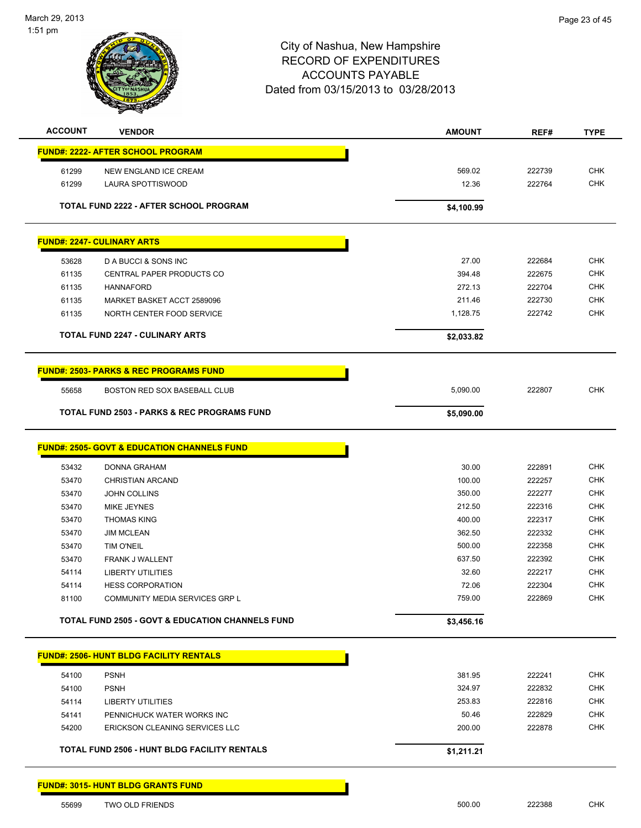

| <b>ACCOUNT</b> | <b>VENDOR</b>                                               | <b>AMOUNT</b>   | REF#             | <b>TYPE</b>              |
|----------------|-------------------------------------------------------------|-----------------|------------------|--------------------------|
|                | <u> FUND#: 2222- AFTER SCHOOL PROGRAM</u>                   |                 |                  |                          |
|                |                                                             |                 |                  | <b>CHK</b>               |
| 61299<br>61299 | NEW ENGLAND ICE CREAM<br><b>LAURA SPOTTISWOOD</b>           | 569.02<br>12.36 | 222739<br>222764 | <b>CHK</b>               |
|                |                                                             |                 |                  |                          |
|                | <b>TOTAL FUND 2222 - AFTER SCHOOL PROGRAM</b>               | \$4,100.99      |                  |                          |
|                | <b>FUND#: 2247- CULINARY ARTS</b>                           |                 |                  |                          |
|                |                                                             |                 |                  |                          |
| 53628          | D A BUCCI & SONS INC                                        | 27.00<br>394.48 | 222684<br>222675 | <b>CHK</b><br><b>CHK</b> |
| 61135<br>61135 | CENTRAL PAPER PRODUCTS CO<br><b>HANNAFORD</b>               | 272.13          | 222704           | <b>CHK</b>               |
| 61135          | MARKET BASKET ACCT 2589096                                  | 211.46          | 222730           | <b>CHK</b>               |
| 61135          | NORTH CENTER FOOD SERVICE                                   | 1,128.75        | 222742           | <b>CHK</b>               |
|                |                                                             |                 |                  |                          |
|                | <b>TOTAL FUND 2247 - CULINARY ARTS</b>                      | \$2,033.82      |                  |                          |
|                | <b>FUND#: 2503- PARKS &amp; REC PROGRAMS FUND</b>           |                 |                  |                          |
| 55658          | <b>BOSTON RED SOX BASEBALL CLUB</b>                         | 5,090.00        | 222807           | <b>CHK</b>               |
|                | <b>TOTAL FUND 2503 - PARKS &amp; REC PROGRAMS FUND</b>      | \$5,090.00      |                  |                          |
|                |                                                             |                 |                  |                          |
|                | <b>FUND#: 2505- GOVT &amp; EDUCATION CHANNELS FUND</b>      |                 |                  |                          |
| 53432          | <b>DONNA GRAHAM</b>                                         | 30.00           | 222891           | <b>CHK</b>               |
| 53470          | <b>CHRISTIAN ARCAND</b>                                     | 100.00          | 222257           | <b>CHK</b>               |
| 53470          | <b>JOHN COLLINS</b>                                         | 350.00          | 222277           | <b>CHK</b>               |
| 53470          | MIKE JEYNES                                                 | 212.50          | 222316           | <b>CHK</b>               |
| 53470          | <b>THOMAS KING</b>                                          | 400.00          | 222317           | <b>CHK</b>               |
| 53470          | <b>JIM MCLEAN</b>                                           | 362.50          | 222332           | <b>CHK</b>               |
| 53470          | TIM O'NEIL                                                  | 500.00          | 222358           | <b>CHK</b>               |
| 53470          | FRANK J WALLENT                                             | 637.50          | 222392           | <b>CHK</b>               |
| 54114          | <b>LIBERTY UTILITIES</b>                                    | 32.60           | 222217           | <b>CHK</b>               |
| 54114          | <b>HESS CORPORATION</b>                                     | 72.06           | 222304           | <b>CHK</b>               |
| 81100          | COMMUNITY MEDIA SERVICES GRP L                              | 759.00          | 222869           | <b>CHK</b>               |
|                | <b>TOTAL FUND 2505 - GOVT &amp; EDUCATION CHANNELS FUND</b> | \$3,456.16      |                  |                          |
|                | <b>FUND#: 2506- HUNT BLDG FACILITY RENTALS</b>              |                 |                  |                          |
| 54100          | <b>PSNH</b>                                                 | 381.95          | 222241           | <b>CHK</b>               |
| 54100          | <b>PSNH</b>                                                 | 324.97          | 222832           | <b>CHK</b>               |
| 54114          | <b>LIBERTY UTILITIES</b>                                    | 253.83          | 222816           | CHK                      |
| 54141          | PENNICHUCK WATER WORKS INC                                  | 50.46           | 222829           | <b>CHK</b>               |
| 54200          | ERICKSON CLEANING SERVICES LLC                              | 200.00          | 222878           | <b>CHK</b>               |
|                | <b>TOTAL FUND 2506 - HUNT BLDG FACILITY RENTALS</b>         | \$1,211.21      |                  |                          |
|                |                                                             |                 |                  |                          |
|                | <b>FUND#: 3015- HUNT BLDG GRANTS FUND</b>                   |                 |                  |                          |
| 55699          | <b>TWO OLD FRIENDS</b>                                      | 500.00          | 222388           | CHK                      |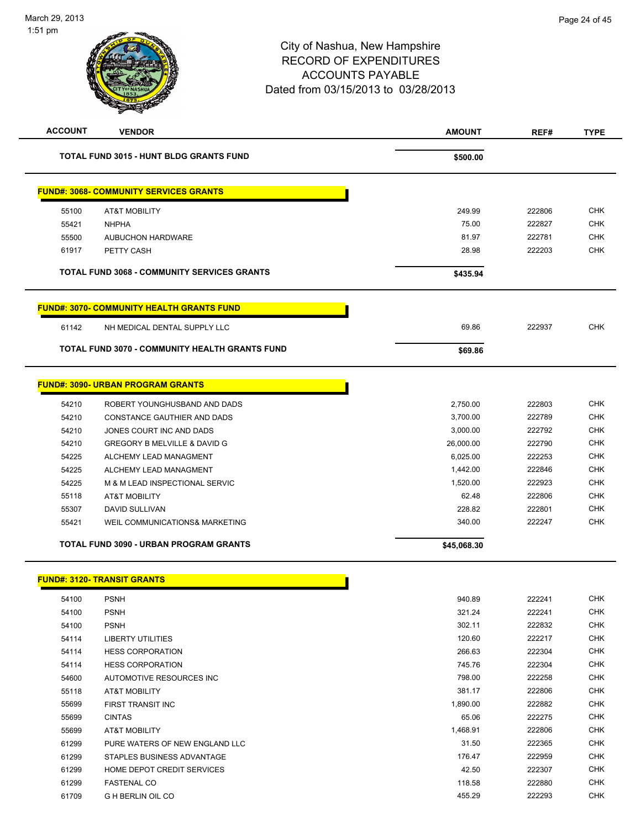|       |                                                       | <b>AMOUNT</b> | REF#   | <b>TYPE</b>                                                                                                                                                                                             |
|-------|-------------------------------------------------------|---------------|--------|---------------------------------------------------------------------------------------------------------------------------------------------------------------------------------------------------------|
|       | <b>TOTAL FUND 3015 - HUNT BLDG GRANTS FUND</b>        | \$500.00      |        |                                                                                                                                                                                                         |
|       | <b>FUND#: 3068- COMMUNITY SERVICES GRANTS</b>         |               |        |                                                                                                                                                                                                         |
| 55100 | AT&T MOBILITY                                         | 249.99        | 222806 | <b>CHK</b>                                                                                                                                                                                              |
| 55421 | <b>NHPHA</b>                                          | 75.00         | 222827 | <b>CHK</b>                                                                                                                                                                                              |
| 55500 | <b>AUBUCHON HARDWARE</b>                              | 81.97         | 222781 | <b>CHK</b>                                                                                                                                                                                              |
| 61917 | PETTY CASH                                            | 28.98         | 222203 | <b>CHK</b>                                                                                                                                                                                              |
|       | <b>TOTAL FUND 3068 - COMMUNITY SERVICES GRANTS</b>    | \$435.94      |        |                                                                                                                                                                                                         |
|       | <b>FUND#: 3070- COMMUNITY HEALTH GRANTS FUND</b>      |               |        |                                                                                                                                                                                                         |
| 61142 | NH MEDICAL DENTAL SUPPLY LLC                          | 69.86         | 222937 | <b>CHK</b>                                                                                                                                                                                              |
|       | <b>TOTAL FUND 3070 - COMMUNITY HEALTH GRANTS FUND</b> | \$69.86       |        |                                                                                                                                                                                                         |
|       | <b>FUND#: 3090- URBAN PROGRAM GRANTS</b>              |               |        |                                                                                                                                                                                                         |
| 54210 | ROBERT YOUNGHUSBAND AND DADS                          | 2,750.00      | 222803 | <b>CHK</b>                                                                                                                                                                                              |
| 54210 | CONSTANCE GAUTHIER AND DADS                           | 3,700.00      | 222789 | <b>CHK</b>                                                                                                                                                                                              |
| 54210 | JONES COURT INC AND DADS                              | 3,000.00      | 222792 | <b>CHK</b>                                                                                                                                                                                              |
| 54210 | GREGORY B MELVILLE & DAVID G                          | 26,000.00     | 222790 | <b>CHK</b>                                                                                                                                                                                              |
| 54225 | ALCHEMY LEAD MANAGMENT                                | 6,025.00      | 222253 | <b>CHK</b>                                                                                                                                                                                              |
| 54225 | ALCHEMY LEAD MANAGMENT                                | 1,442.00      | 222846 | <b>CHK</b>                                                                                                                                                                                              |
| 54225 | M & M LEAD INSPECTIONAL SERVIC                        | 1,520.00      | 222923 | <b>CHK</b>                                                                                                                                                                                              |
| 55118 | <b>AT&amp;T MOBILITY</b>                              | 62.48         | 222806 | <b>CHK</b>                                                                                                                                                                                              |
| 55307 | DAVID SULLIVAN                                        | 228.82        | 222801 | <b>CHK</b>                                                                                                                                                                                              |
| 55421 | WEIL COMMUNICATIONS& MARKETING                        | 340.00        | 222247 | <b>CHK</b>                                                                                                                                                                                              |
|       |                                                       |               |        |                                                                                                                                                                                                         |
|       | <b>TOTAL FUND 3090 - URBAN PROGRAM GRANTS</b>         | \$45,068.30   |        |                                                                                                                                                                                                         |
|       | <b>FUND#: 3120- TRANSIT GRANTS</b>                    |               |        |                                                                                                                                                                                                         |
| 54100 | <b>PSNH</b>                                           | 940.89        | 222241 |                                                                                                                                                                                                         |
| 54100 | <b>PSNH</b>                                           | 321.24        | 222241 |                                                                                                                                                                                                         |
| 54100 | <b>PSNH</b>                                           | 302.11        | 222832 |                                                                                                                                                                                                         |
| 54114 | <b>LIBERTY UTILITIES</b>                              | 120.60        | 222217 |                                                                                                                                                                                                         |
| 54114 | <b>HESS CORPORATION</b>                               | 266.63        | 222304 |                                                                                                                                                                                                         |
| 54114 | <b>HESS CORPORATION</b>                               | 745.76        | 222304 |                                                                                                                                                                                                         |
| 54600 | AUTOMOTIVE RESOURCES INC                              | 798.00        | 222258 |                                                                                                                                                                                                         |
| 55118 | <b>AT&amp;T MOBILITY</b>                              | 381.17        | 222806 |                                                                                                                                                                                                         |
| 55699 | FIRST TRANSIT INC                                     | 1,890.00      | 222882 |                                                                                                                                                                                                         |
| 55699 | <b>CINTAS</b>                                         | 65.06         | 222275 |                                                                                                                                                                                                         |
| 55699 | <b>AT&amp;T MOBILITY</b>                              | 1,468.91      | 222806 |                                                                                                                                                                                                         |
| 61299 | PURE WATERS OF NEW ENGLAND LLC                        | 31.50         | 222365 |                                                                                                                                                                                                         |
| 61299 | STAPLES BUSINESS ADVANTAGE                            | 176.47        | 222959 |                                                                                                                                                                                                         |
| 61299 | HOME DEPOT CREDIT SERVICES                            | 42.50         | 222307 |                                                                                                                                                                                                         |
| 61299 | <b>FASTENAL CO</b>                                    | 118.58        | 222880 | CHK<br><b>CHK</b><br><b>CHK</b><br><b>CHK</b><br><b>CHK</b><br><b>CHK</b><br><b>CHK</b><br><b>CHK</b><br><b>CHK</b><br><b>CHK</b><br><b>CHK</b><br><b>CHK</b><br><b>CHK</b><br><b>CHK</b><br><b>CHK</b> |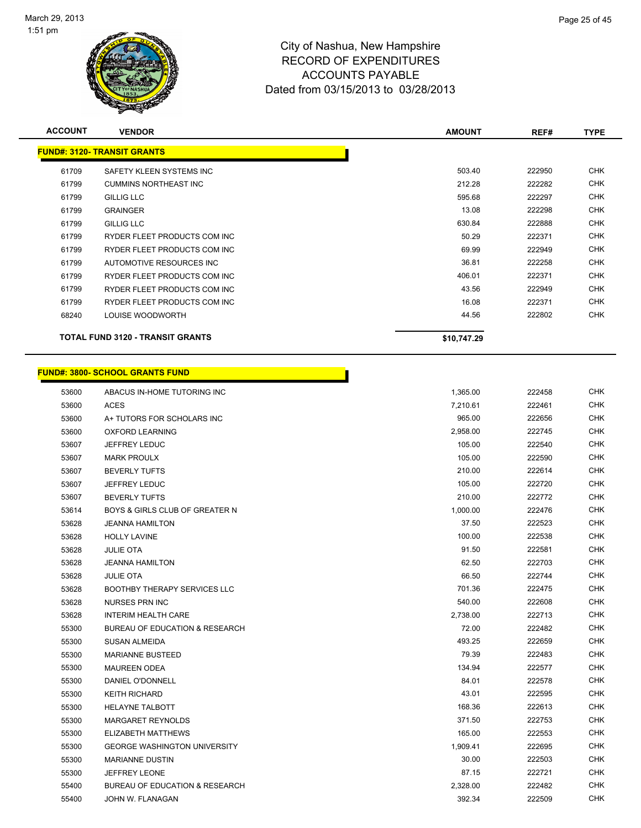

| <b>ACCOUNT</b> | <b>VENDOR</b>                           | <b>AMOUNT</b> | REF#   | <b>TYPE</b> |
|----------------|-----------------------------------------|---------------|--------|-------------|
|                | <b>FUND#: 3120- TRANSIT GRANTS</b>      |               |        |             |
| 61709          | SAFETY KLEEN SYSTEMS INC                | 503.40        | 222950 | <b>CHK</b>  |
| 61799          | <b>CUMMINS NORTHEAST INC</b>            | 212.28        | 222282 | <b>CHK</b>  |
| 61799          | <b>GILLIG LLC</b>                       | 595.68        | 222297 | <b>CHK</b>  |
| 61799          | <b>GRAINGER</b>                         | 13.08         | 222298 | <b>CHK</b>  |
| 61799          | <b>GILLIG LLC</b>                       | 630.84        | 222888 | <b>CHK</b>  |
| 61799          | RYDER FLEET PRODUCTS COM INC            | 50.29         | 222371 | <b>CHK</b>  |
| 61799          | RYDER FLEET PRODUCTS COM INC            | 69.99         | 222949 | <b>CHK</b>  |
| 61799          | AUTOMOTIVE RESOURCES INC                | 36.81         | 222258 | <b>CHK</b>  |
| 61799          | RYDER FLEET PRODUCTS COM INC            | 406.01        | 222371 | <b>CHK</b>  |
| 61799          | RYDER FLEET PRODUCTS COM INC            | 43.56         | 222949 | <b>CHK</b>  |
| 61799          | RYDER FLEET PRODUCTS COM INC            | 16.08         | 222371 | <b>CHK</b>  |
| 68240          | LOUISE WOODWORTH                        | 44.56         | 222802 | <b>CHK</b>  |
|                | <b>TOTAL FUND 3120 - TRANSIT GRANTS</b> | \$10,747.29   |        |             |
|                |                                         |               |        |             |

|       | <u> FUND#: 3800- SCHOOL GRANTS FUND</u>   |          |        |            |
|-------|-------------------------------------------|----------|--------|------------|
| 53600 | ABACUS IN-HOME TUTORING INC               | 1,365.00 | 222458 | <b>CHK</b> |
| 53600 | ACES                                      | 7,210.61 | 222461 | CHK        |
| 53600 | A+ TUTORS FOR SCHOLARS INC                | 965.00   | 222656 | CHK        |
| 53600 | <b>OXFORD LEARNING</b>                    | 2,958.00 | 222745 | <b>CHK</b> |
| 53607 | <b>JEFFREY LEDUC</b>                      | 105.00   | 222540 | <b>CHK</b> |
| 53607 | <b>MARK PROULX</b>                        | 105.00   | 222590 | CHK        |
| 53607 | <b>BEVERLY TUFTS</b>                      | 210.00   | 222614 | <b>CHK</b> |
| 53607 | <b>JEFFREY LEDUC</b>                      | 105.00   | 222720 |            |
| 53607 | <b>BEVERLY TUFTS</b>                      | 210.00   | 222772 |            |
| 53614 | <b>BOYS &amp; GIRLS CLUB OF GREATER N</b> | 1,000.00 | 222476 |            |
| 53628 | <b>JEANNA HAMILTON</b>                    | 37.50    | 222523 |            |
| 53628 | <b>HOLLY LAVINE</b>                       | 100.00   | 222538 |            |
| 53628 | <b>JULIE OTA</b>                          | 91.50    | 222581 |            |
| 53628 | <b>JEANNA HAMILTON</b>                    | 62.50    | 222703 |            |
| 53628 | <b>JULIE OTA</b>                          | 66.50    | 222744 |            |
| 53628 | <b>BOOTHBY THERAPY SERVICES LLC</b>       | 701.36   | 222475 |            |
| 53628 | NURSES PRN INC                            | 540.00   | 222608 |            |
| 53628 | <b>INTERIM HEALTH CARE</b>                | 2,738.00 | 222713 |            |
| 55300 | <b>BUREAU OF EDUCATION &amp; RESEARCH</b> | 72.00    | 222482 |            |
| 55300 | <b>SUSAN ALMEIDA</b>                      | 493.25   | 222659 |            |
| 55300 | <b>MARIANNE BUSTEED</b>                   | 79.39    | 222483 |            |
| 55300 | <b>MAUREEN ODEA</b>                       | 134.94   | 222577 |            |
| 55300 | DANIEL O'DONNELL                          | 84.01    | 222578 |            |
| 55300 | <b>KEITH RICHARD</b>                      | 43.01    | 222595 |            |
| 55300 | <b>HELAYNE TALBOTT</b>                    | 168.36   | 222613 |            |
| 55300 | <b>MARGARET REYNOLDS</b>                  | 371.50   | 222753 |            |
| 55300 | ELIZABETH MATTHEWS                        | 165.00   | 222553 |            |
| 55300 | <b>GEORGE WASHINGTON UNIVERSITY</b>       | 1,909.41 | 222695 |            |
| 55300 | <b>MARIANNE DUSTIN</b>                    | 30.00    | 222503 |            |
| 55300 | <b>JEFFREY LEONE</b>                      | 87.15    | 222721 |            |
| 55400 | <b>BUREAU OF EDUCATION &amp; RESEARCH</b> | 2,328.00 | 222482 |            |
| 55400 | JOHN W. FLANAGAN                          | 392.34   | 222509 |            |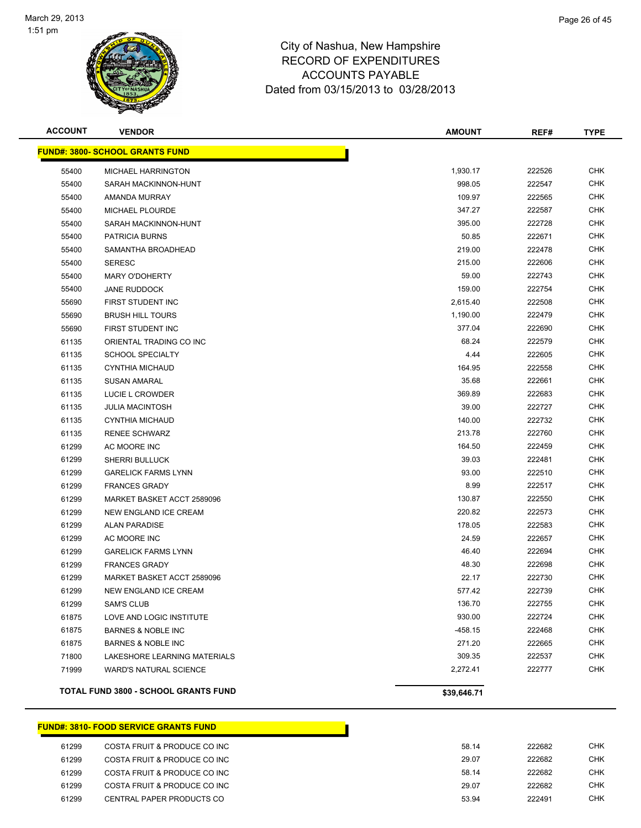

| <b>ACCOUNT</b> | <b>VENDOR</b>                          | <b>AMOUNT</b> | REF#   | <b>TYPE</b> |
|----------------|----------------------------------------|---------------|--------|-------------|
|                | <b>FUND#: 3800- SCHOOL GRANTS FUND</b> |               |        |             |
| 55400          | MICHAEL HARRINGTON                     | 1,930.17      | 222526 | <b>CHK</b>  |
| 55400          | SARAH MACKINNON-HUNT                   | 998.05        | 222547 | <b>CHK</b>  |
| 55400          | AMANDA MURRAY                          | 109.97        | 222565 | <b>CHK</b>  |
| 55400          | MICHAEL PLOURDE                        | 347.27        | 222587 | <b>CHK</b>  |
| 55400          | SARAH MACKINNON-HUNT                   | 395.00        | 222728 | <b>CHK</b>  |
| 55400          | PATRICIA BURNS                         | 50.85         | 222671 | <b>CHK</b>  |
| 55400          | SAMANTHA BROADHEAD                     | 219.00        | 222478 | <b>CHK</b>  |
| 55400          | <b>SERESC</b>                          | 215.00        | 222606 | <b>CHK</b>  |
| 55400          | <b>MARY O'DOHERTY</b>                  | 59.00         | 222743 | <b>CHK</b>  |
| 55400          | <b>JANE RUDDOCK</b>                    | 159.00        | 222754 | <b>CHK</b>  |
| 55690          | FIRST STUDENT INC                      | 2,615.40      | 222508 | CHK         |
| 55690          | <b>BRUSH HILL TOURS</b>                | 1,190.00      | 222479 | <b>CHK</b>  |
| 55690          | FIRST STUDENT INC                      | 377.04        | 222690 | <b>CHK</b>  |
| 61135          | ORIENTAL TRADING CO INC                | 68.24         | 222579 | <b>CHK</b>  |
| 61135          | <b>SCHOOL SPECIALTY</b>                | 4.44          | 222605 | <b>CHK</b>  |
| 61135          | <b>CYNTHIA MICHAUD</b>                 | 164.95        | 222558 | <b>CHK</b>  |
| 61135          | <b>SUSAN AMARAL</b>                    | 35.68         | 222661 | <b>CHK</b>  |
| 61135          | LUCIE L CROWDER                        | 369.89        | 222683 | <b>CHK</b>  |
| 61135          | <b>JULIA MACINTOSH</b>                 | 39.00         | 222727 | <b>CHK</b>  |
| 61135          | <b>CYNTHIA MICHAUD</b>                 | 140.00        | 222732 | <b>CHK</b>  |
| 61135          | <b>RENEE SCHWARZ</b>                   | 213.78        | 222760 | <b>CHK</b>  |
| 61299          | AC MOORE INC                           | 164.50        | 222459 | <b>CHK</b>  |
| 61299          | <b>SHERRI BULLUCK</b>                  | 39.03         | 222481 | <b>CHK</b>  |
| 61299          | <b>GARELICK FARMS LYNN</b>             | 93.00         | 222510 | <b>CHK</b>  |
| 61299          | <b>FRANCES GRADY</b>                   | 8.99          | 222517 | <b>CHK</b>  |
| 61299          | MARKET BASKET ACCT 2589096             | 130.87        | 222550 | <b>CHK</b>  |
| 61299          | NEW ENGLAND ICE CREAM                  | 220.82        | 222573 | <b>CHK</b>  |
| 61299          | <b>ALAN PARADISE</b>                   | 178.05        | 222583 | <b>CHK</b>  |
| 61299          | AC MOORE INC                           | 24.59         | 222657 | <b>CHK</b>  |
| 61299          | <b>GARELICK FARMS LYNN</b>             | 46.40         | 222694 | CHK         |
| 61299          | <b>FRANCES GRADY</b>                   | 48.30         | 222698 | <b>CHK</b>  |
| 61299          | MARKET BASKET ACCT 2589096             | 22.17         | 222730 | <b>CHK</b>  |
| 61299          | <b>NEW ENGLAND ICE CREAM</b>           | 577.42        | 222739 | <b>CHK</b>  |
| 61299          | <b>SAM'S CLUB</b>                      | 136.70        | 222755 | <b>CHK</b>  |
| 61875          | LOVE AND LOGIC INSTITUTE               | 930.00        | 222724 | <b>CHK</b>  |
| 61875          | <b>BARNES &amp; NOBLE INC</b>          | $-458.15$     | 222468 | <b>CHK</b>  |
| 61875          | <b>BARNES &amp; NOBLE INC</b>          | 271.20        | 222665 | <b>CHK</b>  |
| 71800          | <b>LAKESHORE LEARNING MATERIALS</b>    | 309.35        | 222537 | <b>CHK</b>  |
| 71999          | <b>WARD'S NATURAL SCIENCE</b>          | 2,272.41      | 222777 | <b>CHK</b>  |
|                | TOTAL FUND 3800 - SCHOOL GRANTS FUND   | \$39,646.71   |        |             |

### **FUND#: 3810- FOOD SERVICE GRANTS FUND**

| 61299 | COSTA FRUIT & PRODUCE CO INC | 58.14 | 222682 | CHK |
|-------|------------------------------|-------|--------|-----|
| 61299 | COSTA FRUIT & PRODUCE CO INC | 29.07 | 222682 | CHK |
| 61299 | COSTA FRUIT & PRODUCE CO INC | 58.14 | 222682 | CHK |
| 61299 | COSTA FRUIT & PRODUCE CO INC | 29.07 | 222682 | CHK |
| 61299 | CENTRAL PAPER PRODUCTS CO    | 53.94 | 222491 | CHK |
|       |                              |       |        |     |

Т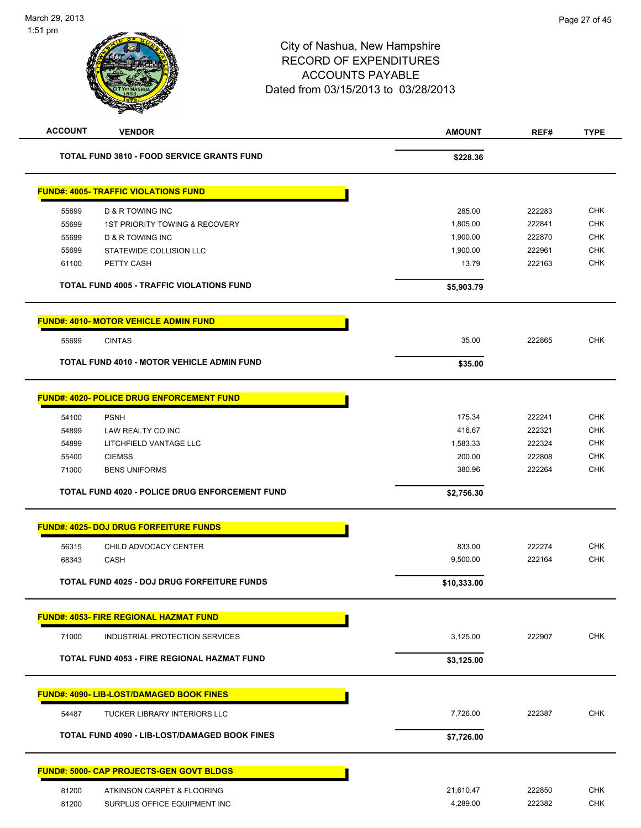| <b>ACCOUNT</b> | <b>VENDOR</b>                                      | <b>AMOUNT</b> | REF#   | <b>TYPE</b> |
|----------------|----------------------------------------------------|---------------|--------|-------------|
|                | <b>TOTAL FUND 3810 - FOOD SERVICE GRANTS FUND</b>  | \$228.36      |        |             |
|                | <b>FUND#: 4005- TRAFFIC VIOLATIONS FUND</b>        |               |        |             |
| 55699          | <b>D &amp; R TOWING INC</b>                        | 285.00        | 222283 | <b>CHK</b>  |
| 55699          | 1ST PRIORITY TOWING & RECOVERY                     | 1,805.00      | 222841 | <b>CHK</b>  |
| 55699          | <b>D &amp; R TOWING INC</b>                        | 1,900.00      | 222870 | <b>CHK</b>  |
| 55699          | STATEWIDE COLLISION LLC                            | 1,900.00      | 222961 | <b>CHK</b>  |
| 61100          | PETTY CASH                                         | 13.79         | 222163 | <b>CHK</b>  |
|                | <b>TOTAL FUND 4005 - TRAFFIC VIOLATIONS FUND</b>   | \$5,903.79    |        |             |
|                | <b>FUND#: 4010- MOTOR VEHICLE ADMIN FUND</b>       |               |        |             |
| 55699          | <b>CINTAS</b>                                      | 35.00         | 222865 | <b>CHK</b>  |
|                | TOTAL FUND 4010 - MOTOR VEHICLE ADMIN FUND         | \$35.00       |        |             |
|                | <b>FUND#: 4020- POLICE DRUG ENFORCEMENT FUND</b>   |               |        |             |
|                |                                                    | 175.34        | 222241 | <b>CHK</b>  |
| 54100<br>54899 | <b>PSNH</b><br>LAW REALTY CO INC                   | 416.67        | 222321 | <b>CHK</b>  |
| 54899          | LITCHFIELD VANTAGE LLC                             | 1,583.33      | 222324 | <b>CHK</b>  |
| 55400          | <b>CIEMSS</b>                                      | 200.00        | 222808 | <b>CHK</b>  |
| 71000          | <b>BENS UNIFORMS</b>                               | 380.96        | 222264 | <b>CHK</b>  |
|                | TOTAL FUND 4020 - POLICE DRUG ENFORCEMENT FUND     | \$2,756.30    |        |             |
|                | <b>FUND#: 4025- DOJ DRUG FORFEITURE FUNDS</b>      |               |        |             |
| 56315          | CHILD ADVOCACY CENTER                              | 833.00        | 222274 | <b>CHK</b>  |
| 68343          | CASH                                               | 9,500.00      | 222164 | <b>CHK</b>  |
|                | TOTAL FUND 4025 - DOJ DRUG FORFEITURE FUNDS        | \$10,333.00   |        |             |
|                | <b>FUND#: 4053- FIRE REGIONAL HAZMAT FUND</b>      |               |        |             |
| 71000          | INDUSTRIAL PROTECTION SERVICES                     | 3,125.00      | 222907 | <b>CHK</b>  |
|                | <b>TOTAL FUND 4053 - FIRE REGIONAL HAZMAT FUND</b> |               |        |             |
|                |                                                    | \$3,125.00    |        |             |
|                | <b>FUND#: 4090- LIB-LOST/DAMAGED BOOK FINES</b>    |               |        |             |
| 54487          | TUCKER LIBRARY INTERIORS LLC                       | 7,726.00      | 222387 | <b>CHK</b>  |
|                | TOTAL FUND 4090 - LIB-LOST/DAMAGED BOOK FINES      | \$7,726.00    |        |             |
|                | <b>FUND#: 5000- CAP PROJECTS-GEN GOVT BLDGS</b>    |               |        |             |
| 81200          | ATKINSON CARPET & FLOORING                         | 21,610.47     | 222850 | <b>CHK</b>  |
| 81200          | SURPLUS OFFICE EQUIPMENT INC                       | 4,289.00      | 222382 | <b>CHK</b>  |
|                |                                                    |               |        |             |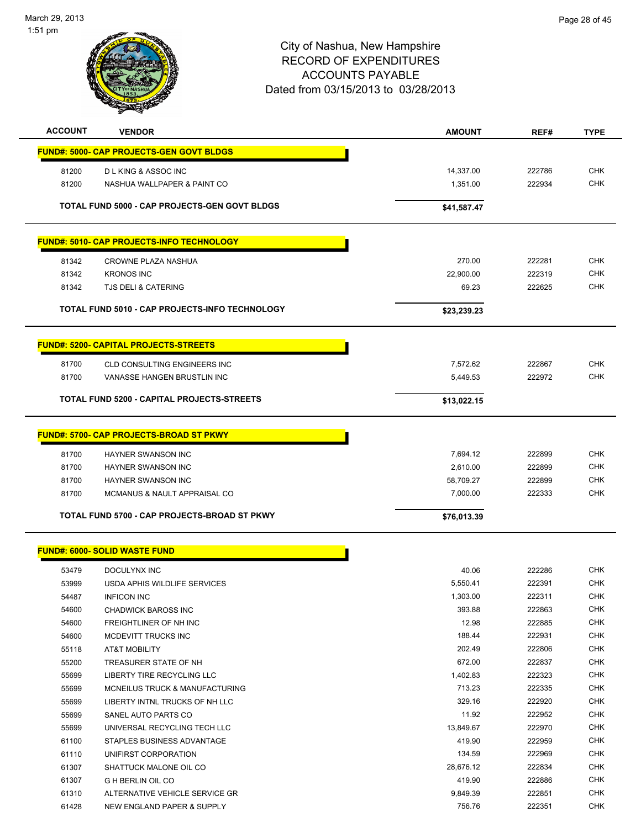

| <b>ACCOUNT</b> | <b>VENDOR</b>                                         | <b>AMOUNT</b> | REF#   | <b>TYPE</b> |
|----------------|-------------------------------------------------------|---------------|--------|-------------|
|                | <b>FUND#: 5000- CAP PROJECTS-GEN GOVT BLDGS</b>       |               |        |             |
| 81200          | <b>DLKING &amp; ASSOC INC</b>                         | 14,337.00     | 222786 | <b>CHK</b>  |
| 81200          | NASHUA WALLPAPER & PAINT CO                           | 1,351.00      | 222934 | <b>CHK</b>  |
|                |                                                       |               |        |             |
|                | TOTAL FUND 5000 - CAP PROJECTS-GEN GOVT BLDGS         | \$41,587.47   |        |             |
|                | <b>FUND#: 5010- CAP PROJECTS-INFO TECHNOLOGY</b>      |               |        |             |
|                |                                                       |               |        |             |
| 81342          | CROWNE PLAZA NASHUA                                   | 270.00        | 222281 | <b>CHK</b>  |
| 81342          | <b>KRONOS INC</b>                                     | 22,900.00     | 222319 | <b>CHK</b>  |
| 81342          | <b>TJS DELI &amp; CATERING</b>                        | 69.23         | 222625 | <b>CHK</b>  |
|                | <b>TOTAL FUND 5010 - CAP PROJECTS-INFO TECHNOLOGY</b> | \$23,239.23   |        |             |
|                |                                                       |               |        |             |
|                | <b>FUND#: 5200- CAPITAL PROJECTS-STREETS</b>          |               |        |             |
| 81700          | <b>CLD CONSULTING ENGINEERS INC</b>                   | 7,572.62      | 222867 | <b>CHK</b>  |
| 81700          | VANASSE HANGEN BRUSTLIN INC                           | 5,449.53      | 222972 | <b>CHK</b>  |
|                | TOTAL FUND 5200 - CAPITAL PROJECTS-STREETS            | \$13,022.15   |        |             |
|                |                                                       |               |        |             |
|                | <b>FUND#: 5700- CAP PROJECTS-BROAD ST PKWY</b>        |               |        |             |
| 81700          | <b>HAYNER SWANSON INC</b>                             | 7,694.12      | 222899 | <b>CHK</b>  |
| 81700          | <b>HAYNER SWANSON INC</b>                             | 2,610.00      | 222899 | <b>CHK</b>  |
| 81700          | <b>HAYNER SWANSON INC</b>                             | 58,709.27     | 222899 | <b>CHK</b>  |
| 81700          | MCMANUS & NAULT APPRAISAL CO                          | 7,000.00      | 222333 | <b>CHK</b>  |
|                | TOTAL FUND 5700 - CAP PROJECTS-BROAD ST PKWY          | \$76,013.39   |        |             |
|                | <b>FUND#: 6000- SOLID WASTE FUND</b>                  |               |        |             |
|                |                                                       |               |        |             |
| 53479          | DOCULYNX INC                                          | 40.06         | 222286 | <b>CHK</b>  |
| 53999          | USDA APHIS WILDLIFE SERVICES                          | 5,550.41      | 222391 | <b>CHK</b>  |
| 54487          | <b>INFICON INC</b>                                    | 1,303.00      | 222311 | <b>CHK</b>  |
| 54600          | <b>CHADWICK BAROSS INC</b>                            | 393.88        | 222863 | <b>CHK</b>  |
| 54600          | FREIGHTLINER OF NH INC                                | 12.98         | 222885 | <b>CHK</b>  |
| 54600          | MCDEVITT TRUCKS INC                                   | 188.44        | 222931 | <b>CHK</b>  |
| 55118          | AT&T MOBILITY                                         | 202.49        | 222806 | <b>CHK</b>  |
| 55200          | TREASURER STATE OF NH                                 | 672.00        | 222837 | <b>CHK</b>  |
| 55699          | LIBERTY TIRE RECYCLING LLC                            | 1,402.83      | 222323 | <b>CHK</b>  |
| 55699          | MCNEILUS TRUCK & MANUFACTURING                        | 713.23        | 222335 | <b>CHK</b>  |
| 55699          | LIBERTY INTNL TRUCKS OF NH LLC                        | 329.16        | 222920 | <b>CHK</b>  |
| 55699          | SANEL AUTO PARTS CO                                   | 11.92         | 222952 | <b>CHK</b>  |
| 55699          | UNIVERSAL RECYCLING TECH LLC                          | 13,849.67     | 222970 | <b>CHK</b>  |
| 61100          | STAPLES BUSINESS ADVANTAGE                            | 419.90        | 222959 | <b>CHK</b>  |
| 61110          | UNIFIRST CORPORATION                                  | 134.59        | 222969 | <b>CHK</b>  |
| 61307          | SHATTUCK MALONE OIL CO                                | 28,676.12     | 222834 | <b>CHK</b>  |
| 61307          | <b>G H BERLIN OIL CO</b>                              | 419.90        | 222886 | <b>CHK</b>  |
| 61310          | ALTERNATIVE VEHICLE SERVICE GR                        | 9,849.39      | 222851 | <b>CHK</b>  |
| 61428          | NEW ENGLAND PAPER & SUPPLY                            | 756.76        | 222351 | <b>CHK</b>  |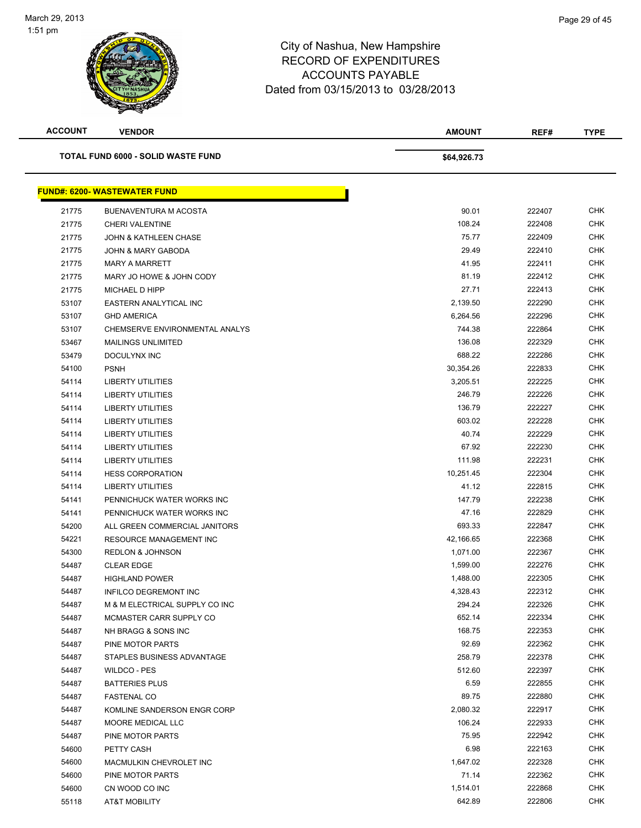

| <b>ACCOUNT</b> | <b>VENDOR</b>                             | <b>AMOUNT</b> | REF#   | <b>TYPE</b> |
|----------------|-------------------------------------------|---------------|--------|-------------|
|                | <b>TOTAL FUND 6000 - SOLID WASTE FUND</b> | \$64,926.73   |        |             |
|                | <b>FUND#: 6200- WASTEWATER FUND</b>       |               |        |             |
| 21775          | BUENAVENTURA M ACOSTA                     | 90.01         | 222407 | <b>CHK</b>  |
| 21775          | <b>CHERI VALENTINE</b>                    | 108.24        | 222408 | <b>CHK</b>  |
| 21775          | <b>JOHN &amp; KATHLEEN CHASE</b>          | 75.77         | 222409 | <b>CHK</b>  |
| 21775          | JOHN & MARY GABODA                        | 29.49         | 222410 | <b>CHK</b>  |
| 21775          | <b>MARY A MARRETT</b>                     | 41.95         | 222411 | <b>CHK</b>  |
| 21775          | MARY JO HOWE & JOHN CODY                  | 81.19         | 222412 | <b>CHK</b>  |
| 21775          | MICHAEL D HIPP                            | 27.71         | 222413 | <b>CHK</b>  |
| 53107          | EASTERN ANALYTICAL INC                    | 2,139.50      | 222290 | <b>CHK</b>  |
| 53107          | <b>GHD AMERICA</b>                        | 6,264.56      | 222296 | <b>CHK</b>  |
| 53107          | CHEMSERVE ENVIRONMENTAL ANALYS            | 744.38        | 222864 | <b>CHK</b>  |
| 53467          | <b>MAILINGS UNLIMITED</b>                 | 136.08        | 222329 | <b>CHK</b>  |
| 53479          | DOCULYNX INC                              | 688.22        | 222286 | <b>CHK</b>  |
| 54100          | <b>PSNH</b>                               | 30,354.26     | 222833 | <b>CHK</b>  |
| 54114          | <b>LIBERTY UTILITIES</b>                  | 3,205.51      | 222225 | <b>CHK</b>  |
| 54114          | <b>LIBERTY UTILITIES</b>                  | 246.79        | 222226 | <b>CHK</b>  |
| 54114          | <b>LIBERTY UTILITIES</b>                  | 136.79        | 222227 | <b>CHK</b>  |
| 54114          | <b>LIBERTY UTILITIES</b>                  | 603.02        | 222228 | <b>CHK</b>  |
| 54114          | <b>LIBERTY UTILITIES</b>                  | 40.74         | 222229 | <b>CHK</b>  |
| 54114          | <b>LIBERTY UTILITIES</b>                  | 67.92         | 222230 | <b>CHK</b>  |
| 54114          | <b>LIBERTY UTILITIES</b>                  | 111.98        | 222231 | <b>CHK</b>  |
| 54114          | <b>HESS CORPORATION</b>                   | 10,251.45     | 222304 | <b>CHK</b>  |
| 54114          | <b>LIBERTY UTILITIES</b>                  | 41.12         | 222815 | <b>CHK</b>  |
| 54141          | PENNICHUCK WATER WORKS INC                | 147.79        | 222238 | <b>CHK</b>  |
| 54141          | PENNICHUCK WATER WORKS INC                | 47.16         | 222829 | <b>CHK</b>  |
| 54200          | ALL GREEN COMMERCIAL JANITORS             | 693.33        | 222847 | <b>CHK</b>  |
| 54221          | <b>RESOURCE MANAGEMENT INC</b>            | 42,166.65     | 222368 | <b>CHK</b>  |
| 54300          | <b>REDLON &amp; JOHNSON</b>               | 1,071.00      | 222367 | <b>CHK</b>  |
| 54487          | <b>CLEAR EDGE</b>                         | 1,599.00      | 222276 | <b>CHK</b>  |
| 54487          | <b>HIGHLAND POWER</b>                     | 1,488.00      | 222305 | <b>CHK</b>  |
| 54487          | INFILCO DEGREMONT INC                     | 4,328.43      | 222312 | <b>CHK</b>  |
| 54487          | M & M ELECTRICAL SUPPLY CO INC            | 294.24        | 222326 | <b>CHK</b>  |
| 54487          | MCMASTER CARR SUPPLY CO                   | 652.14        | 222334 | <b>CHK</b>  |
| 54487          | NH BRAGG & SONS INC                       | 168.75        | 222353 | <b>CHK</b>  |
| 54487          | PINE MOTOR PARTS                          | 92.69         | 222362 | <b>CHK</b>  |
| 54487          | STAPLES BUSINESS ADVANTAGE                | 258.79        | 222378 | CHK         |
| 54487          | <b>WILDCO - PES</b>                       | 512.60        | 222397 | <b>CHK</b>  |
| 54487          | <b>BATTERIES PLUS</b>                     | 6.59          | 222855 | <b>CHK</b>  |
| 54487          | <b>FASTENAL CO</b>                        | 89.75         | 222880 | <b>CHK</b>  |
| 54487          | KOMLINE SANDERSON ENGR CORP               | 2,080.32      | 222917 | <b>CHK</b>  |
| 54487          | MOORE MEDICAL LLC                         | 106.24        | 222933 | <b>CHK</b>  |
| 54487          | PINE MOTOR PARTS                          | 75.95         | 222942 | <b>CHK</b>  |
| 54600          | PETTY CASH                                | 6.98          | 222163 | <b>CHK</b>  |
| 54600          | MACMULKIN CHEVROLET INC                   | 1,647.02      | 222328 | <b>CHK</b>  |
| 54600          | PINE MOTOR PARTS                          | 71.14         | 222362 | <b>CHK</b>  |
| 54600          | CN WOOD CO INC                            | 1,514.01      | 222868 | <b>CHK</b>  |
| 55118          | AT&T MOBILITY                             | 642.89        | 222806 | <b>CHK</b>  |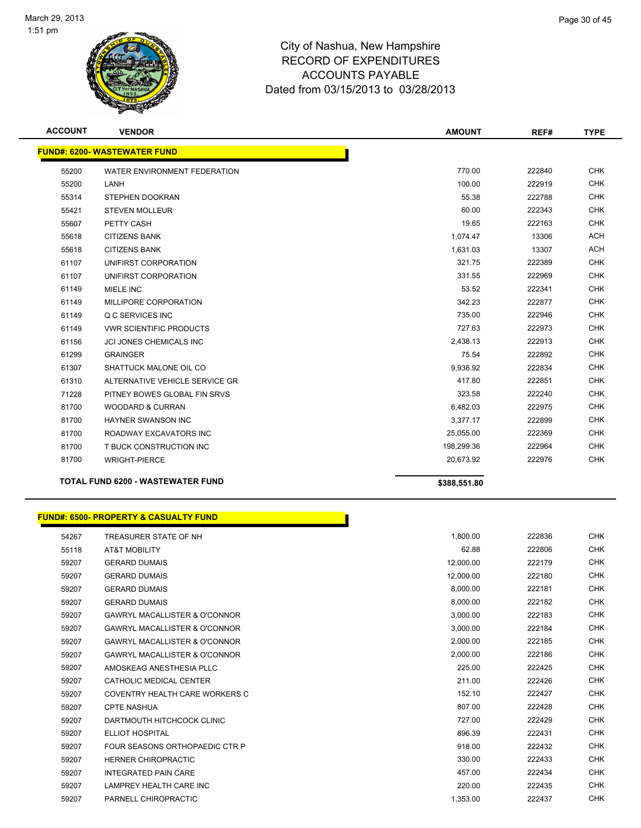

| <b>ACCOUNT</b> | <b>VENDOR</b>                            | <b>AMOUNT</b> | REF#   | <b>TYPE</b> |
|----------------|------------------------------------------|---------------|--------|-------------|
|                | <b>FUND#: 6200- WASTEWATER FUND</b>      |               |        |             |
| 55200          | WATER ENVIRONMENT FEDERATION             | 770.00        | 222840 | <b>CHK</b>  |
| 55200          | LANH                                     | 100.00        | 222919 | <b>CHK</b>  |
| 55314          | <b>STEPHEN DOOKRAN</b>                   | 55.38         | 222788 | <b>CHK</b>  |
| 55421          | <b>STEVEN MOLLEUR</b>                    | 60.00         | 222343 | <b>CHK</b>  |
| 55607          | PETTY CASH                               | 19.65         | 222163 | <b>CHK</b>  |
| 55618          | <b>CITIZENS BANK</b>                     | 1,074.47      | 13306  | <b>ACH</b>  |
| 55618          | <b>CITIZENS BANK</b>                     | 1,631.03      | 13307  | <b>ACH</b>  |
| 61107          | UNIFIRST CORPORATION                     | 321.75        | 222389 | <b>CHK</b>  |
| 61107          | UNIFIRST CORPORATION                     | 331.55        | 222969 | <b>CHK</b>  |
| 61149          | MIELE INC                                | 53.52         | 222341 | <b>CHK</b>  |
| 61149          | MILLIPORE CORPORATION                    | 342.23        | 222877 | <b>CHK</b>  |
| 61149          | Q C SERVICES INC                         | 735.00        | 222946 | <b>CHK</b>  |
| 61149          | <b>VWR SCIENTIFIC PRODUCTS</b>           | 727.63        | 222973 | <b>CHK</b>  |
| 61156          | <b>JCI JONES CHEMICALS INC</b>           | 2,438.13      | 222913 | <b>CHK</b>  |
| 61299          | <b>GRAINGER</b>                          | 75.54         | 222892 | <b>CHK</b>  |
| 61307          | SHATTUCK MALONE OIL CO                   | 9,938.92      | 222834 | <b>CHK</b>  |
| 61310          | ALTERNATIVE VEHICLE SERVICE GR           | 417.80        | 222851 | <b>CHK</b>  |
| 71228          | PITNEY BOWES GLOBAL FIN SRVS             | 323.58        | 222240 | <b>CHK</b>  |
| 81700          | <b>WOODARD &amp; CURRAN</b>              | 6,482.03      | 222975 | <b>CHK</b>  |
| 81700          | <b>HAYNER SWANSON INC</b>                | 3,377.17      | 222899 | <b>CHK</b>  |
| 81700          | ROADWAY EXCAVATORS INC                   | 25,055.00     | 222369 | <b>CHK</b>  |
| 81700          | T BUCK CONSTRUCTION INC                  | 198,299.36    | 222964 | <b>CHK</b>  |
| 81700          | <b>WRIGHT-PIERCE</b>                     | 20,673.92     | 222976 | <b>CHK</b>  |
|                | <b>TOTAL FUND 6200 - WASTEWATER FUND</b> | \$388,551.80  |        |             |

| <b>FUND#: 6500- PROPERTY &amp; CASUALTY FUND</b> |  |
|--------------------------------------------------|--|

| 54267 | TREASURER STATE OF NH                    | 1,800.00  | 222836 | <b>CHK</b> |
|-------|------------------------------------------|-----------|--------|------------|
| 55118 | <b>AT&amp;T MOBILITY</b>                 | 62.88     | 222806 | <b>CHK</b> |
| 59207 | <b>GERARD DUMAIS</b>                     | 12,000.00 | 222179 | <b>CHK</b> |
| 59207 | <b>GERARD DUMAIS</b>                     | 12,000.00 | 222180 | <b>CHK</b> |
| 59207 | <b>GERARD DUMAIS</b>                     | 8,000.00  | 222181 | <b>CHK</b> |
| 59207 | <b>GERARD DUMAIS</b>                     | 8,000.00  | 222182 | <b>CHK</b> |
| 59207 | <b>GAWRYL MACALLISTER &amp; O'CONNOR</b> | 3,000.00  | 222183 | <b>CHK</b> |
| 59207 | <b>GAWRYL MACALLISTER &amp; O'CONNOR</b> | 3,000.00  | 222184 | <b>CHK</b> |
| 59207 | <b>GAWRYL MACALLISTER &amp; O'CONNOR</b> | 2,000.00  | 222185 | <b>CHK</b> |
| 59207 | <b>GAWRYL MACALLISTER &amp; O'CONNOR</b> | 2,000.00  | 222186 | <b>CHK</b> |
| 59207 | AMOSKEAG ANESTHESIA PLLC                 | 225.00    | 222425 | <b>CHK</b> |
| 59207 | CATHOLIC MEDICAL CENTER                  | 211.00    | 222426 | <b>CHK</b> |
| 59207 | COVENTRY HEALTH CARE WORKERS C           | 152.10    | 222427 | <b>CHK</b> |
| 59207 | <b>CPTE NASHUA</b>                       | 807.00    | 222428 | <b>CHK</b> |
| 59207 | DARTMOUTH HITCHCOCK CLINIC               | 727.00    | 222429 | <b>CHK</b> |
| 59207 | <b>ELLIOT HOSPITAL</b>                   | 896.39    | 222431 | <b>CHK</b> |
| 59207 | FOUR SEASONS ORTHOPAEDIC CTR P           | 918.00    | 222432 | <b>CHK</b> |
| 59207 | <b>HERNER CHIROPRACTIC</b>               | 330.00    | 222433 | <b>CHK</b> |
| 59207 | <b>INTEGRATED PAIN CARE</b>              | 457.00    | 222434 | <b>CHK</b> |
| 59207 | LAMPREY HEALTH CARE INC                  | 220.00    | 222435 | <b>CHK</b> |
| 59207 | PARNELL CHIROPRACTIC                     | 1,353.00  | 222437 | <b>CHK</b> |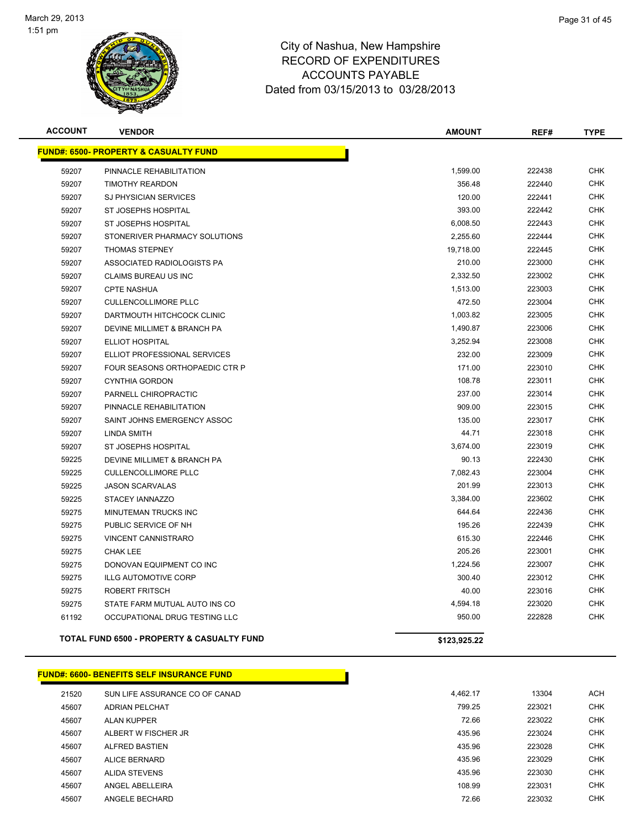

| <b>ACCOUNT</b> | <b>VENDOR</b>                                         | <b>AMOUNT</b> | REF#   | <b>TYPE</b> |
|----------------|-------------------------------------------------------|---------------|--------|-------------|
|                | <b>FUND#: 6500- PROPERTY &amp; CASUALTY FUND</b>      |               |        |             |
| 59207          | PINNACLE REHABILITATION                               | 1,599.00      | 222438 | <b>CHK</b>  |
| 59207          | <b>TIMOTHY REARDON</b>                                | 356.48        | 222440 | <b>CHK</b>  |
| 59207          | SJ PHYSICIAN SERVICES                                 | 120.00        | 222441 | <b>CHK</b>  |
| 59207          | ST JOSEPHS HOSPITAL                                   | 393.00        | 222442 | <b>CHK</b>  |
| 59207          | ST JOSEPHS HOSPITAL                                   | 6,008.50      | 222443 | CHK         |
| 59207          | STONERIVER PHARMACY SOLUTIONS                         | 2,255.60      | 222444 | <b>CHK</b>  |
| 59207          | <b>THOMAS STEPNEY</b>                                 | 19,718.00     | 222445 | <b>CHK</b>  |
| 59207          | ASSOCIATED RADIOLOGISTS PA                            | 210.00        | 223000 | <b>CHK</b>  |
| 59207          | <b>CLAIMS BUREAU US INC</b>                           | 2,332.50      | 223002 | <b>CHK</b>  |
| 59207          | <b>CPTE NASHUA</b>                                    | 1,513.00      | 223003 | <b>CHK</b>  |
| 59207          | <b>CULLENCOLLIMORE PLLC</b>                           | 472.50        | 223004 | <b>CHK</b>  |
| 59207          | DARTMOUTH HITCHCOCK CLINIC                            | 1,003.82      | 223005 | <b>CHK</b>  |
| 59207          | DEVINE MILLIMET & BRANCH PA                           | 1,490.87      | 223006 | <b>CHK</b>  |
| 59207          | ELLIOT HOSPITAL                                       | 3,252.94      | 223008 | <b>CHK</b>  |
| 59207          | ELLIOT PROFESSIONAL SERVICES                          | 232.00        | 223009 | <b>CHK</b>  |
| 59207          | FOUR SEASONS ORTHOPAEDIC CTR P                        | 171.00        | 223010 | <b>CHK</b>  |
| 59207          | <b>CYNTHIA GORDON</b>                                 | 108.78        | 223011 | <b>CHK</b>  |
| 59207          | PARNELL CHIROPRACTIC                                  | 237.00        | 223014 | <b>CHK</b>  |
| 59207          | PINNACLE REHABILITATION                               | 909.00        | 223015 | <b>CHK</b>  |
| 59207          | SAINT JOHNS EMERGENCY ASSOC                           | 135.00        | 223017 | <b>CHK</b>  |
| 59207          | <b>LINDA SMITH</b>                                    | 44.71         | 223018 | <b>CHK</b>  |
| 59207          | ST JOSEPHS HOSPITAL                                   | 3,674.00      | 223019 | <b>CHK</b>  |
| 59225          | DEVINE MILLIMET & BRANCH PA                           | 90.13         | 222430 | <b>CHK</b>  |
| 59225          | <b>CULLENCOLLIMORE PLLC</b>                           | 7,082.43      | 223004 | <b>CHK</b>  |
| 59225          | <b>JASON SCARVALAS</b>                                | 201.99        | 223013 | <b>CHK</b>  |
| 59225          | STACEY IANNAZZO                                       | 3,384.00      | 223602 | <b>CHK</b>  |
| 59275          | MINUTEMAN TRUCKS INC                                  | 644.64        | 222436 | <b>CHK</b>  |
| 59275          | PUBLIC SERVICE OF NH                                  | 195.26        | 222439 | <b>CHK</b>  |
| 59275          | <b>VINCENT CANNISTRARO</b>                            | 615.30        | 222446 | <b>CHK</b>  |
| 59275          | <b>CHAK LEE</b>                                       | 205.26        | 223001 | <b>CHK</b>  |
| 59275          | DONOVAN EQUIPMENT CO INC                              | 1,224.56      | 223007 | <b>CHK</b>  |
| 59275          | <b>ILLG AUTOMOTIVE CORP</b>                           | 300.40        | 223012 | <b>CHK</b>  |
| 59275          | <b>ROBERT FRITSCH</b>                                 | 40.00         | 223016 | <b>CHK</b>  |
| 59275          | STATE FARM MUTUAL AUTO INS CO                         | 4,594.18      | 223020 | <b>CHK</b>  |
| 61192          | OCCUPATIONAL DRUG TESTING LLC                         | 950.00        | 222828 | CHK         |
|                | <b>TOTAL FUND 6500 - PROPERTY &amp; CASUALTY FUND</b> | \$123,925.22  |        |             |

### **FUND#: 6600- BENEFITS SELF INSURANCE FUND**

| 21520 | SUN LIFE ASSURANCE CO OF CANAD | 4.462.17 | 13304  | <b>ACH</b> |
|-------|--------------------------------|----------|--------|------------|
| 45607 | <b>ADRIAN PELCHAT</b>          | 799.25   | 223021 | <b>CHK</b> |
| 45607 | ALAN KUPPER                    | 72.66    | 223022 | <b>CHK</b> |
| 45607 | ALBERT W FISCHER JR            | 435.96   | 223024 | <b>CHK</b> |
| 45607 | <b>ALFRED BASTIEN</b>          | 435.96   | 223028 | <b>CHK</b> |
| 45607 | <b>ALICE BERNARD</b>           | 435.96   | 223029 | <b>CHK</b> |
| 45607 | ALIDA STEVENS                  | 435.96   | 223030 | <b>CHK</b> |
| 45607 | ANGEL ABELLEIRA                | 108.99   | 223031 | <b>CHK</b> |
| 45607 | ANGELE BECHARD                 | 72.66    | 223032 | <b>CHK</b> |
|       |                                |          |        |            |

the contract of the contract of the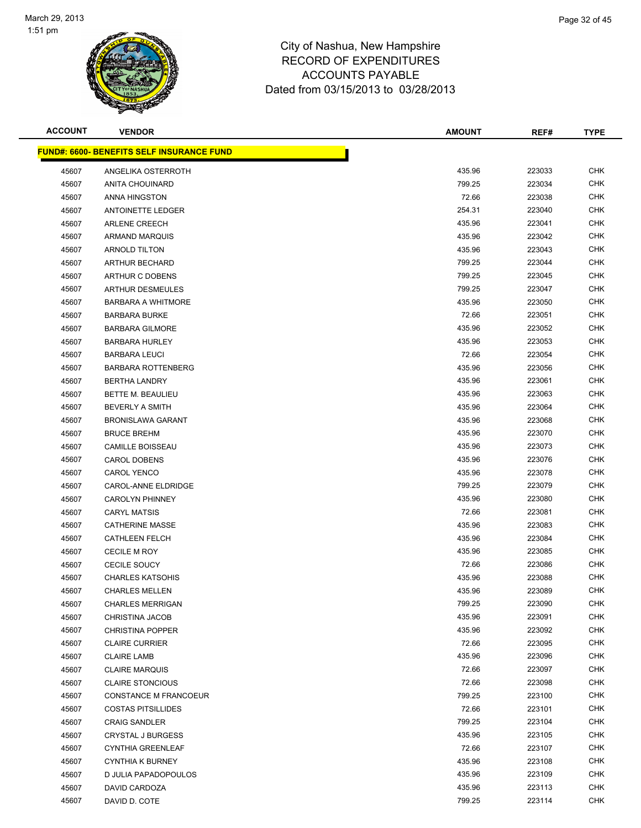

| <b>ACCOUNT</b> | <b>VENDOR</b>                                    | <b>AMOUNT</b> | REF#   | <b>TYPE</b> |
|----------------|--------------------------------------------------|---------------|--------|-------------|
|                | <b>FUND#: 6600- BENEFITS SELF INSURANCE FUND</b> |               |        |             |
| 45607          | ANGELIKA OSTERROTH                               | 435.96        | 223033 | <b>CHK</b>  |
| 45607          | <b>ANITA CHOUINARD</b>                           | 799.25        | 223034 | CHK         |
| 45607          | ANNA HINGSTON                                    | 72.66         | 223038 | CHK         |
| 45607          | <b>ANTOINETTE LEDGER</b>                         | 254.31        | 223040 | <b>CHK</b>  |
| 45607          | <b>ARLENE CREECH</b>                             | 435.96        | 223041 | CHK         |
| 45607          | <b>ARMAND MARQUIS</b>                            | 435.96        | 223042 | <b>CHK</b>  |
| 45607          | <b>ARNOLD TILTON</b>                             | 435.96        | 223043 | <b>CHK</b>  |
| 45607          | ARTHUR BECHARD                                   | 799.25        | 223044 | CHK         |
| 45607          | ARTHUR C DOBENS                                  | 799.25        | 223045 | <b>CHK</b>  |
| 45607          | <b>ARTHUR DESMEULES</b>                          | 799.25        | 223047 | CHK         |
| 45607          | <b>BARBARA A WHITMORE</b>                        | 435.96        | 223050 | CHK         |
| 45607          | <b>BARBARA BURKE</b>                             | 72.66         | 223051 | CHK         |
| 45607          | <b>BARBARA GILMORE</b>                           | 435.96        | 223052 | CHK         |
| 45607          | <b>BARBARA HURLEY</b>                            | 435.96        | 223053 | CHK         |
| 45607          | <b>BARBARA LEUCI</b>                             | 72.66         | 223054 | <b>CHK</b>  |
| 45607          | <b>BARBARA ROTTENBERG</b>                        | 435.96        | 223056 | <b>CHK</b>  |
| 45607          | <b>BERTHA LANDRY</b>                             | 435.96        | 223061 | <b>CHK</b>  |
| 45607          | <b>BETTE M. BEAULIEU</b>                         | 435.96        | 223063 | <b>CHK</b>  |
| 45607          | <b>BEVERLY A SMITH</b>                           | 435.96        | 223064 | <b>CHK</b>  |
| 45607          | <b>BRONISLAWA GARANT</b>                         | 435.96        | 223068 | <b>CHK</b>  |
| 45607          | <b>BRUCE BREHM</b>                               | 435.96        | 223070 | CHK         |
| 45607          | <b>CAMILLE BOISSEAU</b>                          | 435.96        | 223073 | CHK         |
| 45607          | <b>CAROL DOBENS</b>                              | 435.96        | 223076 | CHK         |
| 45607          | <b>CAROL YENCO</b>                               | 435.96        | 223078 | CHK         |
| 45607          | CAROL-ANNE ELDRIDGE                              | 799.25        | 223079 | CHK         |
| 45607          | <b>CAROLYN PHINNEY</b>                           | 435.96        | 223080 | <b>CHK</b>  |
| 45607          | <b>CARYL MATSIS</b>                              | 72.66         | 223081 | CHK         |
| 45607          | <b>CATHERINE MASSE</b>                           | 435.96        | 223083 | <b>CHK</b>  |
| 45607          | <b>CATHLEEN FELCH</b>                            | 435.96        | 223084 | <b>CHK</b>  |
| 45607          | <b>CECILE M ROY</b>                              | 435.96        | 223085 | CHK         |
| 45607          | <b>CECILE SOUCY</b>                              | 72.66         | 223086 | CHK         |
| 45607          | <b>CHARLES KATSOHIS</b>                          | 435.96        | 223088 | CHK         |
| 45607          | <b>CHARLES MELLEN</b>                            | 435.96        | 223089 | <b>CHK</b>  |
| 45607          | <b>CHARLES MERRIGAN</b>                          | 799.25        | 223090 | <b>CHK</b>  |
| 45607          | <b>CHRISTINA JACOB</b>                           | 435.96        | 223091 | CHK         |
| 45607          | <b>CHRISTINA POPPER</b>                          | 435.96        | 223092 | <b>CHK</b>  |
| 45607          | <b>CLAIRE CURRIER</b>                            | 72.66         | 223095 | <b>CHK</b>  |
| 45607          | <b>CLAIRE LAMB</b>                               | 435.96        | 223096 | <b>CHK</b>  |
| 45607          | <b>CLAIRE MARQUIS</b>                            | 72.66         | 223097 | <b>CHK</b>  |
| 45607          | <b>CLAIRE STONCIOUS</b>                          | 72.66         | 223098 | <b>CHK</b>  |
| 45607          | CONSTANCE M FRANCOEUR                            | 799.25        | 223100 | <b>CHK</b>  |
| 45607          | <b>COSTAS PITSILLIDES</b>                        | 72.66         | 223101 | <b>CHK</b>  |
| 45607          | <b>CRAIG SANDLER</b>                             | 799.25        | 223104 | CHK         |
| 45607          | <b>CRYSTAL J BURGESS</b>                         | 435.96        | 223105 | <b>CHK</b>  |
| 45607          | <b>CYNTHIA GREENLEAF</b>                         | 72.66         | 223107 | CHK         |
| 45607          | <b>CYNTHIA K BURNEY</b>                          | 435.96        | 223108 | CHK         |
| 45607          | D JULIA PAPADOPOULOS                             | 435.96        | 223109 | <b>CHK</b>  |
| 45607          | DAVID CARDOZA                                    | 435.96        | 223113 | <b>CHK</b>  |
| 45607          | DAVID D. COTE                                    | 799.25        | 223114 | <b>CHK</b>  |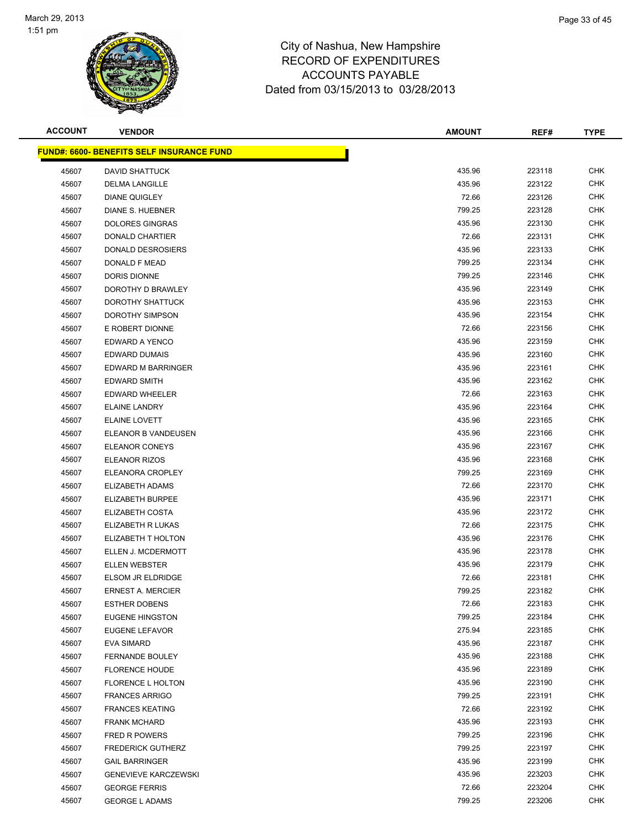

| <b>ACCOUNT</b> | <b>VENDOR</b>                                     | <b>AMOUNT</b> | REF#   | <b>TYPE</b> |
|----------------|---------------------------------------------------|---------------|--------|-------------|
|                | <u> FUND#: 6600- BENEFITS SELF INSURANCE FUND</u> |               |        |             |
| 45607          | <b>DAVID SHATTUCK</b>                             | 435.96        | 223118 | <b>CHK</b>  |
| 45607          | <b>DELMA LANGILLE</b>                             | 435.96        | 223122 | CHK         |
| 45607          | <b>DIANE QUIGLEY</b>                              | 72.66         | 223126 | CHK         |
| 45607          | DIANE S. HUEBNER                                  | 799.25        | 223128 | <b>CHK</b>  |
| 45607          | <b>DOLORES GINGRAS</b>                            | 435.96        | 223130 | CHK         |
| 45607          | DONALD CHARTIER                                   | 72.66         | 223131 | <b>CHK</b>  |
| 45607          | DONALD DESROSIERS                                 | 435.96        | 223133 | CHK         |
| 45607          | DONALD F MEAD                                     | 799.25        | 223134 | CHK         |
| 45607          | DORIS DIONNE                                      | 799.25        | 223146 | <b>CHK</b>  |
| 45607          | DOROTHY D BRAWLEY                                 | 435.96        | 223149 | CHK         |
| 45607          | DOROTHY SHATTUCK                                  | 435.96        | 223153 | CHK         |
| 45607          | DOROTHY SIMPSON                                   | 435.96        | 223154 | CHK         |
| 45607          | E ROBERT DIONNE                                   | 72.66         | 223156 | CHK         |
| 45607          | EDWARD A YENCO                                    | 435.96        | 223159 | CHK         |
| 45607          | EDWARD DUMAIS                                     | 435.96        | 223160 | <b>CHK</b>  |
| 45607          | EDWARD M BARRINGER                                | 435.96        | 223161 | CHK         |
| 45607          | EDWARD SMITH                                      | 435.96        | 223162 | <b>CHK</b>  |
| 45607          | EDWARD WHEELER                                    | 72.66         | 223163 | <b>CHK</b>  |
| 45607          | <b>ELAINE LANDRY</b>                              | 435.96        | 223164 | <b>CHK</b>  |
| 45607          | <b>ELAINE LOVETT</b>                              | 435.96        | 223165 | <b>CHK</b>  |
| 45607          | ELEANOR B VANDEUSEN                               | 435.96        | 223166 | CHK         |
| 45607          | ELEANOR CONEYS                                    | 435.96        | 223167 | CHK         |
| 45607          | <b>ELEANOR RIZOS</b>                              | 435.96        | 223168 | CHK         |
| 45607          | ELEANORA CROPLEY                                  | 799.25        | 223169 | CHK         |
| 45607          | ELIZABETH ADAMS                                   | 72.66         | 223170 | CHK         |
| 45607          | ELIZABETH BURPEE                                  | 435.96        | 223171 | <b>CHK</b>  |
| 45607          | ELIZABETH COSTA                                   | 435.96        | 223172 | CHK         |
| 45607          | ELIZABETH R LUKAS                                 | 72.66         | 223175 | <b>CHK</b>  |
| 45607          | ELIZABETH T HOLTON                                | 435.96        | 223176 | <b>CHK</b>  |
| 45607          | ELLEN J. MCDERMOTT                                | 435.96        | 223178 | CHK         |
| 45607          | <b>ELLEN WEBSTER</b>                              | 435.96        | 223179 | CHK         |
| 45607          | ELSOM JR ELDRIDGE                                 | 72.66         | 223181 | CHK         |
| 45607          | <b>ERNEST A. MERCIER</b>                          | 799.25        | 223182 | <b>CHK</b>  |
| 45607          | <b>ESTHER DOBENS</b>                              | 72.66         | 223183 | <b>CHK</b>  |
| 45607          | <b>EUGENE HINGSTON</b>                            | 799.25        | 223184 | CHK         |
| 45607          | EUGENE LEFAVOR                                    | 275.94        | 223185 | <b>CHK</b>  |
| 45607          | EVA SIMARD                                        | 435.96        | 223187 | <b>CHK</b>  |
| 45607          | FERNANDE BOULEY                                   | 435.96        | 223188 | <b>CHK</b>  |
| 45607          | <b>FLORENCE HOUDE</b>                             | 435.96        | 223189 | <b>CHK</b>  |
| 45607          | FLORENCE L HOLTON                                 | 435.96        | 223190 | <b>CHK</b>  |
| 45607          | <b>FRANCES ARRIGO</b>                             | 799.25        | 223191 | <b>CHK</b>  |
| 45607          | <b>FRANCES KEATING</b>                            | 72.66         | 223192 | <b>CHK</b>  |
| 45607          | <b>FRANK MCHARD</b>                               | 435.96        | 223193 | CHK         |
| 45607          | <b>FRED R POWERS</b>                              | 799.25        | 223196 | <b>CHK</b>  |
| 45607          | <b>FREDERICK GUTHERZ</b>                          | 799.25        | 223197 | CHK         |
| 45607          | <b>GAIL BARRINGER</b>                             | 435.96        | 223199 | CHK         |
| 45607          | <b>GENEVIEVE KARCZEWSKI</b>                       | 435.96        | 223203 | <b>CHK</b>  |
| 45607          | <b>GEORGE FERRIS</b>                              | 72.66         | 223204 | <b>CHK</b>  |
| 45607          | <b>GEORGE L ADAMS</b>                             | 799.25        | 223206 | <b>CHK</b>  |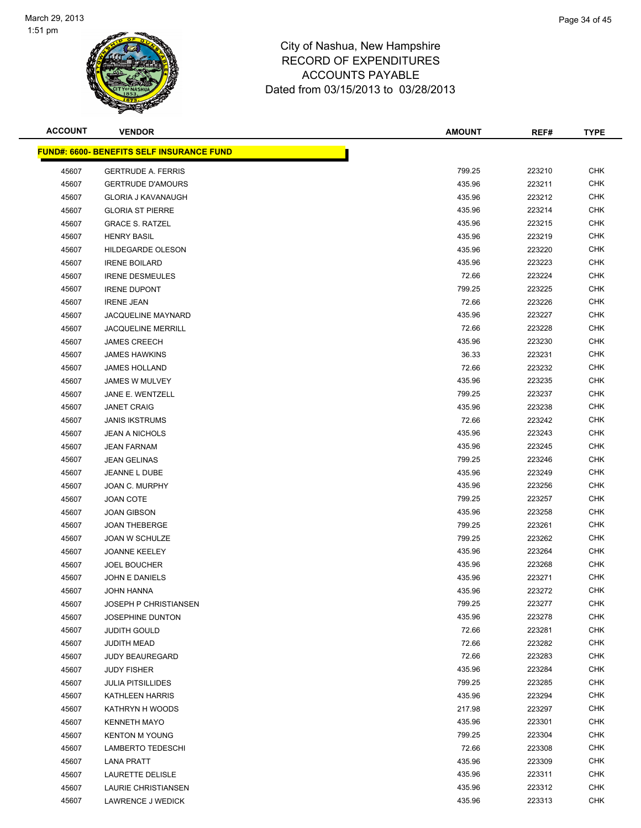

| <b>ACCOUNT</b> | <b>VENDOR</b>                                    | <b>AMOUNT</b> | REF#   | <b>TYPE</b> |
|----------------|--------------------------------------------------|---------------|--------|-------------|
|                | <b>FUND#: 6600- BENEFITS SELF INSURANCE FUND</b> |               |        |             |
| 45607          | <b>GERTRUDE A. FERRIS</b>                        | 799.25        | 223210 | <b>CHK</b>  |
| 45607          | <b>GERTRUDE D'AMOURS</b>                         | 435.96        | 223211 | <b>CHK</b>  |
| 45607          | <b>GLORIA J KAVANAUGH</b>                        | 435.96        | 223212 | <b>CHK</b>  |
| 45607          | <b>GLORIA ST PIERRE</b>                          | 435.96        | 223214 | <b>CHK</b>  |
| 45607          | <b>GRACE S. RATZEL</b>                           | 435.96        | 223215 | CHK         |
| 45607          | <b>HENRY BASIL</b>                               | 435.96        | 223219 | <b>CHK</b>  |
| 45607          | HILDEGARDE OLESON                                | 435.96        | 223220 | <b>CHK</b>  |
| 45607          | <b>IRENE BOILARD</b>                             | 435.96        | 223223 | <b>CHK</b>  |
| 45607          | <b>IRENE DESMEULES</b>                           | 72.66         | 223224 | <b>CHK</b>  |
| 45607          | <b>IRENE DUPONT</b>                              | 799.25        | 223225 | CHK         |
| 45607          | <b>IRENE JEAN</b>                                | 72.66         | 223226 | <b>CHK</b>  |
| 45607          | JACQUELINE MAYNARD                               | 435.96        | 223227 | CHK         |
| 45607          | <b>JACQUELINE MERRILL</b>                        | 72.66         | 223228 | CHK         |
| 45607          | <b>JAMES CREECH</b>                              | 435.96        | 223230 | CHK         |
| 45607          | <b>JAMES HAWKINS</b>                             | 36.33         | 223231 | <b>CHK</b>  |
| 45607          | <b>JAMES HOLLAND</b>                             | 72.66         | 223232 | <b>CHK</b>  |
| 45607          | JAMES W MULVEY                                   | 435.96        | 223235 | <b>CHK</b>  |
| 45607          | JANE E. WENTZELL                                 | 799.25        | 223237 | <b>CHK</b>  |
| 45607          | <b>JANET CRAIG</b>                               | 435.96        | 223238 | <b>CHK</b>  |
| 45607          | <b>JANIS IKSTRUMS</b>                            | 72.66         | 223242 | <b>CHK</b>  |
| 45607          | <b>JEAN A NICHOLS</b>                            | 435.96        | 223243 | <b>CHK</b>  |
| 45607          | <b>JEAN FARNAM</b>                               | 435.96        | 223245 | <b>CHK</b>  |
| 45607          | <b>JEAN GELINAS</b>                              | 799.25        | 223246 | <b>CHK</b>  |
| 45607          | JEANNE L DUBE                                    | 435.96        | 223249 | CHK         |
| 45607          | JOAN C. MURPHY                                   | 435.96        | 223256 | CHK         |
| 45607          | <b>JOAN COTE</b>                                 | 799.25        | 223257 | <b>CHK</b>  |
| 45607          | <b>JOAN GIBSON</b>                               | 435.96        | 223258 | CHK         |
| 45607          | <b>JOAN THEBERGE</b>                             | 799.25        | 223261 | <b>CHK</b>  |
| 45607          | <b>JOAN W SCHULZE</b>                            | 799.25        | 223262 | <b>CHK</b>  |
| 45607          | <b>JOANNE KEELEY</b>                             | 435.96        | 223264 | CHK         |
| 45607          | <b>JOEL BOUCHER</b>                              | 435.96        | 223268 | <b>CHK</b>  |
| 45607          | <b>JOHN E DANIELS</b>                            | 435.96        | 223271 | CHK         |
| 45607          | <b>JOHN HANNA</b>                                | 435.96        | 223272 | <b>CHK</b>  |
| 45607          | <b>JOSEPH P CHRISTIANSEN</b>                     | 799.25        | 223277 | <b>CHK</b>  |
| 45607          | <b>JOSEPHINE DUNTON</b>                          | 435.96        | 223278 | CHK         |
| 45607          | <b>JUDITH GOULD</b>                              | 72.66         | 223281 | <b>CHK</b>  |
| 45607          | <b>JUDITH MEAD</b>                               | 72.66         | 223282 | <b>CHK</b>  |
| 45607          | <b>JUDY BEAUREGARD</b>                           | 72.66         | 223283 | <b>CHK</b>  |
| 45607          | <b>JUDY FISHER</b>                               | 435.96        | 223284 | <b>CHK</b>  |
| 45607          | <b>JULIA PITSILLIDES</b>                         | 799.25        | 223285 | <b>CHK</b>  |
| 45607          | KATHLEEN HARRIS                                  | 435.96        | 223294 | <b>CHK</b>  |
| 45607          | KATHRYN H WOODS                                  | 217.98        | 223297 | <b>CHK</b>  |
| 45607          | <b>KENNETH MAYO</b>                              | 435.96        | 223301 | CHK         |
| 45607          | <b>KENTON M YOUNG</b>                            | 799.25        | 223304 | <b>CHK</b>  |
| 45607          | <b>LAMBERTO TEDESCHI</b>                         | 72.66         | 223308 | <b>CHK</b>  |
| 45607          | <b>LANA PRATT</b>                                | 435.96        | 223309 | CHK         |
| 45607          | LAURETTE DELISLE                                 | 435.96        | 223311 | <b>CHK</b>  |
| 45607          | LAURIE CHRISTIANSEN                              | 435.96        | 223312 | <b>CHK</b>  |
| 45607          | LAWRENCE J WEDICK                                | 435.96        | 223313 | <b>CHK</b>  |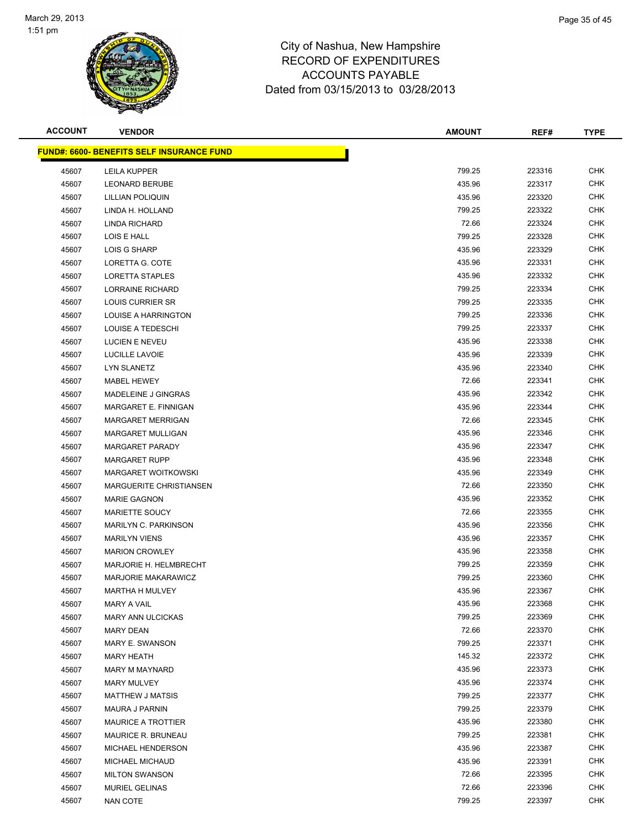

| <b>ACCOUNT</b> | <b>VENDOR</b>                                     | <b>AMOUNT</b> | REF#   | <b>TYPE</b> |
|----------------|---------------------------------------------------|---------------|--------|-------------|
|                | <u> FUND#: 6600- BENEFITS SELF INSURANCE FUND</u> |               |        |             |
| 45607          | <b>LEILA KUPPER</b>                               | 799.25        | 223316 | <b>CHK</b>  |
| 45607          | <b>LEONARD BERUBE</b>                             | 435.96        | 223317 | CHK         |
| 45607          | LILLIAN POLIQUIN                                  | 435.96        | 223320 | CHK         |
| 45607          | LINDA H. HOLLAND                                  | 799.25        | 223322 | <b>CHK</b>  |
| 45607          | LINDA RICHARD                                     | 72.66         | 223324 | CHK         |
| 45607          | LOIS E HALL                                       | 799.25        | 223328 | <b>CHK</b>  |
| 45607          | <b>LOIS G SHARP</b>                               | 435.96        | 223329 | <b>CHK</b>  |
| 45607          | LORETTA G. COTE                                   | 435.96        | 223331 | <b>CHK</b>  |
| 45607          | LORETTA STAPLES                                   | 435.96        | 223332 | <b>CHK</b>  |
| 45607          | <b>LORRAINE RICHARD</b>                           | 799.25        | 223334 | CHK         |
| 45607          | LOUIS CURRIER SR                                  | 799.25        | 223335 | CHK         |
| 45607          | LOUISE A HARRINGTON                               | 799.25        | 223336 | CHK         |
| 45607          | LOUISE A TEDESCHI                                 | 799.25        | 223337 | CHK         |
| 45607          | LUCIEN E NEVEU                                    | 435.96        | 223338 | CHK         |
| 45607          | LUCILLE LAVOIE                                    | 435.96        | 223339 | <b>CHK</b>  |
| 45607          | <b>LYN SLANETZ</b>                                | 435.96        | 223340 | <b>CHK</b>  |
| 45607          | MABEL HEWEY                                       | 72.66         | 223341 | <b>CHK</b>  |
| 45607          | MADELEINE J GINGRAS                               | 435.96        | 223342 | <b>CHK</b>  |
| 45607          | MARGARET E. FINNIGAN                              | 435.96        | 223344 | <b>CHK</b>  |
| 45607          | <b>MARGARET MERRIGAN</b>                          | 72.66         | 223345 | <b>CHK</b>  |
| 45607          | <b>MARGARET MULLIGAN</b>                          | 435.96        | 223346 | CHK         |
| 45607          | <b>MARGARET PARADY</b>                            | 435.96        | 223347 | CHK         |
| 45607          | <b>MARGARET RUPP</b>                              | 435.96        | 223348 | CHK         |
| 45607          | MARGARET WOITKOWSKI                               | 435.96        | 223349 | CHK         |
| 45607          | <b>MARGUERITE CHRISTIANSEN</b>                    | 72.66         | 223350 | CHK         |
| 45607          | <b>MARIE GAGNON</b>                               | 435.96        | 223352 | <b>CHK</b>  |
| 45607          | <b>MARIETTE SOUCY</b>                             | 72.66         | 223355 | CHK         |
| 45607          | <b>MARILYN C. PARKINSON</b>                       | 435.96        | 223356 | <b>CHK</b>  |
| 45607          | <b>MARILYN VIENS</b>                              | 435.96        | 223357 | <b>CHK</b>  |
| 45607          | <b>MARION CROWLEY</b>                             | 435.96        | 223358 | CHK         |
| 45607          | MARJORIE H. HELMBRECHT                            | 799.25        | 223359 | <b>CHK</b>  |
| 45607          | <b>MARJORIE MAKARAWICZ</b>                        | 799.25        | 223360 | CHK         |
| 45607          | <b>MARTHA H MULVEY</b>                            | 435.96        | 223367 | <b>CHK</b>  |
| 45607          | <b>MARY A VAIL</b>                                | 435.96        | 223368 | <b>CHK</b>  |
| 45607          | <b>MARY ANN ULCICKAS</b>                          | 799.25        | 223369 | CHK         |
| 45607          | <b>MARY DEAN</b>                                  | 72.66         | 223370 | <b>CHK</b>  |
| 45607          | <b>MARY E. SWANSON</b>                            | 799.25        | 223371 | <b>CHK</b>  |
| 45607          | <b>MARY HEATH</b>                                 | 145.32        | 223372 | <b>CHK</b>  |
| 45607          | <b>MARY M MAYNARD</b>                             | 435.96        | 223373 | <b>CHK</b>  |
| 45607          | <b>MARY MULVEY</b>                                | 435.96        | 223374 | CHK         |
| 45607          | <b>MATTHEW J MATSIS</b>                           | 799.25        | 223377 | <b>CHK</b>  |
| 45607          | <b>MAURA J PARNIN</b>                             | 799.25        | 223379 | <b>CHK</b>  |
| 45607          | <b>MAURICE A TROTTIER</b>                         | 435.96        | 223380 | CHK         |
| 45607          | MAURICE R. BRUNEAU                                | 799.25        | 223381 | CHK         |
| 45607          | MICHAEL HENDERSON                                 | 435.96        | 223387 | CHK         |
| 45607          | MICHAEL MICHAUD                                   | 435.96        | 223391 | CHK         |
| 45607          | <b>MILTON SWANSON</b>                             | 72.66         | 223395 | <b>CHK</b>  |
| 45607          | MURIEL GELINAS                                    | 72.66         | 223396 | <b>CHK</b>  |
| 45607          | <b>NAN COTE</b>                                   | 799.25        | 223397 | <b>CHK</b>  |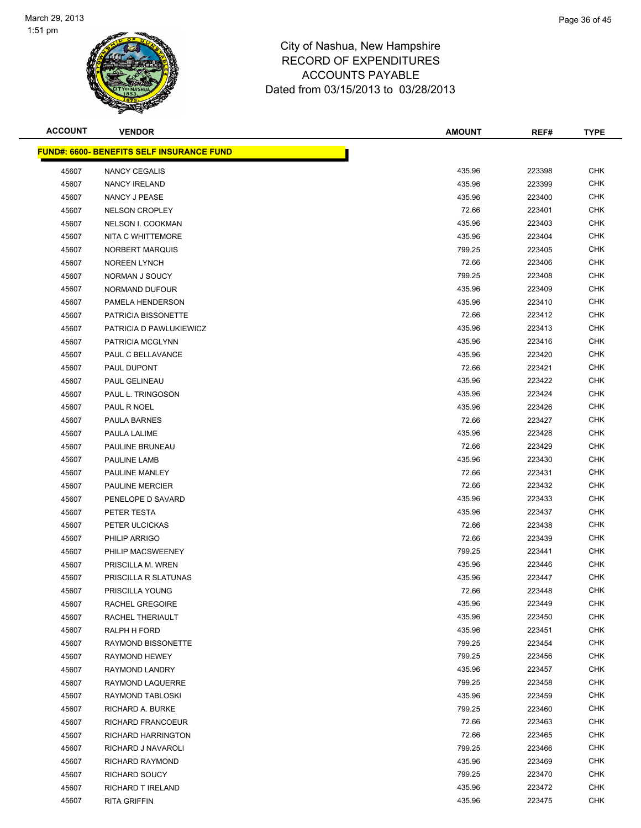

| <b>ACCOUNT</b> | <b>VENDOR</b>                                    | <b>AMOUNT</b> | REF#   | <b>TYPE</b> |
|----------------|--------------------------------------------------|---------------|--------|-------------|
|                | <b>FUND#: 6600- BENEFITS SELF INSURANCE FUND</b> |               |        |             |
| 45607          | NANCY CEGALIS                                    | 435.96        | 223398 | <b>CHK</b>  |
| 45607          | <b>NANCY IRELAND</b>                             | 435.96        | 223399 | CHK         |
| 45607          | NANCY J PEASE                                    | 435.96        | 223400 | CHK         |
| 45607          | <b>NELSON CROPLEY</b>                            | 72.66         | 223401 | <b>CHK</b>  |
| 45607          | NELSON I. COOKMAN                                | 435.96        | 223403 | CHK         |
| 45607          | NITA C WHITTEMORE                                | 435.96        | 223404 | <b>CHK</b>  |
| 45607          | NORBERT MARQUIS                                  | 799.25        | 223405 | <b>CHK</b>  |
| 45607          | <b>NOREEN LYNCH</b>                              | 72.66         | 223406 | CHK         |
| 45607          | NORMAN J SOUCY                                   | 799.25        | 223408 | <b>CHK</b>  |
| 45607          | NORMAND DUFOUR                                   | 435.96        | 223409 | <b>CHK</b>  |
| 45607          | PAMELA HENDERSON                                 | 435.96        | 223410 | CHK         |
| 45607          | PATRICIA BISSONETTE                              | 72.66         | 223412 | CHK         |
| 45607          | PATRICIA D PAWLUKIEWICZ                          | 435.96        | 223413 | CHK         |
| 45607          | PATRICIA MCGLYNN                                 | 435.96        | 223416 | CHK         |
| 45607          | PAUL C BELLAVANCE                                | 435.96        | 223420 | <b>CHK</b>  |
| 45607          | PAUL DUPONT                                      | 72.66         | 223421 | <b>CHK</b>  |
| 45607          | PAUL GELINEAU                                    | 435.96        | 223422 | <b>CHK</b>  |
| 45607          | PAUL L. TRINGOSON                                | 435.96        | 223424 | <b>CHK</b>  |
| 45607          | PAUL R NOEL                                      | 435.96        | 223426 | <b>CHK</b>  |
| 45607          | PAULA BARNES                                     | 72.66         | 223427 | <b>CHK</b>  |
| 45607          | PAULA LALIME                                     | 435.96        | 223428 | CHK         |
| 45607          | PAULINE BRUNEAU                                  | 72.66         | 223429 | <b>CHK</b>  |
| 45607          | PAULINE LAMB                                     | 435.96        | 223430 | <b>CHK</b>  |
| 45607          | PAULINE MANLEY                                   | 72.66         | 223431 | CHK         |
| 45607          | <b>PAULINE MERCIER</b>                           | 72.66         | 223432 | CHK         |
| 45607          | PENELOPE D SAVARD                                | 435.96        | 223433 | <b>CHK</b>  |
| 45607          | PETER TESTA                                      | 435.96        | 223437 | CHK         |
| 45607          | PETER ULCICKAS                                   | 72.66         | 223438 | <b>CHK</b>  |
| 45607          | PHILIP ARRIGO                                    | 72.66         | 223439 | <b>CHK</b>  |
| 45607          | PHILIP MACSWEENEY                                | 799.25        | 223441 | CHK         |
| 45607          | PRISCILLA M. WREN                                | 435.96        | 223446 | CHK         |
| 45607          | PRISCILLA R SLATUNAS                             | 435.96        | 223447 | <b>CHK</b>  |
| 45607          | PRISCILLA YOUNG                                  | 72.66         | 223448 | <b>CHK</b>  |
| 45607          | RACHEL GREGOIRE                                  | 435.96        | 223449 | <b>CHK</b>  |
| 45607          | RACHEL THERIAULT                                 | 435.96        | 223450 | CHK         |
| 45607          | RALPH H FORD                                     | 435.96        | 223451 | <b>CHK</b>  |
| 45607          | RAYMOND BISSONETTE                               | 799.25        | 223454 | <b>CHK</b>  |
| 45607          | RAYMOND HEWEY                                    | 799.25        | 223456 | <b>CHK</b>  |
| 45607          | RAYMOND LANDRY                                   | 435.96        | 223457 | <b>CHK</b>  |
| 45607          | RAYMOND LAQUERRE                                 | 799.25        | 223458 | <b>CHK</b>  |
| 45607          | RAYMOND TABLOSKI                                 | 435.96        | 223459 | <b>CHK</b>  |
| 45607          | RICHARD A. BURKE                                 | 799.25        | 223460 | <b>CHK</b>  |
| 45607          | RICHARD FRANCOEUR                                | 72.66         | 223463 | CHK         |
| 45607          | RICHARD HARRINGTON                               | 72.66         | 223465 | <b>CHK</b>  |
| 45607          | RICHARD J NAVAROLI                               | 799.25        | 223466 | CHK         |
| 45607          | RICHARD RAYMOND                                  | 435.96        | 223469 | CHK         |
| 45607          | RICHARD SOUCY                                    | 799.25        | 223470 | <b>CHK</b>  |
| 45607          | RICHARD T IRELAND                                | 435.96        | 223472 | <b>CHK</b>  |
| 45607          | <b>RITA GRIFFIN</b>                              | 435.96        | 223475 | <b>CHK</b>  |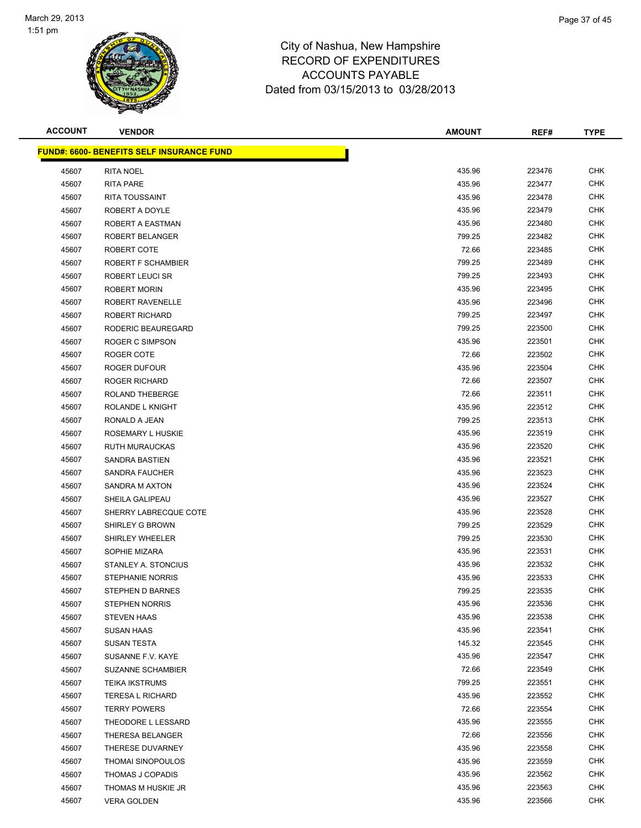

| <b>ACCOUNT</b> | <b>VENDOR</b>                                    | <b>AMOUNT</b> | REF#   | <b>TYPE</b> |
|----------------|--------------------------------------------------|---------------|--------|-------------|
|                | <b>FUND#: 6600- BENEFITS SELF INSURANCE FUND</b> |               |        |             |
| 45607          | <b>RITA NOEL</b>                                 | 435.96        | 223476 | CHK         |
| 45607          | <b>RITA PARE</b>                                 | 435.96        | 223477 | <b>CHK</b>  |
| 45607          | RITA TOUSSAINT                                   | 435.96        | 223478 | <b>CHK</b>  |
| 45607          | ROBERT A DOYLE                                   | 435.96        | 223479 | <b>CHK</b>  |
| 45607          | ROBERT A EASTMAN                                 | 435.96        | 223480 | <b>CHK</b>  |
| 45607          | <b>ROBERT BELANGER</b>                           | 799.25        | 223482 | <b>CHK</b>  |
| 45607          | ROBERT COTE                                      | 72.66         | 223485 | CHK         |
| 45607          | ROBERT F SCHAMBIER                               | 799.25        | 223489 | <b>CHK</b>  |
| 45607          | <b>ROBERT LEUCI SR</b>                           | 799.25        | 223493 | CHK         |
| 45607          | ROBERT MORIN                                     | 435.96        | 223495 | CHK         |
| 45607          | ROBERT RAVENELLE                                 | 435.96        | 223496 | CHK         |
| 45607          | <b>ROBERT RICHARD</b>                            | 799.25        | 223497 | CHK         |
| 45607          | RODERIC BEAUREGARD                               | 799.25        | 223500 | CHK         |
| 45607          | ROGER C SIMPSON                                  | 435.96        | 223501 | <b>CHK</b>  |
| 45607          | ROGER COTE                                       | 72.66         | 223502 | <b>CHK</b>  |
| 45607          | ROGER DUFOUR                                     | 435.96        | 223504 | <b>CHK</b>  |
| 45607          | <b>ROGER RICHARD</b>                             | 72.66         | 223507 | <b>CHK</b>  |
| 45607          | <b>ROLAND THEBERGE</b>                           | 72.66         | 223511 | CHK         |
| 45607          | ROLANDE L KNIGHT                                 | 435.96        | 223512 | <b>CHK</b>  |
| 45607          | RONALD A JEAN                                    | 799.25        | 223513 | CHK         |
| 45607          | ROSEMARY L HUSKIE                                | 435.96        | 223519 | CHK         |
| 45607          | <b>RUTH MURAUCKAS</b>                            | 435.96        | 223520 | CHK         |
| 45607          | SANDRA BASTIEN                                   | 435.96        | 223521 | CHK         |
| 45607          | <b>SANDRA FAUCHER</b>                            | 435.96        | 223523 | CHK         |
| 45607          | SANDRA M AXTON                                   | 435.96        | 223524 | <b>CHK</b>  |
| 45607          | SHEILA GALIPEAU                                  | 435.96        | 223527 | CHK         |
| 45607          | SHERRY LABRECQUE COTE                            | 435.96        | 223528 | <b>CHK</b>  |
| 45607          | SHIRLEY G BROWN                                  | 799.25        | 223529 | <b>CHK</b>  |
| 45607          | <b>SHIRLEY WHEELER</b>                           | 799.25        | 223530 | CHK         |
| 45607          | SOPHIE MIZARA                                    | 435.96        | 223531 | <b>CHK</b>  |
| 45607          | STANLEY A. STONCIUS                              | 435.96        | 223532 | CHK         |
| 45607          | <b>STEPHANIE NORRIS</b>                          | 435.96        | 223533 | CHK         |
| 45607          | STEPHEN D BARNES                                 | 799.25        | 223535 | <b>CHK</b>  |
| 45607          | <b>STEPHEN NORRIS</b>                            | 435.96        | 223536 | CHK         |
| 45607          | <b>STEVEN HAAS</b>                               | 435.96        | 223538 | CHK         |
| 45607          | SUSAN HAAS                                       | 435.96        | 223541 | <b>CHK</b>  |
| 45607          | SUSAN TESTA                                      | 145.32        | 223545 | <b>CHK</b>  |
| 45607          | SUSANNE F.V. KAYE                                | 435.96        | 223547 | <b>CHK</b>  |
| 45607          | <b>SUZANNE SCHAMBIER</b>                         | 72.66         | 223549 | <b>CHK</b>  |
| 45607          | <b>TEIKA IKSTRUMS</b>                            | 799.25        | 223551 | <b>CHK</b>  |
| 45607          | <b>TERESA L RICHARD</b>                          | 435.96        | 223552 | <b>CHK</b>  |
| 45607          | <b>TERRY POWERS</b>                              | 72.66         | 223554 | CHK         |
| 45607          | THEODORE L LESSARD                               | 435.96        | 223555 | <b>CHK</b>  |
| 45607          | THERESA BELANGER                                 | 72.66         | 223556 | CHK         |
| 45607          | THERESE DUVARNEY                                 | 435.96        | 223558 | <b>CHK</b>  |
| 45607          | <b>THOMAI SINOPOULOS</b>                         | 435.96        | 223559 | CHK         |
| 45607          | THOMAS J COPADIS                                 | 435.96        | 223562 | <b>CHK</b>  |
| 45607          | THOMAS M HUSKIE JR                               | 435.96        | 223563 | <b>CHK</b>  |
| 45607          | <b>VERA GOLDEN</b>                               | 435.96        | 223566 | <b>CHK</b>  |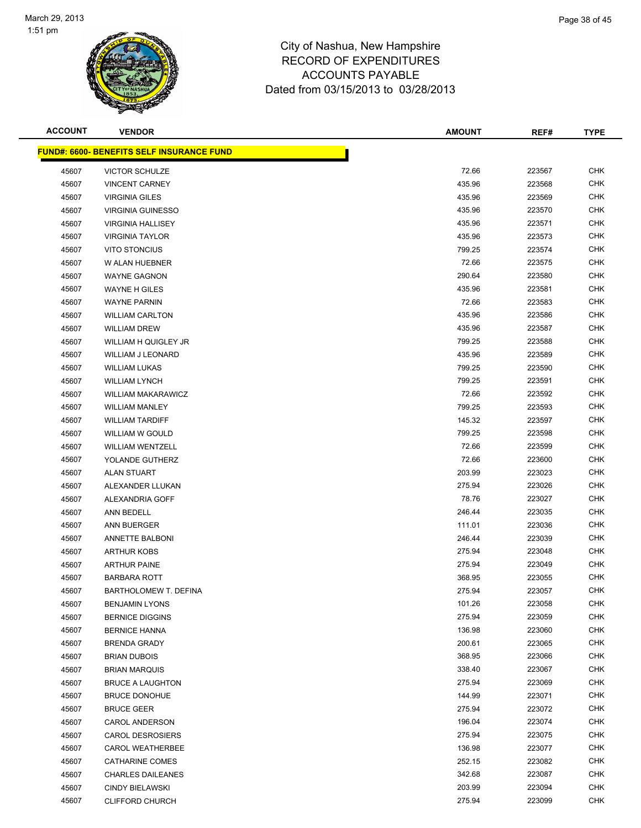

| <b>ACCOUNT</b> | <b>VENDOR</b>                                    | <b>AMOUNT</b> | REF#   | <b>TYPE</b> |
|----------------|--------------------------------------------------|---------------|--------|-------------|
|                | <b>FUND#: 6600- BENEFITS SELF INSURANCE FUND</b> |               |        |             |
| 45607          | <b>VICTOR SCHULZE</b>                            | 72.66         | 223567 | <b>CHK</b>  |
| 45607          | <b>VINCENT CARNEY</b>                            | 435.96        | 223568 | CHK         |
| 45607          | <b>VIRGINIA GILES</b>                            | 435.96        | 223569 | CHK         |
| 45607          | <b>VIRGINIA GUINESSO</b>                         | 435.96        | 223570 | <b>CHK</b>  |
| 45607          | <b>VIRGINIA HALLISEY</b>                         | 435.96        | 223571 | <b>CHK</b>  |
| 45607          | <b>VIRGINIA TAYLOR</b>                           | 435.96        | 223573 | <b>CHK</b>  |
| 45607          | <b>VITO STONCIUS</b>                             | 799.25        | 223574 | <b>CHK</b>  |
| 45607          | W ALAN HUEBNER                                   | 72.66         | 223575 | CHK         |
| 45607          | <b>WAYNE GAGNON</b>                              | 290.64        | 223580 | <b>CHK</b>  |
| 45607          | WAYNE H GILES                                    | 435.96        | 223581 | <b>CHK</b>  |
| 45607          | <b>WAYNE PARNIN</b>                              | 72.66         | 223583 | CHK         |
| 45607          | <b>WILLIAM CARLTON</b>                           | 435.96        | 223586 | CHK         |
| 45607          | <b>WILLIAM DREW</b>                              | 435.96        | 223587 | CHK         |
| 45607          | WILLIAM H QUIGLEY JR                             | 799.25        | 223588 | CHK         |
| 45607          | <b>WILLIAM J LEONARD</b>                         | 435.96        | 223589 | <b>CHK</b>  |
| 45607          | <b>WILLIAM LUKAS</b>                             | 799.25        | 223590 | <b>CHK</b>  |
| 45607          | <b>WILLIAM LYNCH</b>                             | 799.25        | 223591 | <b>CHK</b>  |
| 45607          | <b>WILLIAM MAKARAWICZ</b>                        | 72.66         | 223592 | <b>CHK</b>  |
| 45607          | <b>WILLIAM MANLEY</b>                            | 799.25        | 223593 | <b>CHK</b>  |
| 45607          | <b>WILLIAM TARDIFF</b>                           | 145.32        | 223597 | <b>CHK</b>  |
| 45607          | WILLIAM W GOULD                                  | 799.25        | 223598 | CHK         |
| 45607          | <b>WILLIAM WENTZELL</b>                          | 72.66         | 223599 | <b>CHK</b>  |
| 45607          | YOLANDE GUTHERZ                                  | 72.66         | 223600 | <b>CHK</b>  |
| 45607          | <b>ALAN STUART</b>                               | 203.99        | 223023 | CHK         |
| 45607          | ALEXANDER LLUKAN                                 | 275.94        | 223026 | CHK         |
| 45607          | ALEXANDRIA GOFF                                  | 78.76         | 223027 | <b>CHK</b>  |
| 45607          | ANN BEDELL                                       | 246.44        | 223035 | CHK         |
| 45607          | ANN BUERGER                                      | 111.01        | 223036 | <b>CHK</b>  |
| 45607          | <b>ANNETTE BALBONI</b>                           | 246.44        | 223039 | <b>CHK</b>  |
| 45607          | <b>ARTHUR KOBS</b>                               | 275.94        | 223048 | CHK         |
| 45607          | <b>ARTHUR PAINE</b>                              | 275.94        | 223049 | CHK         |
| 45607          | <b>BARBARA ROTT</b>                              | 368.95        | 223055 | CHK         |
| 45607          | BARTHOLOMEW T. DEFINA                            | 275.94        | 223057 | <b>CHK</b>  |
| 45607          | <b>BENJAMIN LYONS</b>                            | 101.26        | 223058 | <b>CHK</b>  |
| 45607          | <b>BERNICE DIGGINS</b>                           | 275.94        | 223059 | CHK         |
| 45607          | <b>BERNICE HANNA</b>                             | 136.98        | 223060 | <b>CHK</b>  |
| 45607          | <b>BRENDA GRADY</b>                              | 200.61        | 223065 | <b>CHK</b>  |
| 45607          | <b>BRIAN DUBOIS</b>                              | 368.95        | 223066 | <b>CHK</b>  |
| 45607          | <b>BRIAN MARQUIS</b>                             | 338.40        | 223067 | <b>CHK</b>  |
| 45607          | <b>BRUCE A LAUGHTON</b>                          | 275.94        | 223069 | CHK         |
| 45607          | <b>BRUCE DONOHUE</b>                             | 144.99        | 223071 | <b>CHK</b>  |
| 45607          | <b>BRUCE GEER</b>                                | 275.94        | 223072 | <b>CHK</b>  |
| 45607          | <b>CAROL ANDERSON</b>                            | 196.04        | 223074 | CHK         |
| 45607          | <b>CAROL DESROSIERS</b>                          | 275.94        | 223075 | <b>CHK</b>  |
| 45607          | <b>CAROL WEATHERBEE</b>                          | 136.98        | 223077 | CHK         |
| 45607          | <b>CATHARINE COMES</b>                           | 252.15        | 223082 | CHK         |
| 45607          | <b>CHARLES DAILEANES</b>                         | 342.68        | 223087 | <b>CHK</b>  |
| 45607          | <b>CINDY BIELAWSKI</b>                           | 203.99        | 223094 | <b>CHK</b>  |
| 45607          | <b>CLIFFORD CHURCH</b>                           | 275.94        | 223099 | <b>CHK</b>  |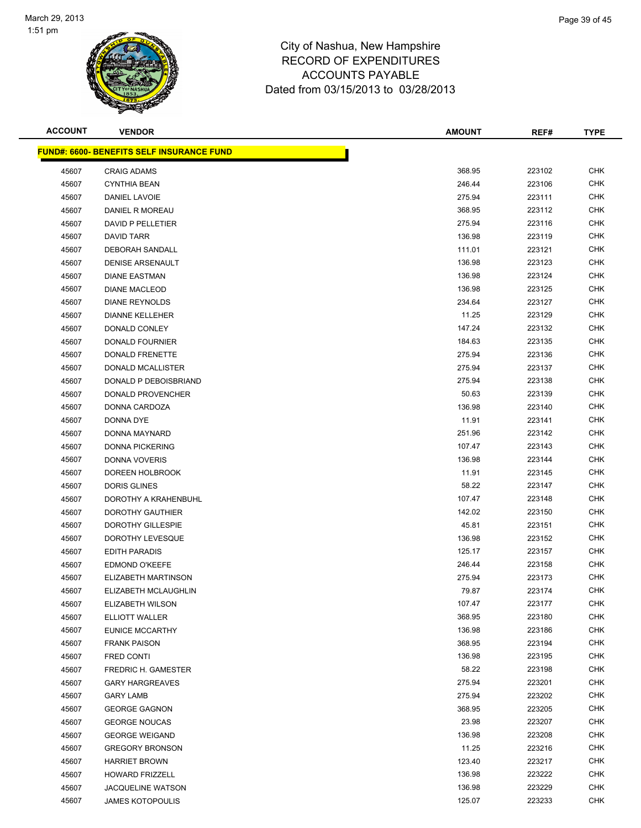

| <b>ACCOUNT</b> | <b>VENDOR</b>                                    | <b>AMOUNT</b> | REF#   | <b>TYPE</b> |
|----------------|--------------------------------------------------|---------------|--------|-------------|
|                | <b>FUND#: 6600- BENEFITS SELF INSURANCE FUND</b> |               |        |             |
| 45607          | <b>CRAIG ADAMS</b>                               | 368.95        | 223102 | <b>CHK</b>  |
| 45607          | <b>CYNTHIA BEAN</b>                              | 246.44        | 223106 | CHK         |
| 45607          | DANIEL LAVOIE                                    | 275.94        | 223111 | CHK         |
| 45607          | DANIEL R MOREAU                                  | 368.95        | 223112 | <b>CHK</b>  |
| 45607          | DAVID P PELLETIER                                | 275.94        | 223116 | CHK         |
| 45607          | DAVID TARR                                       | 136.98        | 223119 | <b>CHK</b>  |
| 45607          | DEBORAH SANDALL                                  | 111.01        | 223121 | <b>CHK</b>  |
| 45607          | <b>DENISE ARSENAULT</b>                          | 136.98        | 223123 | CHK         |
| 45607          | <b>DIANE EASTMAN</b>                             | 136.98        | 223124 | <b>CHK</b>  |
| 45607          | <b>DIANE MACLEOD</b>                             | 136.98        | 223125 | <b>CHK</b>  |
| 45607          | <b>DIANE REYNOLDS</b>                            | 234.64        | 223127 | CHK         |
| 45607          | <b>DIANNE KELLEHER</b>                           | 11.25         | 223129 | CHK         |
| 45607          | DONALD CONLEY                                    | 147.24        | 223132 | CHK         |
| 45607          | <b>DONALD FOURNIER</b>                           | 184.63        | 223135 | CHK         |
| 45607          | DONALD FRENETTE                                  | 275.94        | 223136 | <b>CHK</b>  |
| 45607          | DONALD MCALLISTER                                | 275.94        | 223137 | <b>CHK</b>  |
| 45607          | DONALD P DEBOISBRIAND                            | 275.94        | 223138 | <b>CHK</b>  |
| 45607          | DONALD PROVENCHER                                | 50.63         | 223139 | <b>CHK</b>  |
| 45607          | DONNA CARDOZA                                    | 136.98        | 223140 | <b>CHK</b>  |
| 45607          | DONNA DYE                                        | 11.91         | 223141 | <b>CHK</b>  |
| 45607          | DONNA MAYNARD                                    | 251.96        | 223142 | CHK         |
| 45607          | <b>DONNA PICKERING</b>                           | 107.47        | 223143 | <b>CHK</b>  |
| 45607          | DONNA VOVERIS                                    | 136.98        | 223144 | <b>CHK</b>  |
| 45607          | DOREEN HOLBROOK                                  | 11.91         | 223145 | CHK         |
| 45607          | <b>DORIS GLINES</b>                              | 58.22         | 223147 | CHK         |
| 45607          | DOROTHY A KRAHENBUHL                             | 107.47        | 223148 | <b>CHK</b>  |
| 45607          | DOROTHY GAUTHIER                                 | 142.02        | 223150 | CHK         |
| 45607          | DOROTHY GILLESPIE                                | 45.81         | 223151 | <b>CHK</b>  |
| 45607          | DOROTHY LEVESQUE                                 | 136.98        | 223152 | <b>CHK</b>  |
| 45607          | <b>EDITH PARADIS</b>                             | 125.17        | 223157 | CHK         |
| 45607          | <b>EDMOND O'KEEFE</b>                            | 246.44        | 223158 | CHK         |
| 45607          | ELIZABETH MARTINSON                              | 275.94        | 223173 | <b>CHK</b>  |
| 45607          | ELIZABETH MCLAUGHLIN                             | 79.87         | 223174 | <b>CHK</b>  |
| 45607          | ELIZABETH WILSON                                 | 107.47        | 223177 | <b>CHK</b>  |
| 45607          | <b>ELLIOTT WALLER</b>                            | 368.95        | 223180 | CHK         |
| 45607          | EUNICE MCCARTHY                                  | 136.98        | 223186 | <b>CHK</b>  |
| 45607          | <b>FRANK PAISON</b>                              | 368.95        | 223194 | <b>CHK</b>  |
| 45607          | FRED CONTI                                       | 136.98        | 223195 | <b>CHK</b>  |
| 45607          | <b>FREDRIC H. GAMESTER</b>                       | 58.22         | 223198 | <b>CHK</b>  |
| 45607          | <b>GARY HARGREAVES</b>                           | 275.94        | 223201 | <b>CHK</b>  |
| 45607          | <b>GARY LAMB</b>                                 | 275.94        | 223202 | <b>CHK</b>  |
| 45607          | <b>GEORGE GAGNON</b>                             | 368.95        | 223205 | <b>CHK</b>  |
| 45607          | <b>GEORGE NOUCAS</b>                             | 23.98         | 223207 | <b>CHK</b>  |
| 45607          | <b>GEORGE WEIGAND</b>                            | 136.98        | 223208 | <b>CHK</b>  |
| 45607          | <b>GREGORY BRONSON</b>                           | 11.25         | 223216 | CHK         |
| 45607          | <b>HARRIET BROWN</b>                             | 123.40        | 223217 | <b>CHK</b>  |
| 45607          | <b>HOWARD FRIZZELL</b>                           | 136.98        | 223222 | <b>CHK</b>  |
| 45607          | <b>JACQUELINE WATSON</b>                         | 136.98        | 223229 | <b>CHK</b>  |
| 45607          | <b>JAMES KOTOPOULIS</b>                          | 125.07        | 223233 | <b>CHK</b>  |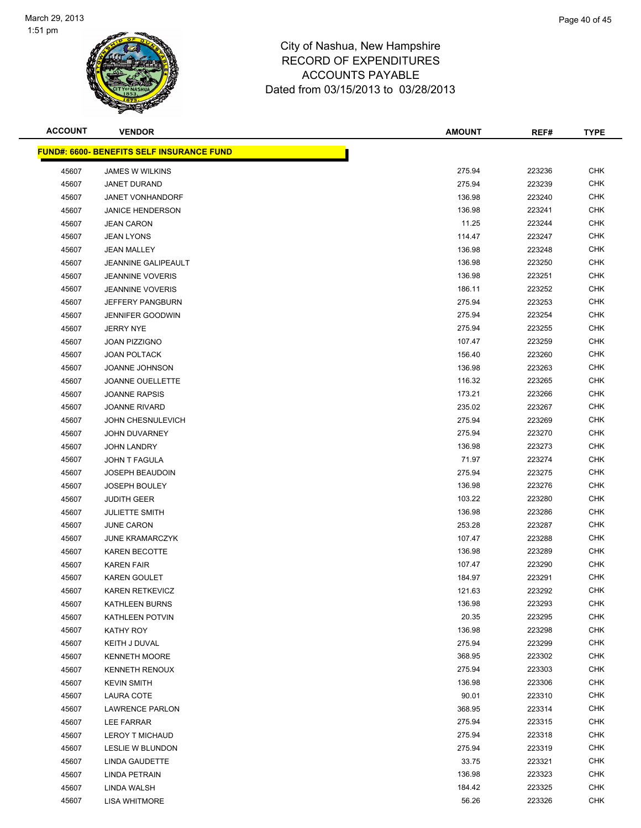

| <b>ACCOUNT</b> | <b>VENDOR</b>                                    | <b>AMOUNT</b> | REF#   | <b>TYPE</b> |
|----------------|--------------------------------------------------|---------------|--------|-------------|
|                | <b>FUND#: 6600- BENEFITS SELF INSURANCE FUND</b> |               |        |             |
| 45607          | <b>JAMES W WILKINS</b>                           | 275.94        | 223236 | <b>CHK</b>  |
| 45607          | JANET DURAND                                     | 275.94        | 223239 | <b>CHK</b>  |
| 45607          | <b>JANET VONHANDORF</b>                          | 136.98        | 223240 | <b>CHK</b>  |
| 45607          | <b>JANICE HENDERSON</b>                          | 136.98        | 223241 | <b>CHK</b>  |
| 45607          | <b>JEAN CARON</b>                                | 11.25         | 223244 | <b>CHK</b>  |
| 45607          | <b>JEAN LYONS</b>                                | 114.47        | 223247 | <b>CHK</b>  |
| 45607          | <b>JEAN MALLEY</b>                               | 136.98        | 223248 | <b>CHK</b>  |
| 45607          | <b>JEANNINE GALIPEAULT</b>                       | 136.98        | 223250 | <b>CHK</b>  |
| 45607          | <b>JEANNINE VOVERIS</b>                          | 136.98        | 223251 | <b>CHK</b>  |
| 45607          | <b>JEANNINE VOVERIS</b>                          | 186.11        | 223252 | <b>CHK</b>  |
| 45607          | <b>JEFFERY PANGBURN</b>                          | 275.94        | 223253 | <b>CHK</b>  |
| 45607          | <b>JENNIFER GOODWIN</b>                          | 275.94        | 223254 | <b>CHK</b>  |
| 45607          | <b>JERRY NYE</b>                                 | 275.94        | 223255 | <b>CHK</b>  |
| 45607          | <b>JOAN PIZZIGNO</b>                             | 107.47        | 223259 | <b>CHK</b>  |
| 45607          | <b>JOAN POLTACK</b>                              | 156.40        | 223260 | <b>CHK</b>  |
| 45607          | <b>JOANNE JOHNSON</b>                            | 136.98        | 223263 | <b>CHK</b>  |
| 45607          | <b>JOANNE OUELLETTE</b>                          | 116.32        | 223265 | <b>CHK</b>  |
| 45607          | <b>JOANNE RAPSIS</b>                             | 173.21        | 223266 | <b>CHK</b>  |
| 45607          | <b>JOANNE RIVARD</b>                             | 235.02        | 223267 | <b>CHK</b>  |
| 45607          | JOHN CHESNULEVICH                                | 275.94        | 223269 | <b>CHK</b>  |
| 45607          | <b>JOHN DUVARNEY</b>                             | 275.94        | 223270 | <b>CHK</b>  |
| 45607          | <b>JOHN LANDRY</b>                               | 136.98        | 223273 | <b>CHK</b>  |
| 45607          | JOHN T FAGULA                                    | 71.97         | 223274 | <b>CHK</b>  |
| 45607          | <b>JOSEPH BEAUDOIN</b>                           | 275.94        | 223275 | <b>CHK</b>  |
| 45607          | <b>JOSEPH BOULEY</b>                             | 136.98        | 223276 | <b>CHK</b>  |
| 45607          | <b>JUDITH GEER</b>                               | 103.22        | 223280 | <b>CHK</b>  |
| 45607          | <b>JULIETTE SMITH</b>                            | 136.98        | 223286 | <b>CHK</b>  |
| 45607          | <b>JUNE CARON</b>                                | 253.28        | 223287 | <b>CHK</b>  |
| 45607          | <b>JUNE KRAMARCZYK</b>                           | 107.47        | 223288 | <b>CHK</b>  |
| 45607          | <b>KAREN BECOTTE</b>                             | 136.98        | 223289 | <b>CHK</b>  |
| 45607          | <b>KAREN FAIR</b>                                | 107.47        | 223290 | <b>CHK</b>  |
| 45607          | <b>KAREN GOULET</b>                              | 184.97        | 223291 | <b>CHK</b>  |
| 45607          | <b>KAREN RETKEVICZ</b>                           | 121.63        | 223292 | <b>CHK</b>  |
| 45607          | <b>KATHLEEN BURNS</b>                            | 136.98        | 223293 | <b>CHK</b>  |
| 45607          | KATHLEEN POTVIN                                  | 20.35         | 223295 | <b>CHK</b>  |
| 45607          | KATHY ROY                                        | 136.98        | 223298 | <b>CHK</b>  |
| 45607          | KEITH J DUVAL                                    | 275.94        | 223299 | <b>CHK</b>  |
| 45607          | <b>KENNETH MOORE</b>                             | 368.95        | 223302 | <b>CHK</b>  |
| 45607          | <b>KENNETH RENOUX</b>                            | 275.94        | 223303 | <b>CHK</b>  |
| 45607          | <b>KEVIN SMITH</b>                               | 136.98        | 223306 | <b>CHK</b>  |
| 45607          | <b>LAURA COTE</b>                                | 90.01         | 223310 | <b>CHK</b>  |
| 45607          | <b>LAWRENCE PARLON</b>                           | 368.95        | 223314 | <b>CHK</b>  |
| 45607          | <b>LEE FARRAR</b>                                | 275.94        | 223315 | <b>CHK</b>  |
| 45607          | <b>LEROY T MICHAUD</b>                           | 275.94        | 223318 | <b>CHK</b>  |
| 45607          | <b>LESLIE W BLUNDON</b>                          | 275.94        | 223319 | CHK         |
| 45607          | LINDA GAUDETTE                                   | 33.75         | 223321 | <b>CHK</b>  |
| 45607          | LINDA PETRAIN                                    | 136.98        | 223323 | <b>CHK</b>  |
| 45607          | LINDA WALSH                                      | 184.42        | 223325 | <b>CHK</b>  |
| 45607          | <b>LISA WHITMORE</b>                             | 56.26         | 223326 | <b>CHK</b>  |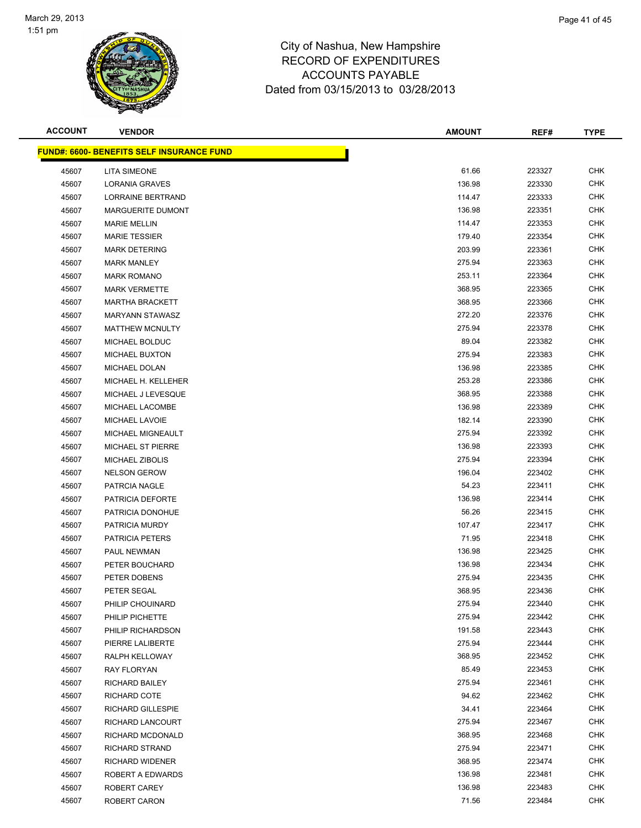

| <b>ACCOUNT</b> | <b>VENDOR</b>                                    | <b>AMOUNT</b> | REF#   | <b>TYPE</b> |
|----------------|--------------------------------------------------|---------------|--------|-------------|
|                | <b>FUND#: 6600- BENEFITS SELF INSURANCE FUND</b> |               |        |             |
| 45607          | <b>LITA SIMEONE</b>                              | 61.66         | 223327 | <b>CHK</b>  |
| 45607          | <b>LORANIA GRAVES</b>                            | 136.98        | 223330 | <b>CHK</b>  |
| 45607          | LORRAINE BERTRAND                                | 114.47        | 223333 | <b>CHK</b>  |
| 45607          | MARGUERITE DUMONT                                | 136.98        | 223351 | <b>CHK</b>  |
| 45607          | <b>MARIE MELLIN</b>                              | 114.47        | 223353 | CHK         |
| 45607          | <b>MARIE TESSIER</b>                             | 179.40        | 223354 | <b>CHK</b>  |
| 45607          | <b>MARK DETERING</b>                             | 203.99        | 223361 | <b>CHK</b>  |
| 45607          | <b>MARK MANLEY</b>                               | 275.94        | 223363 | <b>CHK</b>  |
| 45607          | <b>MARK ROMANO</b>                               | 253.11        | 223364 | <b>CHK</b>  |
| 45607          | <b>MARK VERMETTE</b>                             | 368.95        | 223365 | CHK         |
| 45607          | <b>MARTHA BRACKETT</b>                           | 368.95        | 223366 | CHK         |
| 45607          | <b>MARYANN STAWASZ</b>                           | 272.20        | 223376 | CHK         |
| 45607          | <b>MATTHEW MCNULTY</b>                           | 275.94        | 223378 | CHK         |
| 45607          | MICHAEL BOLDUC                                   | 89.04         | 223382 | CHK         |
| 45607          | <b>MICHAEL BUXTON</b>                            | 275.94        | 223383 | <b>CHK</b>  |
| 45607          | MICHAEL DOLAN                                    | 136.98        | 223385 | <b>CHK</b>  |
| 45607          | MICHAEL H. KELLEHER                              | 253.28        | 223386 | <b>CHK</b>  |
| 45607          | MICHAEL J LEVESQUE                               | 368.95        | 223388 | <b>CHK</b>  |
| 45607          | MICHAEL LACOMBE                                  | 136.98        | 223389 | <b>CHK</b>  |
| 45607          | MICHAEL LAVOIE                                   | 182.14        | 223390 | <b>CHK</b>  |
| 45607          | MICHAEL MIGNEAULT                                | 275.94        | 223392 | <b>CHK</b>  |
| 45607          | <b>MICHAEL ST PIERRE</b>                         | 136.98        | 223393 | CHK         |
| 45607          | <b>MICHAEL ZIBOLIS</b>                           | 275.94        | 223394 | CHK         |
| 45607          | <b>NELSON GEROW</b>                              | 196.04        | 223402 | CHK         |
| 45607          | PATRCIA NAGLE                                    | 54.23         | 223411 | CHK         |
| 45607          | PATRICIA DEFORTE                                 | 136.98        | 223414 | <b>CHK</b>  |
| 45607          | PATRICIA DONOHUE                                 | 56.26         | 223415 | CHK         |
| 45607          | PATRICIA MURDY                                   | 107.47        | 223417 | <b>CHK</b>  |
| 45607          | <b>PATRICIA PETERS</b>                           | 71.95         | 223418 | <b>CHK</b>  |
| 45607          | PAUL NEWMAN                                      | 136.98        | 223425 | CHK         |
| 45607          | PETER BOUCHARD                                   | 136.98        | 223434 | CHK         |
| 45607          | PETER DOBENS                                     | 275.94        | 223435 | CHK         |
| 45607          | PETER SEGAL                                      | 368.95        | 223436 | <b>CHK</b>  |
| 45607          | PHILIP CHOUINARD                                 | 275.94        | 223440 | <b>CHK</b>  |
| 45607          | PHILIP PICHETTE                                  | 275.94        | 223442 | CHK         |
| 45607          | PHILIP RICHARDSON                                | 191.58        | 223443 | <b>CHK</b>  |
| 45607          | PIERRE LALIBERTE                                 | 275.94        | 223444 | <b>CHK</b>  |
| 45607          | RALPH KELLOWAY                                   | 368.95        | 223452 | <b>CHK</b>  |
| 45607          | RAY FLORYAN                                      | 85.49         | 223453 | <b>CHK</b>  |
| 45607          | <b>RICHARD BAILEY</b>                            | 275.94        | 223461 | CHK         |
| 45607          | RICHARD COTE                                     | 94.62         | 223462 | <b>CHK</b>  |
| 45607          | <b>RICHARD GILLESPIE</b>                         | 34.41         | 223464 | <b>CHK</b>  |
| 45607          | RICHARD LANCOURT                                 | 275.94        | 223467 | CHK         |
| 45607          | RICHARD MCDONALD                                 | 368.95        | 223468 | CHK         |
| 45607          | <b>RICHARD STRAND</b>                            | 275.94        | 223471 | CHK         |
| 45607          | <b>RICHARD WIDENER</b>                           | 368.95        | 223474 | CHK         |
| 45607          | ROBERT A EDWARDS                                 | 136.98        | 223481 | <b>CHK</b>  |
| 45607          | ROBERT CAREY                                     | 136.98        | 223483 | <b>CHK</b>  |
| 45607          | ROBERT CARON                                     | 71.56         | 223484 | <b>CHK</b>  |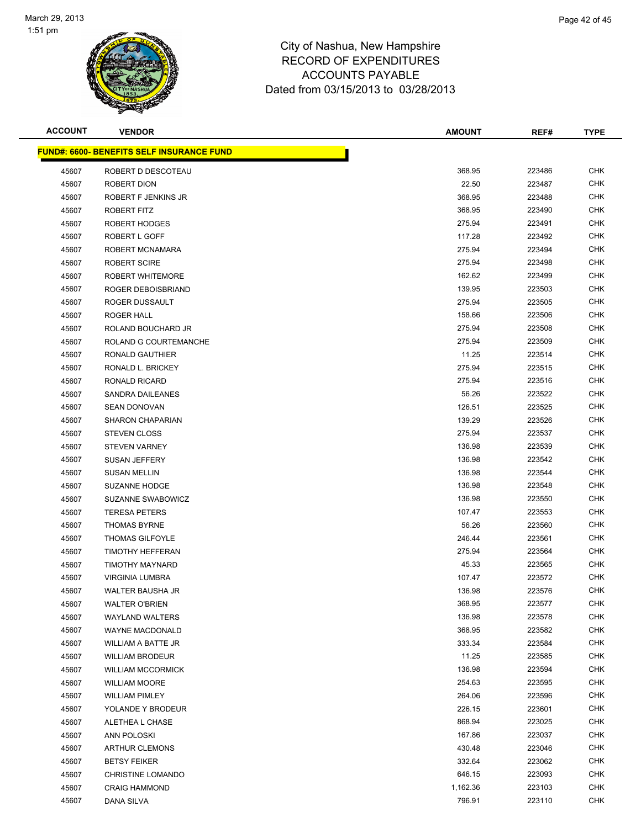

| <b>ACCOUNT</b> | <b>VENDOR</b>                                    | <b>AMOUNT</b> | REF#   | <b>TYPE</b> |
|----------------|--------------------------------------------------|---------------|--------|-------------|
|                | <b>FUND#: 6600- BENEFITS SELF INSURANCE FUND</b> |               |        |             |
| 45607          | ROBERT D DESCOTEAU                               | 368.95        | 223486 | <b>CHK</b>  |
| 45607          | ROBERT DION                                      | 22.50         | 223487 | CHK         |
| 45607          | ROBERT F JENKINS JR                              | 368.95        | 223488 | <b>CHK</b>  |
| 45607          | ROBERT FITZ                                      | 368.95        | 223490 | <b>CHK</b>  |
| 45607          | ROBERT HODGES                                    | 275.94        | 223491 | CHK         |
| 45607          | ROBERT L GOFF                                    | 117.28        | 223492 | <b>CHK</b>  |
| 45607          | ROBERT MCNAMARA                                  | 275.94        | 223494 | <b>CHK</b>  |
| 45607          | <b>ROBERT SCIRE</b>                              | 275.94        | 223498 | <b>CHK</b>  |
| 45607          | <b>ROBERT WHITEMORE</b>                          | 162.62        | 223499 | <b>CHK</b>  |
| 45607          | ROGER DEBOISBRIAND                               | 139.95        | 223503 | CHK         |
| 45607          | ROGER DUSSAULT                                   | 275.94        | 223505 | CHK         |
| 45607          | ROGER HALL                                       | 158.66        | 223506 | CHK         |
| 45607          | ROLAND BOUCHARD JR                               | 275.94        | 223508 | CHK         |
| 45607          | ROLAND G COURTEMANCHE                            | 275.94        | 223509 | CHK         |
| 45607          | RONALD GAUTHIER                                  | 11.25         | 223514 | <b>CHK</b>  |
| 45607          | RONALD L. BRICKEY                                | 275.94        | 223515 | CHK         |
| 45607          | RONALD RICARD                                    | 275.94        | 223516 | <b>CHK</b>  |
| 45607          | <b>SANDRA DAILEANES</b>                          | 56.26         | 223522 | <b>CHK</b>  |
| 45607          | <b>SEAN DONOVAN</b>                              | 126.51        | 223525 | <b>CHK</b>  |
| 45607          | <b>SHARON CHAPARIAN</b>                          | 139.29        | 223526 | <b>CHK</b>  |
| 45607          | <b>STEVEN CLOSS</b>                              | 275.94        | 223537 | CHK         |
| 45607          | <b>STEVEN VARNEY</b>                             | 136.98        | 223539 | CHK         |
| 45607          | SUSAN JEFFERY                                    | 136.98        | 223542 | CHK         |
| 45607          | <b>SUSAN MELLIN</b>                              | 136.98        | 223544 | CHK         |
| 45607          | <b>SUZANNE HODGE</b>                             | 136.98        | 223548 | CHK         |
| 45607          | SUZANNE SWABOWICZ                                | 136.98        | 223550 | <b>CHK</b>  |
| 45607          | <b>TERESA PETERS</b>                             | 107.47        | 223553 | CHK         |
| 45607          | <b>THOMAS BYRNE</b>                              | 56.26         | 223560 | <b>CHK</b>  |
| 45607          | <b>THOMAS GILFOYLE</b>                           | 246.44        | 223561 | <b>CHK</b>  |
| 45607          | <b>TIMOTHY HEFFERAN</b>                          | 275.94        | 223564 | CHK         |
| 45607          | <b>TIMOTHY MAYNARD</b>                           | 45.33         | 223565 | CHK         |
| 45607          | <b>VIRGINIA LUMBRA</b>                           | 107.47        | 223572 | CHK         |
| 45607          | WALTER BAUSHA JR                                 | 136.98        | 223576 | <b>CHK</b>  |
| 45607          | <b>WALTER O'BRIEN</b>                            | 368.95        | 223577 | <b>CHK</b>  |
| 45607          | <b>WAYLAND WALTERS</b>                           | 136.98        | 223578 | CHK         |
| 45607          | WAYNE MACDONALD                                  | 368.95        | 223582 | <b>CHK</b>  |
| 45607          | <b>WILLIAM A BATTE JR</b>                        | 333.34        | 223584 | <b>CHK</b>  |
| 45607          | <b>WILLIAM BRODEUR</b>                           | 11.25         | 223585 | <b>CHK</b>  |
| 45607          | <b>WILLIAM MCCORMICK</b>                         | 136.98        | 223594 | <b>CHK</b>  |
| 45607          | <b>WILLIAM MOORE</b>                             | 254.63        | 223595 | <b>CHK</b>  |
| 45607          | <b>WILLIAM PIMLEY</b>                            | 264.06        | 223596 | <b>CHK</b>  |
| 45607          | YOLANDE Y BRODEUR                                | 226.15        | 223601 | <b>CHK</b>  |
| 45607          | ALETHEA L CHASE                                  | 868.94        | 223025 | CHK         |
| 45607          | ANN POLOSKI                                      | 167.86        | 223037 | CHK         |
| 45607          | <b>ARTHUR CLEMONS</b>                            | 430.48        | 223046 | CHK         |
| 45607          | <b>BETSY FEIKER</b>                              | 332.64        | 223062 | CHK         |
| 45607          | <b>CHRISTINE LOMANDO</b>                         | 646.15        | 223093 | <b>CHK</b>  |
| 45607          | <b>CRAIG HAMMOND</b>                             | 1,162.36      | 223103 | <b>CHK</b>  |
| 45607          | DANA SILVA                                       | 796.91        | 223110 | <b>CHK</b>  |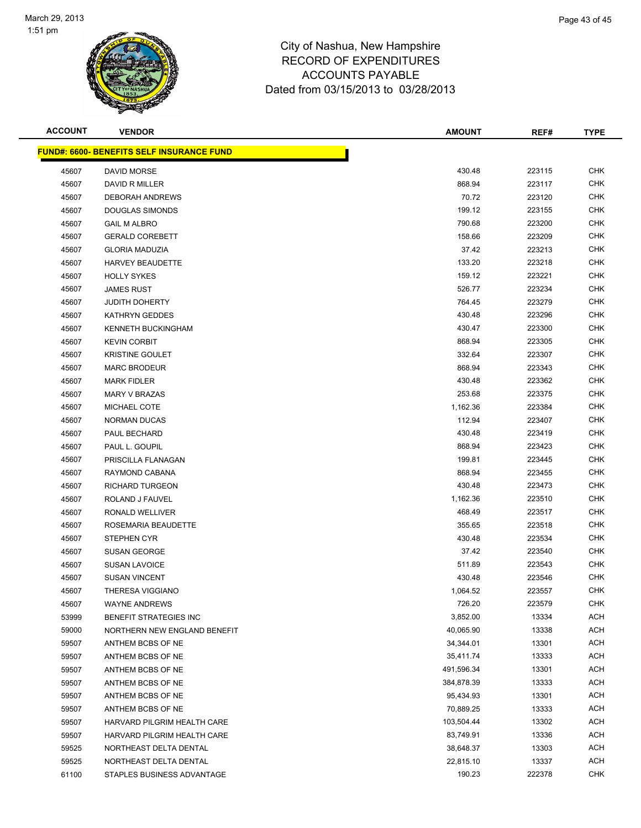

| <b>ACCOUNT</b> | <b>VENDOR</b>                                     | <b>AMOUNT</b> | REF#   | <b>TYPE</b> |
|----------------|---------------------------------------------------|---------------|--------|-------------|
|                | <u> FUND#: 6600- BENEFITS SELF INSURANCE FUND</u> |               |        |             |
| 45607          | <b>DAVID MORSE</b>                                | 430.48        | 223115 | <b>CHK</b>  |
| 45607          | <b>DAVID R MILLER</b>                             | 868.94        | 223117 | <b>CHK</b>  |
| 45607          | <b>DEBORAH ANDREWS</b>                            | 70.72         | 223120 | <b>CHK</b>  |
| 45607          | <b>DOUGLAS SIMONDS</b>                            | 199.12        | 223155 | <b>CHK</b>  |
| 45607          | <b>GAIL M ALBRO</b>                               | 790.68        | 223200 | <b>CHK</b>  |
| 45607          | <b>GERALD COREBETT</b>                            | 158.66        | 223209 | <b>CHK</b>  |
| 45607          | <b>GLORIA MADUZIA</b>                             | 37.42         | 223213 | <b>CHK</b>  |
| 45607          | <b>HARVEY BEAUDETTE</b>                           | 133.20        | 223218 | <b>CHK</b>  |
| 45607          | <b>HOLLY SYKES</b>                                | 159.12        | 223221 | <b>CHK</b>  |
| 45607          | <b>JAMES RUST</b>                                 | 526.77        | 223234 | <b>CHK</b>  |
| 45607          | <b>JUDITH DOHERTY</b>                             | 764.45        | 223279 | <b>CHK</b>  |
| 45607          | KATHRYN GEDDES                                    | 430.48        | 223296 | CHK         |
| 45607          | <b>KENNETH BUCKINGHAM</b>                         | 430.47        | 223300 | CHK         |
| 45607          | <b>KEVIN CORBIT</b>                               | 868.94        | 223305 | <b>CHK</b>  |
| 45607          | <b>KRISTINE GOULET</b>                            | 332.64        | 223307 | <b>CHK</b>  |
| 45607          | <b>MARC BRODEUR</b>                               | 868.94        | 223343 | <b>CHK</b>  |
| 45607          | <b>MARK FIDLER</b>                                | 430.48        | 223362 | <b>CHK</b>  |
| 45607          | <b>MARY V BRAZAS</b>                              | 253.68        | 223375 | CHK         |
| 45607          | MICHAEL COTE                                      | 1,162.36      | 223384 | <b>CHK</b>  |
| 45607          | NORMAN DUCAS                                      | 112.94        | 223407 | <b>CHK</b>  |
| 45607          | PAUL BECHARD                                      | 430.48        | 223419 | <b>CHK</b>  |
| 45607          | PAUL L. GOUPIL                                    | 868.94        | 223423 | <b>CHK</b>  |
| 45607          | PRISCILLA FLANAGAN                                | 199.81        | 223445 | CHK         |
| 45607          | RAYMOND CABANA                                    | 868.94        | 223455 | <b>CHK</b>  |
| 45607          | RICHARD TURGEON                                   | 430.48        | 223473 | <b>CHK</b>  |
| 45607          | ROLAND J FAUVEL                                   | 1,162.36      | 223510 | <b>CHK</b>  |
| 45607          | RONALD WELLIVER                                   | 468.49        | 223517 | <b>CHK</b>  |
| 45607          | ROSEMARIA BEAUDETTE                               | 355.65        | 223518 | CHK         |
| 45607          | <b>STEPHEN CYR</b>                                | 430.48        | 223534 | <b>CHK</b>  |
| 45607          | <b>SUSAN GEORGE</b>                               | 37.42         | 223540 | CHK         |
| 45607          | <b>SUSAN LAVOICE</b>                              | 511.89        | 223543 | <b>CHK</b>  |
| 45607          | <b>SUSAN VINCENT</b>                              | 430.48        | 223546 | <b>CHK</b>  |
| 45607          | THERESA VIGGIANO                                  | 1,064.52      | 223557 | CHK         |
| 45607          | <b>WAYNE ANDREWS</b>                              | 726.20        | 223579 | CHK         |
| 53999          | <b>BENEFIT STRATEGIES INC</b>                     | 3,852.00      | 13334  | ACH         |
| 59000          | NORTHERN NEW ENGLAND BENEFIT                      | 40,065.90     | 13338  | <b>ACH</b>  |
| 59507          | ANTHEM BCBS OF NE                                 | 34,344.01     | 13301  | ACH         |
| 59507          | ANTHEM BCBS OF NE                                 | 35,411.74     | 13333  | ACH         |
| 59507          | ANTHEM BCBS OF NE                                 | 491,596.34    | 13301  | ACH         |
| 59507          | ANTHEM BCBS OF NE                                 | 384,878.39    | 13333  | ACH         |
| 59507          | ANTHEM BCBS OF NE                                 | 95,434.93     | 13301  | ACH         |
| 59507          | ANTHEM BCBS OF NE                                 | 70,889.25     | 13333  | ACH         |
| 59507          | HARVARD PILGRIM HEALTH CARE                       | 103,504.44    | 13302  | ACH         |
| 59507          | HARVARD PILGRIM HEALTH CARE                       | 83,749.91     | 13336  | ACH         |
| 59525          | NORTHEAST DELTA DENTAL                            | 38,648.37     | 13303  | ACH         |
| 59525          | NORTHEAST DELTA DENTAL                            | 22,815.10     | 13337  | ACH         |
| 61100          | STAPLES BUSINESS ADVANTAGE                        | 190.23        | 222378 | <b>CHK</b>  |
|                |                                                   |               |        |             |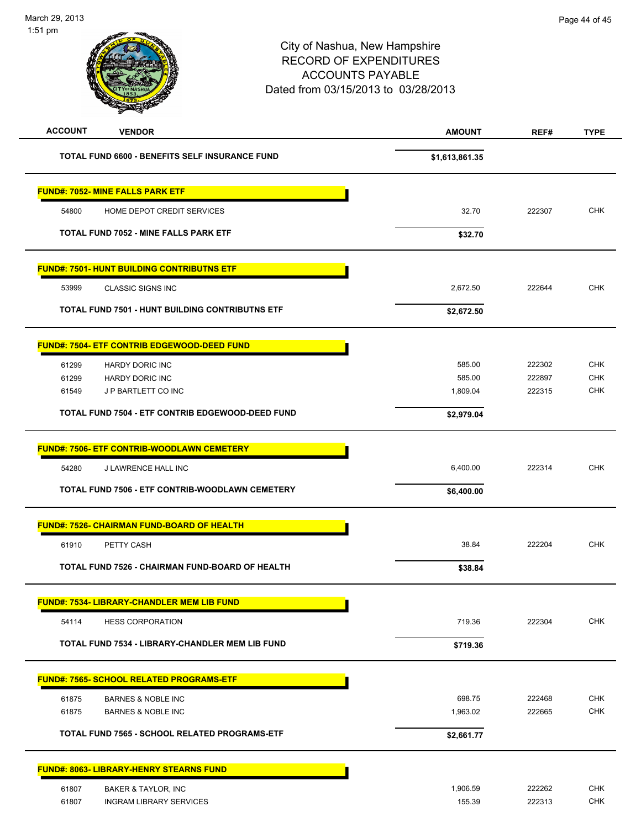| <b>ACCOUNT</b><br><b>VENDOR</b>                                 | <b>AMOUNT</b>      | REF#             | <b>TYPE</b>              |
|-----------------------------------------------------------------|--------------------|------------------|--------------------------|
| TOTAL FUND 6600 - BENEFITS SELF INSURANCE FUND                  | \$1,613,861.35     |                  |                          |
| <b>FUND#: 7052- MINE FALLS PARK ETF</b>                         |                    |                  |                          |
| 54800<br>HOME DEPOT CREDIT SERVICES                             | 32.70              | 222307           | <b>CHK</b>               |
| TOTAL FUND 7052 - MINE FALLS PARK ETF                           | \$32.70            |                  |                          |
| <b>FUND#: 7501- HUNT BUILDING CONTRIBUTNS ETF</b>               |                    |                  |                          |
| 53999<br><b>CLASSIC SIGNS INC</b>                               | 2,672.50           | 222644           | <b>CHK</b>               |
| TOTAL FUND 7501 - HUNT BUILDING CONTRIBUTNS ETF                 | \$2,672.50         |                  |                          |
| <b>FUND#: 7504- ETF CONTRIB EDGEWOOD-DEED FUND</b>              |                    |                  |                          |
| 61299<br><b>HARDY DORIC INC</b>                                 | 585.00             | 222302           | <b>CHK</b>               |
| 61299<br><b>HARDY DORIC INC</b><br>61549<br>J P BARTLETT CO INC | 585.00<br>1,809.04 | 222897<br>222315 | <b>CHK</b><br><b>CHK</b> |
| TOTAL FUND 7504 - ETF CONTRIB EDGEWOOD-DEED FUND                | \$2,979.04         |                  |                          |
|                                                                 |                    |                  |                          |
| <b>FUND#: 7506- ETF CONTRIB-WOODLAWN CEMETERY</b>               |                    |                  |                          |
| 54280<br>J LAWRENCE HALL INC                                    | 6,400.00           | 222314           | <b>CHK</b>               |
| TOTAL FUND 7506 - ETF CONTRIB-WOODLAWN CEMETERY                 | \$6,400.00         |                  |                          |
| <b>FUND#: 7526- CHAIRMAN FUND-BOARD OF HEALTH</b>               |                    |                  |                          |
| 61910<br>PETTY CASH                                             | 38.84              | 222204           | <b>CHK</b>               |
| TOTAL FUND 7526 - CHAIRMAN FUND-BOARD OF HEALTH                 | \$38.84            |                  |                          |
| <b>FUND#: 7534- LIBRARY-CHANDLER MEM LIB FUND</b>               |                    |                  |                          |
| 54114<br><b>HESS CORPORATION</b>                                | 719.36             | 222304           | CHK                      |
| TOTAL FUND 7534 - LIBRARY-CHANDLER MEM LIB FUND                 | \$719.36           |                  |                          |
| <b>FUND#: 7565- SCHOOL RELATED PROGRAMS-ETF</b>                 |                    |                  |                          |
| 61875<br><b>BARNES &amp; NOBLE INC</b>                          | 698.75             | 222468           | <b>CHK</b>               |
| 61875<br><b>BARNES &amp; NOBLE INC</b>                          | 1,963.02           | 222665           | <b>CHK</b>               |
| TOTAL FUND 7565 - SCHOOL RELATED PROGRAMS-ETF                   | \$2,661.77         |                  |                          |
| <b>FUND#: 8063- LIBRARY-HENRY STEARNS FUND</b>                  |                    |                  |                          |
| 61807<br>BAKER & TAYLOR, INC                                    | 1,906.59           | 222262           | <b>CHK</b>               |
| 61807<br><b>INGRAM LIBRARY SERVICES</b>                         | 155.39             | 222313           | CHK                      |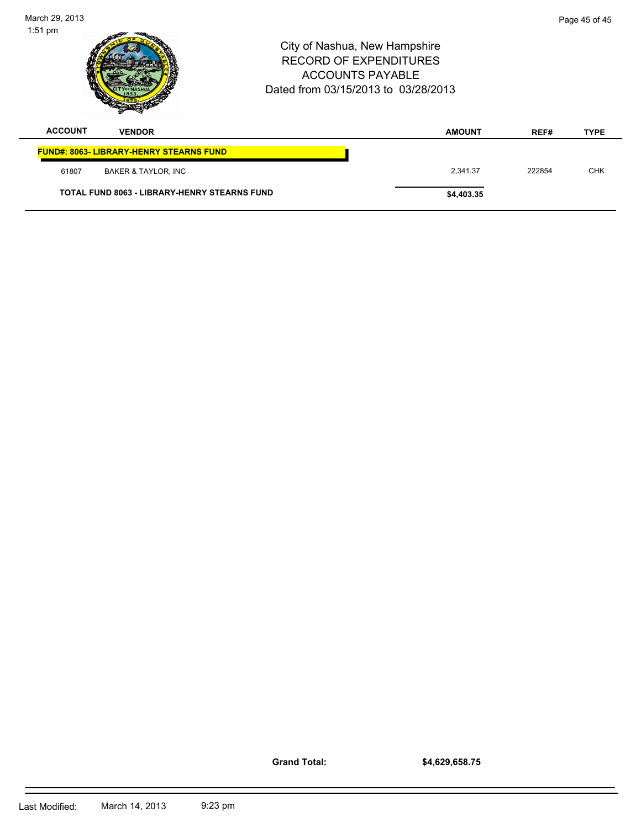| 1:51 pm        |                                                     | City of Nashua, New Hampshire<br><b>RECORD OF EXPENDITURES</b><br><b>ACCOUNTS PAYABLE</b><br>Dated from 03/15/2013 to 03/28/2013 |               |        |             |
|----------------|-----------------------------------------------------|----------------------------------------------------------------------------------------------------------------------------------|---------------|--------|-------------|
| <b>ACCOUNT</b> | <b>VENDOR</b>                                       |                                                                                                                                  | <b>AMOUNT</b> | REF#   | <b>TYPE</b> |
|                | <b>FUND#: 8063- LIBRARY-HENRY STEARNS FUND</b>      |                                                                                                                                  |               |        |             |
| 61807          | <b>BAKER &amp; TAYLOR, INC</b>                      |                                                                                                                                  | 2,341.37      | 222854 | <b>CHK</b>  |
|                | <b>TOTAL FUND 8063 - LIBRARY-HENRY STEARNS FUND</b> |                                                                                                                                  | \$4,403.35    |        |             |

**Grand Total:**

March 29, 2013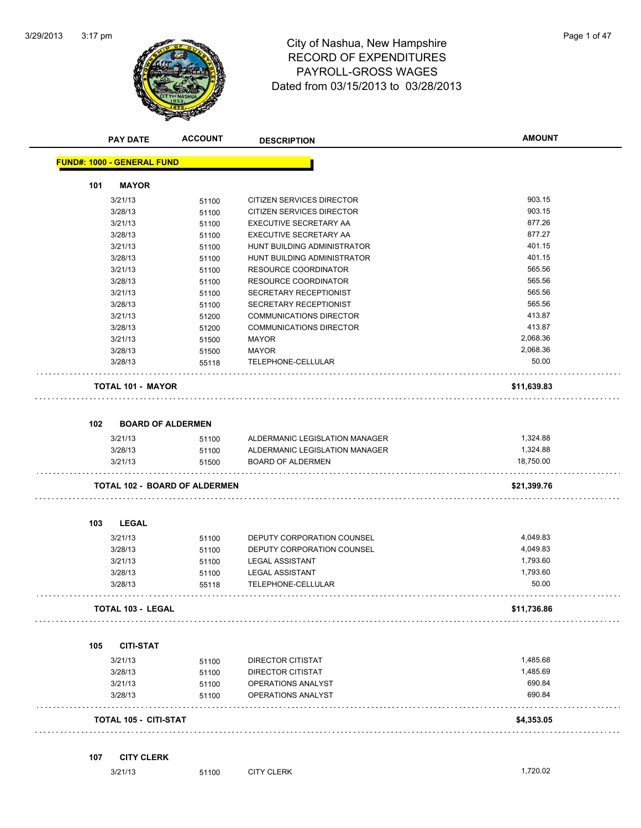

# RECORD OF EXPENDITURES PAYROLL-GROSS WAGES Dated from 03/15/2013 to 03/28/2013

| Page 1 of 47 |  |  |
|--------------|--|--|
|              |  |  |

|     | <b>PAY DATE</b>                   | <b>ACCOUNT</b>                       | <b>DESCRIPTION</b>             | <b>AMOUNT</b> |
|-----|-----------------------------------|--------------------------------------|--------------------------------|---------------|
|     | <b>FUND#: 1000 - GENERAL FUND</b> |                                      |                                |               |
| 101 | <b>MAYOR</b>                      |                                      |                                |               |
|     | 3/21/13                           | 51100                                | CITIZEN SERVICES DIRECTOR      | 903.15        |
|     | 3/28/13                           | 51100                                | CITIZEN SERVICES DIRECTOR      | 903.15        |
|     | 3/21/13                           | 51100                                | EXECUTIVE SECRETARY AA         | 877.26        |
|     | 3/28/13                           | 51100                                | EXECUTIVE SECRETARY AA         | 877.27        |
|     | 3/21/13                           | 51100                                | HUNT BUILDING ADMINISTRATOR    | 401.15        |
|     | 3/28/13                           | 51100                                | HUNT BUILDING ADMINISTRATOR    | 401.15        |
|     | 3/21/13                           | 51100                                | <b>RESOURCE COORDINATOR</b>    | 565.56        |
|     | 3/28/13                           | 51100                                | <b>RESOURCE COORDINATOR</b>    | 565.56        |
|     | 3/21/13                           | 51100                                | SECRETARY RECEPTIONIST         | 565.56        |
|     | 3/28/13                           | 51100                                | SECRETARY RECEPTIONIST         | 565.56        |
|     | 3/21/13                           | 51200                                | <b>COMMUNICATIONS DIRECTOR</b> | 413.87        |
|     | 3/28/13                           | 51200                                | <b>COMMUNICATIONS DIRECTOR</b> | 413.87        |
|     | 3/21/13                           | 51500                                | MAYOR                          | 2,068.36      |
|     | 3/28/13                           | 51500                                | <b>MAYOR</b>                   | 2,068.36      |
|     | 3/28/13                           | 55118                                | TELEPHONE-CELLULAR             | 50.00         |
|     |                                   |                                      |                                |               |
|     | <b>TOTAL 101 - MAYOR</b>          |                                      |                                | \$11,639.83   |
| 102 |                                   | <b>BOARD OF ALDERMEN</b>             |                                |               |
|     | 3/21/13                           | 51100                                | ALDERMANIC LEGISLATION MANAGER | 1,324.88      |
|     | 3/28/13                           | 51100                                | ALDERMANIC LEGISLATION MANAGER | 1,324.88      |
|     | 3/21/13                           | 51500                                | <b>BOARD OF ALDERMEN</b>       | 18,750.00     |
|     |                                   | <b>TOTAL 102 - BOARD OF ALDERMEN</b> |                                | \$21,399.76   |
|     |                                   |                                      |                                |               |
| 103 | <b>LEGAL</b>                      |                                      |                                |               |
|     | 3/21/13                           | 51100                                | DEPUTY CORPORATION COUNSEL     | 4,049.83      |
|     | 3/28/13                           | 51100                                | DEPUTY CORPORATION COUNSEL     | 4,049.83      |
|     | 3/21/13                           | 51100                                | <b>LEGAL ASSISTANT</b>         | 1,793.60      |
|     | 3/28/13                           | 51100                                | <b>LEGAL ASSISTANT</b>         | 1,793.60      |
|     | 3/28/13                           | 55118                                | TELEPHONE-CELLULAR             | 50.00         |
|     | <b>TOTAL 103 - LEGAL</b>          |                                      |                                | \$11,736.86   |
|     |                                   |                                      |                                |               |
| 105 | <b>CITI-STAT</b>                  |                                      |                                |               |
|     | 3/21/13                           | 51100                                | <b>DIRECTOR CITISTAT</b>       | 1,485.68      |
|     | 3/28/13                           | 51100                                | DIRECTOR CITISTAT              | 1,485.69      |
|     | 3/21/13                           | 51100                                | OPERATIONS ANALYST             | 690.84        |
|     | 3/28/13                           | 51100                                | OPERATIONS ANALYST             | 690.84        |
|     | <b>TOTAL 105 - CITI-STAT</b>      |                                      |                                | \$4,353.05    |
| 107 | <b>CITY CLERK</b>                 |                                      |                                |               |
|     | 3/21/13                           | 51100                                | <b>CITY CLERK</b>              | 1,720.02      |
|     |                                   |                                      |                                |               |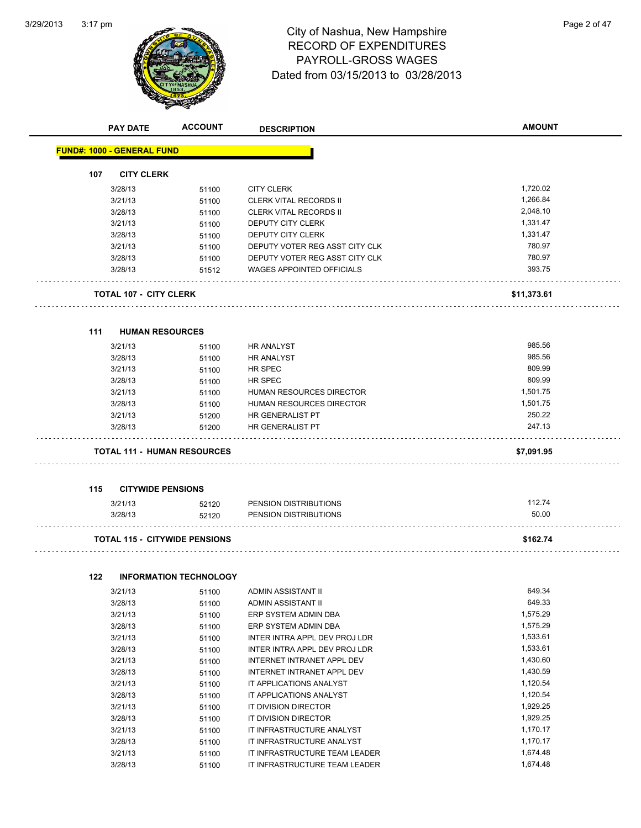$\overline{\phantom{0}}$ 



# 3:17 pm<br> **City of Nashua, New Hampshire** Page 2 of 47 RECORD OF EXPENDITURES PAYROLL-GROSS WAGES Dated from 03/15/2013 to 03/28/2013

|     | <b>PAY DATE</b>                      | <b>ACCOUNT</b>                         | <b>DESCRIPTION</b>               | <b>AMOUNT</b> |
|-----|--------------------------------------|----------------------------------------|----------------------------------|---------------|
|     | <b>FUND#: 1000 - GENERAL FUND</b>    |                                        |                                  |               |
| 107 | <b>CITY CLERK</b>                    |                                        |                                  |               |
|     |                                      |                                        |                                  |               |
|     | 3/28/13                              | 51100                                  | <b>CITY CLERK</b>                | 1,720.02      |
|     | 3/21/13                              | 51100                                  | <b>CLERK VITAL RECORDS II</b>    | 1,266.84      |
|     | 3/28/13                              | 51100                                  | <b>CLERK VITAL RECORDS II</b>    | 2,048.10      |
|     | 3/21/13                              | 51100                                  | DEPUTY CITY CLERK                | 1,331.47      |
|     | 3/28/13                              | 51100                                  | <b>DEPUTY CITY CLERK</b>         | 1,331.47      |
|     | 3/21/13                              | 51100                                  | DEPUTY VOTER REG ASST CITY CLK   | 780.97        |
|     | 3/28/13                              | 51100                                  | DEPUTY VOTER REG ASST CITY CLK   | 780.97        |
|     | 3/28/13                              | 51512                                  | <b>WAGES APPOINTED OFFICIALS</b> | 393.75        |
|     | <b>TOTAL 107 - CITY CLERK</b>        |                                        |                                  | \$11,373.61   |
|     |                                      |                                        |                                  |               |
| 111 | <b>HUMAN RESOURCES</b><br>3/21/13    | 51100                                  | <b>HR ANALYST</b>                | 985.56        |
|     | 3/28/13                              | 51100                                  | <b>HR ANALYST</b>                | 985.56        |
|     | 3/21/13                              | 51100                                  | HR SPEC                          | 809.99        |
|     | 3/28/13                              | 51100                                  | HR SPEC                          | 809.99        |
|     | 3/21/13                              | 51100                                  | HUMAN RESOURCES DIRECTOR         | 1,501.75      |
|     | 3/28/13                              | 51100                                  | HUMAN RESOURCES DIRECTOR         | 1,501.75      |
|     | 3/21/13                              | 51200                                  | HR GENERALIST PT                 | 250.22        |
|     | 3/28/13                              | 51200                                  | HR GENERALIST PT                 | 247.13        |
|     | <b>TOTAL 111 - HUMAN RESOURCES</b>   |                                        |                                  | \$7,091.95    |
|     |                                      |                                        |                                  |               |
| 115 | <b>CITYWIDE PENSIONS</b>             |                                        |                                  |               |
|     | 3/21/13                              | 52120                                  | PENSION DISTRIBUTIONS            | 112.74        |
|     | 3/28/13                              | 52120                                  | PENSION DISTRIBUTIONS            | 50.00         |
|     | <b>TOTAL 115 - CITYWIDE PENSIONS</b> |                                        |                                  | \$162.74      |
|     |                                      |                                        |                                  |               |
| 122 | 3/21/13                              | <b>INFORMATION TECHNOLOGY</b><br>51100 | ADMIN ASSISTANT II               | 649.34        |
|     | 3/28/13                              | 51100                                  | ADMIN ASSISTANT II               | 649.33        |
|     | 3/21/13                              |                                        | ERP SYSTEM ADMIN DBA             | 1,575.29      |
|     | 3/28/13                              | 51100                                  | ERP SYSTEM ADMIN DBA             | 1,575.29      |
|     |                                      | 51100                                  | INTER INTRA APPL DEV PROJ LDR    | 1,533.61      |
|     | 3/21/13                              | 51100                                  |                                  | 1,533.61      |
|     | 3/28/13                              | 51100                                  | INTER INTRA APPL DEV PROJ LDR    |               |
|     | 3/21/13                              | 51100                                  | INTERNET INTRANET APPL DEV       | 1,430.60      |
|     | 3/28/13                              | 51100                                  | INTERNET INTRANET APPL DEV       | 1,430.59      |
|     | 3/21/13                              | 51100                                  | IT APPLICATIONS ANALYST          | 1,120.54      |
|     | 3/28/13                              | 51100                                  | IT APPLICATIONS ANALYST          | 1,120.54      |
|     | 3/21/13                              | 51100                                  | IT DIVISION DIRECTOR             | 1,929.25      |
|     | 3/28/13                              | 51100                                  | IT DIVISION DIRECTOR             | 1,929.25      |
|     | 3/21/13                              | 51100                                  | IT INFRASTRUCTURE ANALYST        | 1,170.17      |
|     | 3/28/13                              | 51100                                  | IT INFRASTRUCTURE ANALYST        | 1,170.17      |
|     | 3/21/13                              | 51100                                  | IT INFRASTRUCTURE TEAM LEADER    | 1,674.48      |
|     | 3/28/13                              | 51100                                  | IT INFRASTRUCTURE TEAM LEADER    | 1,674.48      |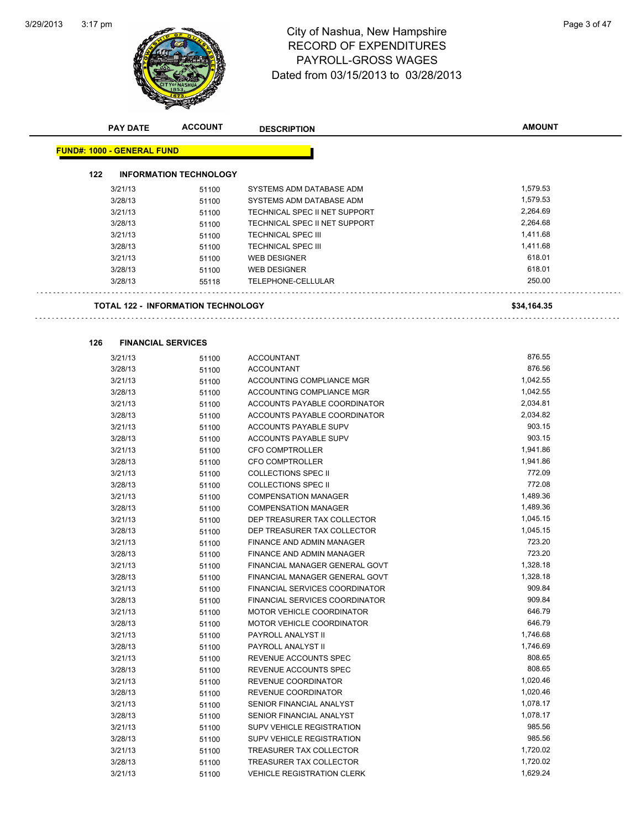

# 3:17 pm<br> **City of Nashua, New Hampshire** Page 3 of 47 RECORD OF EXPENDITURES PAYROLL-GROSS WAGES Dated from 03/15/2013 to 03/28/2013

| 122 |         |                                           |                                  |             |
|-----|---------|-------------------------------------------|----------------------------------|-------------|
|     |         | <b>INFORMATION TECHNOLOGY</b>             |                                  |             |
|     | 3/21/13 | 51100                                     | SYSTEMS ADM DATABASE ADM         | 1,579.53    |
|     | 3/28/13 | 51100                                     | SYSTEMS ADM DATABASE ADM         | 1,579.53    |
|     | 3/21/13 | 51100                                     | TECHNICAL SPEC II NET SUPPORT    | 2,264.69    |
|     | 3/28/13 | 51100                                     | TECHNICAL SPEC II NET SUPPORT    | 2,264.68    |
|     | 3/21/13 | 51100                                     | <b>TECHNICAL SPEC III</b>        | 1,411.68    |
|     | 3/28/13 | 51100                                     | <b>TECHNICAL SPEC III</b>        | 1,411.68    |
|     | 3/21/13 | 51100                                     | <b>WEB DESIGNER</b>              | 618.01      |
|     | 3/28/13 | 51100                                     | <b>WEB DESIGNER</b>              | 618.01      |
|     | 3/28/13 | 55118                                     | TELEPHONE-CELLULAR               | 250.00      |
|     |         | <b>TOTAL 122 - INFORMATION TECHNOLOGY</b> |                                  | \$34,164.35 |
| 126 |         | <b>FINANCIAL SERVICES</b>                 |                                  |             |
|     | 3/21/13 | 51100                                     | <b>ACCOUNTANT</b>                | 876.55      |
|     | 3/28/13 | 51100                                     | <b>ACCOUNTANT</b>                | 876.56      |
|     | 3/21/13 | 51100                                     | ACCOUNTING COMPLIANCE MGR        | 1,042.55    |
|     | 3/28/13 | 51100                                     | ACCOUNTING COMPLIANCE MGR        | 1,042.55    |
|     | 3/21/13 | 51100                                     | ACCOUNTS PAYABLE COORDINATOR     | 2,034.81    |
|     | 3/28/13 | 51100                                     | ACCOUNTS PAYABLE COORDINATOR     | 2,034.82    |
|     | 3/21/13 | 51100                                     | ACCOUNTS PAYABLE SUPV            | 903.15      |
|     | 3/28/13 | 51100                                     | ACCOUNTS PAYABLE SUPV            | 903.15      |
|     | 3/21/13 | 51100                                     | <b>CFO COMPTROLLER</b>           | 1,941.86    |
|     | 3/28/13 | 51100                                     | <b>CFO COMPTROLLER</b>           | 1,941.86    |
|     | 3/21/13 | 51100                                     | <b>COLLECTIONS SPEC II</b>       | 772.09      |
|     | 3/28/13 | 51100                                     | <b>COLLECTIONS SPEC II</b>       | 772.08      |
|     | 3/21/13 | 51100                                     | <b>COMPENSATION MANAGER</b>      | 1,489.36    |
|     | 3/28/13 | 51100                                     | <b>COMPENSATION MANAGER</b>      | 1,489.36    |
|     | 3/21/13 | 51100                                     | DEP TREASURER TAX COLLECTOR      | 1,045.15    |
|     | 3/28/13 | 51100                                     | DEP TREASURER TAX COLLECTOR      | 1,045.15    |
|     | 3/21/13 | 51100                                     | FINANCE AND ADMIN MANAGER        | 723.20      |
|     | 3/28/13 | 51100                                     | FINANCE AND ADMIN MANAGER        | 723.20      |
|     | 3/21/13 | 51100                                     | FINANCIAL MANAGER GENERAL GOVT   | 1,328.18    |
|     | 3/28/13 | 51100                                     | FINANCIAL MANAGER GENERAL GOVT   | 1,328.18    |
|     | 3/21/13 | 51100                                     | FINANCIAL SERVICES COORDINATOR   | 909.84      |
|     | 3/28/13 | 51100                                     | FINANCIAL SERVICES COORDINATOR   | 909.84      |
|     | 3/21/13 | 51100                                     | MOTOR VEHICLE COORDINATOR        | 646.79      |
|     | 3/28/13 | 51100                                     | <b>MOTOR VEHICLE COORDINATOR</b> | 646.79      |
|     | 3/21/13 | 51100                                     | PAYROLL ANALYST II               | 1,746.68    |
|     | 3/28/13 | 51100                                     | PAYROLL ANALYST II               | 1,746.69    |
|     | 3/21/13 | 51100                                     | REVENUE ACCOUNTS SPEC            | 808.65      |
|     | 3/28/13 | 51100                                     | REVENUE ACCOUNTS SPEC            | 808.65      |
|     | 3/21/13 | 51100                                     | <b>REVENUE COORDINATOR</b>       | 1,020.46    |
|     | 3/28/13 | 51100                                     | REVENUE COORDINATOR              | 1,020.46    |
|     | 3/21/13 | 51100                                     | SENIOR FINANCIAL ANALYST         | 1,078.17    |
|     | 3/28/13 | 51100                                     | SENIOR FINANCIAL ANALYST         | 1,078.17    |
|     | 3/21/13 | 51100                                     | <b>SUPV VEHICLE REGISTRATION</b> | 985.56      |
|     | 3/28/13 | 51100                                     | SUPV VEHICLE REGISTRATION        | 985.56      |
|     | 3/21/13 | 51100                                     | TREASURER TAX COLLECTOR          | 1,720.02    |
|     | 3/28/13 | 51100                                     | TREASURER TAX COLLECTOR          | 1,720.02    |

**AMOUNT**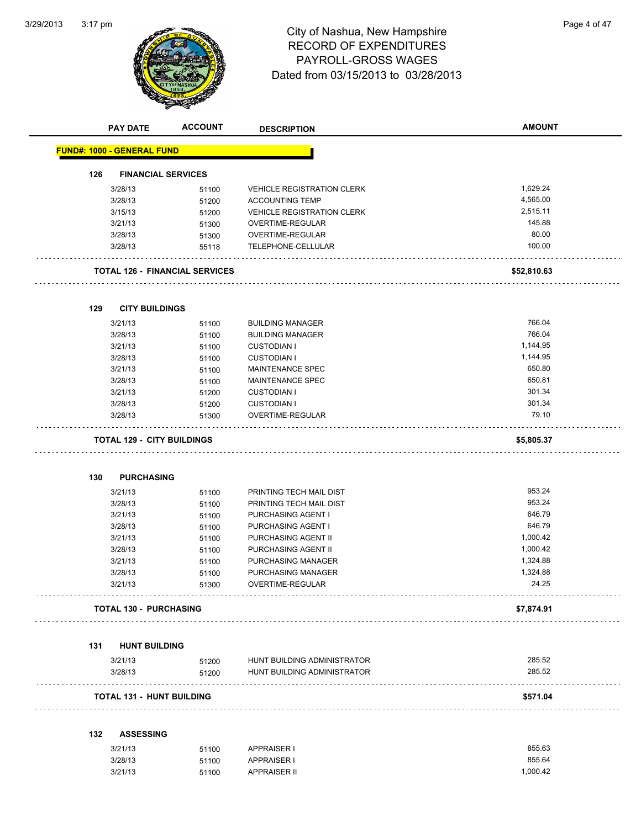$\overline{\phantom{a}}$ 



# 3:17 pm<br> **City of Nashua, New Hampshire** Page 4 of 47 RECORD OF EXPENDITURES PAYROLL-GROSS WAGES Dated from 03/15/2013 to 03/28/2013

|     | <b>PAY DATE</b>                   | <b>ACCOUNT</b>                        | <b>DESCRIPTION</b>                | <b>AMOUNT</b> |
|-----|-----------------------------------|---------------------------------------|-----------------------------------|---------------|
|     | <b>FUND#: 1000 - GENERAL FUND</b> |                                       |                                   |               |
| 126 | <b>FINANCIAL SERVICES</b>         |                                       |                                   |               |
|     | 3/28/13                           | 51100                                 | <b>VEHICLE REGISTRATION CLERK</b> | 1,629.24      |
|     | 3/28/13                           | 51200                                 | <b>ACCOUNTING TEMP</b>            | 4,565.00      |
|     | 3/15/13                           | 51200                                 | <b>VEHICLE REGISTRATION CLERK</b> | 2,515.11      |
|     | 3/21/13                           | 51300                                 | OVERTIME-REGULAR                  | 145.88        |
|     | 3/28/13                           | 51300                                 | OVERTIME-REGULAR                  | 80.00         |
|     | 3/28/13                           | 55118                                 | TELEPHONE-CELLULAR                | 100.00        |
|     |                                   |                                       |                                   |               |
|     |                                   | <b>TOTAL 126 - FINANCIAL SERVICES</b> |                                   | \$52,810.63   |
| 129 | <b>CITY BUILDINGS</b>             |                                       |                                   |               |
|     | 3/21/13                           |                                       | <b>BUILDING MANAGER</b>           | 766.04        |
|     | 3/28/13                           | 51100<br>51100                        | <b>BUILDING MANAGER</b>           | 766.04        |
|     | 3/21/13                           |                                       | <b>CUSTODIAN I</b>                | 1,144.95      |
|     | 3/28/13                           | 51100                                 | <b>CUSTODIAN I</b>                | 1,144.95      |
|     | 3/21/13                           | 51100                                 | <b>MAINTENANCE SPEC</b>           | 650.80        |
|     | 3/28/13                           | 51100                                 | <b>MAINTENANCE SPEC</b>           | 650.81        |
|     | 3/21/13                           | 51100                                 | <b>CUSTODIAN I</b>                | 301.34        |
|     | 3/28/13                           | 51200                                 | <b>CUSTODIAN I</b>                | 301.34        |
|     | 3/28/13                           | 51200<br>51300                        | OVERTIME-REGULAR                  | 79.10         |
|     |                                   |                                       |                                   |               |
|     | <b>TOTAL 129 - CITY BUILDINGS</b> |                                       |                                   | \$5,805.37    |
|     |                                   |                                       |                                   |               |
| 130 | <b>PURCHASING</b>                 |                                       |                                   |               |
|     | 3/21/13                           | 51100                                 | PRINTING TECH MAIL DIST           | 953.24        |
|     | 3/28/13                           | 51100                                 | PRINTING TECH MAIL DIST           | 953.24        |
|     | 3/21/13                           | 51100                                 | PURCHASING AGENT I                | 646.79        |
|     | 3/28/13                           | 51100                                 | PURCHASING AGENT I                | 646.79        |
|     | 3/21/13                           | 51100                                 | PURCHASING AGENT II               | 1,000.42      |
|     | 3/28/13                           | 51100                                 | PURCHASING AGENT II               | 1,000.42      |
|     | 3/21/13                           | 51100                                 | PURCHASING MANAGER                | 1,324.88      |
|     | 3/28/13                           | 51100                                 | PURCHASING MANAGER                | 1,324.88      |
|     | 3/21/13                           | 51300                                 | OVERTIME-REGULAR                  | 24.25         |
|     | <b>TOTAL 130 - PURCHASING</b>     |                                       |                                   | \$7,874.91    |
|     |                                   |                                       |                                   |               |
| 131 | <b>HUNT BUILDING</b>              |                                       |                                   |               |
|     | 3/21/13                           | 51200                                 | HUNT BUILDING ADMINISTRATOR       | 285.52        |
|     | 3/28/13                           | 51200                                 | HUNT BUILDING ADMINISTRATOR       | 285.52        |
|     | <b>TOTAL 131 - HUNT BUILDING</b>  |                                       |                                   | \$571.04      |
| 132 | <b>ASSESSING</b>                  |                                       |                                   |               |
|     | 3/21/13                           |                                       | <b>APPRAISER I</b>                | 855.63        |
|     | 3/28/13                           | 51100                                 | <b>APPRAISER I</b>                | 855.64        |
|     | 3/21/13                           | 51100<br>51100                        | <b>APPRAISER II</b>               | 1,000.42      |
|     |                                   |                                       |                                   |               |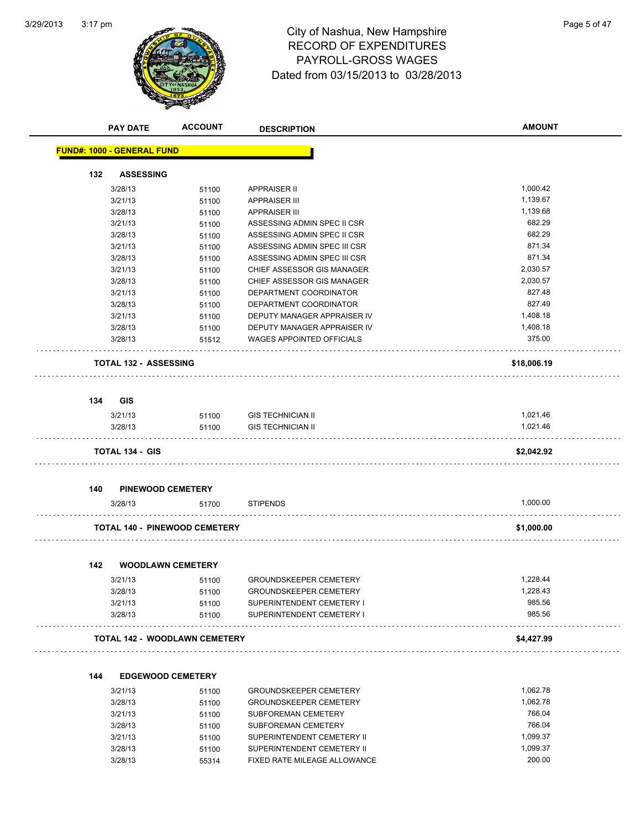

# 3:17 pm<br> **City of Nashua, New Hampshire** Page 5 of 47 RECORD OF EXPENDITURES PAYROLL-GROSS WAGES Dated from 03/15/2013 to 03/28/2013

|     | <b>PAY DATE</b>                      | <b>ACCOUNT</b> | <b>DESCRIPTION</b>                                         | <b>AMOUNT</b>        |
|-----|--------------------------------------|----------------|------------------------------------------------------------|----------------------|
|     | <b>FUND#: 1000 - GENERAL FUND</b>    |                |                                                            |                      |
| 132 | <b>ASSESSING</b>                     |                |                                                            |                      |
|     | 3/28/13                              | 51100          | <b>APPRAISER II</b>                                        | 1,000.42             |
|     | 3/21/13                              | 51100          | <b>APPRAISER III</b>                                       | 1,139.67             |
|     | 3/28/13                              | 51100          | <b>APPRAISER III</b>                                       | 1,139.68             |
|     | 3/21/13                              | 51100          | ASSESSING ADMIN SPEC II CSR                                | 682.29               |
|     | 3/28/13                              | 51100          | ASSESSING ADMIN SPEC II CSR                                | 682.29               |
|     | 3/21/13                              | 51100          | ASSESSING ADMIN SPEC III CSR                               | 871.34               |
|     | 3/28/13                              | 51100          | ASSESSING ADMIN SPEC III CSR                               | 871.34               |
|     | 3/21/13                              | 51100          | CHIEF ASSESSOR GIS MANAGER                                 | 2,030.57             |
|     | 3/28/13                              | 51100          | CHIEF ASSESSOR GIS MANAGER                                 | 2,030.57             |
|     | 3/21/13                              | 51100          | DEPARTMENT COORDINATOR                                     | 827.48               |
|     | 3/28/13                              | 51100          | DEPARTMENT COORDINATOR                                     | 827.49               |
|     | 3/21/13                              | 51100          | DEPUTY MANAGER APPRAISER IV                                | 1,408.18             |
|     | 3/28/13                              | 51100          | DEPUTY MANAGER APPRAISER IV                                | 1,408.18             |
|     | 3/28/13                              | 51512          | <b>WAGES APPOINTED OFFICIALS</b>                           | 375.00               |
|     | <b>TOTAL 132 - ASSESSING</b>         |                |                                                            | \$18,006.19          |
| 134 | <b>GIS</b>                           |                |                                                            |                      |
|     | 3/21/13                              | 51100          | <b>GIS TECHNICIAN II</b>                                   | 1,021.46             |
|     | 3/28/13                              | 51100          | <b>GIS TECHNICIAN II</b>                                   | 1,021.46             |
|     | <b>TOTAL 134 - GIS</b>               |                |                                                            | \$2,042.92           |
| 140 | <b>PINEWOOD CEMETERY</b>             |                |                                                            |                      |
|     | 3/28/13                              | 51700          | <b>STIPENDS</b>                                            | 1,000.00             |
|     | <b>TOTAL 140 - PINEWOOD CEMETERY</b> |                |                                                            | \$1,000.00           |
| 142 | <b>WOODLAWN CEMETERY</b>             |                |                                                            |                      |
|     |                                      |                |                                                            |                      |
|     | 3/21/13                              | 51100          | <b>GROUNDSKEEPER CEMETERY</b>                              | 1.228.44<br>1,228.43 |
|     | 3/28/13<br>3/21/13                   | 51100<br>51100 | <b>GROUNDSKEEPER CEMETERY</b><br>SUPERINTENDENT CEMETERY I | 985.56               |
|     | 3/28/13                              | 51100          | SUPERINTENDENT CEMETERY I                                  | 985.56               |
|     | <b>TOTAL 142 - WOODLAWN CEMETERY</b> |                |                                                            | \$4,427.99           |
|     |                                      |                |                                                            |                      |
| 144 | <b>EDGEWOOD CEMETERY</b>             |                |                                                            |                      |
|     | 3/21/13                              | 51100          | <b>GROUNDSKEEPER CEMETERY</b>                              | 1,062.78             |
|     | 3/28/13                              | 51100          | <b>GROUNDSKEEPER CEMETERY</b>                              | 1,062.78             |
|     | 3/21/13                              | 51100          | SUBFOREMAN CEMETERY<br>SUBFOREMAN CEMETERY                 | 766.04<br>766.04     |
|     | 3/28/13<br>3/21/13                   | 51100<br>51100 | SUPERINTENDENT CEMETERY II                                 | 1,099.37             |
|     | 3/28/13                              | 51100          | SUPERINTENDENT CEMETERY II                                 | 1,099.37             |
|     | 3/28/13                              | 55314          | FIXED RATE MILEAGE ALLOWANCE                               | 200.00               |

55314 FIXED RATE MILEAGE ALLOWANCE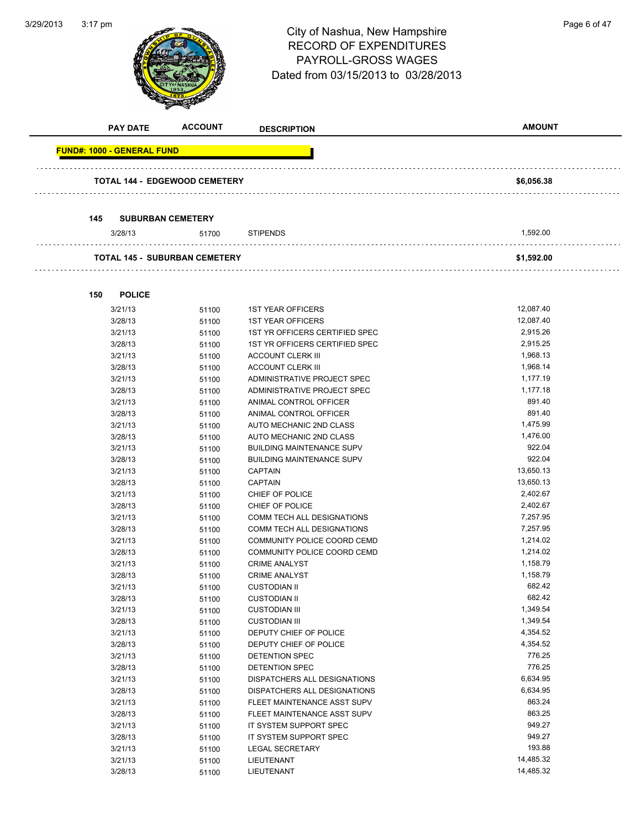

# 3:17 pm<br> **City of Nashua, New Hampshire** Page 6 of 47 RECORD OF EXPENDITURES PAYROLL-GROSS WAGES Dated from 03/15/2013 to 03/28/2013

| <b>PAY DATE</b>                   | <b>ACCOUNT</b>                       | <b>DESCRIPTION</b>               | <b>AMOUNT</b> |
|-----------------------------------|--------------------------------------|----------------------------------|---------------|
| <b>FUND#: 1000 - GENERAL FUND</b> |                                      |                                  |               |
|                                   | TOTAL 144 - EDGEWOOD CEMETERY        |                                  | \$6,056.38    |
|                                   |                                      |                                  |               |
| 145                               | <b>SUBURBAN CEMETERY</b>             |                                  |               |
|                                   |                                      |                                  |               |
| 3/28/13                           | 51700                                | <b>STIPENDS</b>                  | 1,592.00      |
|                                   | <b>TOTAL 145 - SUBURBAN CEMETERY</b> |                                  | \$1,592.00    |
|                                   |                                      |                                  |               |
|                                   |                                      |                                  |               |
| 150<br><b>POLICE</b>              |                                      |                                  |               |
| 3/21/13                           | 51100                                | <b>1ST YEAR OFFICERS</b>         | 12,087.40     |
| 3/28/13                           | 51100                                | <b>1ST YEAR OFFICERS</b>         | 12,087.40     |
| 3/21/13                           | 51100                                | 1ST YR OFFICERS CERTIFIED SPEC   | 2,915.26      |
| 3/28/13                           | 51100                                | 1ST YR OFFICERS CERTIFIED SPEC   | 2,915.25      |
| 3/21/13                           | 51100                                | <b>ACCOUNT CLERK III</b>         | 1,968.13      |
| 3/28/13                           | 51100                                | <b>ACCOUNT CLERK III</b>         | 1,968.14      |
| 3/21/13                           | 51100                                | ADMINISTRATIVE PROJECT SPEC      | 1,177.19      |
| 3/28/13                           | 51100                                | ADMINISTRATIVE PROJECT SPEC      | 1,177.18      |
| 3/21/13                           | 51100                                | ANIMAL CONTROL OFFICER           | 891.40        |
| 3/28/13                           | 51100                                | ANIMAL CONTROL OFFICER           | 891.40        |
| 3/21/13                           | 51100                                | AUTO MECHANIC 2ND CLASS          | 1,475.99      |
| 3/28/13                           | 51100                                | AUTO MECHANIC 2ND CLASS          | 1,476.00      |
| 3/21/13                           | 51100                                | <b>BUILDING MAINTENANCE SUPV</b> | 922.04        |
| 3/28/13                           | 51100                                | <b>BUILDING MAINTENANCE SUPV</b> | 922.04        |
| 3/21/13                           | 51100                                | <b>CAPTAIN</b>                   | 13,650.13     |
| 3/28/13                           | 51100                                | <b>CAPTAIN</b>                   | 13,650.13     |
| 3/21/13                           | 51100                                | CHIEF OF POLICE                  | 2,402.67      |
| 3/28/13                           | 51100                                | CHIEF OF POLICE                  | 2,402.67      |
| 3/21/13                           | 51100                                | COMM TECH ALL DESIGNATIONS       | 7,257.95      |
| 3/28/13                           | 51100                                | COMM TECH ALL DESIGNATIONS       | 7,257.95      |
| 3/21/13                           | 51100                                | COMMUNITY POLICE COORD CEMD      | 1,214.02      |
| 3/28/13                           | 51100                                | COMMUNITY POLICE COORD CEMD      | 1,214.02      |
| 3/21/13                           | 51100                                | <b>CRIME ANALYST</b>             | 1,158.79      |
| 3/28/13                           | 51100                                | <b>CRIME ANALYST</b>             | 1,158.79      |
| 3/21/13                           | 51100                                | <b>CUSTODIAN II</b>              | 682.42        |
| 3/28/13                           | 51100                                | <b>CUSTODIAN II</b>              | 682.42        |
| 3/21/13                           | 51100                                | <b>CUSTODIAN III</b>             | 1,349.54      |
| 3/28/13                           | 51100                                | <b>CUSTODIAN III</b>             | 1,349.54      |
| 3/21/13                           | 51100                                | DEPUTY CHIEF OF POLICE           | 4,354.52      |
| 3/28/13                           | 51100                                | DEPUTY CHIEF OF POLICE           | 4,354.52      |
| 3/21/13                           | 51100                                | DETENTION SPEC                   | 776.25        |
| 3/28/13                           | 51100                                | DETENTION SPEC                   | 776.25        |
| 3/21/13                           | 51100                                | DISPATCHERS ALL DESIGNATIONS     | 6,634.95      |
| 3/28/13                           | 51100                                | DISPATCHERS ALL DESIGNATIONS     | 6,634.95      |
| 3/21/13                           | 51100                                | FLEET MAINTENANCE ASST SUPV      | 863.24        |
| 3/28/13                           | 51100                                | FLEET MAINTENANCE ASST SUPV      | 863.25        |
| 3/21/13                           | 51100                                | IT SYSTEM SUPPORT SPEC           | 949.27        |
| 3/28/13                           | 51100                                | IT SYSTEM SUPPORT SPEC           | 949.27        |
| 3/21/13                           | 51100                                | <b>LEGAL SECRETARY</b>           | 193.88        |
| 3/21/13                           | 51100                                | LIEUTENANT                       | 14,485.32     |
| 3/28/13                           | 51100                                | LIEUTENANT                       | 14,485.32     |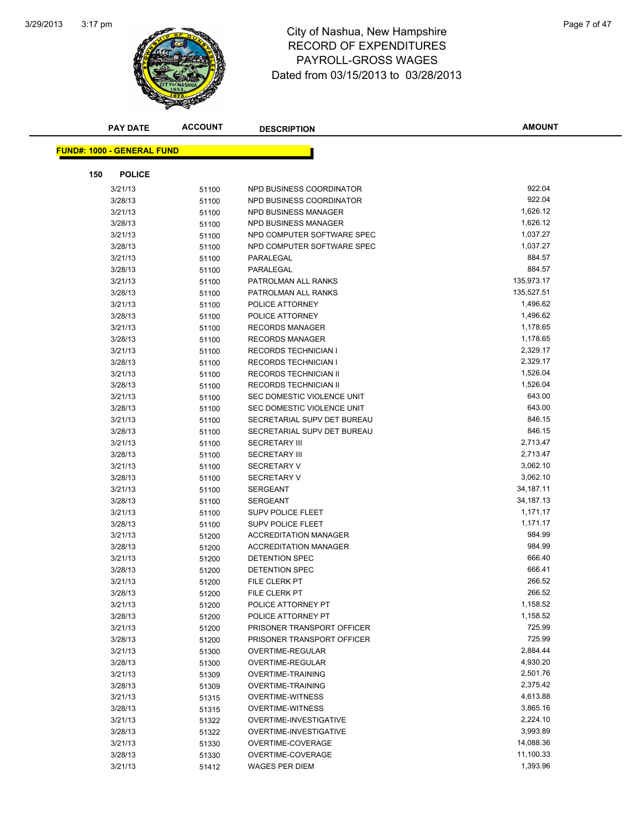

## 3:17 pm<br> **City of Nashua, New Hampshire** Page 7 of 47 RECORD OF EXPENDITURES PAYROLL-GROSS WAGES Dated from 03/15/2013 to 03/28/2013

| PAY DATE                          | <b>ACCOUNT</b> | <b>DESCRIPTION</b>                           | <b>AMOUNT</b>        |
|-----------------------------------|----------------|----------------------------------------------|----------------------|
| <b>FUND#: 1000 - GENERAL FUND</b> |                |                                              |                      |
|                                   |                |                                              |                      |
| 150<br><b>POLICE</b>              |                |                                              |                      |
| 3/21/13                           | 51100          | NPD BUSINESS COORDINATOR                     | 922.04               |
| 3/28/13                           | 51100          | NPD BUSINESS COORDINATOR                     | 922.04               |
| 3/21/13                           | 51100          | NPD BUSINESS MANAGER                         | 1,626.12             |
| 3/28/13                           | 51100          | NPD BUSINESS MANAGER                         | 1,626.12             |
| 3/21/13                           | 51100          | NPD COMPUTER SOFTWARE SPEC                   | 1,037.27             |
| 3/28/13                           | 51100          | NPD COMPUTER SOFTWARE SPEC                   | 1,037.27             |
| 3/21/13                           | 51100          | PARALEGAL                                    | 884.57               |
| 3/28/13                           | 51100          | PARALEGAL                                    | 884.57               |
| 3/21/13                           | 51100          | PATROLMAN ALL RANKS                          | 135,973.17           |
| 3/28/13                           | 51100          | PATROLMAN ALL RANKS                          | 135,527.51           |
| 3/21/13                           | 51100          | POLICE ATTORNEY                              | 1,496.62             |
| 3/28/13                           | 51100          | POLICE ATTORNEY                              | 1,496.62             |
| 3/21/13                           | 51100          | <b>RECORDS MANAGER</b>                       | 1,178.65             |
| 3/28/13                           | 51100          | <b>RECORDS MANAGER</b>                       | 1,178.65             |
| 3/21/13                           | 51100          | <b>RECORDS TECHNICIAN I</b>                  | 2,329.17             |
| 3/28/13                           | 51100          | <b>RECORDS TECHNICIAN I</b>                  | 2,329.17             |
| 3/21/13                           | 51100          | RECORDS TECHNICIAN II                        | 1,526.04             |
| 3/28/13                           | 51100          | RECORDS TECHNICIAN II                        | 1,526.04             |
| 3/21/13                           | 51100          | SEC DOMESTIC VIOLENCE UNIT                   | 643.00               |
| 3/28/13                           | 51100          | SEC DOMESTIC VIOLENCE UNIT                   | 643.00               |
| 3/21/13                           | 51100          | SECRETARIAL SUPV DET BUREAU                  | 846.15               |
| 3/28/13                           | 51100          | SECRETARIAL SUPV DET BUREAU                  | 846.15               |
| 3/21/13                           | 51100          | <b>SECRETARY III</b>                         | 2,713.47             |
| 3/28/13                           | 51100          | <b>SECRETARY III</b>                         | 2,713.47             |
| 3/21/13                           | 51100          | <b>SECRETARY V</b>                           | 3,062.10             |
| 3/28/13                           | 51100          | <b>SECRETARY V</b>                           | 3,062.10             |
| 3/21/13                           | 51100          | <b>SERGEANT</b>                              | 34,187.11            |
| 3/28/13                           | 51100          | <b>SERGEANT</b>                              | 34,187.13            |
| 3/21/13                           | 51100          | <b>SUPV POLICE FLEET</b>                     | 1,171.17             |
| 3/28/13                           | 51100          | <b>SUPV POLICE FLEET</b>                     | 1,171.17             |
| 3/21/13                           | 51200          | <b>ACCREDITATION MANAGER</b>                 | 984.99               |
| 3/28/13                           | 51200          | <b>ACCREDITATION MANAGER</b>                 | 984.99               |
| 3/21/13                           | 51200          | DETENTION SPEC                               | 666.40               |
| 3/28/13                           | 51200          | DETENTION SPEC                               | 666.41               |
| 3/21/13                           | 51200          | FILE CLERK PT                                | 266.52               |
| 3/28/13                           | 51200          | FILE CLERK PT                                | 266.52               |
| 3/21/13                           | 51200          | POLICE ATTORNEY PT                           | 1,158.52             |
| 3/28/13                           | 51200          | POLICE ATTORNEY PT                           | 1,158.52<br>725.99   |
| 3/21/13                           | 51200          | PRISONER TRANSPORT OFFICER                   | 725.99               |
| 3/28/13                           | 51200          | PRISONER TRANSPORT OFFICER                   |                      |
| 3/21/13                           | 51300          | OVERTIME-REGULAR                             | 2,884.44<br>4,930.20 |
| 3/28/13<br>3/21/13                | 51300          | OVERTIME-REGULAR<br><b>OVERTIME-TRAINING</b> | 2,501.76             |
| 3/28/13                           | 51309          | <b>OVERTIME-TRAINING</b>                     | 2,375.42             |
| 3/21/13                           | 51309          | <b>OVERTIME-WITNESS</b>                      | 4,613.88             |
| 3/28/13                           | 51315<br>51315 | <b>OVERTIME-WITNESS</b>                      | 3,865.16             |
| 3/21/13                           | 51322          | OVERTIME-INVESTIGATIVE                       | 2,224.10             |
| 3/28/13                           | 51322          | OVERTIME-INVESTIGATIVE                       | 3,993.89             |
| 3/21/13                           | 51330          | OVERTIME-COVERAGE                            | 14,088.36            |
| 3/28/13                           | 51330          | OVERTIME-COVERAGE                            | 11,100.33            |
| 3/21/13                           | 51412          | <b>WAGES PER DIEM</b>                        | 1,393.96             |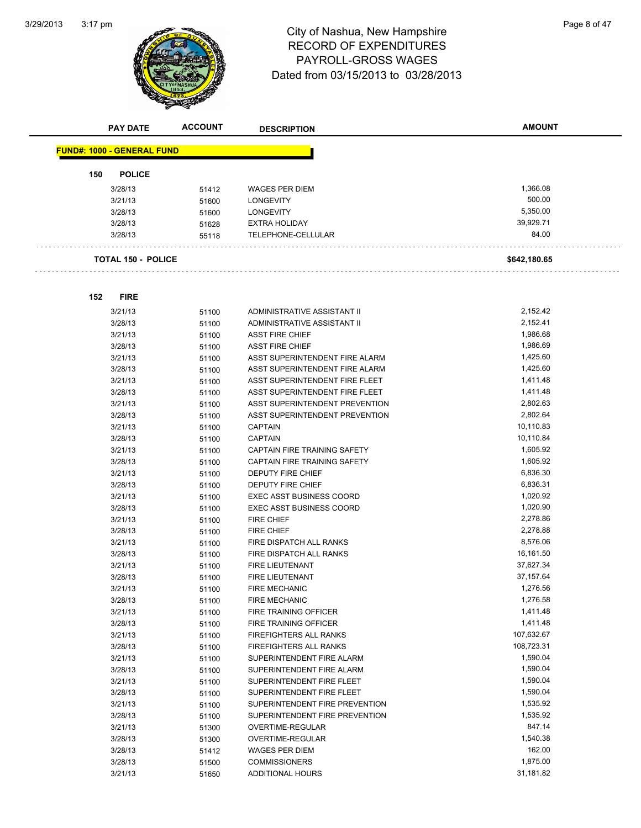

# 3:17 pm<br> **City of Nashua, New Hampshire** Page 8 of 47 RECORD OF EXPENDITURES PAYROLL-GROSS WAGES Dated from 03/15/2013 to 03/28/2013

| <b>PAY DATE</b>                   | <b>ACCOUNT</b> | <b>DESCRIPTION</b>              | <b>AMOUNT</b> |
|-----------------------------------|----------------|---------------------------------|---------------|
| <b>FUND#: 1000 - GENERAL FUND</b> |                |                                 |               |
| 150<br><b>POLICE</b>              |                |                                 |               |
| 3/28/13                           | 51412          | <b>WAGES PER DIEM</b>           | 1,366.08      |
| 3/21/13                           | 51600          | <b>LONGEVITY</b>                | 500.00        |
| 3/28/13                           | 51600          | <b>LONGEVITY</b>                | 5,350.00      |
| 3/28/13                           | 51628          | <b>EXTRA HOLIDAY</b>            | 39,929.71     |
| 3/28/13                           | 55118          | TELEPHONE-CELLULAR              | 84.00         |
| <b>TOTAL 150 - POLICE</b>         |                |                                 | \$642,180.65  |
|                                   |                |                                 |               |
| <b>FIRE</b><br>152                |                |                                 |               |
| 3/21/13                           | 51100          | ADMINISTRATIVE ASSISTANT II     | 2,152.42      |
| 3/28/13                           | 51100          | ADMINISTRATIVE ASSISTANT II     | 2,152.41      |
| 3/21/13                           | 51100          | <b>ASST FIRE CHIEF</b>          | 1,986.68      |
| 3/28/13                           | 51100          | <b>ASST FIRE CHIEF</b>          | 1,986.69      |
| 3/21/13                           | 51100          | ASST SUPERINTENDENT FIRE ALARM  | 1,425.60      |
| 3/28/13                           | 51100          | ASST SUPERINTENDENT FIRE ALARM  | 1,425.60      |
| 3/21/13                           | 51100          | ASST SUPERINTENDENT FIRE FLEET  | 1,411.48      |
| 3/28/13                           | 51100          | ASST SUPERINTENDENT FIRE FLEET  | 1,411.48      |
| 3/21/13                           | 51100          | ASST SUPERINTENDENT PREVENTION  | 2,802.63      |
| 3/28/13                           | 51100          | ASST SUPERINTENDENT PREVENTION  | 2,802.64      |
| 3/21/13                           | 51100          | <b>CAPTAIN</b>                  | 10,110.83     |
| 3/28/13                           | 51100          | <b>CAPTAIN</b>                  | 10,110.84     |
| 3/21/13                           | 51100          | CAPTAIN FIRE TRAINING SAFETY    | 1,605.92      |
| 3/28/13                           | 51100          | CAPTAIN FIRE TRAINING SAFETY    | 1,605.92      |
| 3/21/13                           | 51100          | <b>DEPUTY FIRE CHIEF</b>        | 6,836.30      |
| 3/28/13                           | 51100          | DEPUTY FIRE CHIEF               | 6,836.31      |
| 3/21/13                           | 51100          | <b>EXEC ASST BUSINESS COORD</b> | 1,020.92      |
| 3/28/13                           | 51100          | EXEC ASST BUSINESS COORD        | 1,020.90      |
| 3/21/13                           | 51100          | <b>FIRE CHIEF</b>               | 2,278.86      |
| 3/28/13                           | 51100          | <b>FIRE CHIEF</b>               | 2,278.88      |
| 3/21/13                           | 51100          | FIRE DISPATCH ALL RANKS         | 8,576.06      |
| 3/28/13                           | 51100          | FIRE DISPATCH ALL RANKS         | 16,161.50     |
| 3/21/13                           | 51100          | <b>FIRE LIEUTENANT</b>          | 37,627.34     |
| 3/28/13                           | 51100          | <b>FIRE LIEUTENANT</b>          | 37, 157.64    |
| 3/21/13                           | 51100          | FIRE MECHANIC                   | 1,276.56      |
| 3/28/13                           | 51100          | <b>FIRE MECHANIC</b>            | 1,276.58      |
| 3/21/13                           | 51100          | FIRE TRAINING OFFICER           | 1,411.48      |
| 3/28/13                           | 51100          | FIRE TRAINING OFFICER           | 1,411.48      |
| 3/21/13                           | 51100          | FIREFIGHTERS ALL RANKS          | 107,632.67    |
| 3/28/13                           | 51100          | FIREFIGHTERS ALL RANKS          | 108,723.31    |
| 3/21/13                           | 51100          | SUPERINTENDENT FIRE ALARM       | 1,590.04      |
| 3/28/13                           | 51100          | SUPERINTENDENT FIRE ALARM       | 1,590.04      |
| 3/21/13                           | 51100          | SUPERINTENDENT FIRE FLEET       | 1,590.04      |
| 3/28/13                           | 51100          | SUPERINTENDENT FIRE FLEET       | 1,590.04      |
| 3/21/13                           | 51100          | SUPERINTENDENT FIRE PREVENTION  | 1,535.92      |
| 3/28/13                           | 51100          | SUPERINTENDENT FIRE PREVENTION  | 1,535.92      |
| 3/21/13                           | 51300          | OVERTIME-REGULAR                | 847.14        |
| 3/28/13                           | 51300          | OVERTIME-REGULAR                | 1,540.38      |
| 3/28/13                           | 51412          | <b>WAGES PER DIEM</b>           | 162.00        |
| 3/28/13                           | 51500          | <b>COMMISSIONERS</b>            | 1,875.00      |
| 3/21/13                           | 51650          | <b>ADDITIONAL HOURS</b>         | 31,181.82     |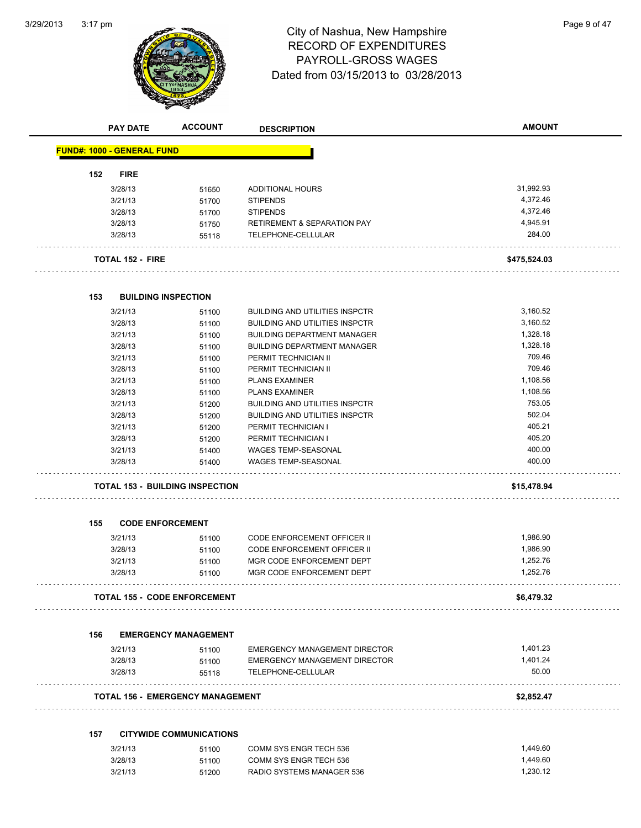

# 3:17 pm Page 9 of 47 RECORD OF EXPENDITURES PAYROLL-GROSS WAGES Dated from 03/15/2013 to 03/28/2013

|     | <b>PAY DATE</b>                   | <b>ACCOUNT</b>                          | <b>DESCRIPTION</b>                     | <b>AMOUNT</b> |
|-----|-----------------------------------|-----------------------------------------|----------------------------------------|---------------|
|     | <b>FUND#: 1000 - GENERAL FUND</b> |                                         |                                        |               |
| 152 | <b>FIRE</b>                       |                                         |                                        |               |
|     | 3/28/13                           | 51650                                   | <b>ADDITIONAL HOURS</b>                | 31,992.93     |
|     | 3/21/13                           | 51700                                   | <b>STIPENDS</b>                        | 4,372.46      |
|     | 3/28/13                           | 51700                                   | <b>STIPENDS</b>                        | 4,372.46      |
|     | 3/28/13                           | 51750                                   | <b>RETIREMENT &amp; SEPARATION PAY</b> | 4,945.91      |
|     | 3/28/13                           | 55118                                   | TELEPHONE-CELLULAR                     | 284.00        |
|     | <b>TOTAL 152 - FIRE</b>           |                                         |                                        | \$475,524.03  |
|     |                                   |                                         |                                        |               |
| 153 |                                   | <b>BUILDING INSPECTION</b>              |                                        |               |
|     | 3/21/13                           | 51100                                   | <b>BUILDING AND UTILITIES INSPCTR</b>  | 3,160.52      |
|     | 3/28/13                           | 51100                                   | <b>BUILDING AND UTILITIES INSPCTR</b>  | 3,160.52      |
|     | 3/21/13                           | 51100                                   | <b>BUILDING DEPARTMENT MANAGER</b>     | 1,328.18      |
|     | 3/28/13                           | 51100                                   | <b>BUILDING DEPARTMENT MANAGER</b>     | 1,328.18      |
|     | 3/21/13                           | 51100                                   | PERMIT TECHNICIAN II                   | 709.46        |
|     | 3/28/13                           | 51100                                   | PERMIT TECHNICIAN II                   | 709.46        |
|     | 3/21/13                           | 51100                                   | <b>PLANS EXAMINER</b>                  | 1,108.56      |
|     | 3/28/13                           | 51100                                   | <b>PLANS EXAMINER</b>                  | 1,108.56      |
|     | 3/21/13                           | 51200                                   | <b>BUILDING AND UTILITIES INSPCTR</b>  | 753.05        |
|     | 3/28/13                           | 51200                                   | <b>BUILDING AND UTILITIES INSPCTR</b>  | 502.04        |
|     | 3/21/13                           | 51200                                   | PERMIT TECHNICIAN I                    | 405.21        |
|     | 3/28/13                           | 51200                                   | PERMIT TECHNICIAN I                    | 405.20        |
|     | 3/21/13                           | 51400                                   | <b>WAGES TEMP-SEASONAL</b>             | 400.00        |
|     | 3/28/13                           | 51400                                   | <b>WAGES TEMP-SEASONAL</b>             | 400.00        |
|     |                                   | <b>TOTAL 153 - BUILDING INSPECTION</b>  |                                        | \$15,478.94   |
| 155 | <b>CODE ENFORCEMENT</b>           |                                         |                                        |               |
|     |                                   |                                         |                                        |               |
|     | 3/21/13                           | 51100                                   | <b>CODE ENFORCEMENT OFFICER II</b>     | 1,986.90      |
|     | 3/28/13                           | 51100                                   | <b>CODE ENFORCEMENT OFFICER II</b>     | 1,986.90      |
|     | 3/21/13                           | 51100                                   | MGR CODE ENFORCEMENT DEPT              | 1,252.76      |
|     | 3/28/13                           | 51100                                   | MGR CODE ENFORCEMENT DEPT              | 1,252.76      |
|     |                                   | <b>TOTAL 155 - CODE ENFORCEMENT</b>     |                                        | \$6,479.32    |
| 156 |                                   | <b>EMERGENCY MANAGEMENT</b>             |                                        |               |
|     | 3/21/13                           | 51100                                   | EMERGENCY MANAGEMENT DIRECTOR          | 1,401.23      |
|     | 3/28/13                           | 51100                                   | <b>EMERGENCY MANAGEMENT DIRECTOR</b>   | 1,401.24      |
|     | 3/28/13                           | 55118                                   | TELEPHONE-CELLULAR                     | 50.00         |
|     |                                   | <b>TOTAL 156 - EMERGENCY MANAGEMENT</b> | .                                      | \$2,852.47    |
|     |                                   |                                         |                                        |               |
| 157 |                                   | <b>CITYWIDE COMMUNICATIONS</b>          |                                        |               |
|     | 3/21/13                           | 51100                                   | COMM SYS ENGR TECH 536                 | 1,449.60      |
|     | 3/28/13                           | 51100                                   | COMM SYS ENGR TECH 536                 | 1,449.60      |
|     | 3/21/13                           | 51200                                   | RADIO SYSTEMS MANAGER 536              | 1,230.12      |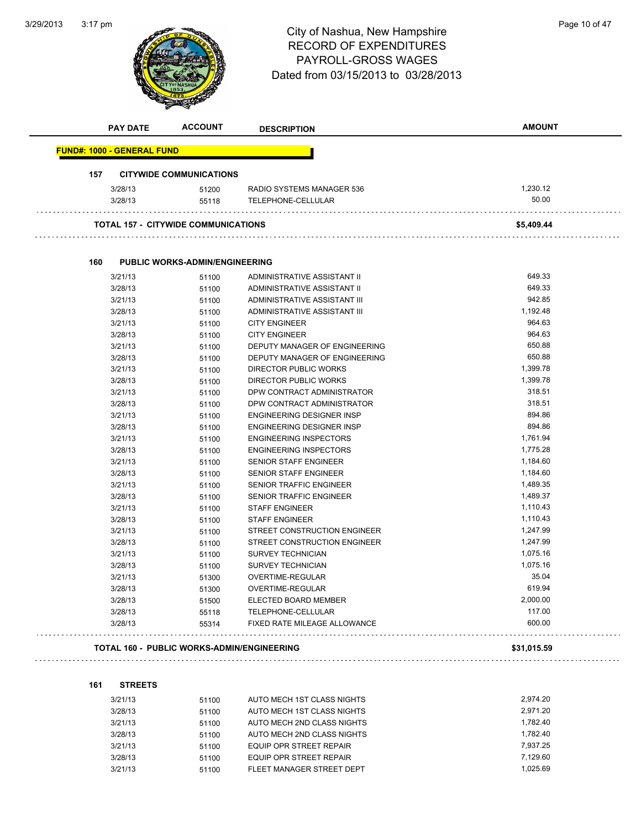

# 3:17 pm<br> **City of Nashua, New Hampshire** Page 10 of 47 RECORD OF EXPENDITURES PAYROLL-GROSS WAGES Dated from 03/15/2013 to 03/28/2013

|     | <b>PAY DATE</b>                   | <b>ACCOUNT</b>                             | <b>DESCRIPTION</b>               | <b>AMOUNT</b> |
|-----|-----------------------------------|--------------------------------------------|----------------------------------|---------------|
|     | <b>FUND#: 1000 - GENERAL FUND</b> |                                            |                                  |               |
|     |                                   |                                            |                                  |               |
| 157 |                                   | <b>CITYWIDE COMMUNICATIONS</b>             |                                  |               |
|     | 3/28/13                           | 51200                                      | RADIO SYSTEMS MANAGER 536        | 1,230.12      |
|     | 3/28/13                           | 55118                                      | TELEPHONE-CELLULAR               | 50.00         |
|     |                                   | <b>TOTAL 157 - CITYWIDE COMMUNICATIONS</b> |                                  | \$5,409.44    |
| 160 |                                   | <b>PUBLIC WORKS-ADMIN/ENGINEERING</b>      |                                  |               |
|     | 3/21/13                           | 51100                                      | ADMINISTRATIVE ASSISTANT II      | 649.33        |
|     | 3/28/13                           | 51100                                      | ADMINISTRATIVE ASSISTANT II      | 649.33        |
|     | 3/21/13                           | 51100                                      | ADMINISTRATIVE ASSISTANT III     | 942.85        |
|     | 3/28/13                           | 51100                                      | ADMINISTRATIVE ASSISTANT III     | 1,192.48      |
|     | 3/21/13                           | 51100                                      | <b>CITY ENGINEER</b>             | 964.63        |
|     | 3/28/13                           | 51100                                      | <b>CITY ENGINEER</b>             | 964.63        |
|     | 3/21/13                           | 51100                                      | DEPUTY MANAGER OF ENGINEERING    | 650.88        |
|     | 3/28/13                           | 51100                                      | DEPUTY MANAGER OF ENGINEERING    | 650.88        |
|     | 3/21/13                           | 51100                                      | DIRECTOR PUBLIC WORKS            | 1,399.78      |
|     | 3/28/13                           | 51100                                      | <b>DIRECTOR PUBLIC WORKS</b>     | 1,399.78      |
|     | 3/21/13                           | 51100                                      | DPW CONTRACT ADMINISTRATOR       | 318.51        |
|     | 3/28/13                           | 51100                                      | DPW CONTRACT ADMINISTRATOR       | 318.51        |
|     | 3/21/13                           | 51100                                      | <b>ENGINEERING DESIGNER INSP</b> | 894.86        |
|     | 3/28/13                           | 51100                                      | <b>ENGINEERING DESIGNER INSP</b> | 894.86        |
|     | 3/21/13                           | 51100                                      | <b>ENGINEERING INSPECTORS</b>    | 1,761.94      |
|     | 3/28/13                           | 51100                                      | <b>ENGINEERING INSPECTORS</b>    | 1,775.28      |
|     | 3/21/13                           | 51100                                      | <b>SENIOR STAFF ENGINEER</b>     | 1,184.60      |
|     | 3/28/13                           | 51100                                      | <b>SENIOR STAFF ENGINEER</b>     | 1,184.60      |
|     | 3/21/13                           | 51100                                      | SENIOR TRAFFIC ENGINEER          | 1,489.35      |
|     | 3/28/13                           | 51100                                      | <b>SENIOR TRAFFIC ENGINEER</b>   | 1,489.37      |
|     | 3/21/13                           | 51100                                      | <b>STAFF ENGINEER</b>            | 1,110.43      |
|     | 3/28/13                           | 51100                                      | <b>STAFF ENGINEER</b>            | 1,110.43      |
|     | 3/21/13                           | 51100                                      | STREET CONSTRUCTION ENGINEER     | 1,247.99      |
|     | 3/28/13                           | 51100                                      | STREET CONSTRUCTION ENGINEER     | 1,247.99      |
|     | 3/21/13                           | 51100                                      | <b>SURVEY TECHNICIAN</b>         | 1,075.16      |
|     | 3/28/13                           | 51100                                      | <b>SURVEY TECHNICIAN</b>         | 1,075.16      |
|     | 3/21/13                           | 51300                                      | <b>OVERTIME-REGULAR</b>          | 35.04         |
|     | 3/28/13                           | 51300                                      | <b>OVERTIME-REGULAR</b>          | 619.94        |

3/28/13 55314 FIXED RATE MILEAGE ALLOWANCE 600.00 **TOTAL 160 - PUBLIC WORKS-ADMIN/ENGINEERING \$31,015.59**

**161 STREETS**

| 3/21/13 | 51100 | AUTO MECH 1ST CLASS NIGHTS | 2.974.20 |
|---------|-------|----------------------------|----------|
| 3/28/13 | 51100 | AUTO MECH 1ST CLASS NIGHTS | 2,971.20 |
| 3/21/13 | 51100 | AUTO MECH 2ND CLASS NIGHTS | 1.782.40 |
| 3/28/13 | 51100 | AUTO MECH 2ND CLASS NIGHTS | 1,782.40 |
| 3/21/13 | 51100 | EQUIP OPR STREET REPAIR    | 7.937.25 |
| 3/28/13 | 51100 | EQUIP OPR STREET REPAIR    | 7.129.60 |
| 3/21/13 | 51100 | FLEET MANAGER STREET DEPT  | 1.025.69 |

3/28/13 51500 ELECTED BOARD MEMBER 2,000.00 3/28/13 55118 TELEPHONE-CELLULAR 117.00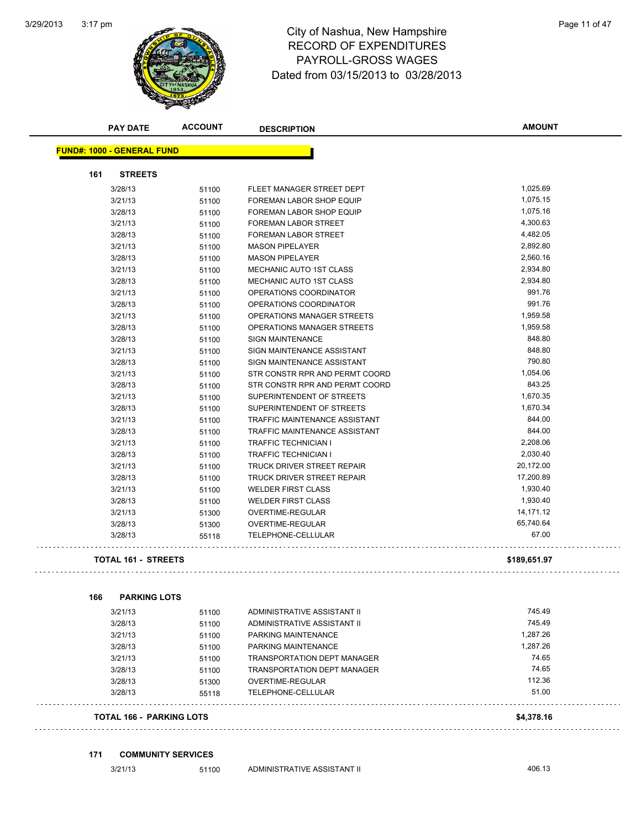

#### 3:17 pm<br> **City of Nashua, New Hampshire** Page 11 of 47 RECORD OF EXPENDITURES PAYROLL-GROSS WAGES Dated from 03/15/2013 to 03/28/2013

| 161 | <b>STREETS</b>                  |       |                                    |              |
|-----|---------------------------------|-------|------------------------------------|--------------|
|     | 3/28/13                         | 51100 | FLEET MANAGER STREET DEPT          | 1,025.69     |
|     | 3/21/13                         | 51100 | FOREMAN LABOR SHOP EQUIP           | 1,075.15     |
|     | 3/28/13                         | 51100 | FOREMAN LABOR SHOP EQUIP           | 1,075.16     |
|     | 3/21/13                         | 51100 | FOREMAN LABOR STREET               | 4,300.63     |
|     | 3/28/13                         | 51100 | FOREMAN LABOR STREET               | 4,482.05     |
|     | 3/21/13                         | 51100 | <b>MASON PIPELAYER</b>             | 2,892.80     |
|     | 3/28/13                         | 51100 | <b>MASON PIPELAYER</b>             | 2,560.16     |
|     | 3/21/13                         | 51100 | MECHANIC AUTO 1ST CLASS            | 2,934.80     |
|     | 3/28/13                         | 51100 | MECHANIC AUTO 1ST CLASS            | 2,934.80     |
|     | 3/21/13                         | 51100 | OPERATIONS COORDINATOR             | 991.76       |
|     | 3/28/13                         | 51100 | OPERATIONS COORDINATOR             | 991.76       |
|     | 3/21/13                         | 51100 | OPERATIONS MANAGER STREETS         | 1,959.58     |
|     | 3/28/13                         | 51100 | OPERATIONS MANAGER STREETS         | 1,959.58     |
|     | 3/28/13                         | 51100 | <b>SIGN MAINTENANCE</b>            | 848.80       |
|     | 3/21/13                         | 51100 | SIGN MAINTENANCE ASSISTANT         | 848.80       |
|     | 3/28/13                         | 51100 | SIGN MAINTENANCE ASSISTANT         | 790.80       |
|     | 3/21/13                         | 51100 | STR CONSTR RPR AND PERMT COORD     | 1,054.06     |
|     | 3/28/13                         | 51100 | STR CONSTR RPR AND PERMT COORD     | 843.25       |
|     | 3/21/13                         | 51100 | SUPERINTENDENT OF STREETS          | 1,670.35     |
|     | 3/28/13                         | 51100 | SUPERINTENDENT OF STREETS          | 1,670.34     |
|     | 3/21/13                         | 51100 | TRAFFIC MAINTENANCE ASSISTANT      | 844.00       |
|     | 3/28/13                         | 51100 | TRAFFIC MAINTENANCE ASSISTANT      | 844.00       |
|     | 3/21/13                         | 51100 | <b>TRAFFIC TECHNICIAN I</b>        | 2,208.06     |
|     | 3/28/13                         | 51100 | <b>TRAFFIC TECHNICIAN I</b>        | 2,030.40     |
|     | 3/21/13                         | 51100 | TRUCK DRIVER STREET REPAIR         | 20,172.00    |
|     | 3/28/13                         | 51100 | TRUCK DRIVER STREET REPAIR         | 17,200.89    |
|     | 3/21/13                         | 51100 | <b>WELDER FIRST CLASS</b>          | 1,930.40     |
|     | 3/28/13                         | 51100 | <b>WELDER FIRST CLASS</b>          | 1,930.40     |
|     | 3/21/13                         | 51300 | OVERTIME-REGULAR                   | 14,171.12    |
|     | 3/28/13                         | 51300 | OVERTIME-REGULAR                   | 65,740.64    |
|     | 3/28/13                         | 55118 | TELEPHONE-CELLULAR                 | 67.00        |
|     | <b>TOTAL 161 - STREETS</b>      |       |                                    | \$189,651.97 |
| 166 | <b>PARKING LOTS</b>             |       |                                    |              |
|     | 3/21/13                         | 51100 | ADMINISTRATIVE ASSISTANT II        | 745.49       |
|     | 3/28/13                         | 51100 | ADMINISTRATIVE ASSISTANT II        | 745.49       |
|     | 3/21/13                         | 51100 | PARKING MAINTENANCE                | 1,287.26     |
|     | 3/28/13                         | 51100 | PARKING MAINTENANCE                | 1,287.26     |
|     | 3/21/13                         | 51100 | <b>TRANSPORTATION DEPT MANAGER</b> | 74.65        |
|     | 3/28/13                         | 51100 | <b>TRANSPORTATION DEPT MANAGER</b> | 74.65        |
|     | 3/28/13                         | 51300 | OVERTIME-REGULAR                   | 112.36       |
|     | 3/28/13                         | 55118 | TELEPHONE-CELLULAR                 | 51.00        |
|     |                                 |       |                                    |              |
|     | <b>TOTAL 166 - PARKING LOTS</b> |       |                                    | \$4,378.16   |

**171 COMMUNITY SERVICES**

3/21/13 51100 ADMINISTRATIVE ASSISTANT II 406.13

**AMOUNT**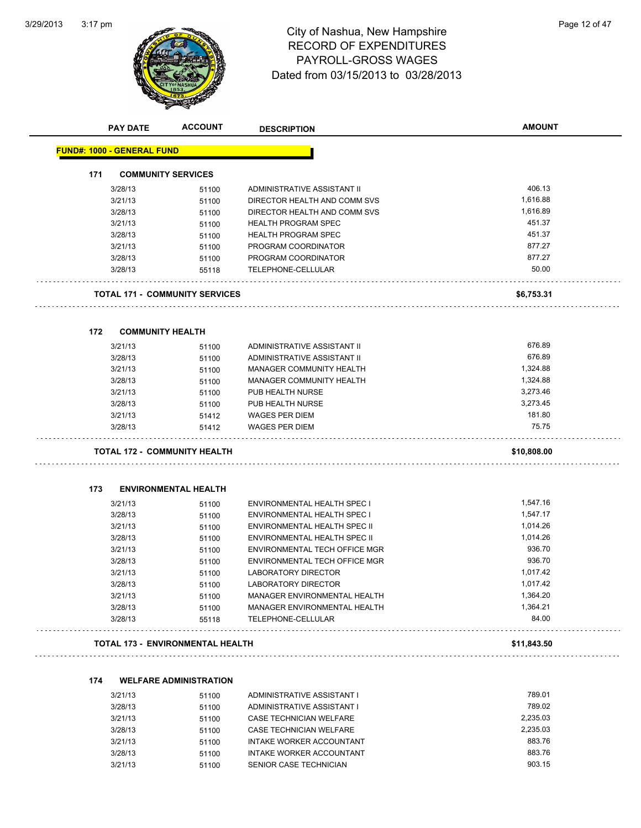

# 3:17 pm<br> **City of Nashua, New Hampshire** Page 12 of 47 RECORD OF EXPENDITURES PAYROLL-GROSS WAGES Dated from 03/15/2013 to 03/28/2013

|                                   | PAY DATE | <b>ACCOUNT</b>                          | <b>DESCRIPTION</b>                  | <b>AMOUNT</b> |
|-----------------------------------|----------|-----------------------------------------|-------------------------------------|---------------|
| <b>FUND#: 1000 - GENERAL FUND</b> |          |                                         |                                     |               |
| 171                               |          | <b>COMMUNITY SERVICES</b>               |                                     |               |
|                                   | 3/28/13  | 51100                                   | ADMINISTRATIVE ASSISTANT II         | 406.13        |
|                                   | 3/21/13  | 51100                                   | DIRECTOR HEALTH AND COMM SVS        | 1,616.88      |
|                                   | 3/28/13  | 51100                                   | DIRECTOR HEALTH AND COMM SVS        | 1,616.89      |
|                                   | 3/21/13  | 51100                                   | <b>HEALTH PROGRAM SPEC</b>          | 451.37        |
|                                   | 3/28/13  | 51100                                   | <b>HEALTH PROGRAM SPEC</b>          | 451.37        |
|                                   | 3/21/13  | 51100                                   | PROGRAM COORDINATOR                 | 877.27        |
|                                   | 3/28/13  | 51100                                   | PROGRAM COORDINATOR                 | 877.27        |
|                                   | 3/28/13  | 55118                                   | TELEPHONE-CELLULAR                  | 50.00         |
|                                   |          | <b>TOTAL 171 - COMMUNITY SERVICES</b>   |                                     | \$6,753.31    |
| 172                               |          | <b>COMMUNITY HEALTH</b>                 |                                     |               |
|                                   | 3/21/13  | 51100                                   | ADMINISTRATIVE ASSISTANT II         | 676.89        |
|                                   | 3/28/13  | 51100                                   | ADMINISTRATIVE ASSISTANT II         | 676.89        |
|                                   | 3/21/13  | 51100                                   | <b>MANAGER COMMUNITY HEALTH</b>     | 1,324.88      |
|                                   | 3/28/13  | 51100                                   | MANAGER COMMUNITY HEALTH            | 1,324.88      |
|                                   | 3/21/13  | 51100                                   | PUB HEALTH NURSE                    | 3,273.46      |
|                                   | 3/28/13  | 51100                                   | PUB HEALTH NURSE                    | 3,273.45      |
|                                   | 3/21/13  | 51412                                   | <b>WAGES PER DIEM</b>               | 181.80        |
|                                   | 3/28/13  | 51412                                   | <b>WAGES PER DIEM</b>               | 75.75         |
|                                   |          | <b>TOTAL 172 - COMMUNITY HEALTH</b>     |                                     | \$10,808.00   |
|                                   |          |                                         |                                     |               |
| 173                               |          | <b>ENVIRONMENTAL HEALTH</b>             |                                     |               |
|                                   | 3/21/13  | 51100                                   | ENVIRONMENTAL HEALTH SPEC I         | 1,547.16      |
|                                   | 3/28/13  | 51100                                   | ENVIRONMENTAL HEALTH SPEC I         | 1,547.17      |
|                                   | 3/21/13  | 51100                                   | <b>ENVIRONMENTAL HEALTH SPEC II</b> | 1,014.26      |
|                                   | 3/28/13  | 51100                                   | ENVIRONMENTAL HEALTH SPEC II        | 1,014.26      |
|                                   | 3/21/13  | 51100                                   | ENVIRONMENTAL TECH OFFICE MGR       | 936.70        |
|                                   | 3/28/13  | 51100                                   | ENVIRONMENTAL TECH OFFICE MGR       | 936.70        |
|                                   | 3/21/13  | 51100                                   | LABORATORY DIRECTOR                 | 1,017.42      |
|                                   | 3/28/13  | 51100                                   | <b>LABORATORY DIRECTOR</b>          | 1,017.42      |
|                                   | 3/21/13  | 51100                                   | MANAGER ENVIRONMENTAL HEALTH        | 1,364.20      |
|                                   | 3/28/13  | 51100                                   | MANAGER ENVIRONMENTAL HEALTH        | 1,364.21      |
|                                   | 3/28/13  | 55118                                   | TELEPHONE-CELLULAR                  | 84.00         |
|                                   |          | <b>TOTAL 173 - ENVIRONMENTAL HEALTH</b> |                                     | \$11,843.50   |
|                                   |          |                                         |                                     |               |
| 174                               |          | <b>WELFARE ADMINISTRATION</b>           |                                     |               |
|                                   | 3/21/13  | 51100                                   | ADMINISTRATIVE ASSISTANT I          | 789.01        |
|                                   | 3/28/13  | 51100                                   | ADMINISTRATIVE ASSISTANT I          | 789.02        |
|                                   | 3/21/13  | 51100                                   | CASE TECHNICIAN WELFARE             | 2,235.03      |
|                                   | 3/28/13  | 51100                                   | CASE TECHNICIAN WELFARE             | 2,235.03      |
|                                   | 3/21/13  | 51100                                   | INTAKE WORKER ACCOUNTANT            | 883.76        |

3/28/13 51100 INTAKE WORKER ACCOUNTANT 883.76 3/21/13 51100 SENIOR CASE TECHNICIAN 903.15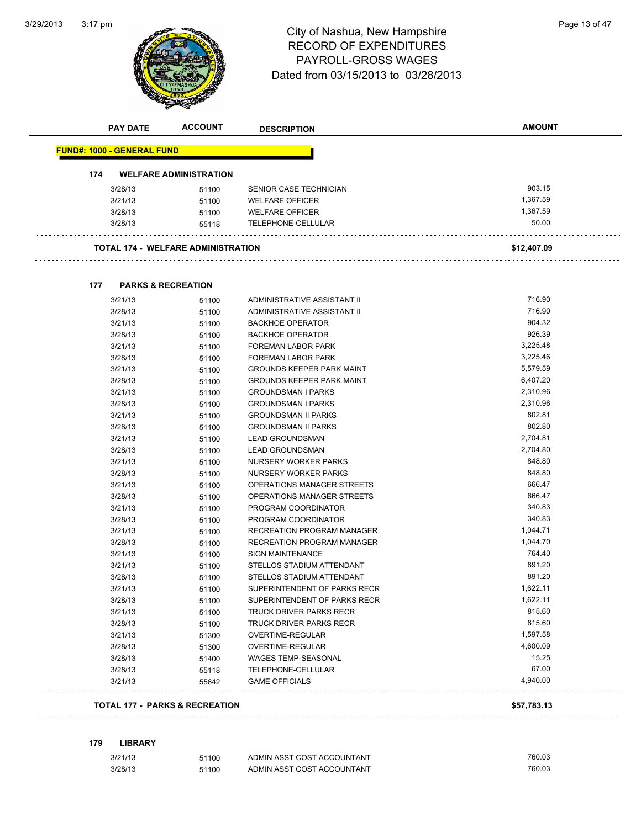$\sim$   $\sim$ 



# 3:17 pm<br> **City of Nashua, New Hampshire** Page 13 of 47 RECORD OF EXPENDITURES PAYROLL-GROSS WAGES Dated from 03/15/2013 to 03/28/2013

| <b>PAY DATE</b>                   | <b>ACCOUNT</b>                            | <b>DESCRIPTION</b>                                      | AMOUNT               |
|-----------------------------------|-------------------------------------------|---------------------------------------------------------|----------------------|
| <b>FUND#: 1000 - GENERAL FUND</b> |                                           |                                                         |                      |
| 174                               | <b>WELFARE ADMINISTRATION</b>             |                                                         |                      |
| 3/28/13                           | 51100                                     | SENIOR CASE TECHNICIAN                                  | 903.15               |
| 3/21/13                           | 51100                                     | <b>WELFARE OFFICER</b>                                  | 1,367.59             |
| 3/28/13                           | 51100                                     | <b>WELFARE OFFICER</b>                                  | 1,367.59             |
| 3/28/13                           | 55118                                     | TELEPHONE-CELLULAR                                      | 50.00                |
|                                   | <b>TOTAL 174 - WELFARE ADMINISTRATION</b> |                                                         | \$12,407.09          |
|                                   |                                           |                                                         |                      |
| 177                               | <b>PARKS &amp; RECREATION</b>             |                                                         |                      |
| 3/21/13                           | 51100                                     | ADMINISTRATIVE ASSISTANT II                             | 716.90               |
| 3/28/13                           | 51100                                     | ADMINISTRATIVE ASSISTANT II                             | 716.90               |
| 3/21/13                           | 51100                                     | <b>BACKHOE OPERATOR</b>                                 | 904.32               |
| 3/28/13                           | 51100                                     | <b>BACKHOE OPERATOR</b>                                 | 926.39               |
| 3/21/13                           | 51100                                     | <b>FOREMAN LABOR PARK</b>                               | 3,225.48             |
| 3/28/13                           | 51100                                     | <b>FOREMAN LABOR PARK</b>                               | 3,225.46<br>5,579.59 |
| 3/21/13                           | 51100                                     | <b>GROUNDS KEEPER PARK MAINT</b>                        |                      |
| 3/28/13                           | 51100                                     | <b>GROUNDS KEEPER PARK MAINT</b>                        | 6,407.20<br>2,310.96 |
| 3/21/13<br>3/28/13                | 51100                                     | <b>GROUNDSMAN I PARKS</b>                               | 2,310.96             |
|                                   | 51100                                     | <b>GROUNDSMAN I PARKS</b><br><b>GROUNDSMAN II PARKS</b> | 802.81               |
| 3/21/13<br>3/28/13                | 51100                                     | <b>GROUNDSMAN II PARKS</b>                              | 802.80               |
| 3/21/13                           | 51100                                     | <b>LEAD GROUNDSMAN</b>                                  | 2,704.81             |
| 3/28/13                           | 51100                                     | <b>LEAD GROUNDSMAN</b>                                  | 2,704.80             |
| 3/21/13                           | 51100<br>51100                            | NURSERY WORKER PARKS                                    | 848.80               |
| 3/28/13                           | 51100                                     | NURSERY WORKER PARKS                                    | 848.80               |
| 3/21/13                           | 51100                                     | OPERATIONS MANAGER STREETS                              | 666.47               |
| 3/28/13                           | 51100                                     | OPERATIONS MANAGER STREETS                              | 666.47               |
| 3/21/13                           | 51100                                     | PROGRAM COORDINATOR                                     | 340.83               |
| 3/28/13                           | 51100                                     | PROGRAM COORDINATOR                                     | 340.83               |
| 3/21/13                           | 51100                                     | RECREATION PROGRAM MANAGER                              | 1,044.71             |
| 3/28/13                           | 51100                                     | RECREATION PROGRAM MANAGER                              | 1,044.70             |
| 3/21/13                           | 51100                                     | <b>SIGN MAINTENANCE</b>                                 | 764.40               |
| 3/21/13                           | 51100                                     | STELLOS STADIUM ATTENDANT                               | 891.20               |
| 3/28/13                           | 51100                                     | STELLOS STADIUM ATTENDANT                               | 891.20               |
| 3/21/13                           | 51100                                     | SUPERINTENDENT OF PARKS RECR                            | 1,622.11             |
| 3/28/13                           | 51100                                     | SUPERINTENDENT OF PARKS RECR                            | 1,622.11             |
| 3/21/13                           | 51100                                     | <b>TRUCK DRIVER PARKS RECR</b>                          | 815.60               |
| 3/28/13                           | 51100                                     | TRUCK DRIVER PARKS RECR                                 | 815.60               |
| 3/21/13                           | 51300                                     | OVERTIME-REGULAR                                        | 1,597.58             |
| 3/28/13                           | 51300                                     | OVERTIME-REGULAR                                        | 4,600.09             |
| 3/28/13                           | 51400                                     | WAGES TEMP-SEASONAL                                     | 15.25                |
| 3/28/13                           | 55118                                     | TELEPHONE-CELLULAR                                      | 67.00                |
| 3/21/13                           | 55642                                     | <b>GAME OFFICIALS</b>                                   | 4,940.00             |
|                                   |                                           |                                                         |                      |

| 3/21/13 | 51100 | ADMIN ASST COST ACCOUNTANT | 760.03 |
|---------|-------|----------------------------|--------|
| 3/28/13 | 51100 | ADMIN ASST COST ACCOUNTANT | 760.03 |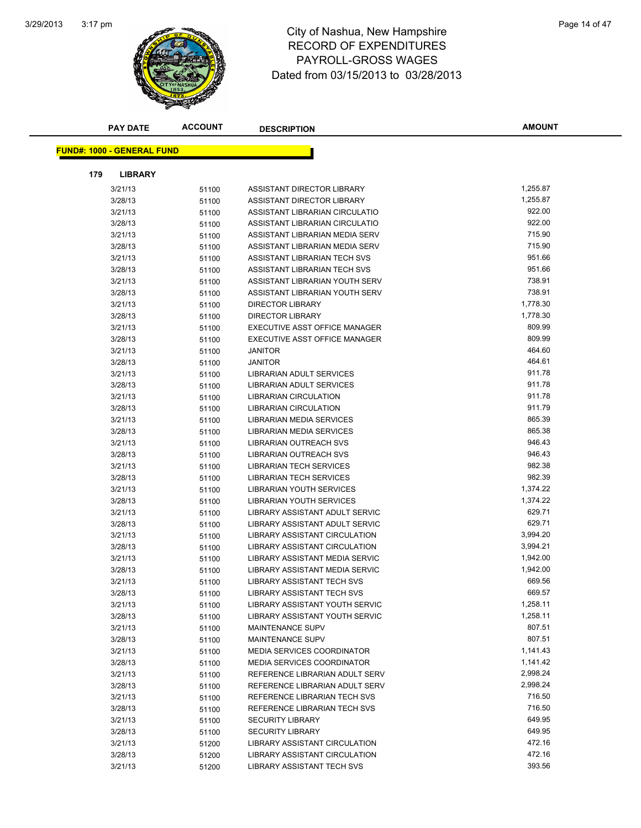

# 3:17 pm<br> **City of Nashua, New Hampshire** Page 14 of 47 RECORD OF EXPENDITURES PAYROLL-GROSS WAGES Dated from 03/15/2013 to 03/28/2013

|     | <b>PAY DATE</b>                   | <b>ACCOUNT</b> | <b>DESCRIPTION</b>                    | <b>AMOUNT</b> |
|-----|-----------------------------------|----------------|---------------------------------------|---------------|
|     |                                   |                |                                       |               |
|     | <b>FUND#: 1000 - GENERAL FUND</b> |                |                                       |               |
| 179 | <b>LIBRARY</b>                    |                |                                       |               |
|     | 3/21/13                           | 51100          | ASSISTANT DIRECTOR LIBRARY            | 1,255.87      |
|     | 3/28/13                           | 51100          | ASSISTANT DIRECTOR LIBRARY            | 1,255.87      |
|     | 3/21/13                           | 51100          | ASSISTANT LIBRARIAN CIRCULATIO        | 922.00        |
|     | 3/28/13                           | 51100          | ASSISTANT LIBRARIAN CIRCULATIO        | 922.00        |
|     | 3/21/13                           | 51100          | ASSISTANT LIBRARIAN MEDIA SERV        | 715.90        |
|     | 3/28/13                           | 51100          | ASSISTANT LIBRARIAN MEDIA SERV        | 715.90        |
|     | 3/21/13                           | 51100          | ASSISTANT LIBRARIAN TECH SVS          | 951.66        |
|     | 3/28/13                           | 51100          | ASSISTANT LIBRARIAN TECH SVS          | 951.66        |
|     | 3/21/13                           | 51100          | ASSISTANT LIBRARIAN YOUTH SERV        | 738.91        |
|     | 3/28/13                           | 51100          | ASSISTANT LIBRARIAN YOUTH SERV        | 738.91        |
|     | 3/21/13                           | 51100          | <b>DIRECTOR LIBRARY</b>               | 1,778.30      |
|     | 3/28/13                           | 51100          | <b>DIRECTOR LIBRARY</b>               | 1,778.30      |
|     | 3/21/13                           | 51100          | <b>EXECUTIVE ASST OFFICE MANAGER</b>  | 809.99        |
|     | 3/28/13                           | 51100          | EXECUTIVE ASST OFFICE MANAGER         | 809.99        |
|     | 3/21/13                           | 51100          | <b>JANITOR</b>                        | 464.60        |
|     | 3/28/13                           | 51100          | <b>JANITOR</b>                        | 464.61        |
|     | 3/21/13                           | 51100          | LIBRARIAN ADULT SERVICES              | 911.78        |
|     | 3/28/13                           | 51100          | LIBRARIAN ADULT SERVICES              | 911.78        |
|     | 3/21/13                           | 51100          | <b>LIBRARIAN CIRCULATION</b>          | 911.78        |
|     | 3/28/13                           | 51100          | <b>LIBRARIAN CIRCULATION</b>          | 911.79        |
|     | 3/21/13                           | 51100          | <b>LIBRARIAN MEDIA SERVICES</b>       | 865.39        |
|     | 3/28/13                           | 51100          | LIBRARIAN MEDIA SERVICES              | 865.38        |
|     | 3/21/13                           | 51100          | LIBRARIAN OUTREACH SVS                | 946.43        |
|     | 3/28/13                           | 51100          | <b>LIBRARIAN OUTREACH SVS</b>         | 946.43        |
|     | 3/21/13                           | 51100          | <b>LIBRARIAN TECH SERVICES</b>        | 982.38        |
|     | 3/28/13                           | 51100          | <b>LIBRARIAN TECH SERVICES</b>        | 982.39        |
|     | 3/21/13                           | 51100          | LIBRARIAN YOUTH SERVICES              | 1,374.22      |
|     | 3/28/13                           | 51100          | LIBRARIAN YOUTH SERVICES              | 1,374.22      |
|     | 3/21/13                           | 51100          | LIBRARY ASSISTANT ADULT SERVIC        | 629.71        |
|     | 3/28/13                           | 51100          | LIBRARY ASSISTANT ADULT SERVIC        | 629.71        |
|     | 3/21/13                           | 51100          | LIBRARY ASSISTANT CIRCULATION         | 3,994.20      |
|     | 3/28/13                           | 51100          | LIBRARY ASSISTANT CIRCULATION         | 3,994.21      |
|     | 3/21/13                           | 51100          | LIBRARY ASSISTANT MEDIA SERVIC        | 1,942.00      |
|     | 3/28/13                           | 51100          | <b>LIBRARY ASSISTANT MEDIA SERVIC</b> | 1,942.00      |
|     | 3/21/13                           | 51100          | <b>LIBRARY ASSISTANT TECH SVS</b>     | 669.56        |
|     | 3/28/13                           | 51100          | LIBRARY ASSISTANT TECH SVS            | 669.57        |
|     | 3/21/13                           | 51100          | LIBRARY ASSISTANT YOUTH SERVIC        | 1,258.11      |
|     | 3/28/13                           | 51100          | LIBRARY ASSISTANT YOUTH SERVIC        | 1,258.11      |
|     | 3/21/13                           | 51100          | <b>MAINTENANCE SUPV</b>               | 807.51        |
|     | 3/28/13                           | 51100          | MAINTENANCE SUPV                      | 807.51        |
|     | 3/21/13                           | 51100          | <b>MEDIA SERVICES COORDINATOR</b>     | 1,141.43      |
|     | 3/28/13                           | 51100          | <b>MEDIA SERVICES COORDINATOR</b>     | 1,141.42      |
|     | 3/21/13                           | 51100          | REFERENCE LIBRARIAN ADULT SERV        | 2,998.24      |
|     | 3/28/13                           | 51100          | REFERENCE LIBRARIAN ADULT SERV        | 2,998.24      |
|     | 3/21/13                           | 51100          | REFERENCE LIBRARIAN TECH SVS          | 716.50        |
|     | 3/28/13                           | 51100          | REFERENCE LIBRARIAN TECH SVS          | 716.50        |
|     | 3/21/13                           | 51100          | <b>SECURITY LIBRARY</b>               | 649.95        |
|     | 3/28/13                           | 51100          | <b>SECURITY LIBRARY</b>               | 649.95        |
|     | 3/21/13                           | 51200          | LIBRARY ASSISTANT CIRCULATION         | 472.16        |
|     | 3/28/13                           | 51200          | LIBRARY ASSISTANT CIRCULATION         | 472.16        |
|     | 3/21/13                           | 51200          | LIBRARY ASSISTANT TECH SVS            | 393.56        |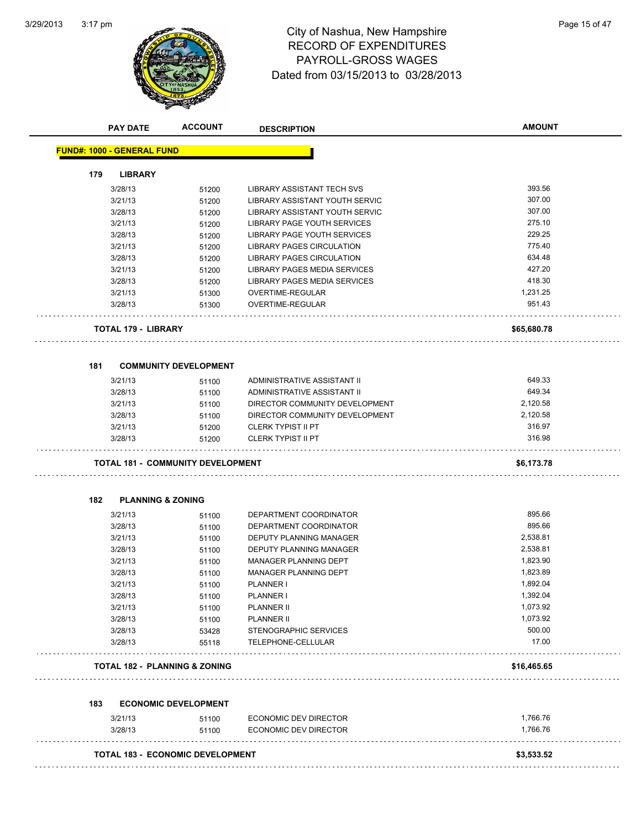

# 3:17 pm<br> **City of Nashua, New Hampshire** Page 15 of 47 RECORD OF EXPENDITURES PAYROLL-GROSS WAGES Dated from 03/15/2013 to 03/28/2013

|         | <b>PAY DATE</b>                          | <b>ACCOUNT</b> | <b>DESCRIPTION</b>                  | <b>AMOUNT</b> |
|---------|------------------------------------------|----------------|-------------------------------------|---------------|
|         | <b>FUND#: 1000 - GENERAL FUND</b>        |                |                                     |               |
|         |                                          |                |                                     |               |
| 179     | <b>LIBRARY</b>                           |                |                                     |               |
|         | 3/28/13                                  | 51200          | LIBRARY ASSISTANT TECH SVS          | 393.56        |
| 3/21/13 |                                          | 51200          | LIBRARY ASSISTANT YOUTH SERVIC      | 307.00        |
|         | 3/28/13                                  | 51200          | LIBRARY ASSISTANT YOUTH SERVIC      | 307.00        |
|         | 3/21/13                                  | 51200          | LIBRARY PAGE YOUTH SERVICES         | 275.10        |
|         | 3/28/13                                  | 51200          | LIBRARY PAGE YOUTH SERVICES         | 229.25        |
| 3/21/13 |                                          | 51200          | <b>LIBRARY PAGES CIRCULATION</b>    | 775.40        |
| 3/28/13 |                                          | 51200          | LIBRARY PAGES CIRCULATION           | 634.48        |
| 3/21/13 |                                          | 51200          | <b>LIBRARY PAGES MEDIA SERVICES</b> | 427.20        |
|         | 3/28/13                                  | 51200          | LIBRARY PAGES MEDIA SERVICES        | 418.30        |
|         | 3/21/13                                  | 51300          | OVERTIME-REGULAR                    | 1,231.25      |
|         | 3/28/13                                  | 51300          | OVERTIME-REGULAR                    | 951.43        |
|         | <b>TOTAL 179 - LIBRARY</b>               |                |                                     | \$65,680.78   |
| 181     | <b>COMMUNITY DEVELOPMENT</b>             |                |                                     |               |
| 3/21/13 |                                          | 51100          | ADMINISTRATIVE ASSISTANT II         | 649.33        |
|         | 3/28/13                                  | 51100          | ADMINISTRATIVE ASSISTANT II         | 649.34        |
|         | 3/21/13                                  | 51100          | DIRECTOR COMMUNITY DEVELOPMENT      | 2,120.58      |
|         | 3/28/13                                  | 51100          | DIRECTOR COMMUNITY DEVELOPMENT      | 2,120.58      |
|         | 3/21/13                                  | 51200          | <b>CLERK TYPIST II PT</b>           | 316.97        |
| 3/28/13 |                                          | 51200          | <b>CLERK TYPIST II PT</b>           | 316.98        |
|         |                                          |                |                                     | \$6,173.78    |
|         | <b>TOTAL 181 - COMMUNITY DEVELOPMENT</b> |                |                                     |               |
|         |                                          |                |                                     |               |
| 182     | <b>PLANNING &amp; ZONING</b>             |                |                                     |               |
| 3/21/13 |                                          | 51100          | DEPARTMENT COORDINATOR              | 895.66        |
| 3/28/13 |                                          | 51100          | DEPARTMENT COORDINATOR              | 895.66        |
|         | 3/21/13                                  | 51100          | DEPUTY PLANNING MANAGER             | 2,538.81      |
|         | 3/28/13                                  | 51100          | DEPUTY PLANNING MANAGER             | 2,538.81      |
|         | 3/21/13                                  | 51100          | <b>MANAGER PLANNING DEPT</b>        | 1,823.90      |
|         | 3/28/13                                  | 51100          | MANAGER PLANNING DEPT               | 1,823.89      |
|         | 3/21/13                                  | 51100          | <b>PLANNER I</b>                    | 1,892.04      |
|         | 3/28/13                                  | 51100          | PLANNER I                           | 1,392.04      |
|         | 3/21/13                                  | 51100          | <b>PLANNER II</b>                   | 1,073.92      |
|         | 3/28/13                                  | 51100          | PLANNER II                          | 1,073.92      |
|         | 3/28/13                                  | 53428          | STENOGRAPHIC SERVICES               | 500.00        |
|         | 3/28/13                                  | 55118          | TELEPHONE-CELLULAR                  | 17.00         |
|         | <b>TOTAL 182 - PLANNING &amp; ZONING</b> |                |                                     | \$16,465.65   |
| 183     | <b>ECONOMIC DEVELOPMENT</b>              |                |                                     |               |
|         | 3/21/13                                  | 51100          | ECONOMIC DEV DIRECTOR               | 1,766.76      |

#### **TOTAL 183 - ECONOMIC DEVELOPMENT \$3,533.52**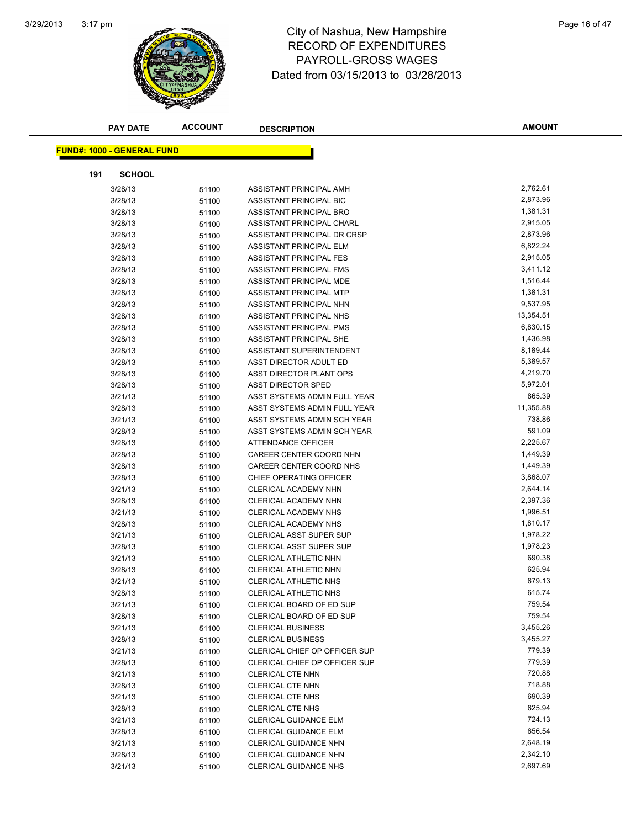

#### 3:17 pm<br> **City of Nashua, New Hampshire** Page 16 of 47 RECORD OF EXPENDITURES PAYROLL-GROSS WAGES Dated from 03/15/2013 to 03/28/2013

|     | <b>PAY DATE</b>                   | <b>ACCOUNT</b> | <b>DESCRIPTION</b>                                       | <b>AMOUNT</b>    |
|-----|-----------------------------------|----------------|----------------------------------------------------------|------------------|
|     |                                   |                |                                                          |                  |
|     | <b>FUND#: 1000 - GENERAL FUND</b> |                |                                                          |                  |
| 191 | <b>SCHOOL</b>                     |                |                                                          |                  |
|     | 3/28/13                           | 51100          | ASSISTANT PRINCIPAL AMH                                  | 2,762.61         |
|     | 3/28/13                           | 51100          | ASSISTANT PRINCIPAL BIC                                  | 2,873.96         |
|     | 3/28/13                           | 51100          | ASSISTANT PRINCIPAL BRO                                  | 1,381.31         |
|     | 3/28/13                           | 51100          | ASSISTANT PRINCIPAL CHARL                                | 2,915.05         |
|     | 3/28/13                           | 51100          | ASSISTANT PRINCIPAL DR CRSP                              | 2,873.96         |
|     | 3/28/13                           | 51100          | ASSISTANT PRINCIPAL ELM                                  | 6,822.24         |
|     | 3/28/13                           | 51100          | ASSISTANT PRINCIPAL FES                                  | 2,915.05         |
|     | 3/28/13                           | 51100          | ASSISTANT PRINCIPAL FMS                                  | 3,411.12         |
|     | 3/28/13                           | 51100          | ASSISTANT PRINCIPAL MDE                                  | 1,516.44         |
|     | 3/28/13                           | 51100          | ASSISTANT PRINCIPAL MTP                                  | 1,381.31         |
|     | 3/28/13                           | 51100          | ASSISTANT PRINCIPAL NHN                                  | 9,537.95         |
|     | 3/28/13                           | 51100          | ASSISTANT PRINCIPAL NHS                                  | 13,354.51        |
|     | 3/28/13                           | 51100          | ASSISTANT PRINCIPAL PMS                                  | 6,830.15         |
|     | 3/28/13                           | 51100          | ASSISTANT PRINCIPAL SHE                                  | 1,436.98         |
|     | 3/28/13                           | 51100          | ASSISTANT SUPERINTENDENT                                 | 8,189.44         |
|     | 3/28/13                           | 51100          | <b>ASST DIRECTOR ADULT ED</b>                            | 5,389.57         |
|     | 3/28/13                           | 51100          | ASST DIRECTOR PLANT OPS                                  | 4,219.70         |
|     | 3/28/13                           | 51100          | <b>ASST DIRECTOR SPED</b>                                | 5,972.01         |
|     | 3/21/13                           | 51100          | ASST SYSTEMS ADMIN FULL YEAR                             | 865.39           |
|     | 3/28/13                           | 51100          | ASST SYSTEMS ADMIN FULL YEAR                             | 11,355.88        |
|     | 3/21/13                           | 51100          | ASST SYSTEMS ADMIN SCH YEAR                              | 738.86           |
|     | 3/28/13                           | 51100          | ASST SYSTEMS ADMIN SCH YEAR                              | 591.09           |
|     | 3/28/13                           | 51100          | ATTENDANCE OFFICER                                       | 2,225.67         |
|     | 3/28/13                           | 51100          | CAREER CENTER COORD NHN                                  | 1,449.39         |
|     | 3/28/13                           | 51100          | CAREER CENTER COORD NHS                                  | 1,449.39         |
|     | 3/28/13                           | 51100          | CHIEF OPERATING OFFICER                                  | 3,868.07         |
|     | 3/21/13                           | 51100          | CLERICAL ACADEMY NHN                                     | 2,644.14         |
|     | 3/28/13                           | 51100          | CLERICAL ACADEMY NHN                                     | 2,397.36         |
|     | 3/21/13                           | 51100          | CLERICAL ACADEMY NHS                                     | 1,996.51         |
|     | 3/28/13                           | 51100          | CLERICAL ACADEMY NHS                                     | 1,810.17         |
|     | 3/21/13                           | 51100          | <b>CLERICAL ASST SUPER SUP</b>                           | 1,978.22         |
|     | 3/28/13                           | 51100          | <b>CLERICAL ASST SUPER SUP</b>                           | 1,978.23         |
|     | 3/21/13                           | 51100          | CLERICAL ATHLETIC NHN                                    | 690.38           |
|     | 3/28/13                           | 51100          | CLERICAL ATHLETIC NHN                                    | 625.94           |
|     | 3/21/13                           | 51100          | CLERICAL ATHLETIC NHS                                    | 679.13           |
|     | 3/28/13                           | 51100          | CLERICAL ATHLETIC NHS                                    | 615.74           |
|     | 3/21/13                           | 51100          | CLERICAL BOARD OF ED SUP                                 | 759.54<br>759.54 |
|     | 3/28/13                           | 51100          | CLERICAL BOARD OF ED SUP                                 | 3,455.26         |
|     | 3/21/13                           | 51100          | <b>CLERICAL BUSINESS</b>                                 | 3,455.27         |
|     | 3/28/13                           | 51100          | <b>CLERICAL BUSINESS</b>                                 | 779.39           |
|     | 3/21/13                           | 51100          | CLERICAL CHIEF OP OFFICER SUP                            | 779.39           |
|     | 3/28/13<br>3/21/13                | 51100          | CLERICAL CHIEF OP OFFICER SUP<br><b>CLERICAL CTE NHN</b> | 720.88           |
|     |                                   | 51100          |                                                          | 718.88           |
|     | 3/28/13<br>3/21/13                | 51100          | CLERICAL CTE NHN<br><b>CLERICAL CTE NHS</b>              | 690.39           |
|     | 3/28/13                           | 51100<br>51100 | CLERICAL CTE NHS                                         | 625.94           |
|     | 3/21/13                           | 51100          | CLERICAL GUIDANCE ELM                                    | 724.13           |
|     | 3/28/13                           | 51100          | CLERICAL GUIDANCE ELM                                    | 656.54           |
|     | 3/21/13                           | 51100          | <b>CLERICAL GUIDANCE NHN</b>                             | 2,648.19         |
|     | 3/28/13                           | 51100          | <b>CLERICAL GUIDANCE NHN</b>                             | 2,342.10         |
|     | 3/21/13                           | 51100          | <b>CLERICAL GUIDANCE NHS</b>                             | 2,697.69         |
|     |                                   |                |                                                          |                  |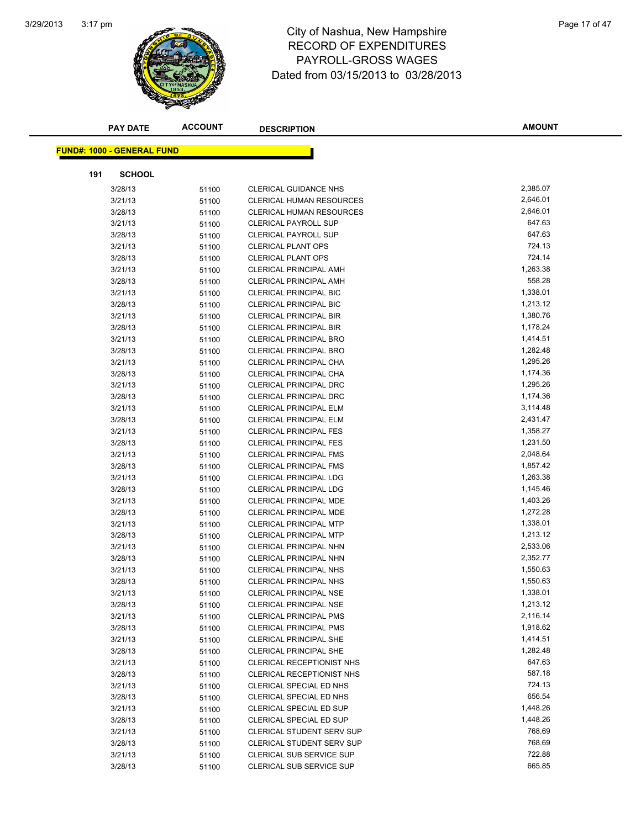

## 3:17 pm<br> **City of Nashua, New Hampshire** Page 17 of 47 RECORD OF EXPENDITURES PAYROLL-GROSS WAGES Dated from 03/15/2013 to 03/28/2013

|     | <b>PAY DATE</b>                   | <b>ACCOUNT</b> | <b>DESCRIPTION</b>               | <b>AMOUNT</b> |
|-----|-----------------------------------|----------------|----------------------------------|---------------|
|     | <b>FUND#: 1000 - GENERAL FUND</b> |                |                                  |               |
|     |                                   |                |                                  |               |
| 191 | <b>SCHOOL</b>                     |                |                                  |               |
|     | 3/28/13                           | 51100          | <b>CLERICAL GUIDANCE NHS</b>     | 2,385.07      |
|     | 3/21/13                           | 51100          | <b>CLERICAL HUMAN RESOURCES</b>  | 2,646.01      |
|     | 3/28/13                           | 51100          | <b>CLERICAL HUMAN RESOURCES</b>  | 2,646.01      |
|     | 3/21/13                           | 51100          | <b>CLERICAL PAYROLL SUP</b>      | 647.63        |
|     | 3/28/13                           | 51100          | <b>CLERICAL PAYROLL SUP</b>      | 647.63        |
|     | 3/21/13                           | 51100          | <b>CLERICAL PLANT OPS</b>        | 724.13        |
|     | 3/28/13                           | 51100          | <b>CLERICAL PLANT OPS</b>        | 724.14        |
|     | 3/21/13                           | 51100          | <b>CLERICAL PRINCIPAL AMH</b>    | 1,263.38      |
|     | 3/28/13                           | 51100          | <b>CLERICAL PRINCIPAL AMH</b>    | 558.28        |
|     | 3/21/13                           | 51100          | CLERICAL PRINCIPAL BIC           | 1,338.01      |
|     | 3/28/13                           | 51100          | <b>CLERICAL PRINCIPAL BIC</b>    | 1,213.12      |
|     | 3/21/13                           | 51100          | <b>CLERICAL PRINCIPAL BIR</b>    | 1,380.76      |
|     | 3/28/13                           | 51100          | <b>CLERICAL PRINCIPAL BIR</b>    | 1,178.24      |
|     | 3/21/13                           | 51100          | <b>CLERICAL PRINCIPAL BRO</b>    | 1,414.51      |
|     | 3/28/13                           | 51100          | <b>CLERICAL PRINCIPAL BRO</b>    | 1,282.48      |
|     | 3/21/13                           | 51100          | CLERICAL PRINCIPAL CHA           | 1,295.26      |
|     | 3/28/13                           | 51100          | CLERICAL PRINCIPAL CHA           | 1,174.36      |
|     | 3/21/13                           | 51100          | <b>CLERICAL PRINCIPAL DRC</b>    | 1,295.26      |
|     | 3/28/13                           | 51100          | <b>CLERICAL PRINCIPAL DRC</b>    | 1,174.36      |
|     | 3/21/13                           | 51100          | CLERICAL PRINCIPAL ELM           | 3,114.48      |
|     | 3/28/13                           | 51100          | CLERICAL PRINCIPAL ELM           | 2,431.47      |
|     | 3/21/13                           | 51100          | <b>CLERICAL PRINCIPAL FES</b>    | 1,358.27      |
|     | 3/28/13                           | 51100          | <b>CLERICAL PRINCIPAL FES</b>    | 1,231.50      |
|     | 3/21/13                           | 51100          | <b>CLERICAL PRINCIPAL FMS</b>    | 2,048.64      |
|     | 3/28/13                           | 51100          | <b>CLERICAL PRINCIPAL FMS</b>    | 1,857.42      |
|     | 3/21/13                           | 51100          | <b>CLERICAL PRINCIPAL LDG</b>    | 1,263.38      |
|     | 3/28/13                           | 51100          | CLERICAL PRINCIPAL LDG           | 1,145.46      |
|     | 3/21/13                           | 51100          | <b>CLERICAL PRINCIPAL MDE</b>    | 1,403.26      |
|     | 3/28/13                           | 51100          | CLERICAL PRINCIPAL MDE           | 1,272.28      |
|     | 3/21/13                           | 51100          | <b>CLERICAL PRINCIPAL MTP</b>    | 1,338.01      |
|     | 3/28/13                           | 51100          | <b>CLERICAL PRINCIPAL MTP</b>    | 1,213.12      |
|     | 3/21/13                           | 51100          | CLERICAL PRINCIPAL NHN           | 2,533.06      |
|     | 3/28/13                           | 51100          | CLERICAL PRINCIPAL NHN           | 2,352.77      |
|     | 3/21/13                           | 51100          | <b>CLERICAL PRINCIPAL NHS</b>    | 1,550.63      |
|     | 3/28/13                           | 51100          | <b>CLERICAL PRINCIPAL NHS</b>    | 1,550.63      |
|     | 3/21/13                           | 51100          | <b>CLERICAL PRINCIPAL NSE</b>    | 1,338.01      |
|     | 3/28/13                           | 51100          | <b>CLERICAL PRINCIPAL NSE</b>    | 1,213.12      |
|     | 3/21/13                           | 51100          | <b>CLERICAL PRINCIPAL PMS</b>    | 2,116.14      |
|     | 3/28/13                           | 51100          | <b>CLERICAL PRINCIPAL PMS</b>    | 1,918.62      |
|     | 3/21/13                           | 51100          | <b>CLERICAL PRINCIPAL SHE</b>    | 1,414.51      |
|     | 3/28/13                           | 51100          | <b>CLERICAL PRINCIPAL SHE</b>    | 1,282.48      |
|     | 3/21/13                           | 51100          | <b>CLERICAL RECEPTIONIST NHS</b> | 647.63        |
|     | 3/28/13                           | 51100          | <b>CLERICAL RECEPTIONIST NHS</b> | 587.18        |
|     | 3/21/13                           | 51100          | CLERICAL SPECIAL ED NHS          | 724.13        |
|     | 3/28/13                           | 51100          | CLERICAL SPECIAL ED NHS          | 656.54        |
|     | 3/21/13                           | 51100          | CLERICAL SPECIAL ED SUP          | 1,448.26      |
|     | 3/28/13                           | 51100          | CLERICAL SPECIAL ED SUP          | 1,448.26      |
|     | 3/21/13                           | 51100          | <b>CLERICAL STUDENT SERV SUP</b> | 768.69        |
|     | 3/28/13                           | 51100          | <b>CLERICAL STUDENT SERV SUP</b> | 768.69        |
|     | 3/21/13                           | 51100          | <b>CLERICAL SUB SERVICE SUP</b>  | 722.88        |
|     | 3/28/13                           | 51100          | CLERICAL SUB SERVICE SUP         | 665.85        |
|     |                                   |                |                                  |               |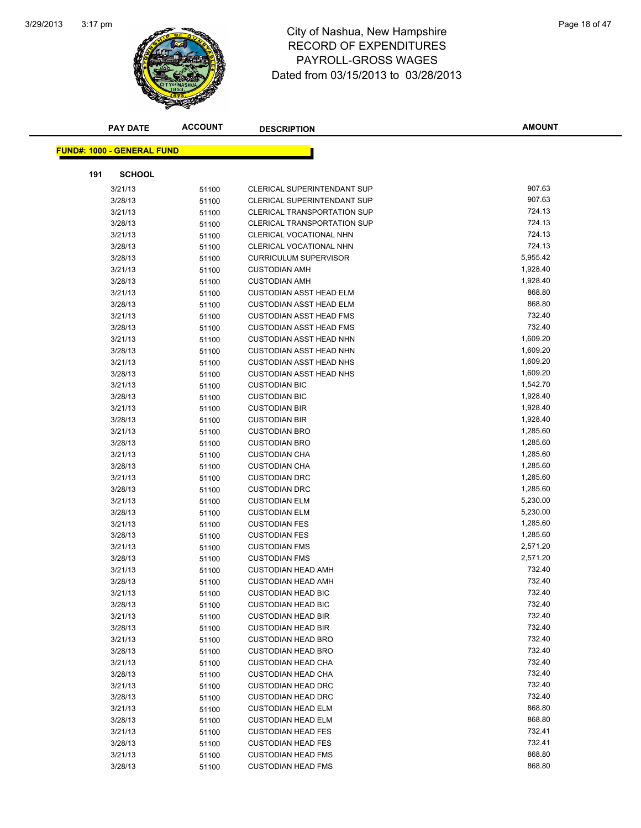

# 3:17 pm<br> **City of Nashua, New Hampshire** Page 18 of 47 RECORD OF EXPENDITURES PAYROLL-GROSS WAGES Dated from 03/15/2013 to 03/28/2013

|     | <b>PAY DATE</b>                   | <b>ACCOUNT</b> | <b>DESCRIPTION</b>                           | <b>AMOUNT</b>        |
|-----|-----------------------------------|----------------|----------------------------------------------|----------------------|
|     | <b>FUND#: 1000 - GENERAL FUND</b> |                |                                              |                      |
|     |                                   |                |                                              |                      |
| 191 | <b>SCHOOL</b>                     |                |                                              |                      |
|     | 3/21/13                           | 51100          | CLERICAL SUPERINTENDANT SUP                  | 907.63               |
|     | 3/28/13                           | 51100          | CLERICAL SUPERINTENDANT SUP                  | 907.63               |
|     | 3/21/13                           | 51100          | <b>CLERICAL TRANSPORTATION SUP</b>           | 724.13               |
|     | 3/28/13                           | 51100          | <b>CLERICAL TRANSPORTATION SUP</b>           | 724.13               |
|     | 3/21/13                           | 51100          | CLERICAL VOCATIONAL NHN                      | 724.13               |
|     | 3/28/13                           | 51100          | CLERICAL VOCATIONAL NHN                      | 724.13               |
|     | 3/28/13                           | 51100          | <b>CURRICULUM SUPERVISOR</b>                 | 5,955.42             |
|     | 3/21/13                           | 51100          | <b>CUSTODIAN AMH</b>                         | 1,928.40             |
|     | 3/28/13                           | 51100          | <b>CUSTODIAN AMH</b>                         | 1,928.40             |
|     | 3/21/13                           | 51100          | <b>CUSTODIAN ASST HEAD ELM</b>               | 868.80               |
|     | 3/28/13                           | 51100          | <b>CUSTODIAN ASST HEAD ELM</b>               | 868.80               |
|     | 3/21/13                           | 51100          | <b>CUSTODIAN ASST HEAD FMS</b>               | 732.40               |
|     | 3/28/13                           | 51100          | <b>CUSTODIAN ASST HEAD FMS</b>               | 732.40               |
|     | 3/21/13                           | 51100          | <b>CUSTODIAN ASST HEAD NHN</b>               | 1,609.20             |
|     | 3/28/13                           | 51100          | <b>CUSTODIAN ASST HEAD NHN</b>               | 1,609.20             |
|     | 3/21/13                           | 51100          | <b>CUSTODIAN ASST HEAD NHS</b>               | 1,609.20             |
|     | 3/28/13                           | 51100          | <b>CUSTODIAN ASST HEAD NHS</b>               | 1,609.20             |
|     | 3/21/13                           | 51100          | <b>CUSTODIAN BIC</b>                         | 1,542.70             |
|     | 3/28/13                           | 51100          | <b>CUSTODIAN BIC</b>                         | 1,928.40             |
|     | 3/21/13                           | 51100          | <b>CUSTODIAN BIR</b>                         | 1,928.40             |
|     | 3/28/13                           | 51100          | <b>CUSTODIAN BIR</b>                         | 1,928.40             |
|     | 3/21/13                           | 51100          | <b>CUSTODIAN BRO</b>                         | 1,285.60             |
|     | 3/28/13                           | 51100          | <b>CUSTODIAN BRO</b>                         | 1,285.60             |
|     | 3/21/13                           | 51100          | <b>CUSTODIAN CHA</b>                         | 1,285.60             |
|     | 3/28/13                           | 51100          | <b>CUSTODIAN CHA</b>                         | 1,285.60             |
|     | 3/21/13                           | 51100          | <b>CUSTODIAN DRC</b>                         | 1,285.60             |
|     | 3/28/13                           | 51100          | <b>CUSTODIAN DRC</b>                         | 1,285.60             |
|     | 3/21/13                           | 51100          | <b>CUSTODIAN ELM</b>                         | 5,230.00<br>5,230.00 |
|     | 3/28/13<br>3/21/13                | 51100          | <b>CUSTODIAN ELM</b><br><b>CUSTODIAN FES</b> | 1,285.60             |
|     | 3/28/13                           | 51100<br>51100 | <b>CUSTODIAN FES</b>                         | 1,285.60             |
|     | 3/21/13                           |                | <b>CUSTODIAN FMS</b>                         | 2,571.20             |
|     | 3/28/13                           | 51100<br>51100 | <b>CUSTODIAN FMS</b>                         | 2,571.20             |
|     | 3/21/13                           | 51100          | <b>CUSTODIAN HEAD AMH</b>                    | 732.40               |
|     | 3/28/13                           | 51100          | <b>CUSTODIAN HEAD AMH</b>                    | 732.40               |
|     | 3/21/13                           | 51100          | <b>CUSTODIAN HEAD BIC</b>                    | 732.40               |
|     | 3/28/13                           | 51100          | <b>CUSTODIAN HEAD BIC</b>                    | 732.40               |
|     | 3/21/13                           | 51100          | <b>CUSTODIAN HEAD BIR</b>                    | 732.40               |
|     | 3/28/13                           | 51100          | <b>CUSTODIAN HEAD BIR</b>                    | 732.40               |
|     | 3/21/13                           | 51100          | <b>CUSTODIAN HEAD BRO</b>                    | 732.40               |
|     | 3/28/13                           | 51100          | <b>CUSTODIAN HEAD BRO</b>                    | 732.40               |
|     | 3/21/13                           | 51100          | <b>CUSTODIAN HEAD CHA</b>                    | 732.40               |
|     | 3/28/13                           | 51100          | <b>CUSTODIAN HEAD CHA</b>                    | 732.40               |
|     | 3/21/13                           | 51100          | <b>CUSTODIAN HEAD DRC</b>                    | 732.40               |
|     | 3/28/13                           | 51100          | <b>CUSTODIAN HEAD DRC</b>                    | 732.40               |
|     | 3/21/13                           | 51100          | <b>CUSTODIAN HEAD ELM</b>                    | 868.80               |
|     | 3/28/13                           | 51100          | <b>CUSTODIAN HEAD ELM</b>                    | 868.80               |
|     | 3/21/13                           | 51100          | <b>CUSTODIAN HEAD FES</b>                    | 732.41               |
|     | 3/28/13                           | 51100          | <b>CUSTODIAN HEAD FES</b>                    | 732.41               |
|     | 3/21/13                           | 51100          | <b>CUSTODIAN HEAD FMS</b>                    | 868.80               |
|     | 3/28/13                           | 51100          | <b>CUSTODIAN HEAD FMS</b>                    | 868.80               |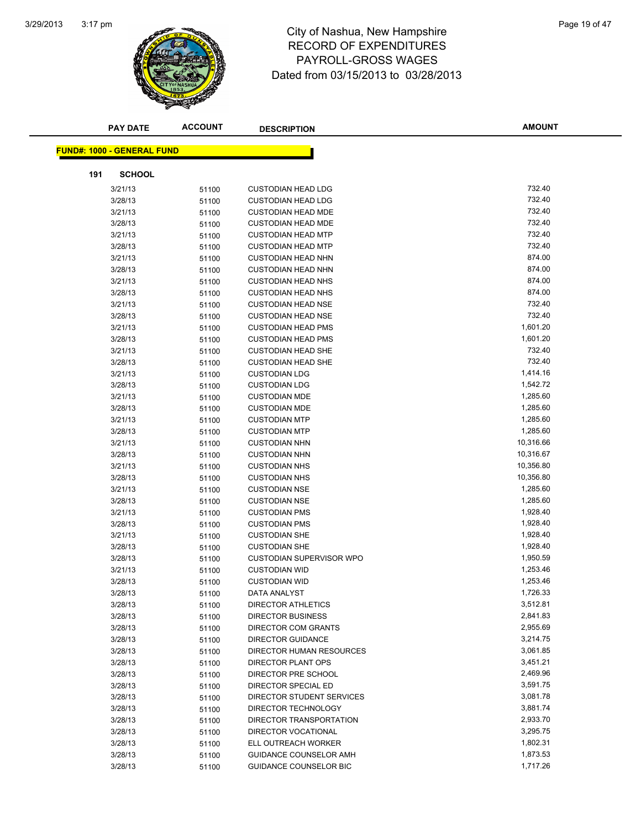

# 3:17 pm<br> **City of Nashua, New Hampshire** Page 19 of 47 RECORD OF EXPENDITURES PAYROLL-GROSS WAGES Dated from 03/15/2013 to 03/28/2013

|     | <b>PAY DATE</b>                   | <b>ACCOUNT</b> | <b>DESCRIPTION</b>              | <b>AMOUNT</b> |
|-----|-----------------------------------|----------------|---------------------------------|---------------|
|     | <b>FUND#: 1000 - GENERAL FUND</b> |                |                                 |               |
|     |                                   |                |                                 |               |
| 191 | <b>SCHOOL</b>                     |                |                                 |               |
|     | 3/21/13                           | 51100          | <b>CUSTODIAN HEAD LDG</b>       | 732.40        |
|     | 3/28/13                           | 51100          | <b>CUSTODIAN HEAD LDG</b>       | 732.40        |
|     | 3/21/13                           | 51100          | <b>CUSTODIAN HEAD MDE</b>       | 732.40        |
|     | 3/28/13                           | 51100          | <b>CUSTODIAN HEAD MDE</b>       | 732.40        |
|     | 3/21/13                           | 51100          | <b>CUSTODIAN HEAD MTP</b>       | 732.40        |
|     | 3/28/13                           | 51100          | <b>CUSTODIAN HEAD MTP</b>       | 732.40        |
|     | 3/21/13                           | 51100          | <b>CUSTODIAN HEAD NHN</b>       | 874.00        |
|     | 3/28/13                           | 51100          | <b>CUSTODIAN HEAD NHN</b>       | 874.00        |
|     | 3/21/13                           | 51100          | <b>CUSTODIAN HEAD NHS</b>       | 874.00        |
|     | 3/28/13                           | 51100          | <b>CUSTODIAN HEAD NHS</b>       | 874.00        |
|     | 3/21/13                           | 51100          | <b>CUSTODIAN HEAD NSE</b>       | 732.40        |
|     | 3/28/13                           | 51100          | <b>CUSTODIAN HEAD NSE</b>       | 732.40        |
|     | 3/21/13                           | 51100          | <b>CUSTODIAN HEAD PMS</b>       | 1,601.20      |
|     | 3/28/13                           | 51100          | <b>CUSTODIAN HEAD PMS</b>       | 1,601.20      |
|     | 3/21/13                           | 51100          | <b>CUSTODIAN HEAD SHE</b>       | 732.40        |
|     | 3/28/13                           | 51100          | <b>CUSTODIAN HEAD SHE</b>       | 732.40        |
|     | 3/21/13                           | 51100          | <b>CUSTODIAN LDG</b>            | 1,414.16      |
|     | 3/28/13                           | 51100          | <b>CUSTODIAN LDG</b>            | 1,542.72      |
|     | 3/21/13                           | 51100          | <b>CUSTODIAN MDE</b>            | 1,285.60      |
|     | 3/28/13                           | 51100          | <b>CUSTODIAN MDE</b>            | 1,285.60      |
|     | 3/21/13                           | 51100          | <b>CUSTODIAN MTP</b>            | 1,285.60      |
|     | 3/28/13                           | 51100          | <b>CUSTODIAN MTP</b>            | 1,285.60      |
|     | 3/21/13                           | 51100          | <b>CUSTODIAN NHN</b>            | 10,316.66     |
|     | 3/28/13                           | 51100          | <b>CUSTODIAN NHN</b>            | 10,316.67     |
|     | 3/21/13                           | 51100          | <b>CUSTODIAN NHS</b>            | 10,356.80     |
|     | 3/28/13                           | 51100          | <b>CUSTODIAN NHS</b>            | 10,356.80     |
|     | 3/21/13                           | 51100          | <b>CUSTODIAN NSE</b>            | 1,285.60      |
|     | 3/28/13                           | 51100          | <b>CUSTODIAN NSE</b>            | 1,285.60      |
|     | 3/21/13                           | 51100          | <b>CUSTODIAN PMS</b>            | 1,928.40      |
|     | 3/28/13                           | 51100          | <b>CUSTODIAN PMS</b>            | 1,928.40      |
|     | 3/21/13                           | 51100          | <b>CUSTODIAN SHE</b>            | 1,928.40      |
|     | 3/28/13                           | 51100          | <b>CUSTODIAN SHE</b>            | 1,928.40      |
|     | 3/28/13                           | 51100          | <b>CUSTODIAN SUPERVISOR WPO</b> | 1,950.59      |
|     | 3/21/13                           | 51100          | <b>CUSTODIAN WID</b>            | 1,253.46      |
|     | 3/28/13                           | 51100          | <b>CUSTODIAN WID</b>            | 1,253.46      |
|     | 3/28/13                           | 51100          | DATA ANALYST                    | 1,726.33      |
|     | 3/28/13                           | 51100          | <b>DIRECTOR ATHLETICS</b>       | 3,512.81      |
|     | 3/28/13                           | 51100          | <b>DIRECTOR BUSINESS</b>        | 2,841.83      |
|     | 3/28/13                           | 51100          | DIRECTOR COM GRANTS             | 2,955.69      |
|     | 3/28/13                           | 51100          | <b>DIRECTOR GUIDANCE</b>        | 3,214.75      |
|     | 3/28/13                           | 51100          | DIRECTOR HUMAN RESOURCES        | 3,061.85      |
|     | 3/28/13                           | 51100          | <b>DIRECTOR PLANT OPS</b>       | 3,451.21      |
|     | 3/28/13                           | 51100          | DIRECTOR PRE SCHOOL             | 2,469.96      |
|     | 3/28/13                           | 51100          | DIRECTOR SPECIAL ED             | 3,591.75      |
|     | 3/28/13                           | 51100          | DIRECTOR STUDENT SERVICES       | 3,081.78      |
|     | 3/28/13                           | 51100          | DIRECTOR TECHNOLOGY             | 3,881.74      |
|     | 3/28/13                           | 51100          | DIRECTOR TRANSPORTATION         | 2,933.70      |
|     | 3/28/13                           | 51100          | DIRECTOR VOCATIONAL             | 3,295.75      |
|     | 3/28/13                           | 51100          | ELL OUTREACH WORKER             | 1,802.31      |
|     | 3/28/13                           | 51100          | GUIDANCE COUNSELOR AMH          | 1,873.53      |
|     | 3/28/13                           | 51100          | GUIDANCE COUNSELOR BIC          | 1,717.26      |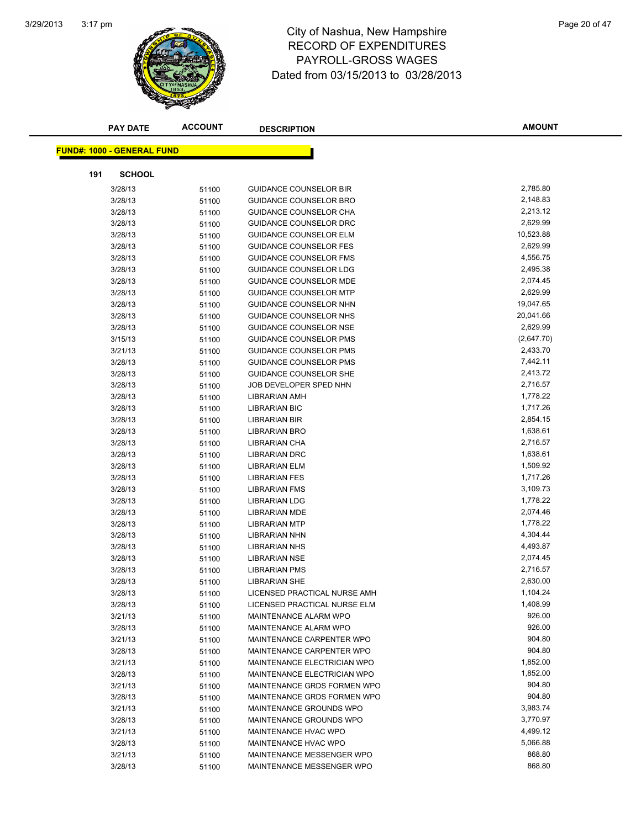

# 3:17 pm<br> **City of Nashua, New Hampshire** Page 20 of 47 RECORD OF EXPENDITURES PAYROLL-GROSS WAGES Dated from 03/15/2013 to 03/28/2013

|     | <b>PAY DATE</b>                   | <b>ACCOUNT</b> | <b>DESCRIPTION</b>               | <b>AMOUNT</b> |
|-----|-----------------------------------|----------------|----------------------------------|---------------|
|     |                                   |                |                                  |               |
|     | <b>FUND#: 1000 - GENERAL FUND</b> |                |                                  |               |
| 191 | <b>SCHOOL</b>                     |                |                                  |               |
|     | 3/28/13                           | 51100          | <b>GUIDANCE COUNSELOR BIR</b>    | 2,785.80      |
|     | 3/28/13                           | 51100          | <b>GUIDANCE COUNSELOR BRO</b>    | 2,148.83      |
|     | 3/28/13                           | 51100          | GUIDANCE COUNSELOR CHA           | 2,213.12      |
|     | 3/28/13                           | 51100          | GUIDANCE COUNSELOR DRC           | 2,629.99      |
|     | 3/28/13                           | 51100          | <b>GUIDANCE COUNSELOR ELM</b>    | 10,523.88     |
|     | 3/28/13                           | 51100          | <b>GUIDANCE COUNSELOR FES</b>    | 2,629.99      |
|     | 3/28/13                           | 51100          | GUIDANCE COUNSELOR FMS           | 4,556.75      |
|     | 3/28/13                           | 51100          | GUIDANCE COUNSELOR LDG           | 2,495.38      |
|     | 3/28/13                           | 51100          | <b>GUIDANCE COUNSELOR MDE</b>    | 2,074.45      |
|     | 3/28/13                           | 51100          | <b>GUIDANCE COUNSELOR MTP</b>    | 2,629.99      |
|     | 3/28/13                           | 51100          | GUIDANCE COUNSELOR NHN           | 19,047.65     |
|     | 3/28/13                           | 51100          | GUIDANCE COUNSELOR NHS           | 20,041.66     |
|     | 3/28/13                           | 51100          | <b>GUIDANCE COUNSELOR NSE</b>    | 2,629.99      |
|     | 3/15/13                           | 51100          | <b>GUIDANCE COUNSELOR PMS</b>    | (2,647.70)    |
|     | 3/21/13                           | 51100          | <b>GUIDANCE COUNSELOR PMS</b>    | 2,433.70      |
|     | 3/28/13                           | 51100          | <b>GUIDANCE COUNSELOR PMS</b>    | 7,442.11      |
|     | 3/28/13                           | 51100          | GUIDANCE COUNSELOR SHE           | 2,413.72      |
|     | 3/28/13                           | 51100          | JOB DEVELOPER SPED NHN           | 2,716.57      |
|     | 3/28/13                           | 51100          | LIBRARIAN AMH                    | 1,778.22      |
|     | 3/28/13                           | 51100          | <b>LIBRARIAN BIC</b>             | 1,717.26      |
|     | 3/28/13                           | 51100          | <b>LIBRARIAN BIR</b>             | 2,854.15      |
|     | 3/28/13                           | 51100          | LIBRARIAN BRO                    | 1,638.61      |
|     | 3/28/13                           | 51100          | LIBRARIAN CHA                    | 2,716.57      |
|     | 3/28/13                           | 51100          | <b>LIBRARIAN DRC</b>             | 1,638.61      |
|     | 3/28/13                           | 51100          | LIBRARIAN ELM                    | 1,509.92      |
|     | 3/28/13                           | 51100          | <b>LIBRARIAN FES</b>             | 1,717.26      |
|     | 3/28/13                           | 51100          | <b>LIBRARIAN FMS</b>             | 3,109.73      |
|     | 3/28/13                           | 51100          | LIBRARIAN LDG                    | 1,778.22      |
|     | 3/28/13                           | 51100          | <b>LIBRARIAN MDE</b>             | 2,074.46      |
|     | 3/28/13                           | 51100          | <b>LIBRARIAN MTP</b>             | 1,778.22      |
|     | 3/28/13                           | 51100          | LIBRARIAN NHN                    | 4,304.44      |
|     | 3/28/13                           | 51100          | <b>LIBRARIAN NHS</b>             | 4,493.87      |
|     | 3/28/13                           | 51100          | LIBRARIAN NSE                    | 2,074.45      |
|     | 3/28/13                           | 51100          | LIBRARIAN PMS                    | 2,716.57      |
|     | 3/28/13                           | 51100          | LIBRARIAN SHE                    | 2,630.00      |
|     | 3/28/13                           | 51100          | LICENSED PRACTICAL NURSE AMH     | 1,104.24      |
|     | 3/28/13                           | 51100          | LICENSED PRACTICAL NURSE ELM     | 1,408.99      |
|     | 3/21/13                           | 51100          | <b>MAINTENANCE ALARM WPO</b>     | 926.00        |
|     | 3/28/13                           | 51100          | MAINTENANCE ALARM WPO            | 926.00        |
|     | 3/21/13                           | 51100          | <b>MAINTENANCE CARPENTER WPO</b> | 904.80        |
|     | 3/28/13                           | 51100          | MAINTENANCE CARPENTER WPO        | 904.80        |
|     | 3/21/13                           | 51100          | MAINTENANCE ELECTRICIAN WPO      | 1,852.00      |
|     | 3/28/13                           | 51100          | MAINTENANCE ELECTRICIAN WPO      | 1,852.00      |
|     | 3/21/13                           | 51100          | MAINTENANCE GRDS FORMEN WPO      | 904.80        |
|     | 3/28/13                           | 51100          | MAINTENANCE GRDS FORMEN WPO      | 904.80        |
|     | 3/21/13                           | 51100          | MAINTENANCE GROUNDS WPO          | 3,983.74      |
|     | 3/28/13                           | 51100          | MAINTENANCE GROUNDS WPO          | 3,770.97      |
|     | 3/21/13                           | 51100          | MAINTENANCE HVAC WPO             | 4,499.12      |
|     | 3/28/13                           | 51100          | MAINTENANCE HVAC WPO             | 5,066.88      |
|     | 3/21/13                           | 51100          | MAINTENANCE MESSENGER WPO        | 868.80        |
|     | 3/28/13                           | 51100          | MAINTENANCE MESSENGER WPO        | 868.80        |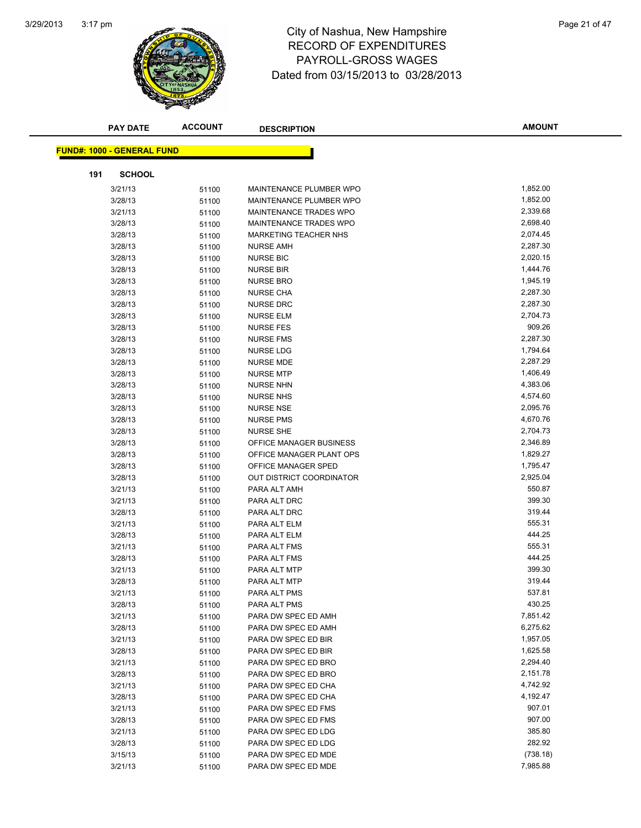

# 3:17 pm<br> **City of Nashua, New Hampshire** Page 21 of 47 RECORD OF EXPENDITURES PAYROLL-GROSS WAGES Dated from 03/15/2013 to 03/28/2013

|     | <b>PAY DATE</b>                   | <b>ACCOUNT</b> | <b>DESCRIPTION</b>              | <b>AMOUNT</b> |
|-----|-----------------------------------|----------------|---------------------------------|---------------|
|     | <b>FUND#: 1000 - GENERAL FUND</b> |                |                                 |               |
|     |                                   |                |                                 |               |
| 191 | <b>SCHOOL</b>                     |                |                                 |               |
|     | 3/21/13                           | 51100          | MAINTENANCE PLUMBER WPO         | 1,852.00      |
|     | 3/28/13                           | 51100          | MAINTENANCE PLUMBER WPO         | 1,852.00      |
|     | 3/21/13                           | 51100          | MAINTENANCE TRADES WPO          | 2,339.68      |
|     | 3/28/13                           | 51100          | MAINTENANCE TRADES WPO          | 2,698.40      |
|     | 3/28/13                           | 51100          | <b>MARKETING TEACHER NHS</b>    | 2,074.45      |
|     | 3/28/13                           | 51100          | <b>NURSE AMH</b>                | 2,287.30      |
|     | 3/28/13                           | 51100          | <b>NURSE BIC</b>                | 2,020.15      |
|     | 3/28/13                           | 51100          | <b>NURSE BIR</b>                | 1,444.76      |
|     | 3/28/13                           | 51100          | <b>NURSE BRO</b>                | 1,945.19      |
|     | 3/28/13                           | 51100          | <b>NURSE CHA</b>                | 2,287.30      |
|     | 3/28/13                           | 51100          | <b>NURSE DRC</b>                | 2,287.30      |
|     | 3/28/13                           | 51100          | <b>NURSE ELM</b>                | 2,704.73      |
|     | 3/28/13                           | 51100          | <b>NURSE FES</b>                | 909.26        |
|     | 3/28/13                           | 51100          | <b>NURSE FMS</b>                | 2,287.30      |
|     | 3/28/13                           | 51100          | <b>NURSE LDG</b>                | 1,794.64      |
|     | 3/28/13                           | 51100          | <b>NURSE MDE</b>                | 2,287.29      |
|     | 3/28/13                           | 51100          | <b>NURSE MTP</b>                | 1,406.49      |
|     | 3/28/13                           | 51100          | <b>NURSE NHN</b>                | 4,383.06      |
|     | 3/28/13                           | 51100          | <b>NURSE NHS</b>                | 4,574.60      |
|     | 3/28/13                           | 51100          | <b>NURSE NSE</b>                | 2,095.76      |
|     | 3/28/13                           | 51100          | <b>NURSE PMS</b>                | 4,670.76      |
|     | 3/28/13                           | 51100          | NURSE SHE                       | 2,704.73      |
|     | 3/28/13                           | 51100          | OFFICE MANAGER BUSINESS         | 2,346.89      |
|     | 3/28/13                           | 51100          | OFFICE MANAGER PLANT OPS        | 1,829.27      |
|     | 3/28/13                           | 51100          | OFFICE MANAGER SPED             | 1,795.47      |
|     | 3/28/13                           | 51100          | <b>OUT DISTRICT COORDINATOR</b> | 2,925.04      |
|     | 3/21/13                           | 51100          | PARA ALT AMH                    | 550.87        |
|     | 3/21/13                           | 51100          | PARA ALT DRC                    | 399.30        |
|     | 3/28/13                           | 51100          | PARA ALT DRC                    | 319.44        |
|     | 3/21/13                           | 51100          | PARA ALT ELM                    | 555.31        |
|     | 3/28/13                           | 51100          | PARA ALT ELM                    | 444.25        |
|     | 3/21/13                           | 51100          | PARA ALT FMS                    | 555.31        |
|     | 3/28/13                           | 51100          | PARA ALT FMS                    | 444.25        |
|     | 3/21/13                           | 51100          | PARA ALT MTP                    | 399.30        |
|     | 3/28/13                           | 51100          | PARA ALT MTP                    | 319.44        |
|     | 3/21/13                           | 51100          | PARA ALT PMS                    | 537.81        |
|     | 3/28/13                           | 51100          | PARA ALT PMS                    | 430.25        |
|     | 3/21/13                           | 51100          | PARA DW SPEC ED AMH             | 7,851.42      |
|     | 3/28/13                           | 51100          | PARA DW SPEC ED AMH             | 6,275.62      |
|     | 3/21/13                           | 51100          | PARA DW SPEC ED BIR             | 1,957.05      |
|     | 3/28/13                           | 51100          | PARA DW SPEC ED BIR             | 1,625.58      |
|     | 3/21/13                           | 51100          | PARA DW SPEC ED BRO             | 2,294.40      |
|     | 3/28/13                           | 51100          | PARA DW SPEC ED BRO             | 2,151.78      |
|     | 3/21/13                           | 51100          | PARA DW SPEC ED CHA             | 4,742.92      |
|     | 3/28/13                           | 51100          | PARA DW SPEC ED CHA             | 4,192.47      |
|     | 3/21/13                           | 51100          | PARA DW SPEC ED FMS             | 907.01        |
|     | 3/28/13                           | 51100          | PARA DW SPEC ED FMS             | 907.00        |
|     | 3/21/13                           | 51100          | PARA DW SPEC ED LDG             | 385.80        |
|     | 3/28/13                           | 51100          | PARA DW SPEC ED LDG             | 282.92        |
|     | 3/15/13                           | 51100          | PARA DW SPEC ED MDE             | (738.18)      |
|     | 3/21/13                           | 51100          | PARA DW SPEC ED MDE             | 7,985.88      |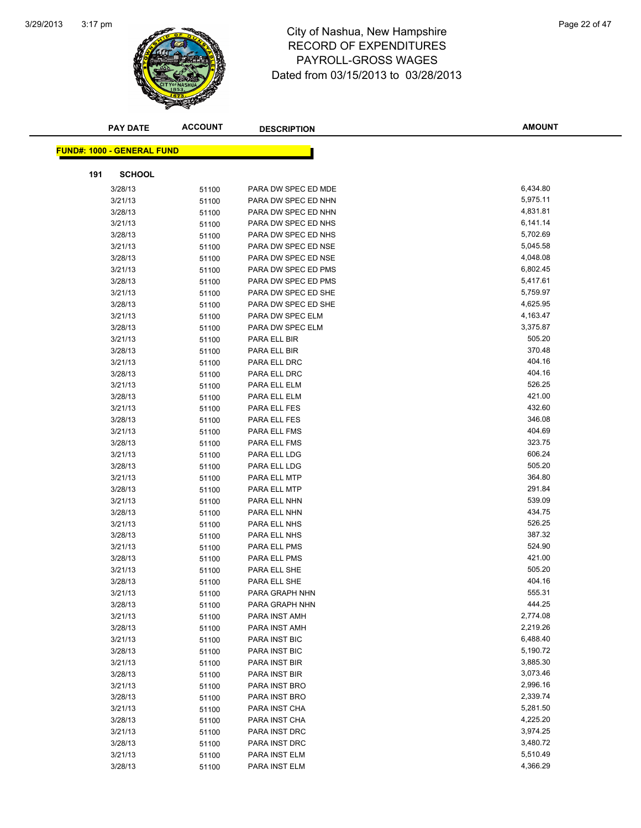

#### 3:17 pm<br> **City of Nashua, New Hampshire** Page 22 of 47 RECORD OF EXPENDITURES PAYROLL-GROSS WAGES Dated from 03/15/2013 to 03/28/2013

|     | <b>PAY DATE</b>                   | <b>ACCOUNT</b> | <b>DESCRIPTION</b>             | <b>AMOUNT</b>    |
|-----|-----------------------------------|----------------|--------------------------------|------------------|
|     |                                   |                |                                |                  |
|     | <b>FUND#: 1000 - GENERAL FUND</b> |                |                                |                  |
| 191 | <b>SCHOOL</b>                     |                |                                |                  |
|     | 3/28/13                           | 51100          | PARA DW SPEC ED MDE            | 6,434.80         |
|     | 3/21/13                           | 51100          | PARA DW SPEC ED NHN            | 5,975.11         |
|     | 3/28/13                           | 51100          | PARA DW SPEC ED NHN            | 4,831.81         |
|     | 3/21/13                           | 51100          | PARA DW SPEC ED NHS            | 6,141.14         |
|     | 3/28/13                           | 51100          | PARA DW SPEC ED NHS            | 5,702.69         |
|     | 3/21/13                           | 51100          | PARA DW SPEC ED NSE            | 5,045.58         |
|     | 3/28/13                           | 51100          | PARA DW SPEC ED NSE            | 4,048.08         |
|     | 3/21/13                           | 51100          | PARA DW SPEC ED PMS            | 6,802.45         |
|     | 3/28/13                           | 51100          | PARA DW SPEC ED PMS            | 5,417.61         |
|     | 3/21/13                           | 51100          | PARA DW SPEC ED SHE            | 5,759.97         |
|     | 3/28/13                           | 51100          | PARA DW SPEC ED SHE            | 4,625.95         |
|     | 3/21/13                           | 51100          | PARA DW SPEC ELM               | 4,163.47         |
|     | 3/28/13                           | 51100          | PARA DW SPEC ELM               | 3,375.87         |
|     | 3/21/13                           | 51100          | PARA ELL BIR                   | 505.20           |
|     | 3/28/13                           | 51100          | PARA ELL BIR                   | 370.48           |
|     | 3/21/13                           | 51100          | PARA ELL DRC                   | 404.16           |
|     | 3/28/13                           | 51100          | PARA ELL DRC                   | 404.16           |
|     | 3/21/13                           | 51100          | PARA ELL ELM                   | 526.25           |
|     | 3/28/13                           | 51100          | PARA ELL ELM                   | 421.00           |
|     | 3/21/13                           | 51100          | PARA ELL FES                   | 432.60           |
|     | 3/28/13                           | 51100          | PARA ELL FES                   | 346.08           |
|     | 3/21/13                           | 51100          | PARA ELL FMS                   | 404.69           |
|     | 3/28/13                           | 51100          | PARA ELL FMS                   | 323.75           |
|     | 3/21/13                           | 51100          | PARA ELL LDG                   | 606.24           |
|     | 3/28/13                           | 51100          | PARA ELL LDG                   | 505.20           |
|     | 3/21/13                           | 51100          | PARA ELL MTP                   | 364.80           |
|     | 3/28/13                           | 51100          | PARA ELL MTP                   | 291.84           |
|     | 3/21/13                           | 51100          | PARA ELL NHN                   | 539.09           |
|     | 3/28/13                           | 51100          | PARA ELL NHN                   | 434.75           |
|     | 3/21/13                           | 51100          | PARA ELL NHS                   | 526.25           |
|     | 3/28/13                           | 51100          | PARA ELL NHS                   | 387.32           |
|     | 3/21/13                           | 51100          | PARA ELL PMS                   | 524.90           |
|     | 3/28/13                           | 51100          | PARA ELL PMS                   | 421.00           |
|     | 3/21/13                           | 51100          | PARA ELL SHE                   | 505.20           |
|     | 3/28/13                           | 51100          | PARA ELL SHE                   | 404.16           |
|     | 3/21/13                           | 51100          | PARA GRAPH NHN                 | 555.31<br>444.25 |
|     | 3/28/13                           | 51100          | PARA GRAPH NHN                 | 2,774.08         |
|     | 3/21/13                           | 51100          | PARA INST AMH                  | 2,219.26         |
|     | 3/28/13                           | 51100          | PARA INST AMH<br>PARA INST BIC | 6,488.40         |
|     | 3/21/13<br>3/28/13                | 51100          | PARA INST BIC                  | 5,190.72         |
|     | 3/21/13                           | 51100          | PARA INST BIR                  | 3,885.30         |
|     | 3/28/13                           | 51100          | PARA INST BIR                  | 3,073.46         |
|     | 3/21/13                           | 51100          | PARA INST BRO                  | 2,996.16         |
|     | 3/28/13                           | 51100          | PARA INST BRO                  | 2,339.74         |
|     | 3/21/13                           | 51100<br>51100 | PARA INST CHA                  | 5,281.50         |
|     | 3/28/13                           | 51100          | PARA INST CHA                  | 4,225.20         |
|     | 3/21/13                           | 51100          | PARA INST DRC                  | 3,974.25         |
|     | 3/28/13                           | 51100          | PARA INST DRC                  | 3,480.72         |
|     | 3/21/13                           | 51100          | PARA INST ELM                  | 5,510.49         |
|     | 3/28/13                           | 51100          | PARA INST ELM                  | 4,366.29         |
|     |                                   |                |                                |                  |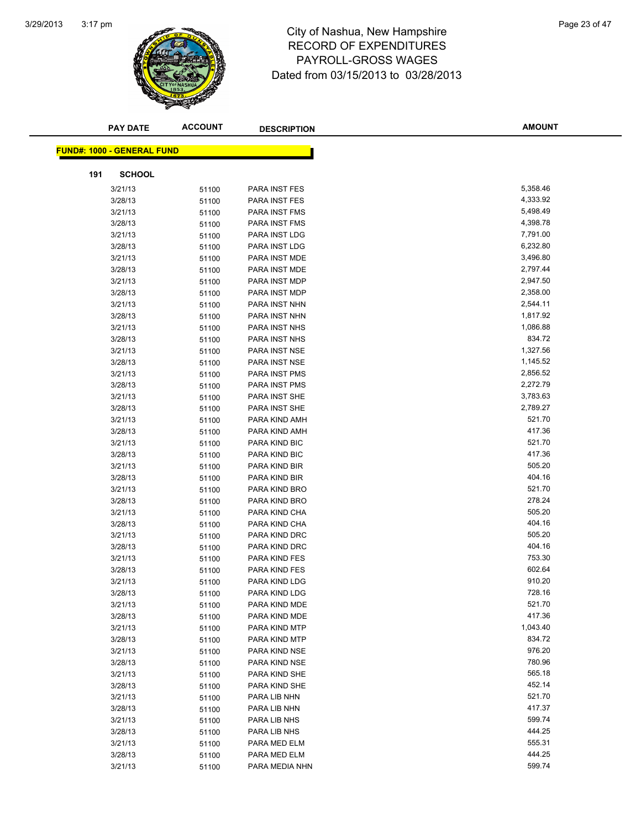

# 3:17 pm<br> **City of Nashua, New Hampshire** Page 23 of 47 RECORD OF EXPENDITURES PAYROLL-GROSS WAGES Dated from 03/15/2013 to 03/28/2013

| <b>PAY DATE</b>                   | <b>ACCOUNT</b> | <b>DESCRIPTION</b>             | <b>AMOUNT</b>    |
|-----------------------------------|----------------|--------------------------------|------------------|
| <b>FUND#: 1000 - GENERAL FUND</b> |                |                                |                  |
|                                   |                |                                |                  |
| <b>SCHOOL</b><br>191              |                |                                |                  |
| 3/21/13                           | 51100          | PARA INST FES                  | 5,358.46         |
| 3/28/13                           | 51100          | PARA INST FES                  | 4,333.92         |
| 3/21/13                           | 51100          | PARA INST FMS                  | 5,498.49         |
| 3/28/13                           | 51100          | PARA INST FMS                  | 4,398.78         |
| 3/21/13                           | 51100          | PARA INST LDG                  | 7,791.00         |
| 3/28/13                           | 51100          | PARA INST LDG                  | 6,232.80         |
| 3/21/13                           | 51100          | PARA INST MDE                  | 3,496.80         |
| 3/28/13                           | 51100          | PARA INST MDE                  | 2,797.44         |
| 3/21/13                           | 51100          | PARA INST MDP                  | 2,947.50         |
| 3/28/13                           | 51100          | PARA INST MDP                  | 2,358.00         |
| 3/21/13                           | 51100          | PARA INST NHN                  | 2,544.11         |
| 3/28/13                           | 51100          | PARA INST NHN                  | 1,817.92         |
| 3/21/13                           | 51100          | PARA INST NHS                  | 1,086.88         |
| 3/28/13                           | 51100          | PARA INST NHS                  | 834.72           |
| 3/21/13                           | 51100          | PARA INST NSE                  | 1,327.56         |
| 3/28/13                           | 51100          | PARA INST NSE                  | 1,145.52         |
| 3/21/13                           | 51100          | PARA INST PMS                  | 2,856.52         |
| 3/28/13                           | 51100          | PARA INST PMS                  | 2,272.79         |
| 3/21/13                           | 51100          | PARA INST SHE                  | 3,783.63         |
| 3/28/13                           | 51100          | PARA INST SHE                  | 2,789.27         |
| 3/21/13                           | 51100          | PARA KIND AMH                  | 521.70           |
| 3/28/13                           | 51100          | PARA KIND AMH                  | 417.36           |
| 3/21/13                           | 51100          | PARA KIND BIC                  | 521.70           |
| 3/28/13                           | 51100          | PARA KIND BIC                  | 417.36           |
| 3/21/13                           | 51100          | PARA KIND BIR                  | 505.20           |
| 3/28/13                           | 51100          | PARA KIND BIR                  | 404.16           |
| 3/21/13                           | 51100          | PARA KIND BRO                  | 521.70           |
| 3/28/13                           | 51100          | PARA KIND BRO                  | 278.24           |
| 3/21/13                           | 51100          | PARA KIND CHA                  | 505.20           |
| 3/28/13                           | 51100          | PARA KIND CHA                  | 404.16           |
| 3/21/13                           | 51100          | PARA KIND DRC                  | 505.20           |
| 3/28/13                           | 51100          | PARA KIND DRC                  | 404.16<br>753.30 |
| 3/21/13                           | 51100          | PARA KIND FES                  | 602.64           |
| 3/28/13                           | 51100          | PARA KIND FES                  | 910.20           |
| 3/21/13<br>3/28/13                | 51100          | PARA KIND LDG<br>PARA KIND LDG | 728.16           |
|                                   | 51100          | PARA KIND MDE                  | 521.70           |
| 3/21/13<br>3/28/13                | 51100          | PARA KIND MDE                  | 417.36           |
| 3/21/13                           | 51100          | PARA KIND MTP                  | 1,043.40         |
| 3/28/13                           | 51100          | PARA KIND MTP                  | 834.72           |
| 3/21/13                           | 51100<br>51100 | PARA KIND NSE                  | 976.20           |
| 3/28/13                           | 51100          | PARA KIND NSE                  | 780.96           |
| 3/21/13                           | 51100          | PARA KIND SHE                  | 565.18           |
| 3/28/13                           | 51100          | PARA KIND SHE                  | 452.14           |
| 3/21/13                           | 51100          | PARA LIB NHN                   | 521.70           |
| 3/28/13                           | 51100          | PARA LIB NHN                   | 417.37           |
| 3/21/13                           | 51100          | PARA LIB NHS                   | 599.74           |
| 3/28/13                           | 51100          | PARA LIB NHS                   | 444.25           |
| 3/21/13                           | 51100          | PARA MED ELM                   | 555.31           |
| 3/28/13                           | 51100          | PARA MED ELM                   | 444.25           |
| 3/21/13                           | 51100          | PARA MEDIA NHN                 | 599.74           |
|                                   |                |                                |                  |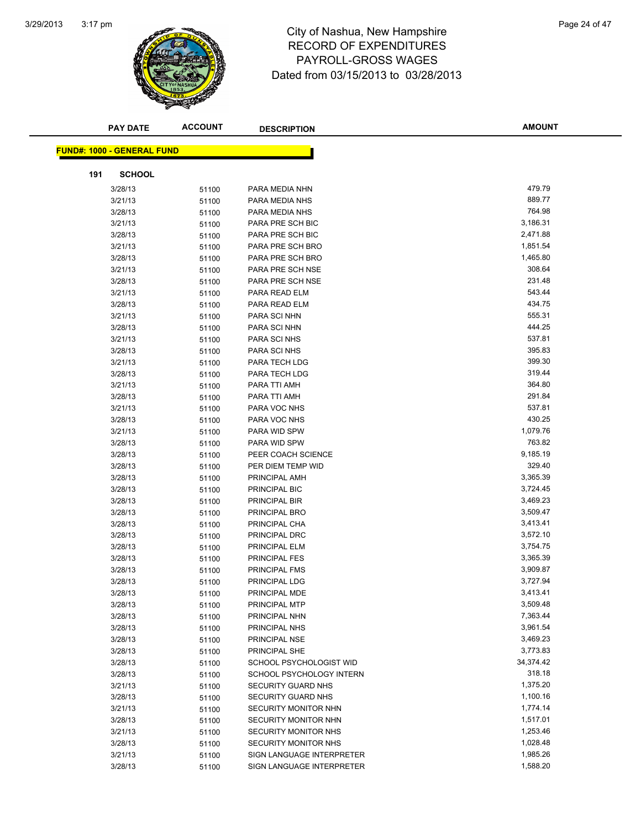

## 3:17 pm<br> **City of Nashua, New Hampshire** Page 24 of 47 RECORD OF EXPENDITURES PAYROLL-GROSS WAGES Dated from 03/15/2013 to 03/28/2013

|     | <b>PAY DATE</b>                   | <b>ACCOUNT</b> | <b>DESCRIPTION</b>        | <b>AMOUNT</b> |
|-----|-----------------------------------|----------------|---------------------------|---------------|
|     |                                   |                |                           |               |
|     | <b>FUND#: 1000 - GENERAL FUND</b> |                |                           |               |
| 191 | <b>SCHOOL</b>                     |                |                           |               |
|     | 3/28/13                           | 51100          | PARA MEDIA NHN            | 479.79        |
|     | 3/21/13                           | 51100          | PARA MEDIA NHS            | 889.77        |
|     | 3/28/13                           | 51100          | PARA MEDIA NHS            | 764.98        |
|     | 3/21/13                           | 51100          | PARA PRE SCH BIC          | 3,186.31      |
|     | 3/28/13                           | 51100          | PARA PRE SCH BIC          | 2,471.88      |
|     | 3/21/13                           | 51100          | PARA PRE SCH BRO          | 1,851.54      |
|     | 3/28/13                           | 51100          | PARA PRE SCH BRO          | 1,465.80      |
|     | 3/21/13                           | 51100          | PARA PRE SCH NSE          | 308.64        |
|     | 3/28/13                           | 51100          | PARA PRE SCH NSE          | 231.48        |
|     | 3/21/13                           | 51100          | PARA READ ELM             | 543.44        |
|     | 3/28/13                           | 51100          | PARA READ ELM             | 434.75        |
|     | 3/21/13                           | 51100          | PARA SCI NHN              | 555.31        |
|     | 3/28/13                           | 51100          | PARA SCI NHN              | 444.25        |
|     | 3/21/13                           | 51100          | PARA SCI NHS              | 537.81        |
|     | 3/28/13                           | 51100          | PARA SCI NHS              | 395.83        |
|     | 3/21/13                           | 51100          | PARA TECH LDG             | 399.30        |
|     | 3/28/13                           | 51100          | PARA TECH LDG             | 319.44        |
|     | 3/21/13                           | 51100          | PARA TTI AMH              | 364.80        |
|     | 3/28/13                           | 51100          | PARA TTI AMH              | 291.84        |
|     | 3/21/13                           | 51100          | PARA VOC NHS              | 537.81        |
|     | 3/28/13                           | 51100          | PARA VOC NHS              | 430.25        |
|     | 3/21/13                           | 51100          | PARA WID SPW              | 1,079.76      |
|     | 3/28/13                           | 51100          | PARA WID SPW              | 763.82        |
|     | 3/28/13                           | 51100          | PEER COACH SCIENCE        | 9,185.19      |
|     | 3/28/13                           | 51100          | PER DIEM TEMP WID         | 329.40        |
|     | 3/28/13                           | 51100          | PRINCIPAL AMH             | 3,365.39      |
|     | 3/28/13                           | 51100          | PRINCIPAL BIC             | 3,724.45      |
|     | 3/28/13                           | 51100          | PRINCIPAL BIR             | 3,469.23      |
|     | 3/28/13                           | 51100          | PRINCIPAL BRO             | 3,509.47      |
|     | 3/28/13                           | 51100          | PRINCIPAL CHA             | 3,413.41      |
|     | 3/28/13                           | 51100          | PRINCIPAL DRC             | 3,572.10      |
|     | 3/28/13                           | 51100          | PRINCIPAL ELM             | 3,754.75      |
|     | 3/28/13                           | 51100          | <b>PRINCIPAL FES</b>      | 3,365.39      |
|     | 3/28/13                           | 51100          | PRINCIPAL FMS             | 3,909.87      |
|     | 3/28/13                           | 51100          | PRINCIPAL LDG             | 3,727.94      |
|     | 3/28/13                           | 51100          | PRINCIPAL MDE             | 3,413.41      |
|     | 3/28/13                           | 51100          | PRINCIPAL MTP             | 3,509.48      |
|     | 3/28/13                           | 51100          | PRINCIPAL NHN             | 7,363.44      |
|     | 3/28/13                           | 51100          | PRINCIPAL NHS             | 3,961.54      |
|     | 3/28/13                           | 51100          | PRINCIPAL NSE             | 3,469.23      |
|     | 3/28/13                           | 51100          | PRINCIPAL SHE             | 3,773.83      |
|     | 3/28/13                           | 51100          | SCHOOL PSYCHOLOGIST WID   | 34,374.42     |
|     | 3/28/13                           | 51100          | SCHOOL PSYCHOLOGY INTERN  | 318.18        |
|     | 3/21/13                           | 51100          | <b>SECURITY GUARD NHS</b> | 1,375.20      |
|     | 3/28/13                           | 51100          | <b>SECURITY GUARD NHS</b> | 1,100.16      |
|     | 3/21/13                           | 51100          | SECURITY MONITOR NHN      | 1,774.14      |
|     | 3/28/13                           | 51100          | SECURITY MONITOR NHN      | 1,517.01      |
|     | 3/21/13                           | 51100          | SECURITY MONITOR NHS      | 1,253.46      |
|     | 3/28/13                           | 51100          | SECURITY MONITOR NHS      | 1,028.48      |
|     | 3/21/13                           | 51100          | SIGN LANGUAGE INTERPRETER | 1,985.26      |
|     | 3/28/13                           | 51100          | SIGN LANGUAGE INTERPRETER | 1,588.20      |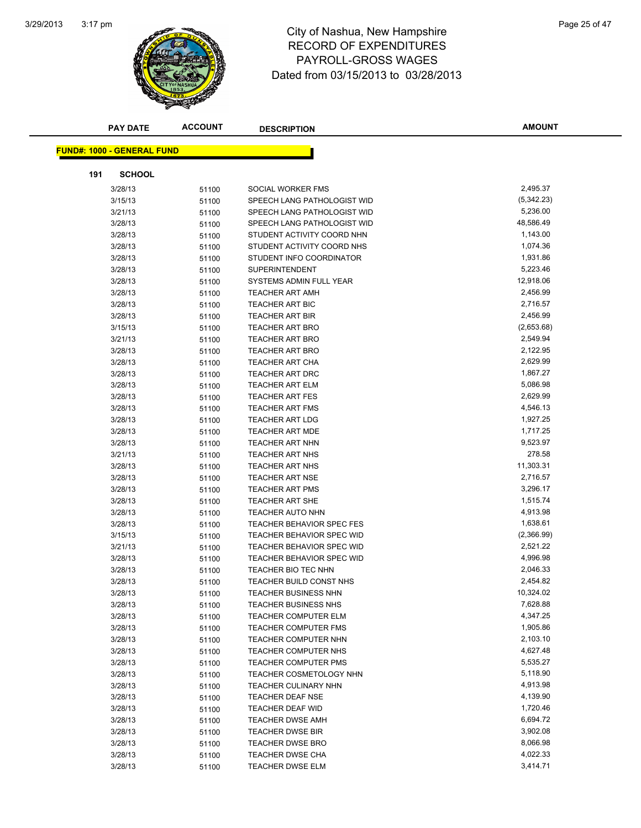

# 3:17 pm<br> **City of Nashua, New Hampshire** Page 25 of 47 RECORD OF EXPENDITURES PAYROLL-GROSS WAGES Dated from 03/15/2013 to 03/28/2013

|     | <b>PAY DATE</b>                   | <b>ACCOUNT</b> | <b>DESCRIPTION</b>               | <b>AMOUNT</b> |
|-----|-----------------------------------|----------------|----------------------------------|---------------|
|     | <b>FUND#: 1000 - GENERAL FUND</b> |                |                                  |               |
|     |                                   |                |                                  |               |
| 191 | <b>SCHOOL</b>                     |                |                                  |               |
|     | 3/28/13                           | 51100          | SOCIAL WORKER FMS                | 2,495.37      |
|     | 3/15/13                           | 51100          | SPEECH LANG PATHOLOGIST WID      | (5,342.23)    |
|     | 3/21/13                           | 51100          | SPEECH LANG PATHOLOGIST WID      | 5,236.00      |
|     | 3/28/13                           | 51100          | SPEECH LANG PATHOLOGIST WID      | 48,586.49     |
|     | 3/28/13                           | 51100          | STUDENT ACTIVITY COORD NHN       | 1,143.00      |
|     | 3/28/13                           | 51100          | STUDENT ACTIVITY COORD NHS       | 1,074.36      |
|     | 3/28/13                           | 51100          | STUDENT INFO COORDINATOR         | 1,931.86      |
|     | 3/28/13                           | 51100          | <b>SUPERINTENDENT</b>            | 5,223.46      |
|     | 3/28/13                           | 51100          | SYSTEMS ADMIN FULL YEAR          | 12,918.06     |
|     | 3/28/13                           | 51100          | <b>TEACHER ART AMH</b>           | 2,456.99      |
|     | 3/28/13                           | 51100          | <b>TEACHER ART BIC</b>           | 2,716.57      |
|     | 3/28/13                           | 51100          | <b>TEACHER ART BIR</b>           | 2,456.99      |
|     | 3/15/13                           | 51100          | <b>TEACHER ART BRO</b>           | (2,653.68)    |
|     | 3/21/13                           | 51100          | <b>TEACHER ART BRO</b>           | 2,549.94      |
|     | 3/28/13                           | 51100          | <b>TEACHER ART BRO</b>           | 2,122.95      |
|     | 3/28/13                           | 51100          | <b>TEACHER ART CHA</b>           | 2,629.99      |
|     | 3/28/13                           | 51100          | <b>TEACHER ART DRC</b>           | 1,867.27      |
|     | 3/28/13                           | 51100          | <b>TEACHER ART ELM</b>           | 5,086.98      |
|     | 3/28/13                           | 51100          | <b>TEACHER ART FES</b>           | 2,629.99      |
|     | 3/28/13                           | 51100          | <b>TEACHER ART FMS</b>           | 4,546.13      |
|     | 3/28/13                           | 51100          | <b>TEACHER ART LDG</b>           | 1,927.25      |
|     | 3/28/13                           | 51100          | <b>TEACHER ART MDE</b>           | 1,717.25      |
|     | 3/28/13                           | 51100          | <b>TEACHER ART NHN</b>           | 9,523.97      |
|     | 3/21/13                           | 51100          | <b>TEACHER ART NHS</b>           | 278.58        |
|     | 3/28/13                           | 51100          | TEACHER ART NHS                  | 11,303.31     |
|     | 3/28/13                           | 51100          | <b>TEACHER ART NSE</b>           | 2,716.57      |
|     | 3/28/13                           | 51100          | <b>TEACHER ART PMS</b>           | 3,296.17      |
|     | 3/28/13                           | 51100          | <b>TEACHER ART SHE</b>           | 1,515.74      |
|     | 3/28/13                           | 51100          | TEACHER AUTO NHN                 | 4,913.98      |
|     | 3/28/13                           | 51100          | TEACHER BEHAVIOR SPEC FES        | 1,638.61      |
|     | 3/15/13                           | 51100          | TEACHER BEHAVIOR SPEC WID        | (2,366.99)    |
|     | 3/21/13                           | 51100          | TEACHER BEHAVIOR SPEC WID        | 2,521.22      |
|     | 3/28/13                           | 51100          | <b>TEACHER BEHAVIOR SPEC WID</b> | 4,996.98      |
|     | 3/28/13                           | 51100          | TEACHER BIO TEC NHN              | 2,046.33      |
|     | 3/28/13                           | 51100          | TEACHER BUILD CONST NHS          | 2,454.82      |
|     | 3/28/13                           | 51100          | <b>TEACHER BUSINESS NHN</b>      | 10,324.02     |
|     | 3/28/13                           | 51100          | <b>TEACHER BUSINESS NHS</b>      | 7,628.88      |
|     | 3/28/13                           | 51100          | <b>TEACHER COMPUTER ELM</b>      | 4,347.25      |
|     | 3/28/13                           | 51100          | <b>TEACHER COMPUTER FMS</b>      | 1,905.86      |
|     | 3/28/13                           | 51100          | TEACHER COMPUTER NHN             | 2,103.10      |
|     | 3/28/13                           | 51100          | TEACHER COMPUTER NHS             | 4,627.48      |
|     | 3/28/13                           | 51100          | <b>TEACHER COMPUTER PMS</b>      | 5,535.27      |
|     | 3/28/13                           | 51100          | TEACHER COSMETOLOGY NHN          | 5,118.90      |
|     | 3/28/13                           | 51100          | <b>TEACHER CULINARY NHN</b>      | 4,913.98      |
|     | 3/28/13                           | 51100          | <b>TEACHER DEAF NSE</b>          | 4,139.90      |
|     | 3/28/13                           | 51100          | <b>TEACHER DEAF WID</b>          | 1,720.46      |
|     | 3/28/13                           | 51100          | <b>TEACHER DWSE AMH</b>          | 6,694.72      |
|     | 3/28/13                           | 51100          | <b>TEACHER DWSE BIR</b>          | 3,902.08      |
|     | 3/28/13                           | 51100          | <b>TEACHER DWSE BRO</b>          | 8,066.98      |
|     | 3/28/13                           | 51100          | <b>TEACHER DWSE CHA</b>          | 4,022.33      |
|     | 3/28/13                           | 51100          | TEACHER DWSE ELM                 | 3,414.71      |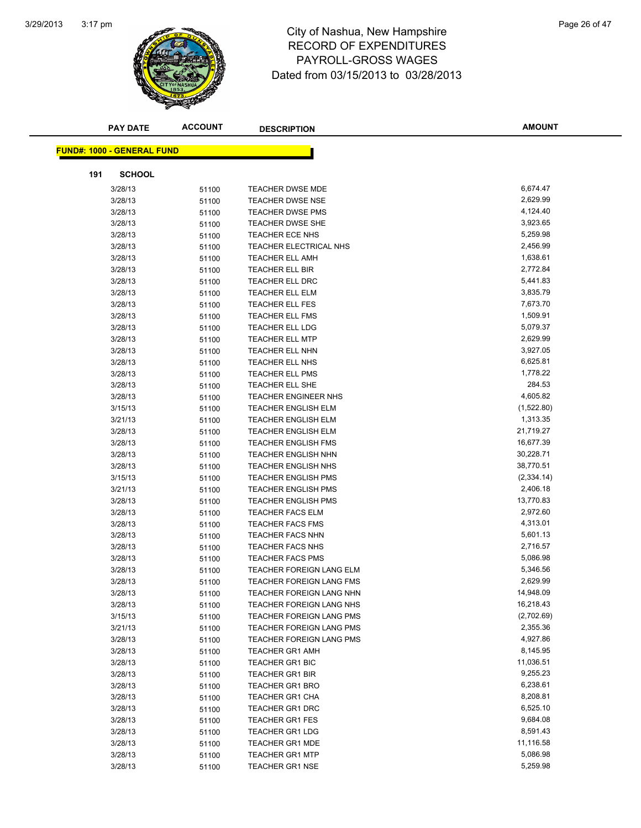

## 3:17 pm<br> **City of Nashua, New Hampshire** Page 26 of 47 RECORD OF EXPENDITURES PAYROLL-GROSS WAGES Dated from 03/15/2013 to 03/28/2013

| <b>FUND#: 1000 - GENERAL FUND</b><br><b>SCHOOL</b><br>191<br>6,674.47<br>3/28/13<br><b>TEACHER DWSE MDE</b><br>51100<br>2,629.99<br>3/28/13<br><b>TEACHER DWSE NSE</b><br>51100<br>4,124.40<br><b>TEACHER DWSE PMS</b><br>3/28/13<br>51100<br>3,923.65<br>3/28/13<br>TEACHER DWSE SHE<br>51100<br>5,259.98<br>3/28/13<br>51100<br><b>TEACHER ECE NHS</b><br>2,456.99<br>3/28/13<br>TEACHER ELECTRICAL NHS<br>51100<br>1,638.61<br>3/28/13<br><b>TEACHER ELL AMH</b><br>51100<br>2,772.84<br>3/28/13<br>TEACHER ELL BIR<br>51100<br>5,441.83<br>3/28/13<br><b>TEACHER ELL DRC</b><br>51100<br>3,835.79<br>3/28/13<br>TEACHER ELL ELM<br>51100<br>7,673.70<br>3/28/13<br><b>TEACHER ELL FES</b><br>51100<br>1,509.91<br>3/28/13<br><b>TEACHER ELL FMS</b><br>51100<br>5,079.37<br>3/28/13<br><b>TEACHER ELL LDG</b><br>51100<br>2,629.99<br>3/28/13<br><b>TEACHER ELL MTP</b><br>51100<br>3,927.05<br>3/28/13<br>TEACHER ELL NHN<br>51100<br>6,625.81<br>3/28/13<br>51100<br>TEACHER ELL NHS<br>1,778.22<br>3/28/13<br><b>TEACHER ELL PMS</b><br>51100<br>284.53<br>3/28/13<br>TEACHER ELL SHE<br>51100<br>4,605.82<br>3/28/13<br><b>TEACHER ENGINEER NHS</b><br>51100<br>(1,522.80)<br>3/15/13<br><b>TEACHER ENGLISH ELM</b><br>51100<br>1,313.35<br>3/21/13<br><b>TEACHER ENGLISH ELM</b><br>51100<br>21,719.27<br>3/28/13<br><b>TEACHER ENGLISH ELM</b><br>51100<br>16,677.39<br>3/28/13<br><b>TEACHER ENGLISH FMS</b><br>51100<br>30,228.71<br>3/28/13<br>TEACHER ENGLISH NHN<br>51100<br>38,770.51<br>3/28/13<br><b>TEACHER ENGLISH NHS</b><br>51100<br>(2, 334.14)<br>3/15/13<br><b>TEACHER ENGLISH PMS</b><br>51100<br>2,406.18<br>3/21/13<br><b>TEACHER ENGLISH PMS</b><br>51100<br>13,770.83<br>3/28/13<br><b>TEACHER ENGLISH PMS</b><br>51100<br>2,972.60<br>3/28/13<br><b>TEACHER FACS ELM</b><br>51100<br>4,313.01<br>3/28/13<br><b>TEACHER FACS FMS</b><br>51100<br>5,601.13<br>3/28/13<br><b>TEACHER FACS NHN</b><br>51100<br>2,716.57<br>3/28/13<br><b>TEACHER FACS NHS</b><br>51100<br>5,086.98<br>3/28/13<br><b>TEACHER FACS PMS</b><br>51100<br>5,346.56<br>3/28/13<br>TEACHER FOREIGN LANG ELM<br>51100<br>2,629.99<br>3/28/13<br>51100<br><b>TEACHER FOREIGN LANG FMS</b><br>14,948.09<br>3/28/13<br>TEACHER FOREIGN LANG NHN<br>51100<br>16,218.43<br>3/28/13<br>51100<br><b>TEACHER FOREIGN LANG NHS</b><br>(2,702.69)<br>3/15/13<br><b>TEACHER FOREIGN LANG PMS</b><br>51100<br>2,355.36<br>3/21/13<br><b>TEACHER FOREIGN LANG PMS</b><br>51100<br>4,927.86<br>3/28/13<br><b>TEACHER FOREIGN LANG PMS</b><br>51100<br>8,145.95<br>3/28/13<br><b>TEACHER GR1 AMH</b><br>51100<br>11,036.51<br>3/28/13<br><b>TEACHER GR1 BIC</b><br>51100<br>9,255.23<br>3/28/13<br><b>TEACHER GR1 BIR</b><br>51100<br>6,238.61<br>3/28/13<br><b>TEACHER GR1 BRO</b><br>51100<br>8,208.81<br>3/28/13<br><b>TEACHER GR1 CHA</b><br>51100<br>6,525.10<br>3/28/13<br><b>TEACHER GR1 DRC</b><br>51100<br>9,684.08<br>3/28/13<br><b>TEACHER GR1 FES</b><br>51100<br>8,591.43<br>3/28/13<br><b>TEACHER GR1 LDG</b><br>51100<br>11,116.58<br>3/28/13<br><b>TEACHER GR1 MDE</b><br>51100<br>5,086.98<br>3/28/13<br><b>TEACHER GR1 MTP</b><br>51100<br>5,259.98 | <b>PAY DATE</b> | <b>ACCOUNT</b> | <b>DESCRIPTION</b>     | <b>AMOUNT</b> |
|-----------------------------------------------------------------------------------------------------------------------------------------------------------------------------------------------------------------------------------------------------------------------------------------------------------------------------------------------------------------------------------------------------------------------------------------------------------------------------------------------------------------------------------------------------------------------------------------------------------------------------------------------------------------------------------------------------------------------------------------------------------------------------------------------------------------------------------------------------------------------------------------------------------------------------------------------------------------------------------------------------------------------------------------------------------------------------------------------------------------------------------------------------------------------------------------------------------------------------------------------------------------------------------------------------------------------------------------------------------------------------------------------------------------------------------------------------------------------------------------------------------------------------------------------------------------------------------------------------------------------------------------------------------------------------------------------------------------------------------------------------------------------------------------------------------------------------------------------------------------------------------------------------------------------------------------------------------------------------------------------------------------------------------------------------------------------------------------------------------------------------------------------------------------------------------------------------------------------------------------------------------------------------------------------------------------------------------------------------------------------------------------------------------------------------------------------------------------------------------------------------------------------------------------------------------------------------------------------------------------------------------------------------------------------------------------------------------------------------------------------------------------------------------------------------------------------------------------------------------------------------------------------------------------------------------------------------------------------------------------------------------------------------------------------------------------------------------------------------------------------------------------------------------|-----------------|----------------|------------------------|---------------|
|                                                                                                                                                                                                                                                                                                                                                                                                                                                                                                                                                                                                                                                                                                                                                                                                                                                                                                                                                                                                                                                                                                                                                                                                                                                                                                                                                                                                                                                                                                                                                                                                                                                                                                                                                                                                                                                                                                                                                                                                                                                                                                                                                                                                                                                                                                                                                                                                                                                                                                                                                                                                                                                                                                                                                                                                                                                                                                                                                                                                                                                                                                                                                           |                 |                |                        |               |
|                                                                                                                                                                                                                                                                                                                                                                                                                                                                                                                                                                                                                                                                                                                                                                                                                                                                                                                                                                                                                                                                                                                                                                                                                                                                                                                                                                                                                                                                                                                                                                                                                                                                                                                                                                                                                                                                                                                                                                                                                                                                                                                                                                                                                                                                                                                                                                                                                                                                                                                                                                                                                                                                                                                                                                                                                                                                                                                                                                                                                                                                                                                                                           |                 |                |                        |               |
|                                                                                                                                                                                                                                                                                                                                                                                                                                                                                                                                                                                                                                                                                                                                                                                                                                                                                                                                                                                                                                                                                                                                                                                                                                                                                                                                                                                                                                                                                                                                                                                                                                                                                                                                                                                                                                                                                                                                                                                                                                                                                                                                                                                                                                                                                                                                                                                                                                                                                                                                                                                                                                                                                                                                                                                                                                                                                                                                                                                                                                                                                                                                                           |                 |                |                        |               |
|                                                                                                                                                                                                                                                                                                                                                                                                                                                                                                                                                                                                                                                                                                                                                                                                                                                                                                                                                                                                                                                                                                                                                                                                                                                                                                                                                                                                                                                                                                                                                                                                                                                                                                                                                                                                                                                                                                                                                                                                                                                                                                                                                                                                                                                                                                                                                                                                                                                                                                                                                                                                                                                                                                                                                                                                                                                                                                                                                                                                                                                                                                                                                           |                 |                |                        |               |
|                                                                                                                                                                                                                                                                                                                                                                                                                                                                                                                                                                                                                                                                                                                                                                                                                                                                                                                                                                                                                                                                                                                                                                                                                                                                                                                                                                                                                                                                                                                                                                                                                                                                                                                                                                                                                                                                                                                                                                                                                                                                                                                                                                                                                                                                                                                                                                                                                                                                                                                                                                                                                                                                                                                                                                                                                                                                                                                                                                                                                                                                                                                                                           |                 |                |                        |               |
|                                                                                                                                                                                                                                                                                                                                                                                                                                                                                                                                                                                                                                                                                                                                                                                                                                                                                                                                                                                                                                                                                                                                                                                                                                                                                                                                                                                                                                                                                                                                                                                                                                                                                                                                                                                                                                                                                                                                                                                                                                                                                                                                                                                                                                                                                                                                                                                                                                                                                                                                                                                                                                                                                                                                                                                                                                                                                                                                                                                                                                                                                                                                                           |                 |                |                        |               |
|                                                                                                                                                                                                                                                                                                                                                                                                                                                                                                                                                                                                                                                                                                                                                                                                                                                                                                                                                                                                                                                                                                                                                                                                                                                                                                                                                                                                                                                                                                                                                                                                                                                                                                                                                                                                                                                                                                                                                                                                                                                                                                                                                                                                                                                                                                                                                                                                                                                                                                                                                                                                                                                                                                                                                                                                                                                                                                                                                                                                                                                                                                                                                           |                 |                |                        |               |
|                                                                                                                                                                                                                                                                                                                                                                                                                                                                                                                                                                                                                                                                                                                                                                                                                                                                                                                                                                                                                                                                                                                                                                                                                                                                                                                                                                                                                                                                                                                                                                                                                                                                                                                                                                                                                                                                                                                                                                                                                                                                                                                                                                                                                                                                                                                                                                                                                                                                                                                                                                                                                                                                                                                                                                                                                                                                                                                                                                                                                                                                                                                                                           |                 |                |                        |               |
|                                                                                                                                                                                                                                                                                                                                                                                                                                                                                                                                                                                                                                                                                                                                                                                                                                                                                                                                                                                                                                                                                                                                                                                                                                                                                                                                                                                                                                                                                                                                                                                                                                                                                                                                                                                                                                                                                                                                                                                                                                                                                                                                                                                                                                                                                                                                                                                                                                                                                                                                                                                                                                                                                                                                                                                                                                                                                                                                                                                                                                                                                                                                                           |                 |                |                        |               |
|                                                                                                                                                                                                                                                                                                                                                                                                                                                                                                                                                                                                                                                                                                                                                                                                                                                                                                                                                                                                                                                                                                                                                                                                                                                                                                                                                                                                                                                                                                                                                                                                                                                                                                                                                                                                                                                                                                                                                                                                                                                                                                                                                                                                                                                                                                                                                                                                                                                                                                                                                                                                                                                                                                                                                                                                                                                                                                                                                                                                                                                                                                                                                           |                 |                |                        |               |
|                                                                                                                                                                                                                                                                                                                                                                                                                                                                                                                                                                                                                                                                                                                                                                                                                                                                                                                                                                                                                                                                                                                                                                                                                                                                                                                                                                                                                                                                                                                                                                                                                                                                                                                                                                                                                                                                                                                                                                                                                                                                                                                                                                                                                                                                                                                                                                                                                                                                                                                                                                                                                                                                                                                                                                                                                                                                                                                                                                                                                                                                                                                                                           |                 |                |                        |               |
|                                                                                                                                                                                                                                                                                                                                                                                                                                                                                                                                                                                                                                                                                                                                                                                                                                                                                                                                                                                                                                                                                                                                                                                                                                                                                                                                                                                                                                                                                                                                                                                                                                                                                                                                                                                                                                                                                                                                                                                                                                                                                                                                                                                                                                                                                                                                                                                                                                                                                                                                                                                                                                                                                                                                                                                                                                                                                                                                                                                                                                                                                                                                                           |                 |                |                        |               |
|                                                                                                                                                                                                                                                                                                                                                                                                                                                                                                                                                                                                                                                                                                                                                                                                                                                                                                                                                                                                                                                                                                                                                                                                                                                                                                                                                                                                                                                                                                                                                                                                                                                                                                                                                                                                                                                                                                                                                                                                                                                                                                                                                                                                                                                                                                                                                                                                                                                                                                                                                                                                                                                                                                                                                                                                                                                                                                                                                                                                                                                                                                                                                           |                 |                |                        |               |
|                                                                                                                                                                                                                                                                                                                                                                                                                                                                                                                                                                                                                                                                                                                                                                                                                                                                                                                                                                                                                                                                                                                                                                                                                                                                                                                                                                                                                                                                                                                                                                                                                                                                                                                                                                                                                                                                                                                                                                                                                                                                                                                                                                                                                                                                                                                                                                                                                                                                                                                                                                                                                                                                                                                                                                                                                                                                                                                                                                                                                                                                                                                                                           |                 |                |                        |               |
|                                                                                                                                                                                                                                                                                                                                                                                                                                                                                                                                                                                                                                                                                                                                                                                                                                                                                                                                                                                                                                                                                                                                                                                                                                                                                                                                                                                                                                                                                                                                                                                                                                                                                                                                                                                                                                                                                                                                                                                                                                                                                                                                                                                                                                                                                                                                                                                                                                                                                                                                                                                                                                                                                                                                                                                                                                                                                                                                                                                                                                                                                                                                                           |                 |                |                        |               |
|                                                                                                                                                                                                                                                                                                                                                                                                                                                                                                                                                                                                                                                                                                                                                                                                                                                                                                                                                                                                                                                                                                                                                                                                                                                                                                                                                                                                                                                                                                                                                                                                                                                                                                                                                                                                                                                                                                                                                                                                                                                                                                                                                                                                                                                                                                                                                                                                                                                                                                                                                                                                                                                                                                                                                                                                                                                                                                                                                                                                                                                                                                                                                           |                 |                |                        |               |
|                                                                                                                                                                                                                                                                                                                                                                                                                                                                                                                                                                                                                                                                                                                                                                                                                                                                                                                                                                                                                                                                                                                                                                                                                                                                                                                                                                                                                                                                                                                                                                                                                                                                                                                                                                                                                                                                                                                                                                                                                                                                                                                                                                                                                                                                                                                                                                                                                                                                                                                                                                                                                                                                                                                                                                                                                                                                                                                                                                                                                                                                                                                                                           |                 |                |                        |               |
|                                                                                                                                                                                                                                                                                                                                                                                                                                                                                                                                                                                                                                                                                                                                                                                                                                                                                                                                                                                                                                                                                                                                                                                                                                                                                                                                                                                                                                                                                                                                                                                                                                                                                                                                                                                                                                                                                                                                                                                                                                                                                                                                                                                                                                                                                                                                                                                                                                                                                                                                                                                                                                                                                                                                                                                                                                                                                                                                                                                                                                                                                                                                                           |                 |                |                        |               |
|                                                                                                                                                                                                                                                                                                                                                                                                                                                                                                                                                                                                                                                                                                                                                                                                                                                                                                                                                                                                                                                                                                                                                                                                                                                                                                                                                                                                                                                                                                                                                                                                                                                                                                                                                                                                                                                                                                                                                                                                                                                                                                                                                                                                                                                                                                                                                                                                                                                                                                                                                                                                                                                                                                                                                                                                                                                                                                                                                                                                                                                                                                                                                           |                 |                |                        |               |
|                                                                                                                                                                                                                                                                                                                                                                                                                                                                                                                                                                                                                                                                                                                                                                                                                                                                                                                                                                                                                                                                                                                                                                                                                                                                                                                                                                                                                                                                                                                                                                                                                                                                                                                                                                                                                                                                                                                                                                                                                                                                                                                                                                                                                                                                                                                                                                                                                                                                                                                                                                                                                                                                                                                                                                                                                                                                                                                                                                                                                                                                                                                                                           |                 |                |                        |               |
|                                                                                                                                                                                                                                                                                                                                                                                                                                                                                                                                                                                                                                                                                                                                                                                                                                                                                                                                                                                                                                                                                                                                                                                                                                                                                                                                                                                                                                                                                                                                                                                                                                                                                                                                                                                                                                                                                                                                                                                                                                                                                                                                                                                                                                                                                                                                                                                                                                                                                                                                                                                                                                                                                                                                                                                                                                                                                                                                                                                                                                                                                                                                                           |                 |                |                        |               |
|                                                                                                                                                                                                                                                                                                                                                                                                                                                                                                                                                                                                                                                                                                                                                                                                                                                                                                                                                                                                                                                                                                                                                                                                                                                                                                                                                                                                                                                                                                                                                                                                                                                                                                                                                                                                                                                                                                                                                                                                                                                                                                                                                                                                                                                                                                                                                                                                                                                                                                                                                                                                                                                                                                                                                                                                                                                                                                                                                                                                                                                                                                                                                           |                 |                |                        |               |
|                                                                                                                                                                                                                                                                                                                                                                                                                                                                                                                                                                                                                                                                                                                                                                                                                                                                                                                                                                                                                                                                                                                                                                                                                                                                                                                                                                                                                                                                                                                                                                                                                                                                                                                                                                                                                                                                                                                                                                                                                                                                                                                                                                                                                                                                                                                                                                                                                                                                                                                                                                                                                                                                                                                                                                                                                                                                                                                                                                                                                                                                                                                                                           |                 |                |                        |               |
|                                                                                                                                                                                                                                                                                                                                                                                                                                                                                                                                                                                                                                                                                                                                                                                                                                                                                                                                                                                                                                                                                                                                                                                                                                                                                                                                                                                                                                                                                                                                                                                                                                                                                                                                                                                                                                                                                                                                                                                                                                                                                                                                                                                                                                                                                                                                                                                                                                                                                                                                                                                                                                                                                                                                                                                                                                                                                                                                                                                                                                                                                                                                                           |                 |                |                        |               |
|                                                                                                                                                                                                                                                                                                                                                                                                                                                                                                                                                                                                                                                                                                                                                                                                                                                                                                                                                                                                                                                                                                                                                                                                                                                                                                                                                                                                                                                                                                                                                                                                                                                                                                                                                                                                                                                                                                                                                                                                                                                                                                                                                                                                                                                                                                                                                                                                                                                                                                                                                                                                                                                                                                                                                                                                                                                                                                                                                                                                                                                                                                                                                           |                 |                |                        |               |
|                                                                                                                                                                                                                                                                                                                                                                                                                                                                                                                                                                                                                                                                                                                                                                                                                                                                                                                                                                                                                                                                                                                                                                                                                                                                                                                                                                                                                                                                                                                                                                                                                                                                                                                                                                                                                                                                                                                                                                                                                                                                                                                                                                                                                                                                                                                                                                                                                                                                                                                                                                                                                                                                                                                                                                                                                                                                                                                                                                                                                                                                                                                                                           |                 |                |                        |               |
|                                                                                                                                                                                                                                                                                                                                                                                                                                                                                                                                                                                                                                                                                                                                                                                                                                                                                                                                                                                                                                                                                                                                                                                                                                                                                                                                                                                                                                                                                                                                                                                                                                                                                                                                                                                                                                                                                                                                                                                                                                                                                                                                                                                                                                                                                                                                                                                                                                                                                                                                                                                                                                                                                                                                                                                                                                                                                                                                                                                                                                                                                                                                                           |                 |                |                        |               |
|                                                                                                                                                                                                                                                                                                                                                                                                                                                                                                                                                                                                                                                                                                                                                                                                                                                                                                                                                                                                                                                                                                                                                                                                                                                                                                                                                                                                                                                                                                                                                                                                                                                                                                                                                                                                                                                                                                                                                                                                                                                                                                                                                                                                                                                                                                                                                                                                                                                                                                                                                                                                                                                                                                                                                                                                                                                                                                                                                                                                                                                                                                                                                           |                 |                |                        |               |
|                                                                                                                                                                                                                                                                                                                                                                                                                                                                                                                                                                                                                                                                                                                                                                                                                                                                                                                                                                                                                                                                                                                                                                                                                                                                                                                                                                                                                                                                                                                                                                                                                                                                                                                                                                                                                                                                                                                                                                                                                                                                                                                                                                                                                                                                                                                                                                                                                                                                                                                                                                                                                                                                                                                                                                                                                                                                                                                                                                                                                                                                                                                                                           |                 |                |                        |               |
|                                                                                                                                                                                                                                                                                                                                                                                                                                                                                                                                                                                                                                                                                                                                                                                                                                                                                                                                                                                                                                                                                                                                                                                                                                                                                                                                                                                                                                                                                                                                                                                                                                                                                                                                                                                                                                                                                                                                                                                                                                                                                                                                                                                                                                                                                                                                                                                                                                                                                                                                                                                                                                                                                                                                                                                                                                                                                                                                                                                                                                                                                                                                                           |                 |                |                        |               |
|                                                                                                                                                                                                                                                                                                                                                                                                                                                                                                                                                                                                                                                                                                                                                                                                                                                                                                                                                                                                                                                                                                                                                                                                                                                                                                                                                                                                                                                                                                                                                                                                                                                                                                                                                                                                                                                                                                                                                                                                                                                                                                                                                                                                                                                                                                                                                                                                                                                                                                                                                                                                                                                                                                                                                                                                                                                                                                                                                                                                                                                                                                                                                           |                 |                |                        |               |
|                                                                                                                                                                                                                                                                                                                                                                                                                                                                                                                                                                                                                                                                                                                                                                                                                                                                                                                                                                                                                                                                                                                                                                                                                                                                                                                                                                                                                                                                                                                                                                                                                                                                                                                                                                                                                                                                                                                                                                                                                                                                                                                                                                                                                                                                                                                                                                                                                                                                                                                                                                                                                                                                                                                                                                                                                                                                                                                                                                                                                                                                                                                                                           |                 |                |                        |               |
|                                                                                                                                                                                                                                                                                                                                                                                                                                                                                                                                                                                                                                                                                                                                                                                                                                                                                                                                                                                                                                                                                                                                                                                                                                                                                                                                                                                                                                                                                                                                                                                                                                                                                                                                                                                                                                                                                                                                                                                                                                                                                                                                                                                                                                                                                                                                                                                                                                                                                                                                                                                                                                                                                                                                                                                                                                                                                                                                                                                                                                                                                                                                                           |                 |                |                        |               |
|                                                                                                                                                                                                                                                                                                                                                                                                                                                                                                                                                                                                                                                                                                                                                                                                                                                                                                                                                                                                                                                                                                                                                                                                                                                                                                                                                                                                                                                                                                                                                                                                                                                                                                                                                                                                                                                                                                                                                                                                                                                                                                                                                                                                                                                                                                                                                                                                                                                                                                                                                                                                                                                                                                                                                                                                                                                                                                                                                                                                                                                                                                                                                           |                 |                |                        |               |
|                                                                                                                                                                                                                                                                                                                                                                                                                                                                                                                                                                                                                                                                                                                                                                                                                                                                                                                                                                                                                                                                                                                                                                                                                                                                                                                                                                                                                                                                                                                                                                                                                                                                                                                                                                                                                                                                                                                                                                                                                                                                                                                                                                                                                                                                                                                                                                                                                                                                                                                                                                                                                                                                                                                                                                                                                                                                                                                                                                                                                                                                                                                                                           |                 |                |                        |               |
|                                                                                                                                                                                                                                                                                                                                                                                                                                                                                                                                                                                                                                                                                                                                                                                                                                                                                                                                                                                                                                                                                                                                                                                                                                                                                                                                                                                                                                                                                                                                                                                                                                                                                                                                                                                                                                                                                                                                                                                                                                                                                                                                                                                                                                                                                                                                                                                                                                                                                                                                                                                                                                                                                                                                                                                                                                                                                                                                                                                                                                                                                                                                                           |                 |                |                        |               |
|                                                                                                                                                                                                                                                                                                                                                                                                                                                                                                                                                                                                                                                                                                                                                                                                                                                                                                                                                                                                                                                                                                                                                                                                                                                                                                                                                                                                                                                                                                                                                                                                                                                                                                                                                                                                                                                                                                                                                                                                                                                                                                                                                                                                                                                                                                                                                                                                                                                                                                                                                                                                                                                                                                                                                                                                                                                                                                                                                                                                                                                                                                                                                           |                 |                |                        |               |
|                                                                                                                                                                                                                                                                                                                                                                                                                                                                                                                                                                                                                                                                                                                                                                                                                                                                                                                                                                                                                                                                                                                                                                                                                                                                                                                                                                                                                                                                                                                                                                                                                                                                                                                                                                                                                                                                                                                                                                                                                                                                                                                                                                                                                                                                                                                                                                                                                                                                                                                                                                                                                                                                                                                                                                                                                                                                                                                                                                                                                                                                                                                                                           |                 |                |                        |               |
|                                                                                                                                                                                                                                                                                                                                                                                                                                                                                                                                                                                                                                                                                                                                                                                                                                                                                                                                                                                                                                                                                                                                                                                                                                                                                                                                                                                                                                                                                                                                                                                                                                                                                                                                                                                                                                                                                                                                                                                                                                                                                                                                                                                                                                                                                                                                                                                                                                                                                                                                                                                                                                                                                                                                                                                                                                                                                                                                                                                                                                                                                                                                                           |                 |                |                        |               |
|                                                                                                                                                                                                                                                                                                                                                                                                                                                                                                                                                                                                                                                                                                                                                                                                                                                                                                                                                                                                                                                                                                                                                                                                                                                                                                                                                                                                                                                                                                                                                                                                                                                                                                                                                                                                                                                                                                                                                                                                                                                                                                                                                                                                                                                                                                                                                                                                                                                                                                                                                                                                                                                                                                                                                                                                                                                                                                                                                                                                                                                                                                                                                           |                 |                |                        |               |
|                                                                                                                                                                                                                                                                                                                                                                                                                                                                                                                                                                                                                                                                                                                                                                                                                                                                                                                                                                                                                                                                                                                                                                                                                                                                                                                                                                                                                                                                                                                                                                                                                                                                                                                                                                                                                                                                                                                                                                                                                                                                                                                                                                                                                                                                                                                                                                                                                                                                                                                                                                                                                                                                                                                                                                                                                                                                                                                                                                                                                                                                                                                                                           |                 |                |                        |               |
|                                                                                                                                                                                                                                                                                                                                                                                                                                                                                                                                                                                                                                                                                                                                                                                                                                                                                                                                                                                                                                                                                                                                                                                                                                                                                                                                                                                                                                                                                                                                                                                                                                                                                                                                                                                                                                                                                                                                                                                                                                                                                                                                                                                                                                                                                                                                                                                                                                                                                                                                                                                                                                                                                                                                                                                                                                                                                                                                                                                                                                                                                                                                                           |                 |                |                        |               |
|                                                                                                                                                                                                                                                                                                                                                                                                                                                                                                                                                                                                                                                                                                                                                                                                                                                                                                                                                                                                                                                                                                                                                                                                                                                                                                                                                                                                                                                                                                                                                                                                                                                                                                                                                                                                                                                                                                                                                                                                                                                                                                                                                                                                                                                                                                                                                                                                                                                                                                                                                                                                                                                                                                                                                                                                                                                                                                                                                                                                                                                                                                                                                           |                 |                |                        |               |
|                                                                                                                                                                                                                                                                                                                                                                                                                                                                                                                                                                                                                                                                                                                                                                                                                                                                                                                                                                                                                                                                                                                                                                                                                                                                                                                                                                                                                                                                                                                                                                                                                                                                                                                                                                                                                                                                                                                                                                                                                                                                                                                                                                                                                                                                                                                                                                                                                                                                                                                                                                                                                                                                                                                                                                                                                                                                                                                                                                                                                                                                                                                                                           |                 |                |                        |               |
|                                                                                                                                                                                                                                                                                                                                                                                                                                                                                                                                                                                                                                                                                                                                                                                                                                                                                                                                                                                                                                                                                                                                                                                                                                                                                                                                                                                                                                                                                                                                                                                                                                                                                                                                                                                                                                                                                                                                                                                                                                                                                                                                                                                                                                                                                                                                                                                                                                                                                                                                                                                                                                                                                                                                                                                                                                                                                                                                                                                                                                                                                                                                                           |                 |                |                        |               |
|                                                                                                                                                                                                                                                                                                                                                                                                                                                                                                                                                                                                                                                                                                                                                                                                                                                                                                                                                                                                                                                                                                                                                                                                                                                                                                                                                                                                                                                                                                                                                                                                                                                                                                                                                                                                                                                                                                                                                                                                                                                                                                                                                                                                                                                                                                                                                                                                                                                                                                                                                                                                                                                                                                                                                                                                                                                                                                                                                                                                                                                                                                                                                           |                 |                |                        |               |
|                                                                                                                                                                                                                                                                                                                                                                                                                                                                                                                                                                                                                                                                                                                                                                                                                                                                                                                                                                                                                                                                                                                                                                                                                                                                                                                                                                                                                                                                                                                                                                                                                                                                                                                                                                                                                                                                                                                                                                                                                                                                                                                                                                                                                                                                                                                                                                                                                                                                                                                                                                                                                                                                                                                                                                                                                                                                                                                                                                                                                                                                                                                                                           |                 |                |                        |               |
|                                                                                                                                                                                                                                                                                                                                                                                                                                                                                                                                                                                                                                                                                                                                                                                                                                                                                                                                                                                                                                                                                                                                                                                                                                                                                                                                                                                                                                                                                                                                                                                                                                                                                                                                                                                                                                                                                                                                                                                                                                                                                                                                                                                                                                                                                                                                                                                                                                                                                                                                                                                                                                                                                                                                                                                                                                                                                                                                                                                                                                                                                                                                                           |                 |                |                        |               |
|                                                                                                                                                                                                                                                                                                                                                                                                                                                                                                                                                                                                                                                                                                                                                                                                                                                                                                                                                                                                                                                                                                                                                                                                                                                                                                                                                                                                                                                                                                                                                                                                                                                                                                                                                                                                                                                                                                                                                                                                                                                                                                                                                                                                                                                                                                                                                                                                                                                                                                                                                                                                                                                                                                                                                                                                                                                                                                                                                                                                                                                                                                                                                           |                 |                |                        |               |
|                                                                                                                                                                                                                                                                                                                                                                                                                                                                                                                                                                                                                                                                                                                                                                                                                                                                                                                                                                                                                                                                                                                                                                                                                                                                                                                                                                                                                                                                                                                                                                                                                                                                                                                                                                                                                                                                                                                                                                                                                                                                                                                                                                                                                                                                                                                                                                                                                                                                                                                                                                                                                                                                                                                                                                                                                                                                                                                                                                                                                                                                                                                                                           |                 |                |                        |               |
|                                                                                                                                                                                                                                                                                                                                                                                                                                                                                                                                                                                                                                                                                                                                                                                                                                                                                                                                                                                                                                                                                                                                                                                                                                                                                                                                                                                                                                                                                                                                                                                                                                                                                                                                                                                                                                                                                                                                                                                                                                                                                                                                                                                                                                                                                                                                                                                                                                                                                                                                                                                                                                                                                                                                                                                                                                                                                                                                                                                                                                                                                                                                                           |                 |                |                        |               |
|                                                                                                                                                                                                                                                                                                                                                                                                                                                                                                                                                                                                                                                                                                                                                                                                                                                                                                                                                                                                                                                                                                                                                                                                                                                                                                                                                                                                                                                                                                                                                                                                                                                                                                                                                                                                                                                                                                                                                                                                                                                                                                                                                                                                                                                                                                                                                                                                                                                                                                                                                                                                                                                                                                                                                                                                                                                                                                                                                                                                                                                                                                                                                           |                 |                |                        |               |
|                                                                                                                                                                                                                                                                                                                                                                                                                                                                                                                                                                                                                                                                                                                                                                                                                                                                                                                                                                                                                                                                                                                                                                                                                                                                                                                                                                                                                                                                                                                                                                                                                                                                                                                                                                                                                                                                                                                                                                                                                                                                                                                                                                                                                                                                                                                                                                                                                                                                                                                                                                                                                                                                                                                                                                                                                                                                                                                                                                                                                                                                                                                                                           | 3/28/13         | 51100          | <b>TEACHER GR1 NSE</b> |               |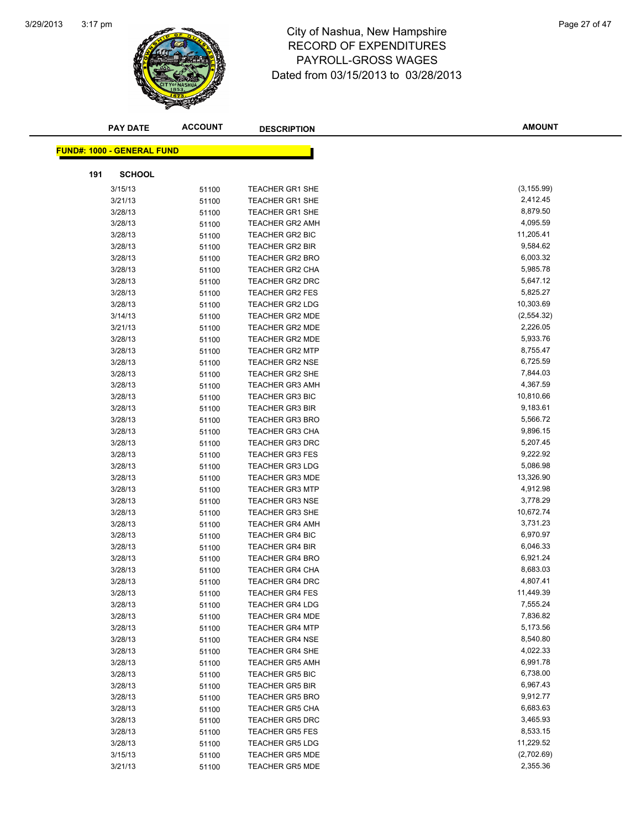

# 3:17 pm<br> **City of Nashua, New Hampshire** Page 27 of 47 RECORD OF EXPENDITURES PAYROLL-GROSS WAGES Dated from 03/15/2013 to 03/28/2013

|     | <b>PAY DATE</b>                   | <b>ACCOUNT</b> | <b>DESCRIPTION</b>     | <b>AMOUNT</b>        |
|-----|-----------------------------------|----------------|------------------------|----------------------|
|     |                                   |                |                        |                      |
|     | <b>FUND#: 1000 - GENERAL FUND</b> |                |                        |                      |
| 191 | <b>SCHOOL</b>                     |                |                        |                      |
|     | 3/15/13                           | 51100          | <b>TEACHER GR1 SHE</b> | (3, 155.99)          |
|     | 3/21/13                           | 51100          | <b>TEACHER GR1 SHE</b> | 2,412.45             |
|     | 3/28/13                           | 51100          | <b>TEACHER GR1 SHE</b> | 8,879.50             |
|     | 3/28/13                           | 51100          | <b>TEACHER GR2 AMH</b> | 4,095.59             |
|     | 3/28/13                           | 51100          | TEACHER GR2 BIC        | 11,205.41            |
|     | 3/28/13                           | 51100          | <b>TEACHER GR2 BIR</b> | 9,584.62             |
|     | 3/28/13                           | 51100          | <b>TEACHER GR2 BRO</b> | 6,003.32             |
|     | 3/28/13                           | 51100          | TEACHER GR2 CHA        | 5,985.78             |
|     | 3/28/13                           | 51100          | TEACHER GR2 DRC        | 5,647.12             |
|     | 3/28/13                           | 51100          | <b>TEACHER GR2 FES</b> | 5,825.27             |
|     | 3/28/13                           | 51100          | <b>TEACHER GR2 LDG</b> | 10,303.69            |
|     | 3/14/13                           | 51100          | <b>TEACHER GR2 MDE</b> | (2,554.32)           |
|     | 3/21/13                           | 51100          | <b>TEACHER GR2 MDE</b> | 2,226.05             |
|     | 3/28/13                           | 51100          | <b>TEACHER GR2 MDE</b> | 5,933.76             |
|     | 3/28/13                           | 51100          | <b>TEACHER GR2 MTP</b> | 8,755.47             |
|     | 3/28/13                           | 51100          | <b>TEACHER GR2 NSE</b> | 6,725.59             |
|     | 3/28/13                           | 51100          | TEACHER GR2 SHE        | 7,844.03             |
|     | 3/28/13                           | 51100          | <b>TEACHER GR3 AMH</b> | 4,367.59             |
|     | 3/28/13                           | 51100          | TEACHER GR3 BIC        | 10,810.66            |
|     | 3/28/13                           | 51100          | <b>TEACHER GR3 BIR</b> | 9,183.61             |
|     | 3/28/13                           | 51100          | <b>TEACHER GR3 BRO</b> | 5,566.72             |
|     | 3/28/13                           | 51100          | <b>TEACHER GR3 CHA</b> | 9,896.15             |
|     | 3/28/13                           | 51100          | <b>TEACHER GR3 DRC</b> | 5,207.45             |
|     | 3/28/13                           | 51100          | <b>TEACHER GR3 FES</b> | 9,222.92             |
|     | 3/28/13                           | 51100          | <b>TEACHER GR3 LDG</b> | 5,086.98             |
|     | 3/28/13                           | 51100          | <b>TEACHER GR3 MDE</b> | 13,326.90            |
|     | 3/28/13                           | 51100          | <b>TEACHER GR3 MTP</b> | 4,912.98             |
|     | 3/28/13                           | 51100          | <b>TEACHER GR3 NSE</b> | 3,778.29             |
|     | 3/28/13                           | 51100          | <b>TEACHER GR3 SHE</b> | 10,672.74            |
|     | 3/28/13                           | 51100          | <b>TEACHER GR4 AMH</b> | 3,731.23             |
|     | 3/28/13                           | 51100          | <b>TEACHER GR4 BIC</b> | 6,970.97             |
|     | 3/28/13                           | 51100          | <b>TEACHER GR4 BIR</b> | 6,046.33             |
|     | 3/28/13                           | 51100          | <b>TEACHER GR4 BRO</b> | 6,921.24             |
|     | 3/28/13                           | 51100          | TEACHER GR4 CHA        | 8,683.03             |
|     | 3/28/13                           | 51100          | <b>TEACHER GR4 DRC</b> | 4,807.41             |
|     | 3/28/13                           | 51100          | <b>TEACHER GR4 FES</b> | 11,449.39            |
|     | 3/28/13                           | 51100          | <b>TEACHER GR4 LDG</b> | 7,555.24             |
|     | 3/28/13                           | 51100          | <b>TEACHER GR4 MDE</b> | 7,836.82             |
|     | 3/28/13                           | 51100          | <b>TEACHER GR4 MTP</b> | 5,173.56             |
|     | 3/28/13                           | 51100          | <b>TEACHER GR4 NSE</b> | 8,540.80             |
|     | 3/28/13                           | 51100          | <b>TEACHER GR4 SHE</b> | 4,022.33             |
|     | 3/28/13                           | 51100          | <b>TEACHER GR5 AMH</b> | 6,991.78             |
|     | 3/28/13                           | 51100          | <b>TEACHER GR5 BIC</b> | 6,738.00             |
|     | 3/28/13<br>3/28/13                | 51100          | <b>TEACHER GR5 BIR</b> | 6,967.43             |
|     |                                   | 51100          | <b>TEACHER GR5 BRO</b> | 9,912.77<br>6,683.63 |
|     | 3/28/13                           | 51100          | <b>TEACHER GR5 CHA</b> |                      |
|     | 3/28/13                           | 51100          | <b>TEACHER GR5 DRC</b> | 3,465.93<br>8,533.15 |
|     | 3/28/13                           | 51100          | <b>TEACHER GR5 FES</b> | 11,229.52            |
|     | 3/28/13                           | 51100          | <b>TEACHER GR5 LDG</b> | (2,702.69)           |
|     | 3/15/13                           | 51100          | <b>TEACHER GR5 MDE</b> | 2,355.36             |
|     | 3/21/13                           | 51100          | <b>TEACHER GR5 MDE</b> |                      |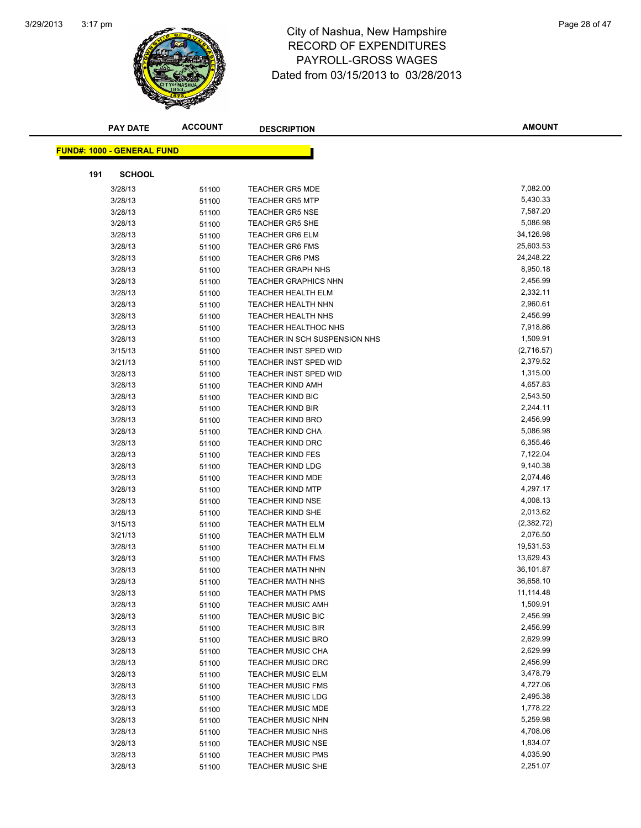

## 3:17 pm<br> **City of Nashua, New Hampshire** Page 28 of 47 RECORD OF EXPENDITURES PAYROLL-GROSS WAGES Dated from 03/15/2013 to 03/28/2013

|     | <b>PAY DATE</b>                   | <b>ACCOUNT</b> | <b>DESCRIPTION</b>                                 | <b>AMOUNT</b>        |
|-----|-----------------------------------|----------------|----------------------------------------------------|----------------------|
|     | <b>FUND#: 1000 - GENERAL FUND</b> |                |                                                    |                      |
|     |                                   |                |                                                    |                      |
| 191 | <b>SCHOOL</b>                     |                |                                                    |                      |
|     | 3/28/13                           | 51100          | <b>TEACHER GR5 MDE</b>                             | 7,082.00             |
|     | 3/28/13                           | 51100          | <b>TEACHER GR5 MTP</b>                             | 5,430.33             |
|     | 3/28/13                           | 51100          | <b>TEACHER GR5 NSE</b>                             | 7,587.20             |
|     | 3/28/13                           | 51100          | <b>TEACHER GR5 SHE</b>                             | 5,086.98             |
|     | 3/28/13                           | 51100          | <b>TEACHER GR6 ELM</b>                             | 34,126.98            |
|     | 3/28/13                           | 51100          | <b>TEACHER GR6 FMS</b>                             | 25,603.53            |
|     | 3/28/13                           | 51100          | <b>TEACHER GR6 PMS</b>                             | 24,248.22            |
|     | 3/28/13                           | 51100          | <b>TEACHER GRAPH NHS</b>                           | 8,950.18             |
|     | 3/28/13                           | 51100          | <b>TEACHER GRAPHICS NHN</b>                        | 2,456.99             |
|     | 3/28/13                           | 51100          | <b>TEACHER HEALTH ELM</b>                          | 2,332.11             |
|     | 3/28/13                           | 51100          | <b>TEACHER HEALTH NHN</b>                          | 2,960.61             |
|     | 3/28/13                           | 51100          | <b>TEACHER HEALTH NHS</b>                          | 2,456.99             |
|     | 3/28/13                           | 51100          | <b>TEACHER HEALTHOC NHS</b>                        | 7,918.86             |
|     | 3/28/13                           | 51100          | TEACHER IN SCH SUSPENSION NHS                      | 1,509.91             |
|     | 3/15/13                           | 51100          | TEACHER INST SPED WID                              | (2,716.57)           |
|     | 3/21/13                           | 51100          | TEACHER INST SPED WID                              | 2,379.52             |
|     | 3/28/13                           | 51100          | <b>TEACHER INST SPED WID</b>                       | 1,315.00             |
|     | 3/28/13                           | 51100          | <b>TEACHER KIND AMH</b>                            | 4,657.83             |
|     | 3/28/13                           | 51100          | <b>TEACHER KIND BIC</b>                            | 2,543.50             |
|     | 3/28/13                           | 51100          | <b>TEACHER KIND BIR</b>                            | 2,244.11             |
|     | 3/28/13                           | 51100          | <b>TEACHER KIND BRO</b>                            | 2,456.99             |
|     | 3/28/13                           | 51100          | <b>TEACHER KIND CHA</b>                            | 5,086.98<br>6,355.46 |
|     | 3/28/13                           | 51100          | <b>TEACHER KIND DRC</b>                            | 7,122.04             |
|     | 3/28/13                           | 51100          | <b>TEACHER KIND FES</b><br><b>TEACHER KIND LDG</b> | 9,140.38             |
|     | 3/28/13<br>3/28/13                | 51100          | <b>TEACHER KIND MDE</b>                            | 2,074.46             |
|     | 3/28/13                           | 51100          | <b>TEACHER KIND MTP</b>                            | 4,297.17             |
|     | 3/28/13                           | 51100          | <b>TEACHER KIND NSE</b>                            | 4,008.13             |
|     | 3/28/13                           | 51100<br>51100 | <b>TEACHER KIND SHE</b>                            | 2,013.62             |
|     | 3/15/13                           | 51100          | <b>TEACHER MATH ELM</b>                            | (2,382.72)           |
|     | 3/21/13                           | 51100          | <b>TEACHER MATH ELM</b>                            | 2,076.50             |
|     | 3/28/13                           | 51100          | <b>TEACHER MATH ELM</b>                            | 19,531.53            |
|     | 3/28/13                           | 51100          | <b>TEACHER MATH FMS</b>                            | 13,629.43            |
|     | 3/28/13                           | 51100          | TEACHER MATH NHN                                   | 36,101.87            |
|     | 3/28/13                           | 51100          | <b>TEACHER MATH NHS</b>                            | 36,658.10            |
|     | 3/28/13                           | 51100          | <b>TEACHER MATH PMS</b>                            | 11,114.48            |
|     | 3/28/13                           | 51100          | <b>TEACHER MUSIC AMH</b>                           | 1,509.91             |
|     | 3/28/13                           | 51100          | <b>TEACHER MUSIC BIC</b>                           | 2,456.99             |
|     | 3/28/13                           | 51100          | <b>TEACHER MUSIC BIR</b>                           | 2,456.99             |
|     | 3/28/13                           | 51100          | <b>TEACHER MUSIC BRO</b>                           | 2,629.99             |
|     | 3/28/13                           | 51100          | <b>TEACHER MUSIC CHA</b>                           | 2,629.99             |
|     | 3/28/13                           | 51100          | <b>TEACHER MUSIC DRC</b>                           | 2,456.99             |
|     | 3/28/13                           | 51100          | <b>TEACHER MUSIC ELM</b>                           | 3,478.79             |
|     | 3/28/13                           | 51100          | <b>TEACHER MUSIC FMS</b>                           | 4,727.06             |
|     | 3/28/13                           | 51100          | <b>TEACHER MUSIC LDG</b>                           | 2,495.38             |
|     | 3/28/13                           | 51100          | <b>TEACHER MUSIC MDE</b>                           | 1,778.22             |
|     | 3/28/13                           | 51100          | <b>TEACHER MUSIC NHN</b>                           | 5,259.98             |
|     | 3/28/13                           | 51100          | <b>TEACHER MUSIC NHS</b>                           | 4,708.06             |
|     | 3/28/13                           | 51100          | <b>TEACHER MUSIC NSE</b>                           | 1,834.07             |
|     | 3/28/13                           | 51100          | <b>TEACHER MUSIC PMS</b>                           | 4,035.90             |
|     | 3/28/13                           | 51100          | <b>TEACHER MUSIC SHE</b>                           | 2,251.07             |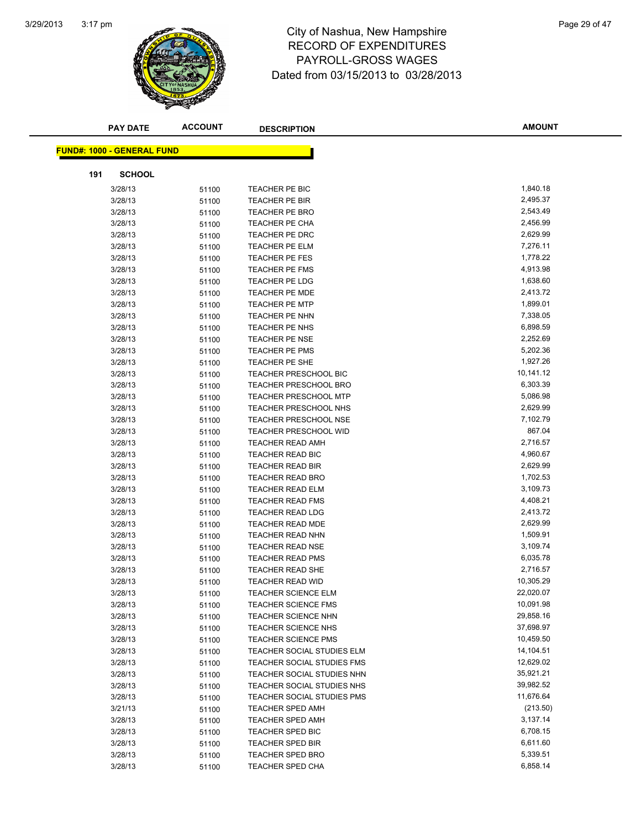

## 3:17 pm<br> **City of Nashua, New Hampshire** Page 29 of 47 RECORD OF EXPENDITURES PAYROLL-GROSS WAGES Dated from 03/15/2013 to 03/28/2013

|     | <b>PAY DATE</b>                   | <b>ACCOUNT</b> | <b>DESCRIPTION</b>           | <b>AMOUNT</b> |
|-----|-----------------------------------|----------------|------------------------------|---------------|
|     |                                   |                |                              |               |
|     | <b>FUND#: 1000 - GENERAL FUND</b> |                |                              |               |
| 191 | <b>SCHOOL</b>                     |                |                              |               |
|     | 3/28/13                           | 51100          | TEACHER PE BIC               | 1,840.18      |
|     | 3/28/13                           | 51100          | TEACHER PE BIR               | 2,495.37      |
|     | 3/28/13                           | 51100          | <b>TEACHER PE BRO</b>        | 2,543.49      |
|     | 3/28/13                           | 51100          | TEACHER PE CHA               | 2,456.99      |
|     | 3/28/13                           | 51100          | TEACHER PE DRC               | 2,629.99      |
|     | 3/28/13                           | 51100          | TEACHER PE ELM               | 7,276.11      |
|     | 3/28/13                           | 51100          | <b>TEACHER PE FES</b>        | 1,778.22      |
|     | 3/28/13                           | 51100          | TEACHER PE FMS               | 4,913.98      |
|     | 3/28/13                           | 51100          | TEACHER PE LDG               | 1,638.60      |
|     | 3/28/13                           | 51100          | <b>TEACHER PE MDE</b>        | 2,413.72      |
|     | 3/28/13                           | 51100          | <b>TEACHER PE MTP</b>        | 1,899.01      |
|     | 3/28/13                           | 51100          | TEACHER PE NHN               | 7,338.05      |
|     | 3/28/13                           | 51100          | TEACHER PE NHS               | 6,898.59      |
|     | 3/28/13                           | 51100          | TEACHER PE NSE               | 2,252.69      |
|     | 3/28/13                           | 51100          | <b>TEACHER PE PMS</b>        | 5,202.36      |
|     | 3/28/13                           | 51100          | TEACHER PE SHE               | 1,927.26      |
|     | 3/28/13                           | 51100          | <b>TEACHER PRESCHOOL BIC</b> | 10,141.12     |
|     | 3/28/13                           | 51100          | <b>TEACHER PRESCHOOL BRO</b> | 6,303.39      |
|     | 3/28/13                           | 51100          | <b>TEACHER PRESCHOOL MTP</b> | 5,086.98      |
|     | 3/28/13                           | 51100          | TEACHER PRESCHOOL NHS        | 2,629.99      |
|     | 3/28/13                           | 51100          | <b>TEACHER PRESCHOOL NSE</b> | 7,102.79      |
|     | 3/28/13                           | 51100          | <b>TEACHER PRESCHOOL WID</b> | 867.04        |
|     | 3/28/13                           | 51100          | <b>TEACHER READ AMH</b>      | 2,716.57      |
|     | 3/28/13                           | 51100          | <b>TEACHER READ BIC</b>      | 4,960.67      |
|     | 3/28/13                           | 51100          | <b>TEACHER READ BIR</b>      | 2,629.99      |
|     | 3/28/13                           | 51100          | <b>TEACHER READ BRO</b>      | 1,702.53      |
|     | 3/28/13                           | 51100          | <b>TEACHER READ ELM</b>      | 3,109.73      |
|     | 3/28/13                           | 51100          | <b>TEACHER READ FMS</b>      | 4,408.21      |
|     | 3/28/13                           | 51100          | <b>TEACHER READ LDG</b>      | 2,413.72      |
|     | 3/28/13                           | 51100          | <b>TEACHER READ MDE</b>      | 2,629.99      |
|     | 3/28/13                           | 51100          | TEACHER READ NHN             | 1,509.91      |
|     | 3/28/13                           | 51100          | <b>TEACHER READ NSE</b>      | 3,109.74      |
|     | 3/28/13                           | 51100          | <b>TEACHER READ PMS</b>      | 6,035.78      |
|     | 3/28/13                           | 51100          | <b>TEACHER READ SHE</b>      | 2,716.57      |
|     | 3/28/13                           | 51100          | <b>TEACHER READ WID</b>      | 10,305.29     |
|     | 3/28/13                           | 51100          | TEACHER SCIENCE ELM          | 22,020.07     |
|     | 3/28/13                           | 51100          | <b>TEACHER SCIENCE FMS</b>   | 10,091.98     |
|     | 3/28/13                           | 51100          | TEACHER SCIENCE NHN          | 29,858.16     |
|     | 3/28/13                           | 51100          | <b>TEACHER SCIENCE NHS</b>   | 37,698.97     |
|     | 3/28/13                           | 51100          | <b>TEACHER SCIENCE PMS</b>   | 10,459.50     |
|     | 3/28/13                           | 51100          | TEACHER SOCIAL STUDIES ELM   | 14,104.51     |
|     | 3/28/13                           | 51100          | TEACHER SOCIAL STUDIES FMS   | 12,629.02     |
|     | 3/28/13                           | 51100          | TEACHER SOCIAL STUDIES NHN   | 35,921.21     |
|     | 3/28/13                           | 51100          | TEACHER SOCIAL STUDIES NHS   | 39,982.52     |
|     | 3/28/13                           | 51100          | TEACHER SOCIAL STUDIES PMS   | 11,676.64     |
|     | 3/21/13                           | 51100          | <b>TEACHER SPED AMH</b>      | (213.50)      |
|     | 3/28/13                           | 51100          | <b>TEACHER SPED AMH</b>      | 3,137.14      |
|     | 3/28/13                           | 51100          | TEACHER SPED BIC             | 6,708.15      |
|     | 3/28/13                           | 51100          | <b>TEACHER SPED BIR</b>      | 6,611.60      |
|     | 3/28/13                           | 51100          | <b>TEACHER SPED BRO</b>      | 5,339.51      |
|     | 3/28/13                           | 51100          | <b>TEACHER SPED CHA</b>      | 6,858.14      |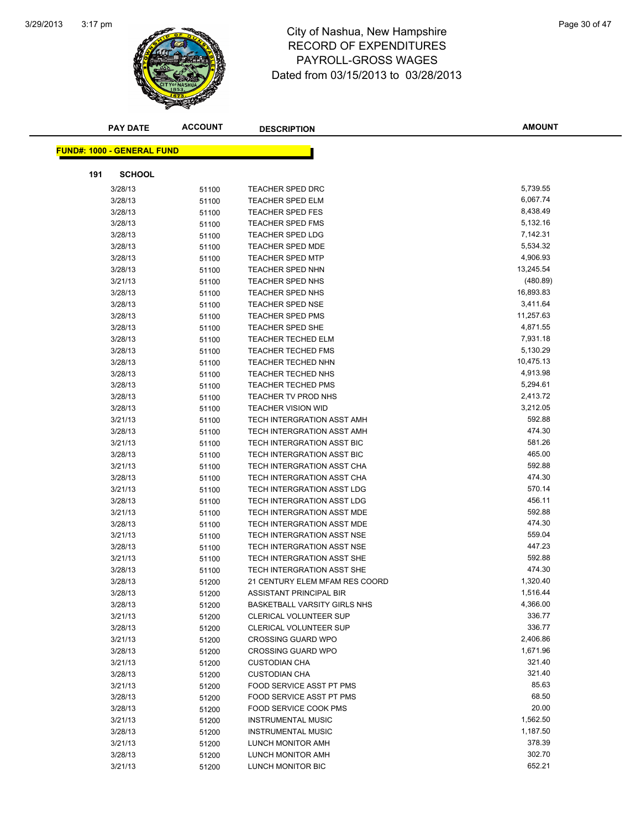

## 3:17 pm<br> **City of Nashua, New Hampshire** Page 30 of 47 RECORD OF EXPENDITURES PAYROLL-GROSS WAGES Dated from 03/15/2013 to 03/28/2013

|     | <b>PAY DATE</b>                   | <b>ACCOUNT</b> | <b>DESCRIPTION</b>             | <b>AMOUNT</b> |
|-----|-----------------------------------|----------------|--------------------------------|---------------|
|     | <b>FUND#: 1000 - GENERAL FUND</b> |                |                                |               |
|     |                                   |                |                                |               |
| 191 | <b>SCHOOL</b><br>3/28/13          |                | <b>TEACHER SPED DRC</b>        | 5,739.55      |
|     | 3/28/13                           | 51100          | <b>TEACHER SPED ELM</b>        | 6,067.74      |
|     | 3/28/13                           | 51100<br>51100 | <b>TEACHER SPED FES</b>        | 8,438.49      |
|     | 3/28/13                           |                | <b>TEACHER SPED FMS</b>        | 5,132.16      |
|     | 3/28/13                           | 51100<br>51100 | <b>TEACHER SPED LDG</b>        | 7,142.31      |
|     | 3/28/13                           |                | <b>TEACHER SPED MDE</b>        | 5,534.32      |
|     | 3/28/13                           | 51100<br>51100 | <b>TEACHER SPED MTP</b>        | 4,906.93      |
|     | 3/28/13                           | 51100          | <b>TEACHER SPED NHN</b>        | 13,245.54     |
|     | 3/21/13                           | 51100          | TEACHER SPED NHS               | (480.89)      |
|     | 3/28/13                           | 51100          | TEACHER SPED NHS               | 16,893.83     |
|     | 3/28/13                           | 51100          | <b>TEACHER SPED NSE</b>        | 3,411.64      |
|     | 3/28/13                           | 51100          | <b>TEACHER SPED PMS</b>        | 11,257.63     |
|     | 3/28/13                           | 51100          | TEACHER SPED SHE               | 4,871.55      |
|     | 3/28/13                           | 51100          | <b>TEACHER TECHED ELM</b>      | 7,931.18      |
|     | 3/28/13                           | 51100          | <b>TEACHER TECHED FMS</b>      | 5,130.29      |
|     | 3/28/13                           | 51100          | <b>TEACHER TECHED NHN</b>      | 10,475.13     |
|     | 3/28/13                           | 51100          | <b>TEACHER TECHED NHS</b>      | 4,913.98      |
|     | 3/28/13                           | 51100          | <b>TEACHER TECHED PMS</b>      | 5,294.61      |
|     | 3/28/13                           | 51100          | TEACHER TV PROD NHS            | 2,413.72      |
|     | 3/28/13                           | 51100          | <b>TEACHER VISION WID</b>      | 3,212.05      |
|     | 3/21/13                           | 51100          | TECH INTERGRATION ASST AMH     | 592.88        |
|     | 3/28/13                           | 51100          | TECH INTERGRATION ASST AMH     | 474.30        |
|     | 3/21/13                           | 51100          | TECH INTERGRATION ASST BIC     | 581.26        |
|     | 3/28/13                           | 51100          | TECH INTERGRATION ASST BIC     | 465.00        |
|     | 3/21/13                           | 51100          | TECH INTERGRATION ASST CHA     | 592.88        |
|     | 3/28/13                           | 51100          | TECH INTERGRATION ASST CHA     | 474.30        |
|     | 3/21/13                           | 51100          | TECH INTERGRATION ASST LDG     | 570.14        |
|     | 3/28/13                           | 51100          | TECH INTERGRATION ASST LDG     | 456.11        |
|     | 3/21/13                           | 51100          | TECH INTERGRATION ASST MDE     | 592.88        |
|     | 3/28/13                           | 51100          | TECH INTERGRATION ASST MDE     | 474.30        |
|     | 3/21/13                           | 51100          | TECH INTERGRATION ASST NSE     | 559.04        |
|     | 3/28/13                           | 51100          | TECH INTERGRATION ASST NSE     | 447.23        |
|     | 3/21/13                           | 51100          | TECH INTERGRATION ASST SHE     | 592.88        |
|     | 3/28/13                           | 51100          | TECH INTERGRATION ASST SHE     | 474.30        |
|     | 3/28/13                           | 51200          | 21 CENTURY ELEM MFAM RES COORD | 1,320.40      |
|     | 3/28/13                           | 51200          | ASSISTANT PRINCIPAL BIR        | 1,516.44      |
|     | 3/28/13                           | 51200          | BASKETBALL VARSITY GIRLS NHS   | 4,366.00      |
|     | 3/21/13                           | 51200          | <b>CLERICAL VOLUNTEER SUP</b>  | 336.77        |
|     | 3/28/13                           | 51200          | <b>CLERICAL VOLUNTEER SUP</b>  | 336.77        |
|     | 3/21/13                           | 51200          | <b>CROSSING GUARD WPO</b>      | 2,406.86      |
|     | 3/28/13                           | 51200          | <b>CROSSING GUARD WPO</b>      | 1,671.96      |
|     | 3/21/13                           | 51200          | <b>CUSTODIAN CHA</b>           | 321.40        |
|     | 3/28/13                           | 51200          | <b>CUSTODIAN CHA</b>           | 321.40        |
|     | 3/21/13                           | 51200          | FOOD SERVICE ASST PT PMS       | 85.63         |
|     | 3/28/13                           | 51200          | FOOD SERVICE ASST PT PMS       | 68.50         |
|     | 3/28/13                           | 51200          | <b>FOOD SERVICE COOK PMS</b>   | 20.00         |
|     | 3/21/13                           | 51200          | <b>INSTRUMENTAL MUSIC</b>      | 1,562.50      |
|     | 3/28/13                           | 51200          | <b>INSTRUMENTAL MUSIC</b>      | 1,187.50      |
|     | 3/21/13                           | 51200          | LUNCH MONITOR AMH              | 378.39        |
|     | 3/28/13                           | 51200          | LUNCH MONITOR AMH              | 302.70        |
|     | 3/21/13                           | 51200          | LUNCH MONITOR BIC              | 652.21        |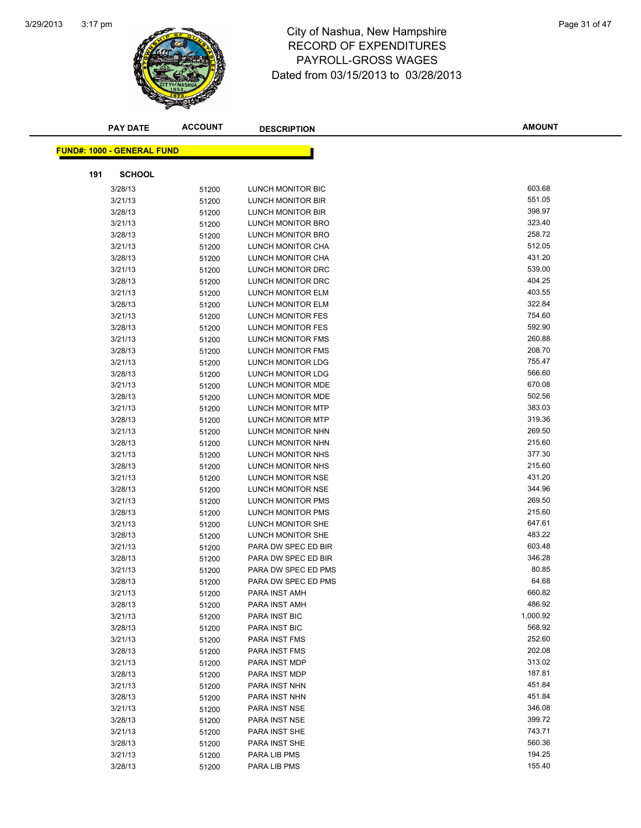

## 3:17 pm<br> **City of Nashua, New Hampshire** Page 31 of 47 RECORD OF EXPENDITURES PAYROLL-GROSS WAGES Dated from 03/15/2013 to 03/28/2013

|     | <b>PAY DATE</b>                   | <b>ACCOUNT</b> | <b>DESCRIPTION</b>       | <b>AMOUNT</b> |  |
|-----|-----------------------------------|----------------|--------------------------|---------------|--|
|     | <b>FUND#: 1000 - GENERAL FUND</b> |                |                          |               |  |
|     |                                   |                |                          |               |  |
| 191 | <b>SCHOOL</b>                     |                |                          |               |  |
|     | 3/28/13                           | 51200          | LUNCH MONITOR BIC        | 603.68        |  |
|     | 3/21/13                           | 51200          | LUNCH MONITOR BIR        | 551.05        |  |
|     | 3/28/13                           | 51200          | LUNCH MONITOR BIR        | 398.97        |  |
|     | 3/21/13                           | 51200          | LUNCH MONITOR BRO        | 323.40        |  |
|     | 3/28/13                           | 51200          | <b>LUNCH MONITOR BRO</b> | 258.72        |  |
|     | 3/21/13                           | 51200          | LUNCH MONITOR CHA        | 512.05        |  |
|     | 3/28/13                           | 51200          | LUNCH MONITOR CHA        | 431.20        |  |
|     | 3/21/13                           | 51200          | LUNCH MONITOR DRC        | 539.00        |  |
|     | 3/28/13                           | 51200          | LUNCH MONITOR DRC        | 404.25        |  |
|     | 3/21/13                           | 51200          | LUNCH MONITOR ELM        | 403.55        |  |
|     | 3/28/13                           | 51200          | LUNCH MONITOR ELM        | 322.84        |  |
|     | 3/21/13                           | 51200          | <b>LUNCH MONITOR FES</b> | 754.60        |  |
|     | 3/28/13                           | 51200          | <b>LUNCH MONITOR FES</b> | 592.90        |  |
|     | 3/21/13                           | 51200          | <b>LUNCH MONITOR FMS</b> | 260.88        |  |
|     | 3/28/13                           | 51200          | LUNCH MONITOR FMS        | 208.70        |  |
|     | 3/21/13                           | 51200          | <b>LUNCH MONITOR LDG</b> | 755.47        |  |
|     | 3/28/13                           | 51200          | LUNCH MONITOR LDG        | 566.60        |  |
|     | 3/21/13                           | 51200          | <b>LUNCH MONITOR MDE</b> | 670.08        |  |
|     | 3/28/13                           | 51200          | LUNCH MONITOR MDE        | 502.56        |  |
|     | 3/21/13                           | 51200          | LUNCH MONITOR MTP        | 383.03        |  |
|     | 3/28/13                           | 51200          | <b>LUNCH MONITOR MTP</b> | 319.36        |  |
|     | 3/21/13                           | 51200          | LUNCH MONITOR NHN        | 269.50        |  |
|     | 3/28/13                           | 51200          | LUNCH MONITOR NHN        | 215.60        |  |
|     | 3/21/13                           | 51200          | LUNCH MONITOR NHS        | 377.30        |  |
|     | 3/28/13                           | 51200          | LUNCH MONITOR NHS        | 215.60        |  |
|     | 3/21/13                           | 51200          | LUNCH MONITOR NSE        | 431.20        |  |
|     | 3/28/13                           | 51200          | LUNCH MONITOR NSE        | 344.96        |  |
|     | 3/21/13                           | 51200          | LUNCH MONITOR PMS        | 269.50        |  |
|     | 3/28/13                           | 51200          | <b>LUNCH MONITOR PMS</b> | 215.60        |  |
|     | 3/21/13                           | 51200          | LUNCH MONITOR SHE        | 647.61        |  |
|     | 3/28/13                           | 51200          | LUNCH MONITOR SHE        | 483.22        |  |
|     | 3/21/13                           | 51200          | PARA DW SPEC ED BIR      | 603.48        |  |
|     | 3/28/13                           | 51200          | PARA DW SPEC ED BIR      | 346.28        |  |
|     | 3/21/13                           | 51200          | PARA DW SPEC ED PMS      | 80.85         |  |
|     | 3/28/13                           | 51200          | PARA DW SPEC ED PMS      | 64.68         |  |
|     | 3/21/13                           | 51200          | PARA INST AMH            | 660.82        |  |
|     | 3/28/13                           | 51200          | PARA INST AMH            | 486.92        |  |
|     | 3/21/13                           | 51200          | PARA INST BIC            | 1,000.92      |  |
|     | 3/28/13                           | 51200          | PARA INST BIC            | 568.92        |  |
|     | 3/21/13                           | 51200          | PARA INST FMS            | 252.60        |  |
|     | 3/28/13                           | 51200          | PARA INST FMS            | 202.08        |  |
|     | 3/21/13                           | 51200          | PARA INST MDP            | 313.02        |  |
|     | 3/28/13                           | 51200          | PARA INST MDP            | 187.81        |  |
|     | 3/21/13                           | 51200          | PARA INST NHN            | 451.84        |  |
|     | 3/28/13                           | 51200          | PARA INST NHN            | 451.84        |  |
|     | 3/21/13                           | 51200          | PARA INST NSE            | 346.08        |  |
|     | 3/28/13                           | 51200          | PARA INST NSE            | 399.72        |  |
|     | 3/21/13                           | 51200          | PARA INST SHE            | 743.71        |  |
|     | 3/28/13                           | 51200          | PARA INST SHE            | 560.36        |  |
|     | 3/21/13                           | 51200          | PARA LIB PMS             | 194.25        |  |
|     | 3/28/13                           | 51200          | PARA LIB PMS             | 155.40        |  |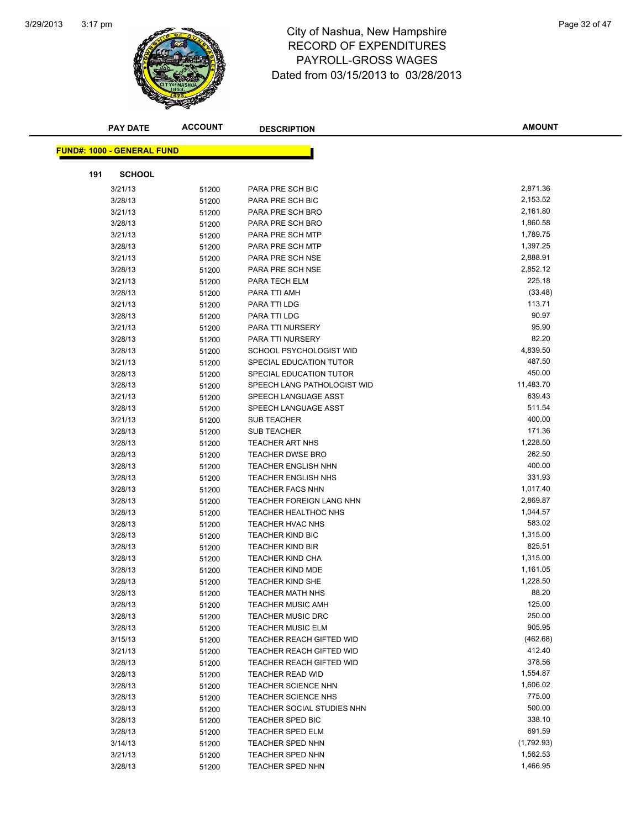

## 3:17 pm<br> **City of Nashua, New Hampshire** Page 32 of 47 RECORD OF EXPENDITURES PAYROLL-GROSS WAGES Dated from 03/15/2013 to 03/28/2013

|     | <b>PAY DATE</b>                   | <b>ACCOUNT</b> | <b>DESCRIPTION</b>                                   | <b>AMOUNT</b>    |
|-----|-----------------------------------|----------------|------------------------------------------------------|------------------|
|     | <b>FUND#: 1000 - GENERAL FUND</b> |                |                                                      |                  |
|     |                                   |                |                                                      |                  |
| 191 | <b>SCHOOL</b>                     |                |                                                      |                  |
|     | 3/21/13                           | 51200          | PARA PRE SCH BIC                                     | 2,871.36         |
|     | 3/28/13                           | 51200          | PARA PRE SCH BIC                                     | 2,153.52         |
|     | 3/21/13                           | 51200          | PARA PRE SCH BRO                                     | 2,161.80         |
|     | 3/28/13                           | 51200          | PARA PRE SCH BRO                                     | 1,860.58         |
|     | 3/21/13                           | 51200          | PARA PRE SCH MTP                                     | 1,789.75         |
|     | 3/28/13                           | 51200          | PARA PRE SCH MTP                                     | 1,397.25         |
|     | 3/21/13                           | 51200          | PARA PRE SCH NSE                                     | 2,888.91         |
|     | 3/28/13                           | 51200          | PARA PRE SCH NSE                                     | 2,852.12         |
|     | 3/21/13                           | 51200          | PARA TECH ELM                                        | 225.18           |
|     | 3/28/13                           | 51200          | PARA TTI AMH                                         | (33.48)          |
|     | 3/21/13                           | 51200          | PARA TTI LDG                                         | 113.71           |
|     | 3/28/13                           | 51200          | PARA TTI LDG                                         | 90.97            |
|     | 3/21/13                           | 51200          | PARA TTI NURSERY                                     | 95.90            |
|     | 3/28/13                           | 51200          | PARA TTI NURSERY                                     | 82.20            |
|     | 3/28/13                           | 51200          | SCHOOL PSYCHOLOGIST WID                              | 4,839.50         |
|     | 3/21/13                           | 51200          | SPECIAL EDUCATION TUTOR                              | 487.50           |
|     | 3/28/13                           | 51200          | SPECIAL EDUCATION TUTOR                              | 450.00           |
|     | 3/28/13                           | 51200          | SPEECH LANG PATHOLOGIST WID                          | 11,483.70        |
|     | 3/21/13                           | 51200          | SPEECH LANGUAGE ASST                                 | 639.43           |
|     | 3/28/13                           | 51200          | SPEECH LANGUAGE ASST                                 | 511.54           |
|     | 3/21/13                           | 51200          | <b>SUB TEACHER</b>                                   | 400.00           |
|     | 3/28/13                           | 51200          | <b>SUB TEACHER</b>                                   | 171.36           |
|     | 3/28/13                           | 51200          | <b>TEACHER ART NHS</b>                               | 1,228.50         |
|     | 3/28/13                           | 51200          | <b>TEACHER DWSE BRO</b>                              | 262.50           |
|     | 3/28/13                           | 51200          | <b>TEACHER ENGLISH NHN</b>                           | 400.00           |
|     | 3/28/13                           | 51200          | <b>TEACHER ENGLISH NHS</b>                           | 331.93           |
|     | 3/28/13                           | 51200          | <b>TEACHER FACS NHN</b>                              | 1,017.40         |
|     | 3/28/13                           | 51200          | TEACHER FOREIGN LANG NHN                             | 2,869.87         |
|     | 3/28/13                           | 51200          | <b>TEACHER HEALTHOC NHS</b>                          | 1,044.57         |
|     | 3/28/13                           | 51200          | TEACHER HVAC NHS                                     | 583.02           |
|     | 3/28/13                           | 51200          | <b>TEACHER KIND BIC</b>                              | 1,315.00         |
|     | 3/28/13                           | 51200          | <b>TEACHER KIND BIR</b>                              | 825.51           |
|     | 3/28/13                           | 51200          | <b>TEACHER KIND CHA</b>                              | 1,315.00         |
|     | 3/28/13                           | 51200          | <b>TEACHER KIND MDE</b>                              | 1,161.05         |
|     | 3/28/13                           | 51200          | <b>TEACHER KIND SHE</b>                              | 1,228.50         |
|     | 3/28/13                           | 51200          | TEACHER MATH NHS                                     | 88.20            |
|     | 3/28/13                           | 51200          | <b>TEACHER MUSIC AMH</b>                             | 125.00<br>250.00 |
|     | 3/28/13                           | 51200          | <b>TEACHER MUSIC DRC</b>                             | 905.95           |
|     | 3/28/13                           | 51200          | <b>TEACHER MUSIC ELM</b>                             | (462.68)         |
|     | 3/15/13                           | 51200          | TEACHER REACH GIFTED WID                             | 412.40           |
|     | 3/21/13                           | 51200          | TEACHER REACH GIFTED WID<br>TEACHER REACH GIFTED WID | 378.56           |
|     | 3/28/13                           | 51200          | <b>TEACHER READ WID</b>                              | 1,554.87         |
|     | 3/28/13                           | 51200          | TEACHER SCIENCE NHN                                  | 1,606.02         |
|     | 3/28/13<br>3/28/13                | 51200          | <b>TEACHER SCIENCE NHS</b>                           | 775.00           |
|     | 3/28/13                           | 51200          | TEACHER SOCIAL STUDIES NHN                           | 500.00           |
|     | 3/28/13                           | 51200          | <b>TEACHER SPED BIC</b>                              | 338.10           |
|     | 3/28/13                           | 51200<br>51200 | <b>TEACHER SPED ELM</b>                              | 691.59           |
|     | 3/14/13                           | 51200          | <b>TEACHER SPED NHN</b>                              | (1,792.93)       |
|     | 3/21/13                           | 51200          | <b>TEACHER SPED NHN</b>                              | 1,562.53         |
|     | 3/28/13                           | 51200          | <b>TEACHER SPED NHN</b>                              | 1,466.95         |
|     |                                   |                |                                                      |                  |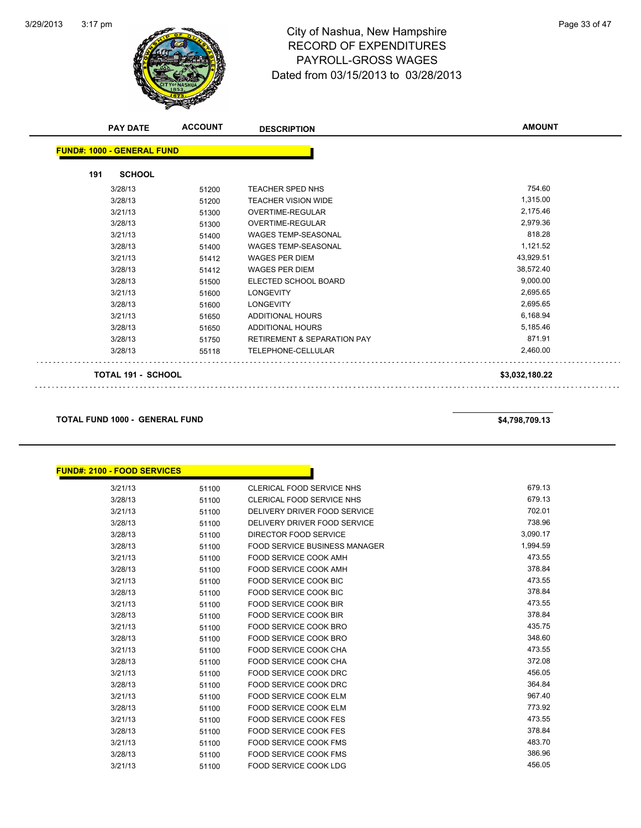

## 3:17 pm<br> **City of Nashua, New Hampshire** Page 33 of 47 RECORD OF EXPENDITURES PAYROLL-GROSS WAGES Dated from 03/15/2013 to 03/28/2013

| <b>PAY DATE</b>                   | <b>ACCOUNT</b> | <b>DESCRIPTION</b>                     | <b>AMOUNT</b>  |
|-----------------------------------|----------------|----------------------------------------|----------------|
| <b>FUND#: 1000 - GENERAL FUND</b> |                |                                        |                |
| <b>SCHOOL</b><br>191              |                |                                        |                |
| 3/28/13                           | 51200          | <b>TEACHER SPED NHS</b>                | 754.60         |
| 3/28/13                           | 51200          | <b>TEACHER VISION WIDE</b>             | 1,315.00       |
| 3/21/13                           | 51300          | <b>OVERTIME-REGULAR</b>                | 2,175.46       |
| 3/28/13                           | 51300          | <b>OVERTIME-REGULAR</b>                | 2,979.36       |
| 3/21/13                           | 51400          | <b>WAGES TEMP-SEASONAL</b>             | 818.28         |
| 3/28/13                           | 51400          | <b>WAGES TEMP-SEASONAL</b>             | 1,121.52       |
| 3/21/13                           | 51412          | <b>WAGES PER DIEM</b>                  | 43,929.51      |
| 3/28/13                           | 51412          | <b>WAGES PER DIEM</b>                  | 38,572.40      |
| 3/28/13                           | 51500          | ELECTED SCHOOL BOARD                   | 9,000.00       |
| 3/21/13                           | 51600          | <b>LONGEVITY</b>                       | 2,695.65       |
| 3/28/13                           | 51600          | <b>LONGEVITY</b>                       | 2,695.65       |
| 3/21/13                           | 51650          | <b>ADDITIONAL HOURS</b>                | 6,168.94       |
| 3/28/13                           | 51650          | <b>ADDITIONAL HOURS</b>                | 5,185.46       |
| 3/28/13                           | 51750          | <b>RETIREMENT &amp; SEPARATION PAY</b> | 871.91         |
| 3/28/13                           | 55118          | TELEPHONE-CELLULAR                     | 2,460.00       |
| <b>TOTAL 191 - SCHOOL</b>         |                |                                        | \$3,032,180.22 |

#### **TOTAL FUND 1000 - GENERAL FUND \$4,798,709.13**

| <b>FUND#: 2100 - FOOD SERVICES</b> |       |                                      |          |
|------------------------------------|-------|--------------------------------------|----------|
| 3/21/13                            | 51100 | <b>CLERICAL FOOD SERVICE NHS</b>     | 679.13   |
| 3/28/13                            | 51100 | <b>CLERICAL FOOD SERVICE NHS</b>     | 679.13   |
| 3/21/13                            | 51100 | DELIVERY DRIVER FOOD SERVICE         | 702.01   |
| 3/28/13                            | 51100 | DELIVERY DRIVER FOOD SERVICE         | 738.96   |
| 3/28/13                            | 51100 | DIRECTOR FOOD SERVICE                | 3,090.17 |
| 3/28/13                            | 51100 | <b>FOOD SERVICE BUSINESS MANAGER</b> | 1,994.59 |
| 3/21/13                            | 51100 | <b>FOOD SERVICE COOK AMH</b>         | 473.55   |
| 3/28/13                            | 51100 | FOOD SERVICE COOK AMH                | 378.84   |
| 3/21/13                            | 51100 | <b>FOOD SERVICE COOK BIC</b>         | 473.55   |
| 3/28/13                            | 51100 | <b>FOOD SERVICE COOK BIC</b>         | 378.84   |
| 3/21/13                            | 51100 | FOOD SERVICE COOK BIR                | 473.55   |
| 3/28/13                            | 51100 | <b>FOOD SERVICE COOK BIR</b>         | 378.84   |
| 3/21/13                            | 51100 | <b>FOOD SERVICE COOK BRO</b>         | 435.75   |
| 3/28/13                            | 51100 | <b>FOOD SERVICE COOK BRO</b>         | 348.60   |
| 3/21/13                            | 51100 | FOOD SERVICE COOK CHA                | 473.55   |
| 3/28/13                            | 51100 | <b>FOOD SERVICE COOK CHA</b>         | 372.08   |
| 3/21/13                            | 51100 | <b>FOOD SERVICE COOK DRC</b>         | 456.05   |
| 3/28/13                            | 51100 | <b>FOOD SERVICE COOK DRC</b>         | 364.84   |
| 3/21/13                            | 51100 | FOOD SERVICE COOK ELM                | 967.40   |
| 3/28/13                            | 51100 | <b>FOOD SERVICE COOK ELM</b>         | 773.92   |
| 3/21/13                            | 51100 | <b>FOOD SERVICE COOK FES</b>         | 473.55   |
| 3/28/13                            | 51100 | <b>FOOD SERVICE COOK FES</b>         | 378.84   |
| 3/21/13                            | 51100 | <b>FOOD SERVICE COOK FMS</b>         | 483.70   |
| 3/28/13                            | 51100 | <b>FOOD SERVICE COOK FMS</b>         | 386.96   |
| 3/21/13                            | 51100 | <b>FOOD SERVICE COOK LDG</b>         | 456.05   |
|                                    |       |                                      |          |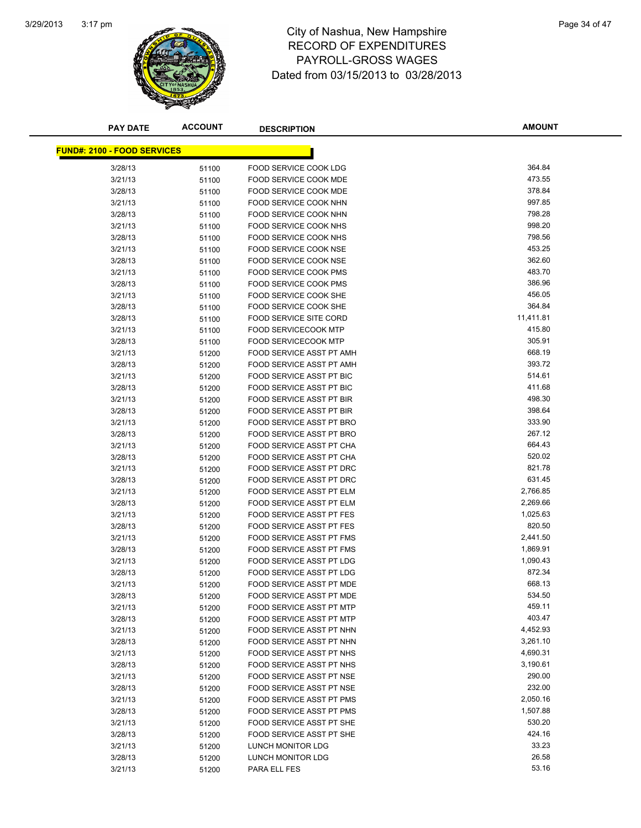

## 3:17 pm<br> **City of Nashua, New Hampshire** Page 34 of 47 RECORD OF EXPENDITURES PAYROLL-GROSS WAGES Dated from 03/15/2013 to 03/28/2013

| <b>PAY DATE</b>                    | <b>ACCOUNT</b> | <b>DESCRIPTION</b>              | <b>AMOUNT</b> |
|------------------------------------|----------------|---------------------------------|---------------|
|                                    |                |                                 |               |
| <b>FUND#: 2100 - FOOD SERVICES</b> |                |                                 |               |
| 3/28/13                            | 51100          | FOOD SERVICE COOK LDG           | 364.84        |
| 3/21/13                            | 51100          | FOOD SERVICE COOK MDE           | 473.55        |
| 3/28/13                            | 51100          | FOOD SERVICE COOK MDE           | 378.84        |
| 3/21/13                            | 51100          | FOOD SERVICE COOK NHN           | 997.85        |
| 3/28/13                            | 51100          | FOOD SERVICE COOK NHN           | 798.28        |
| 3/21/13                            | 51100          | FOOD SERVICE COOK NHS           | 998.20        |
| 3/28/13                            | 51100          | FOOD SERVICE COOK NHS           | 798.56        |
| 3/21/13                            | 51100          | FOOD SERVICE COOK NSE           | 453.25        |
| 3/28/13                            | 51100          | FOOD SERVICE COOK NSE           | 362.60        |
| 3/21/13                            | 51100          | <b>FOOD SERVICE COOK PMS</b>    | 483.70        |
| 3/28/13                            | 51100          | <b>FOOD SERVICE COOK PMS</b>    | 386.96        |
| 3/21/13                            | 51100          | FOOD SERVICE COOK SHE           | 456.05        |
| 3/28/13                            | 51100          | FOOD SERVICE COOK SHE           | 364.84        |
| 3/28/13                            | 51100          | <b>FOOD SERVICE SITE CORD</b>   | 11,411.81     |
| 3/21/13                            | 51100          | <b>FOOD SERVICECOOK MTP</b>     | 415.80        |
| 3/28/13                            | 51100          | <b>FOOD SERVICECOOK MTP</b>     | 305.91        |
| 3/21/13                            | 51200          | FOOD SERVICE ASST PT AMH        | 668.19        |
| 3/28/13                            | 51200          | FOOD SERVICE ASST PT AMH        | 393.72        |
| 3/21/13                            | 51200          | <b>FOOD SERVICE ASST PT BIC</b> | 514.61        |
| 3/28/13                            | 51200          | FOOD SERVICE ASST PT BIC        | 411.68        |
| 3/21/13                            | 51200          | <b>FOOD SERVICE ASST PT BIR</b> | 498.30        |
| 3/28/13                            | 51200          | FOOD SERVICE ASST PT BIR        | 398.64        |
| 3/21/13                            | 51200          | <b>FOOD SERVICE ASST PT BRO</b> | 333.90        |
| 3/28/13                            | 51200          | FOOD SERVICE ASST PT BRO        | 267.12        |
| 3/21/13                            | 51200          | FOOD SERVICE ASST PT CHA        | 664.43        |
| 3/28/13                            | 51200          | FOOD SERVICE ASST PT CHA        | 520.02        |
| 3/21/13                            | 51200          | FOOD SERVICE ASST PT DRC        | 821.78        |
| 3/28/13                            | 51200          | FOOD SERVICE ASST PT DRC        | 631.45        |
| 3/21/13                            | 51200          | FOOD SERVICE ASST PT ELM        | 2,766.85      |
| 3/28/13                            | 51200          | FOOD SERVICE ASST PT ELM        | 2,269.66      |
| 3/21/13                            | 51200          | FOOD SERVICE ASST PT FES        | 1,025.63      |
| 3/28/13                            | 51200          | FOOD SERVICE ASST PT FES        | 820.50        |
| 3/21/13                            | 51200          | FOOD SERVICE ASST PT FMS        | 2,441.50      |
| 3/28/13                            | 51200          | FOOD SERVICE ASST PT FMS        | 1,869.91      |
| 3/21/13                            | 51200          | FOOD SERVICE ASST PT LDG        | 1,090.43      |
| 3/28/13                            | 51200          | <b>FOOD SERVICE ASST PT LDG</b> | 872.34        |
| 3/21/13                            | 51200          | FOOD SERVICE ASST PT MDE        | 668.13        |
| 3/28/13                            | 51200          | FOOD SERVICE ASST PT MDE        | 534.50        |
| 3/21/13                            | 51200          | FOOD SERVICE ASST PT MTP        | 459.11        |
| 3/28/13                            | 51200          | FOOD SERVICE ASST PT MTP        | 403.47        |
| 3/21/13                            | 51200          | FOOD SERVICE ASST PT NHN        | 4,452.93      |
| 3/28/13                            | 51200          | FOOD SERVICE ASST PT NHN        | 3,261.10      |
| 3/21/13                            | 51200          | FOOD SERVICE ASST PT NHS        | 4,690.31      |
| 3/28/13                            | 51200          | <b>FOOD SERVICE ASST PT NHS</b> | 3,190.61      |
| 3/21/13                            | 51200          | FOOD SERVICE ASST PT NSE        | 290.00        |
| 3/28/13                            | 51200          | FOOD SERVICE ASST PT NSE        | 232.00        |
| 3/21/13                            | 51200          | FOOD SERVICE ASST PT PMS        | 2,050.16      |
| 3/28/13                            | 51200          | FOOD SERVICE ASST PT PMS        | 1,507.88      |
| 3/21/13                            | 51200          | FOOD SERVICE ASST PT SHE        | 530.20        |
| 3/28/13                            | 51200          | FOOD SERVICE ASST PT SHE        | 424.16        |
| 3/21/13                            | 51200          | LUNCH MONITOR LDG               | 33.23         |
| 3/28/13                            | 51200          | LUNCH MONITOR LDG               | 26.58         |
| 3/21/13                            | 51200          | PARA ELL FES                    | 53.16         |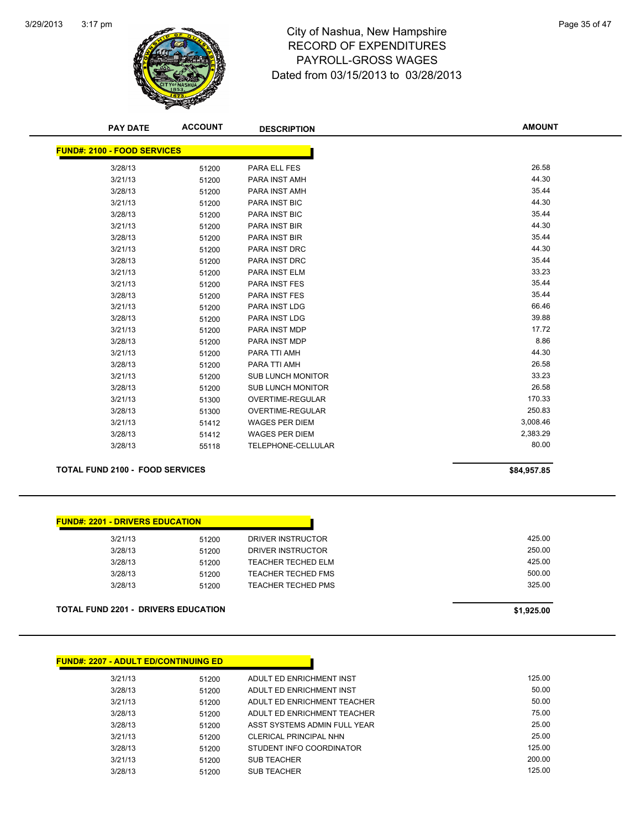

## 3:17 pm<br> **City of Nashua, New Hampshire** Page 35 of 47 RECORD OF EXPENDITURES PAYROLL-GROSS WAGES Dated from 03/15/2013 to 03/28/2013

| <b>PAY DATE</b>                    | <b>ACCOUNT</b> | <b>DESCRIPTION</b>       | <b>AMOUNT</b> |
|------------------------------------|----------------|--------------------------|---------------|
| <b>FUND#: 2100 - FOOD SERVICES</b> |                |                          |               |
|                                    |                |                          |               |
| 3/28/13                            | 51200          | PARA ELL FES             | 26.58         |
| 3/21/13                            | 51200          | PARA INST AMH            | 44.30         |
| 3/28/13                            | 51200          | PARA INST AMH            | 35.44         |
| 3/21/13                            | 51200          | PARA INST BIC            | 44.30         |
| 3/28/13                            | 51200          | PARA INST BIC            | 35.44         |
| 3/21/13                            | 51200          | PARA INST BIR            | 44.30         |
| 3/28/13                            | 51200          | PARA INST BIR            | 35.44         |
| 3/21/13                            | 51200          | <b>PARA INST DRC</b>     | 44.30         |
| 3/28/13                            | 51200          | PARA INST DRC            | 35.44         |
| 3/21/13                            | 51200          | PARA INST ELM            | 33.23         |
| 3/21/13                            | 51200          | PARA INST FES            | 35.44         |
| 3/28/13                            | 51200          | PARA INST FES            | 35.44         |
| 3/21/13                            | 51200          | <b>PARA INST LDG</b>     | 66.46         |
| 3/28/13                            | 51200          | PARA INST LDG            | 39.88         |
| 3/21/13                            | 51200          | PARA INST MDP            | 17.72         |
| 3/28/13                            | 51200          | PARA INST MDP            | 8.86          |
| 3/21/13                            | 51200          | PARA TTI AMH             | 44.30         |
| 3/28/13                            | 51200          | PARA TTI AMH             | 26.58         |
| 3/21/13                            | 51200          | <b>SUB LUNCH MONITOR</b> | 33.23         |
| 3/28/13                            | 51200          | <b>SUB LUNCH MONITOR</b> | 26.58         |
| 3/21/13                            | 51300          | <b>OVERTIME-REGULAR</b>  | 170.33        |
| 3/28/13                            | 51300          | <b>OVERTIME-REGULAR</b>  | 250.83        |
| 3/21/13                            | 51412          | <b>WAGES PER DIEM</b>    | 3,008.46      |
| 3/28/13                            | 51412          | <b>WAGES PER DIEM</b>    | 2,383.29      |
| 3/28/13                            | 55118          | TELEPHONE-CELLULAR       | 80.00         |
|                                    |                |                          |               |

#### **TOTAL FUND 2100 - FOOD SERVICES \$84,957.85**

| 3/21/13 | 51200 | DRIVER INSTRUCTOR         | 425.00 |
|---------|-------|---------------------------|--------|
| 3/28/13 | 51200 | DRIVER INSTRUCTOR         | 250.00 |
| 3/28/13 | 51200 | TEACHER TECHED ELM        | 425.00 |
| 3/28/13 | 51200 | TEACHER TECHED FMS        | 500.00 |
| 3/28/13 | 51200 | <b>TEACHER TECHED PMS</b> | 325.00 |
|         |       |                           |        |
|         |       |                           |        |

<u> 1999 - Jan Barat, politik politik (</u>

**TOTAL FUND 2201 - DRIVERS EDUCATION \$1,925.00** 

| <b>FUND#: 2207 - ADULT ED/CONTINUING ED</b> |       |                               |        |
|---------------------------------------------|-------|-------------------------------|--------|
| 3/21/13                                     | 51200 | ADULT ED ENRICHMENT INST      | 125.00 |
| 3/28/13                                     | 51200 | ADULT ED ENRICHMENT INST      | 50.00  |
| 3/21/13                                     | 51200 | ADULT ED ENRICHMENT TEACHER   | 50.00  |
| 3/28/13                                     | 51200 | ADULT ED ENRICHMENT TEACHER   | 75.00  |
| 3/28/13                                     | 51200 | ASST SYSTEMS ADMIN FULL YEAR  | 25.00  |
| 3/21/13                                     | 51200 | <b>CLERICAL PRINCIPAL NHN</b> | 25.00  |
| 3/28/13                                     | 51200 | STUDENT INFO COORDINATOR      | 125.00 |
| 3/21/13                                     | 51200 | <b>SUB TEACHER</b>            | 200.00 |
| 3/28/13                                     | 51200 | <b>SUB TEACHER</b>            | 125.00 |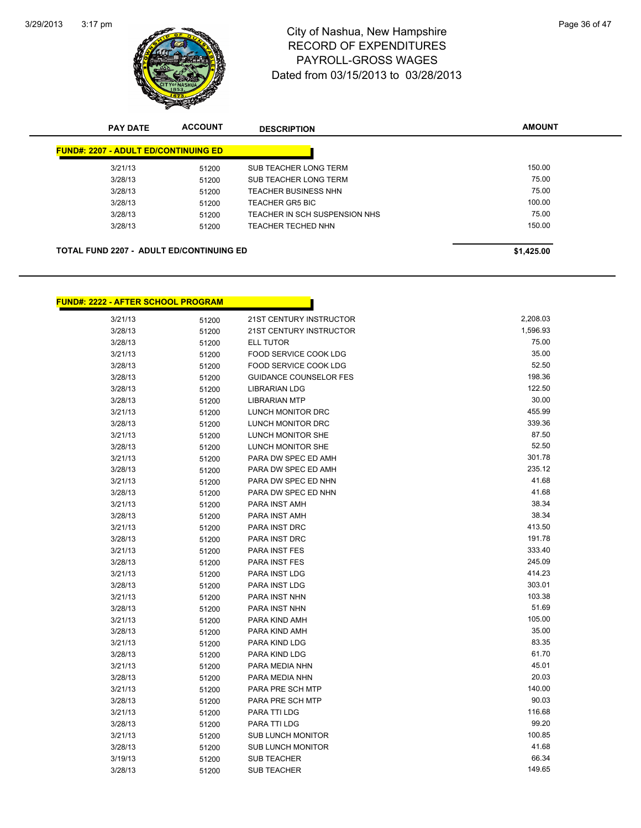

## 3:17 pm<br> **City of Nashua, New Hampshire** Page 36 of 47 RECORD OF EXPENDITURES PAYROLL-GROSS WAGES Dated from 03/15/2013 to 03/28/2013

|                                                 | <b>PAY DATE</b>                             | <b>ACCOUNT</b> | <b>DESCRIPTION</b>            | <b>AMOUNT</b> |
|-------------------------------------------------|---------------------------------------------|----------------|-------------------------------|---------------|
|                                                 | <b>FUND#: 2207 - ADULT ED/CONTINUING ED</b> |                |                               |               |
|                                                 | 3/21/13                                     | 51200          | SUB TEACHER LONG TERM         | 150.00        |
|                                                 | 3/28/13                                     | 51200          | SUB TEACHER LONG TERM         | 75.00         |
|                                                 | 3/28/13                                     | 51200          | <b>TEACHER BUSINESS NHN</b>   | 75.00         |
|                                                 | 3/28/13                                     | 51200          | <b>TEACHER GR5 BIC</b>        | 100.00        |
|                                                 | 3/28/13                                     | 51200          | TEACHER IN SCH SUSPENSION NHS | 75.00         |
|                                                 | 3/28/13                                     | 51200          | <b>TEACHER TECHED NHN</b>     | 150.00        |
|                                                 |                                             |                |                               |               |
| <b>TOTAL FUND 2207 - ADULT ED/CONTINUING ED</b> |                                             |                |                               | \$1,425.00    |

| <u> FUND#: 2222 - AFTER SCHOOL PROGRAM</u> |       |                                |          |
|--------------------------------------------|-------|--------------------------------|----------|
| 3/21/13                                    | 51200 | 21ST CENTURY INSTRUCTOR        | 2,208.03 |
| 3/28/13                                    | 51200 | <b>21ST CENTURY INSTRUCTOR</b> | 1,596.93 |
| 3/28/13                                    | 51200 | <b>ELL TUTOR</b>               | 75.00    |
| 3/21/13                                    | 51200 | FOOD SERVICE COOK LDG          | 35.00    |
| 3/28/13                                    | 51200 | FOOD SERVICE COOK LDG          | 52.50    |
| 3/28/13                                    | 51200 | <b>GUIDANCE COUNSELOR FES</b>  | 198.36   |
| 3/28/13                                    | 51200 | <b>LIBRARIAN LDG</b>           | 122.50   |
| 3/28/13                                    | 51200 | <b>LIBRARIAN MTP</b>           | 30.00    |
| 3/21/13                                    | 51200 | <b>LUNCH MONITOR DRC</b>       | 455.99   |
| 3/28/13                                    | 51200 | LUNCH MONITOR DRC              | 339.36   |
| 3/21/13                                    | 51200 | LUNCH MONITOR SHE              | 87.50    |
| 3/28/13                                    | 51200 | LUNCH MONITOR SHE              | 52.50    |
| 3/21/13                                    | 51200 | PARA DW SPEC ED AMH            | 301.78   |
| 3/28/13                                    | 51200 | PARA DW SPEC ED AMH            | 235.12   |
| 3/21/13                                    | 51200 | PARA DW SPEC ED NHN            | 41.68    |
| 3/28/13                                    | 51200 | PARA DW SPEC ED NHN            | 41.68    |
| 3/21/13                                    | 51200 | PARA INST AMH                  | 38.34    |
| 3/28/13                                    | 51200 | PARA INST AMH                  | 38.34    |
| 3/21/13                                    | 51200 | <b>PARA INST DRC</b>           | 413.50   |
| 3/28/13                                    | 51200 | PARA INST DRC                  | 191.78   |
| 3/21/13                                    | 51200 | <b>PARA INST FES</b>           | 333.40   |
| 3/28/13                                    | 51200 | <b>PARA INST FES</b>           | 245.09   |
| 3/21/13                                    | 51200 | PARA INST LDG                  | 414.23   |
| 3/28/13                                    | 51200 | PARA INST LDG                  | 303.01   |
| 3/21/13                                    | 51200 | PARA INST NHN                  | 103.38   |
| 3/28/13                                    | 51200 | PARA INST NHN                  | 51.69    |
| 3/21/13                                    | 51200 | PARA KIND AMH                  | 105.00   |
| 3/28/13                                    | 51200 | PARA KIND AMH                  | 35.00    |
| 3/21/13                                    | 51200 | PARA KIND LDG                  | 83.35    |
| 3/28/13                                    | 51200 | PARA KIND LDG                  | 61.70    |
| 3/21/13                                    | 51200 | PARA MEDIA NHN                 | 45.01    |
| 3/28/13                                    | 51200 | PARA MEDIA NHN                 | 20.03    |
| 3/21/13                                    | 51200 | PARA PRE SCH MTP               | 140.00   |
| 3/28/13                                    | 51200 | PARA PRE SCH MTP               | 90.03    |
| 3/21/13                                    | 51200 | PARA TTI LDG                   | 116.68   |
| 3/28/13                                    | 51200 | PARA TTI LDG                   | 99.20    |
| 3/21/13                                    | 51200 | <b>SUB LUNCH MONITOR</b>       | 100.85   |
| 3/28/13                                    | 51200 | <b>SUB LUNCH MONITOR</b>       | 41.68    |
| 3/19/13                                    | 51200 | <b>SUB TEACHER</b>             | 66.34    |

3/28/13 51200 SUB TEACHER 149.65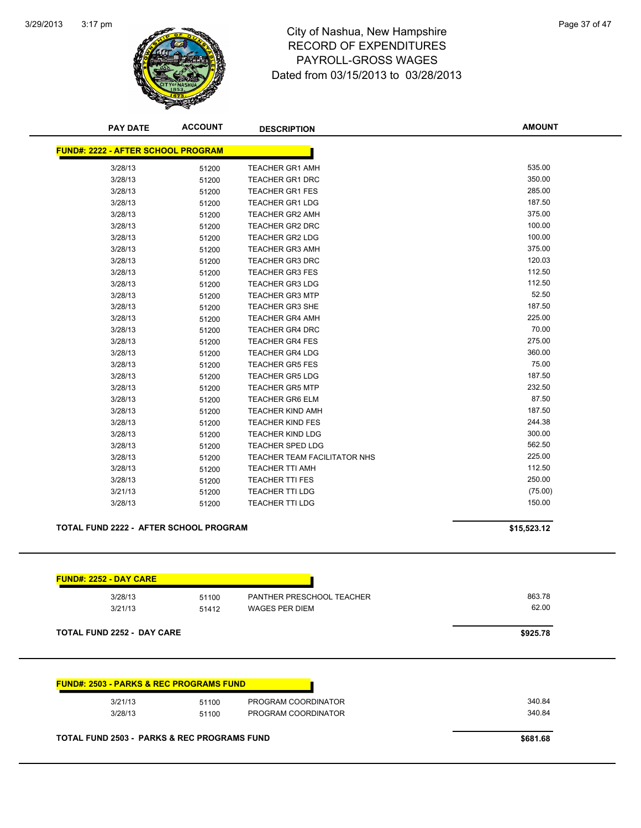

## 3:17 pm<br> **City of Nashua, New Hampshire** Page 37 of 47 RECORD OF EXPENDITURES PAYROLL-GROSS WAGES Dated from 03/15/2013 to 03/28/2013

| <b>PAY DATE</b>                               | <b>ACCOUNT</b> | <b>DESCRIPTION</b>           | <b>AMOUNT</b> |
|-----------------------------------------------|----------------|------------------------------|---------------|
| <b>FUND#: 2222 - AFTER SCHOOL PROGRAM</b>     |                |                              |               |
| 3/28/13                                       | 51200          | <b>TEACHER GR1 AMH</b>       | 535.00        |
| 3/28/13                                       | 51200          | <b>TEACHER GR1 DRC</b>       | 350.00        |
| 3/28/13                                       | 51200          | <b>TEACHER GR1 FES</b>       | 285.00        |
| 3/28/13                                       | 51200          | <b>TEACHER GR1 LDG</b>       | 187.50        |
| 3/28/13                                       | 51200          | <b>TEACHER GR2 AMH</b>       | 375.00        |
| 3/28/13                                       | 51200          | <b>TEACHER GR2 DRC</b>       | 100.00        |
| 3/28/13                                       | 51200          | <b>TEACHER GR2 LDG</b>       | 100.00        |
| 3/28/13                                       | 51200          | <b>TEACHER GR3 AMH</b>       | 375.00        |
| 3/28/13                                       | 51200          | <b>TEACHER GR3 DRC</b>       | 120.03        |
| 3/28/13                                       | 51200          | <b>TEACHER GR3 FES</b>       | 112.50        |
| 3/28/13                                       | 51200          | <b>TEACHER GR3 LDG</b>       | 112.50        |
| 3/28/13                                       | 51200          | <b>TEACHER GR3 MTP</b>       | 52.50         |
| 3/28/13                                       | 51200          | <b>TEACHER GR3 SHE</b>       | 187.50        |
| 3/28/13                                       | 51200          | <b>TEACHER GR4 AMH</b>       | 225.00        |
| 3/28/13                                       | 51200          | <b>TEACHER GR4 DRC</b>       | 70.00         |
| 3/28/13                                       | 51200          | <b>TEACHER GR4 FES</b>       | 275.00        |
| 3/28/13                                       | 51200          | <b>TEACHER GR4 LDG</b>       | 360.00        |
| 3/28/13                                       | 51200          | <b>TEACHER GR5 FES</b>       | 75.00         |
| 3/28/13                                       | 51200          | <b>TEACHER GR5 LDG</b>       | 187.50        |
| 3/28/13                                       | 51200          | <b>TEACHER GR5 MTP</b>       | 232.50        |
| 3/28/13                                       | 51200          | <b>TEACHER GR6 ELM</b>       | 87.50         |
| 3/28/13                                       | 51200          | <b>TEACHER KIND AMH</b>      | 187.50        |
| 3/28/13                                       | 51200          | <b>TEACHER KIND FES</b>      | 244.38        |
| 3/28/13                                       | 51200          | <b>TEACHER KIND LDG</b>      | 300.00        |
| 3/28/13                                       | 51200          | <b>TEACHER SPED LDG</b>      | 562.50        |
| 3/28/13                                       | 51200          | TEACHER TEAM FACILITATOR NHS | 225.00        |
| 3/28/13                                       | 51200          | <b>TEACHER TTI AMH</b>       | 112.50        |
| 3/28/13                                       | 51200          | <b>TEACHER TTI FES</b>       | 250.00        |
| 3/21/13                                       | 51200          | <b>TEACHER TTI LDG</b>       | (75.00)       |
| 3/28/13                                       | 51200          | <b>TEACHER TTI LDG</b>       | 150.00        |
| <b>TOTAL FUND 2222 - AFTER SCHOOL PROGRAM</b> |                |                              | \$15,523.12   |
| <b>FUND#: 2252 - DAY CARE</b>                 |                |                              |               |
| 3/28/13                                       | 51100          | PANTHER PRESCHOOL TEACHER    | 863.78        |
| 3/21/13                                       | 51412          | <b>WAGES PER DIEM</b>        | 62.00         |
|                                               |                |                              |               |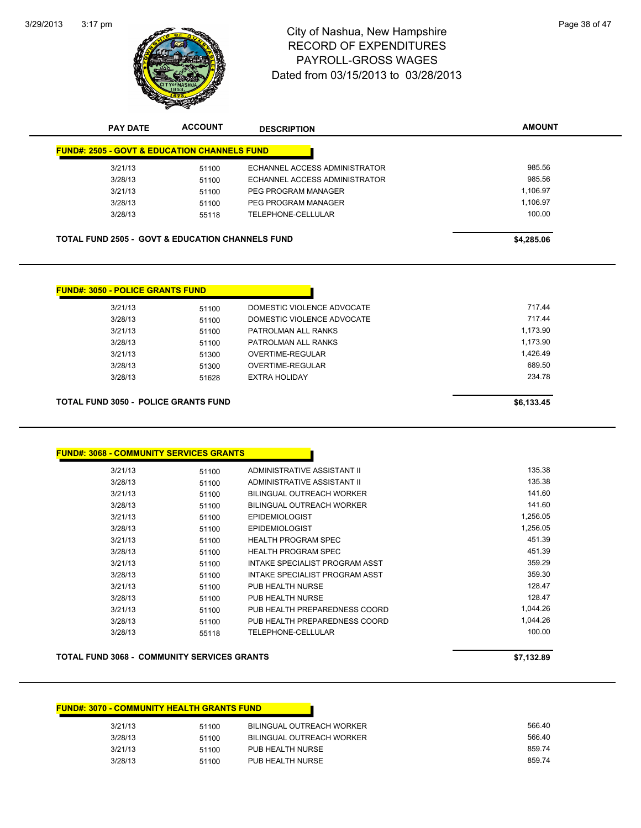3/29/2013



# 3:17 pm<br> **City of Nashua, New Hampshire** Page 38 of 47 RECORD OF EXPENDITURES PAYROLL-GROSS WAGES Dated from 03/15/2013 to 03/28/2013

| <b>PAY DATE</b>                                             | <b>ACCOUNT</b> | <b>DESCRIPTION</b>               | <b>AMOUNT</b> |
|-------------------------------------------------------------|----------------|----------------------------------|---------------|
| <b>FUND#: 2505 - GOVT &amp; EDUCATION CHANNELS FUND</b>     |                |                                  |               |
| 3/21/13                                                     | 51100          | ECHANNEL ACCESS ADMINISTRATOR    | 985.56        |
| 3/28/13                                                     | 51100          | ECHANNEL ACCESS ADMINISTRATOR    | 985.56        |
| 3/21/13                                                     | 51100          | PEG PROGRAM MANAGER              | 1,106.97      |
| 3/28/13                                                     | 51100          | PEG PROGRAM MANAGER              | 1,106.97      |
| 3/28/13                                                     | 55118          | TELEPHONE-CELLULAR               | 100.00        |
| <b>TOTAL FUND 2505 - GOVT &amp; EDUCATION CHANNELS FUND</b> |                |                                  | \$4,285.06    |
|                                                             |                |                                  |               |
| <b>FUND#: 3050 - POLICE GRANTS FUND</b>                     |                |                                  |               |
| 3/21/13                                                     | 51100          | DOMESTIC VIOLENCE ADVOCATE       | 717.44        |
| 3/28/13                                                     | 51100          | DOMESTIC VIOLENCE ADVOCATE       | 717.44        |
| 3/21/13                                                     | 51100          | PATROLMAN ALL RANKS              | 1,173.90      |
| 3/28/13                                                     | 51100          | PATROLMAN ALL RANKS              | 1,173.90      |
| 3/21/13                                                     | 51300          | <b>OVERTIME-REGULAR</b>          | 1,426.49      |
| 3/28/13                                                     | 51300          | <b>OVERTIME-REGULAR</b>          | 689.50        |
| 3/28/13                                                     | 51628          | <b>EXTRA HOLIDAY</b>             | 234.78        |
| <b>TOTAL FUND 3050 - POLICE GRANTS FUND</b>                 |                |                                  | \$6,133.45    |
| <b>FUND#: 3068 - COMMUNITY SERVICES GRANTS</b>              |                |                                  |               |
| 3/21/13                                                     | 51100          | ADMINISTRATIVE ASSISTANT II      | 135.38        |
| 3/28/13                                                     | 51100          | ADMINISTRATIVE ASSISTANT II      | 135.38        |
| 3/21/13                                                     | 51100          | <b>BILINGUAL OUTREACH WORKER</b> | 141.60        |
| 3/28/13                                                     | 51100          | <b>BILINGUAL OUTREACH WORKER</b> | 141.60        |
| 3/21/13                                                     | 51100          | <b>EPIDEMIOLOGIST</b>            | 1,256.05      |
|                                                             |                | <b>EPIDEMIOLOGIST</b>            | 1.256.05      |

3/21/13 51100 HEALTH PROGRAM SPEC 451.39 3/28/13 51100 HEALTH PROGRAM SPEC 451.39 3/21/13 51100 INTAKE SPECIALIST PROGRAM ASST 359.29 3/28/13 51100 INTAKE SPECIALIST PROGRAM ASST 359.30 3/21/13 51100 PUB HEALTH NURSE 128.47 3/28/13 51100 PUB HEALTH NURSE 128.47 3/21/13 51100 PUB HEALTH PREPAREDNESS COORD 1,044.26 3/28/13 51100 PUB HEALTH PREPAREDNESS COORD 1,044.26 3/28/13 55118 TELEPHONE-CELLULAR 100.00

| <b>TOTAL FUND 3068 - COMMUNITY SERVICES GRANTS</b> | \$7.132.89 |
|----------------------------------------------------|------------|
|                                                    |            |

| <b>FUND#: 3070 - COMMUNITY HEALTH GRANTS FUND</b> |       |                                  |        |
|---------------------------------------------------|-------|----------------------------------|--------|
| 3/21/13                                           | 51100 | BILINGUAL OUTREACH WORKER        | 566.40 |
| 3/28/13                                           | 51100 | <b>BILINGUAL OUTREACH WORKER</b> | 566.40 |
| 3/21/13                                           | 51100 | PUB HEALTH NURSE                 | 859.74 |
| 3/28/13                                           | 51100 | PUB HEALTH NURSE                 | 859.74 |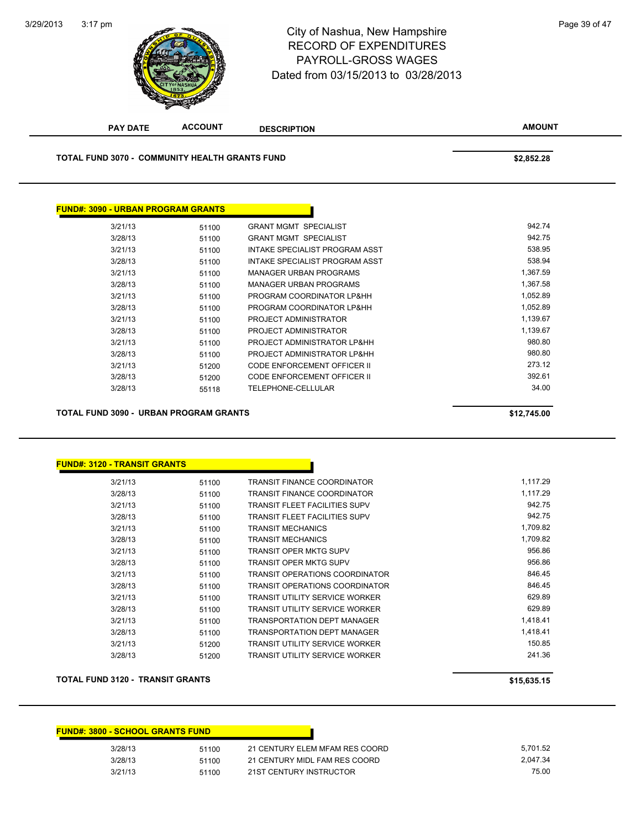

#### City of Nashua, New Hampshire RECORD OF EXPENDITURES PAYROLL-GROSS WAGES Dated from 03/15/2013 to 03/28/2013

**AMOUNT PAY DATE ACCOUNT DESCRIPTION TOTAL FUND 3070 - COMMUNITY HEALTH GRANTS FUND \$2,852.28 FUND#: 3090 - URBAN PROGRAM GRANTS** 3/21/13 51100 GRANT MGMT SPECIALIST 942.74 3/28/13 51100 GRANT MGMT SPECIALIST 942.75 3/21/13 51100 INTAKE SPECIALIST PROGRAM ASST 538.95 3/28/13 51100 INTAKE SPECIALIST PROGRAM ASST 538.94 3/21/13 51100 MANAGER URBAN PROGRAMS 1,367.59 3/28/13 51100 MANAGER URBAN PROGRAMS 1,367.58 3/21/13 51100 PROGRAM COORDINATOR LP&HH 1,052.89 3/28/13 51100 PROGRAM COORDINATOR LP&HH 1,052.89 3/21/13 51100 PROJECT ADMINISTRATOR 1,139.67 3/28/13 51100 PROJECT ADMINISTRATOR 1,139.67

> 3/21/13 51100 PROJECT ADMINISTRATOR LP&HH 980.80 3/28/13 51100 PROJECT ADMINISTRATOR LP&HH 980.80 3/21/13 51200 CODE ENFORCEMENT OFFICER II 273.12 3/28/13 51200 CODE ENFORCEMENT OFFICER II 392.61 3/28/13 55118 TELEPHONE-CELLULAR 34.00

| TOTAL FUND 3090 -  URBAN PROGRAM GRANTS | \$12,745.00 |
|-----------------------------------------|-------------|
|                                         |             |

#### **FUND#: 3120 - TRANSIT GRANTS**

| 3/21/13 | 51100 | <b>TRANSIT FINANCE COORDINATOR</b>    | 1.117.29 |
|---------|-------|---------------------------------------|----------|
| 3/28/13 | 51100 | <b>TRANSIT FINANCE COORDINATOR</b>    | 1,117.29 |
| 3/21/13 | 51100 | <b>TRANSIT FLEET FACILITIES SUPV</b>  | 942.75   |
| 3/28/13 | 51100 | <b>TRANSIT FLEET FACILITIES SUPV</b>  | 942.75   |
| 3/21/13 | 51100 | <b>TRANSIT MECHANICS</b>              | 1.709.82 |
| 3/28/13 | 51100 | <b>TRANSIT MECHANICS</b>              | 1,709.82 |
| 3/21/13 | 51100 | <b>TRANSIT OPER MKTG SUPV</b>         | 956.86   |
| 3/28/13 | 51100 | <b>TRANSIT OPER MKTG SUPV</b>         | 956.86   |
| 3/21/13 | 51100 | <b>TRANSIT OPERATIONS COORDINATOR</b> | 846.45   |
| 3/28/13 | 51100 | <b>TRANSIT OPERATIONS COORDINATOR</b> | 846.45   |
| 3/21/13 | 51100 | <b>TRANSIT UTILITY SERVICE WORKER</b> | 629.89   |
| 3/28/13 | 51100 | <b>TRANSIT UTILITY SERVICE WORKER</b> | 629.89   |
| 3/21/13 | 51100 | <b>TRANSPORTATION DEPT MANAGER</b>    | 1,418.41 |
| 3/28/13 | 51100 | <b>TRANSPORTATION DEPT MANAGER</b>    | 1,418.41 |
| 3/21/13 | 51200 | <b>TRANSIT UTILITY SERVICE WORKER</b> | 150.85   |
| 3/28/13 | 51200 | <b>TRANSIT UTILITY SERVICE WORKER</b> | 241.36   |
|         |       |                                       |          |

#### **TOTAL FUND 3120 - TRANSIT GRANTS \$15,635.15**

| <b>FUND#: 3800 - SCHOOL GRANTS FUND</b> |       |                                |          |
|-----------------------------------------|-------|--------------------------------|----------|
| 3/28/13                                 | 51100 | 21 CENTURY ELEM MFAM RES COORD | 5.701.52 |
| 3/28/13                                 | 51100 | 21 CENTURY MIDL FAM RES COORD  | 2.047.34 |
| 3/21/13                                 | 51100 | 21ST CENTURY INSTRUCTOR        | 75.00    |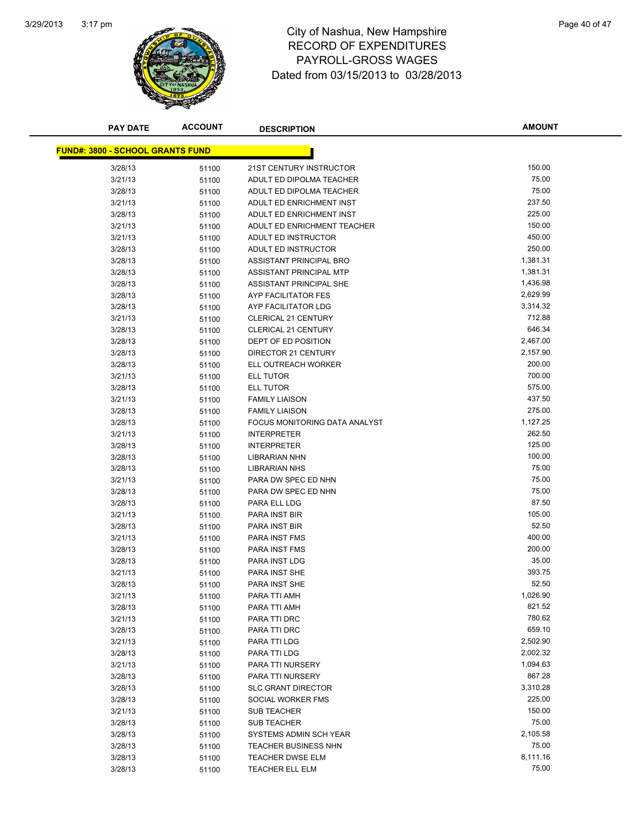

## 3:17 pm<br> **City of Nashua, New Hampshire** Page 40 of 47 RECORD OF EXPENDITURES PAYROLL-GROSS WAGES Dated from 03/15/2013 to 03/28/2013

| <b>PAY DATE</b>                         | <b>ACCOUNT</b> | <b>DESCRIPTION</b>            | <b>AMOUNT</b> |
|-----------------------------------------|----------------|-------------------------------|---------------|
|                                         |                |                               |               |
| <b>FUND#: 3800 - SCHOOL GRANTS FUND</b> |                |                               |               |
| 3/28/13                                 | 51100          | 21ST CENTURY INSTRUCTOR       | 150.00        |
| 3/21/13                                 | 51100          | ADULT ED DIPOLMA TEACHER      | 75.00         |
| 3/28/13                                 | 51100          | ADULT ED DIPOLMA TEACHER      | 75.00         |
| 3/21/13                                 | 51100          | ADULT ED ENRICHMENT INST      | 237.50        |
| 3/28/13                                 | 51100          | ADULT ED ENRICHMENT INST      | 225.00        |
| 3/21/13                                 | 51100          | ADULT ED ENRICHMENT TEACHER   | 150.00        |
| 3/21/13                                 | 51100          | ADULT ED INSTRUCTOR           | 450.00        |
| 3/28/13                                 | 51100          | ADULT ED INSTRUCTOR           | 250.00        |
| 3/28/13                                 | 51100          | ASSISTANT PRINCIPAL BRO       | 1,381.31      |
| 3/28/13                                 | 51100          | ASSISTANT PRINCIPAL MTP       | 1,381.31      |
| 3/28/13                                 | 51100          | ASSISTANT PRINCIPAL SHE       | 1,436.98      |
| 3/28/13                                 | 51100          | AYP FACILITATOR FES           | 2,629.99      |
| 3/28/13                                 | 51100          | AYP FACILITATOR LDG           | 3,314.32      |
| 3/21/13                                 | 51100          | <b>CLERICAL 21 CENTURY</b>    | 712.88        |
| 3/28/13                                 | 51100          | <b>CLERICAL 21 CENTURY</b>    | 646.34        |
| 3/28/13                                 | 51100          | DEPT OF ED POSITION           | 2,467.00      |
| 3/28/13                                 | 51100          | DIRECTOR 21 CENTURY           | 2,157.90      |
| 3/28/13                                 | 51100          | ELL OUTREACH WORKER           | 200.00        |
| 3/21/13                                 | 51100          | ELL TUTOR                     | 700.00        |
| 3/28/13                                 | 51100          | ELL TUTOR                     | 575.00        |
| 3/21/13                                 | 51100          | <b>FAMILY LIAISON</b>         | 437.50        |
| 3/28/13                                 | 51100          | <b>FAMILY LIAISON</b>         | 275.00        |
| 3/28/13                                 | 51100          | FOCUS MONITORING DATA ANALYST | 1,127.25      |
| 3/21/13                                 | 51100          | <b>INTERPRETER</b>            | 262.50        |
| 3/28/13                                 | 51100          | <b>INTERPRETER</b>            | 125.00        |
| 3/28/13                                 | 51100          | <b>LIBRARIAN NHN</b>          | 100.00        |
| 3/28/13                                 | 51100          | <b>LIBRARIAN NHS</b>          | 75.00         |
| 3/21/13                                 | 51100          | PARA DW SPEC ED NHN           | 75.00         |
| 3/28/13                                 | 51100          | PARA DW SPEC ED NHN           | 75.00         |
| 3/28/13                                 | 51100          | PARA ELL LDG                  | 87.50         |
| 3/21/13                                 | 51100          | PARA INST BIR                 | 105.00        |
| 3/28/13                                 | 51100          | PARA INST BIR                 | 52.50         |
| 3/21/13                                 | 51100          | PARA INST FMS                 | 400.00        |
| 3/28/13                                 | 51100          | PARA INST FMS                 | 200.00        |
| 3/28/13                                 | 51100          | PARA INST LDG                 | 35.00         |
| 3/21/13                                 | 51100          | PARA INST SHE                 | 393.75        |
| 3/28/13                                 | 51100          | PARA INST SHE                 | 52.50         |
| 3/21/13                                 | 51100          | PARA TTI AMH                  | 1,026.90      |
| 3/28/13                                 | 51100          | PARA TTI AMH                  | 821.52        |
| 3/21/13                                 | 51100          | PARA TTI DRC                  | 780.62        |
| 3/28/13                                 | 51100          | PARA TTI DRC                  | 659.10        |
| 3/21/13                                 | 51100          | PARA TTI LDG                  | 2,502.90      |
| 3/28/13                                 | 51100          | PARA TTI LDG                  | 2,002.32      |
| 3/21/13                                 | 51100          | PARA TTI NURSERY              | 1,094.63      |
| 3/28/13                                 | 51100          | PARA TTI NURSERY              | 867.28        |
| 3/28/13                                 | 51100          | <b>SLC GRANT DIRECTOR</b>     | 3,310.28      |
| 3/28/13                                 | 51100          | SOCIAL WORKER FMS             | 225.00        |
| 3/21/13                                 | 51100          | <b>SUB TEACHER</b>            | 150.00        |
| 3/28/13                                 | 51100          | <b>SUB TEACHER</b>            | 75.00         |
| 3/28/13                                 | 51100          | SYSTEMS ADMIN SCH YEAR        | 2,105.58      |
| 3/28/13                                 | 51100          | TEACHER BUSINESS NHN          | 75.00         |
| 3/28/13                                 | 51100          | <b>TEACHER DWSE ELM</b>       | 8,111.16      |
| 3/28/13                                 | 51100          | <b>TEACHER ELL ELM</b>        | 75.00         |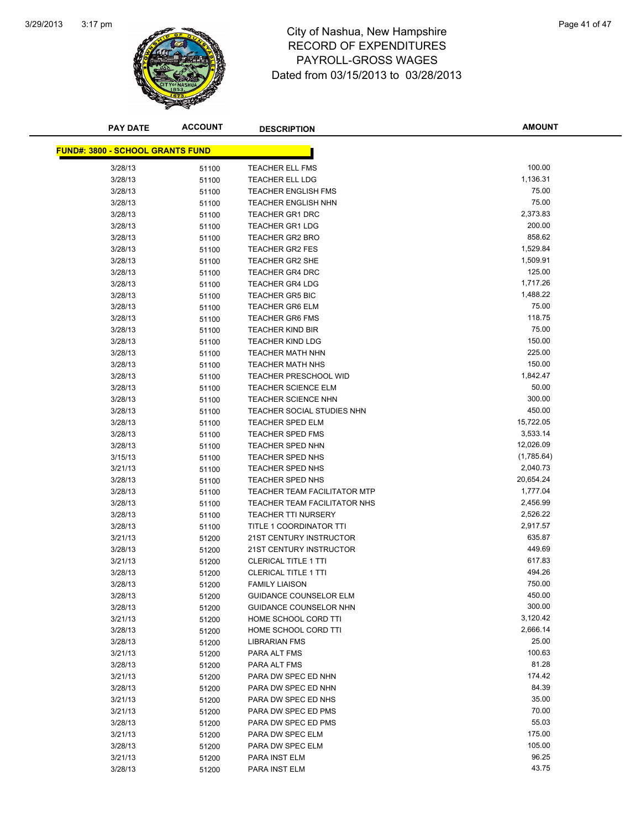

## 3:17 pm<br> **City of Nashua, New Hampshire** Page 41 of 47 RECORD OF EXPENDITURES PAYROLL-GROSS WAGES Dated from 03/15/2013 to 03/28/2013

| <b>PAY DATE</b>                         | <b>ACCOUNT</b> | <b>DESCRIPTION</b>                                   | <b>AMOUNT</b>    |
|-----------------------------------------|----------------|------------------------------------------------------|------------------|
|                                         |                |                                                      |                  |
| <b>FUND#: 3800 - SCHOOL GRANTS FUND</b> |                |                                                      |                  |
| 3/28/13                                 | 51100          | <b>TEACHER ELL FMS</b>                               | 100.00           |
| 3/28/13                                 | 51100          | <b>TEACHER ELL LDG</b>                               | 1,136.31         |
| 3/28/13                                 | 51100          | <b>TEACHER ENGLISH FMS</b>                           | 75.00            |
| 3/28/13                                 | 51100          | <b>TEACHER ENGLISH NHN</b>                           | 75.00            |
| 3/28/13                                 | 51100          | <b>TEACHER GR1 DRC</b>                               | 2,373.83         |
| 3/28/13                                 | 51100          | <b>TEACHER GR1 LDG</b>                               | 200.00           |
| 3/28/13                                 | 51100          | <b>TEACHER GR2 BRO</b>                               | 858.62           |
| 3/28/13                                 | 51100          | <b>TEACHER GR2 FES</b>                               | 1,529.84         |
| 3/28/13                                 | 51100          | TEACHER GR2 SHE                                      | 1,509.91         |
| 3/28/13                                 | 51100          | <b>TEACHER GR4 DRC</b>                               | 125.00           |
| 3/28/13                                 | 51100          | <b>TEACHER GR4 LDG</b>                               | 1,717.26         |
| 3/28/13                                 | 51100          | <b>TEACHER GR5 BIC</b>                               | 1,488.22         |
| 3/28/13                                 | 51100          | <b>TEACHER GR6 ELM</b>                               | 75.00            |
| 3/28/13                                 | 51100          | <b>TEACHER GR6 FMS</b>                               | 118.75           |
| 3/28/13                                 | 51100          | <b>TEACHER KIND BIR</b>                              | 75.00            |
| 3/28/13                                 | 51100          | <b>TEACHER KIND LDG</b>                              | 150.00           |
| 3/28/13                                 | 51100          | <b>TEACHER MATH NHN</b>                              | 225.00           |
| 3/28/13                                 | 51100          | <b>TEACHER MATH NHS</b>                              | 150.00           |
| 3/28/13                                 | 51100          | <b>TEACHER PRESCHOOL WID</b>                         | 1,842.47         |
| 3/28/13                                 | 51100          | <b>TEACHER SCIENCE ELM</b>                           | 50.00            |
| 3/28/13                                 | 51100          | <b>TEACHER SCIENCE NHN</b>                           | 300.00           |
| 3/28/13                                 | 51100          | TEACHER SOCIAL STUDIES NHN                           | 450.00           |
| 3/28/13                                 | 51100          | <b>TEACHER SPED ELM</b>                              | 15,722.05        |
| 3/28/13                                 | 51100          | <b>TEACHER SPED FMS</b>                              | 3,533.14         |
| 3/28/13                                 | 51100          | <b>TEACHER SPED NHN</b>                              | 12,026.09        |
| 3/15/13                                 | 51100          | TEACHER SPED NHS                                     | (1,785.64)       |
| 3/21/13                                 | 51100          | TEACHER SPED NHS                                     | 2,040.73         |
| 3/28/13                                 | 51100          | TEACHER SPED NHS                                     | 20,654.24        |
| 3/28/13                                 | 51100          | <b>TEACHER TEAM FACILITATOR MTP</b>                  | 1,777.04         |
| 3/28/13                                 | 51100          | TEACHER TEAM FACILITATOR NHS                         | 2,456.99         |
| 3/28/13                                 | 51100          | <b>TEACHER TTI NURSERY</b>                           | 2,526.22         |
| 3/28/13                                 | 51100          | <b>TITLE 1 COORDINATOR TTI</b>                       | 2,917.57         |
| 3/21/13                                 | 51200          | 21ST CENTURY INSTRUCTOR                              | 635.87<br>449.69 |
| 3/28/13                                 | 51200          | <b>21ST CENTURY INSTRUCTOR</b>                       | 617.83           |
| 3/21/13                                 | 51200          | <b>CLERICAL TITLE 1 TTI</b>                          | 494.26           |
| 3/28/13<br>3/28/13                      | 51200          | <b>CLERICAL TITLE 1 TTI</b><br><b>FAMILY LIAISON</b> | 750.00           |
| 3/28/13                                 | 51200<br>51200 | <b>GUIDANCE COUNSELOR ELM</b>                        | 450.00           |
| 3/28/13                                 |                | GUIDANCE COUNSELOR NHN                               | 300.00           |
| 3/21/13                                 | 51200<br>51200 | HOME SCHOOL CORD TTI                                 | 3,120.42         |
| 3/28/13                                 | 51200          | HOME SCHOOL CORD TTI                                 | 2,666.14         |
| 3/28/13                                 | 51200          | LIBRARIAN FMS                                        | 25.00            |
| 3/21/13                                 | 51200          | PARA ALT FMS                                         | 100.63           |
| 3/28/13                                 | 51200          | PARA ALT FMS                                         | 81.28            |
| 3/21/13                                 | 51200          | PARA DW SPEC ED NHN                                  | 174.42           |
| 3/28/13                                 | 51200          | PARA DW SPEC ED NHN                                  | 84.39            |
| 3/21/13                                 | 51200          | PARA DW SPEC ED NHS                                  | 35.00            |
| 3/21/13                                 | 51200          | PARA DW SPEC ED PMS                                  | 70.00            |
| 3/28/13                                 | 51200          | PARA DW SPEC ED PMS                                  | 55.03            |
| 3/21/13                                 | 51200          | PARA DW SPEC ELM                                     | 175.00           |
| 3/28/13                                 | 51200          | PARA DW SPEC ELM                                     | 105.00           |
| 3/21/13                                 | 51200          | PARA INST ELM                                        | 96.25            |
| 3/28/13                                 | 51200          | PARA INST ELM                                        | 43.75            |
|                                         |                |                                                      |                  |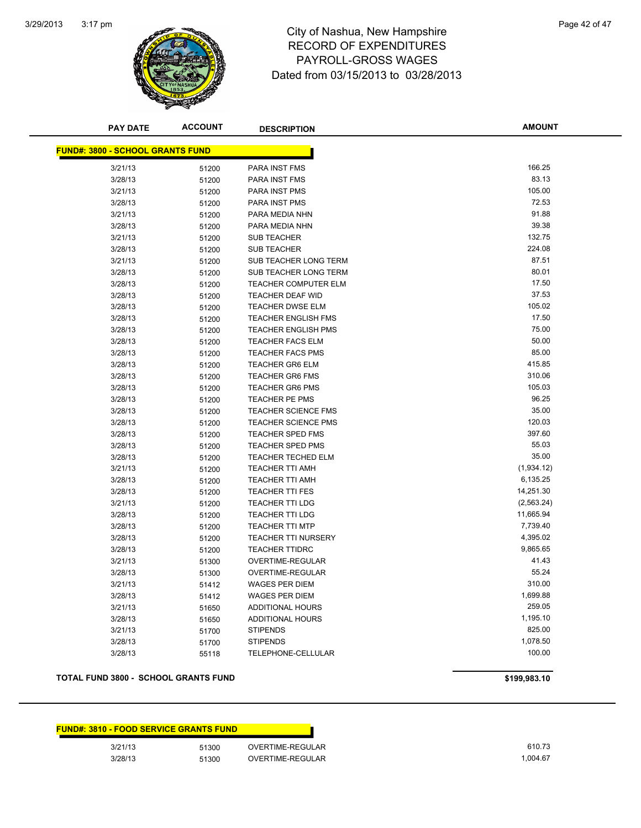

#### 3:17 pm<br> **City of Nashua, New Hampshire** Page 42 of 47 RECORD OF EXPENDITURES PAYROLL-GROSS WAGES Dated from 03/15/2013 to 03/28/2013

| <b>PAY DATE</b>                         | <b>ACCOUNT</b> | <b>DESCRIPTION</b>         | <b>AMOUNT</b> |
|-----------------------------------------|----------------|----------------------------|---------------|
| <b>FUND#: 3800 - SCHOOL GRANTS FUND</b> |                |                            |               |
| 3/21/13                                 | 51200          | PARA INST FMS              | 166.25        |
| 3/28/13                                 | 51200          | PARA INST FMS              | 83.13         |
| 3/21/13                                 | 51200          | PARA INST PMS              | 105.00        |
| 3/28/13                                 | 51200          | PARA INST PMS              | 72.53         |
| 3/21/13                                 | 51200          | PARA MEDIA NHN             | 91.88         |
| 3/28/13                                 | 51200          | PARA MEDIA NHN             | 39.38         |
| 3/21/13                                 | 51200          | <b>SUB TEACHER</b>         | 132.75        |
| 3/28/13                                 | 51200          | <b>SUB TEACHER</b>         | 224.08        |
| 3/21/13                                 | 51200          | SUB TEACHER LONG TERM      | 87.51         |
| 3/28/13                                 | 51200          | SUB TEACHER LONG TERM      | 80.01         |
| 3/28/13                                 | 51200          | TEACHER COMPUTER ELM       | 17.50         |
| 3/28/13                                 | 51200          | TEACHER DEAF WID           | 37.53         |
| 3/28/13                                 | 51200          | <b>TEACHER DWSE ELM</b>    | 105.02        |
| 3/28/13                                 | 51200          | <b>TEACHER ENGLISH FMS</b> | 17.50         |
| 3/28/13                                 | 51200          | <b>TEACHER ENGLISH PMS</b> | 75.00         |
| 3/28/13                                 | 51200          | <b>TEACHER FACS ELM</b>    | 50.00         |
| 3/28/13                                 | 51200          | <b>TEACHER FACS PMS</b>    | 85.00         |
| 3/28/13                                 | 51200          | <b>TEACHER GR6 ELM</b>     | 415.85        |
| 3/28/13                                 | 51200          | <b>TEACHER GR6 FMS</b>     | 310.06        |
| 3/28/13                                 | 51200          | <b>TEACHER GR6 PMS</b>     | 105.03        |
| 3/28/13                                 | 51200          | TEACHER PE PMS             | 96.25         |
| 3/28/13                                 | 51200          | <b>TEACHER SCIENCE FMS</b> | 35.00         |
| 3/28/13                                 | 51200          | <b>TEACHER SCIENCE PMS</b> | 120.03        |
| 3/28/13                                 | 51200          | TEACHER SPED FMS           | 397.60        |
| 3/28/13                                 | 51200          | <b>TEACHER SPED PMS</b>    | 55.03         |
| 3/28/13                                 | 51200          | TEACHER TECHED ELM         | 35.00         |
| 3/21/13                                 | 51200          | <b>TEACHER TTI AMH</b>     | (1,934.12)    |
| 3/28/13                                 | 51200          | <b>TEACHER TTI AMH</b>     | 6,135.25      |
| 3/28/13                                 | 51200          | <b>TEACHER TTI FES</b>     | 14,251.30     |
| 3/21/13                                 | 51200          | <b>TEACHER TTI LDG</b>     | (2, 563.24)   |
| 3/28/13                                 | 51200          | <b>TEACHER TTI LDG</b>     | 11,665.94     |
| 3/28/13                                 | 51200          | <b>TEACHER TTI MTP</b>     | 7,739.40      |
| 3/28/13                                 | 51200          | <b>TEACHER TTI NURSERY</b> | 4,395.02      |
| 3/28/13                                 | 51200          | <b>TEACHER TTIDRC</b>      | 9,865.65      |
| 3/21/13                                 | 51300          | OVERTIME-REGULAR           | 41.43         |
| 3/28/13                                 | 51300          | OVERTIME-REGULAR           | 55.24         |
| 3/21/13                                 | 51412          | <b>WAGES PER DIEM</b>      | 310.00        |
| 3/28/13                                 | 51412          | <b>WAGES PER DIEM</b>      | 1,699.88      |
| 3/21/13                                 | 51650          | <b>ADDITIONAL HOURS</b>    | 259.05        |
| 3/28/13                                 | 51650          | <b>ADDITIONAL HOURS</b>    | 1,195.10      |
| 3/21/13                                 | 51700          | <b>STIPENDS</b>            | 825.00        |
| 3/28/13                                 | 51700          | <b>STIPENDS</b>            | 1,078.50      |
| 3/28/13                                 | 55118          | TELEPHONE-CELLULAR         | 100.00        |

#### **TOTAL FUND 3800 - SCHOOL GRANTS FUND 6199,983.10 \$199,983.10**

|         | <b>FUND#: 3810 - FOOD SERVICE GRANTS FUND</b> |                  |
|---------|-----------------------------------------------|------------------|
| 3/21/13 | 51300                                         | OVERTIME-REGULAR |
| 3/28/13 | 51300                                         | OVERTIME-REGULAR |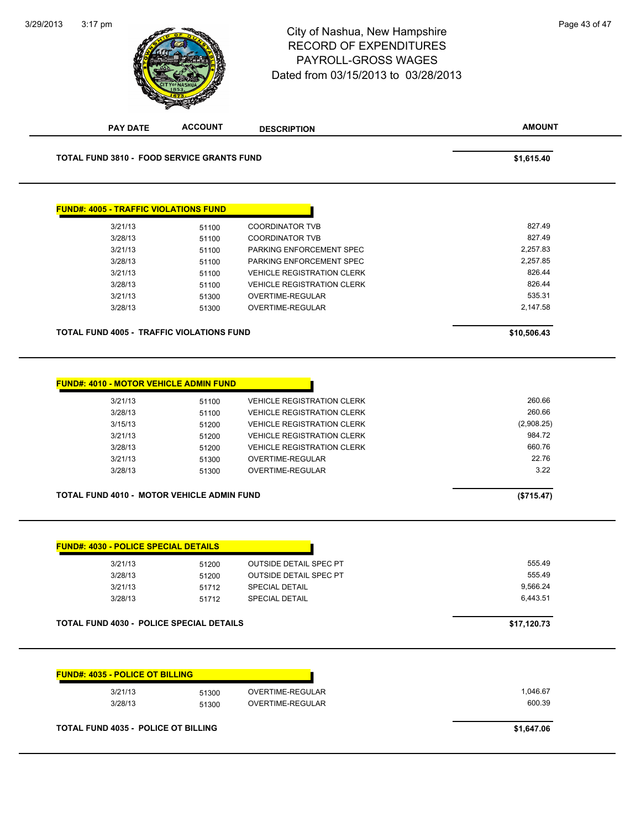#### 3:17 pm<br> **City of Nashua, New Hampshire** Page 43 of 47 RECORD OF EXPENDITURES PAYROLL-GROSS WAGES Dated from 03/15/2013 to 03/28/2013

3/29/2013

**ACCOUNT** 

| <b>PAY DATE</b>                                   | <b>ACCOUNT</b> | <b>DESCRIPTION</b>                | <b>AMOUNT</b> |
|---------------------------------------------------|----------------|-----------------------------------|---------------|
| <b>TOTAL FUND 3810 - FOOD SERVICE GRANTS FUND</b> |                |                                   | \$1,615.40    |
| <b>FUND#: 4005 - TRAFFIC VIOLATIONS FUND</b>      |                |                                   |               |
| 3/21/13                                           | 51100          | <b>COORDINATOR TVB</b>            | 827.49        |
| 3/28/13                                           | 51100          | <b>COORDINATOR TVB</b>            | 827.49        |
| 3/21/13                                           | 51100          | PARKING ENFORCEMENT SPEC          | 2,257.83      |
| 3/28/13                                           | 51100          | PARKING ENFORCEMENT SPEC          | 2,257.85      |
| 3/21/13                                           | 51100          | <b>VEHICLE REGISTRATION CLERK</b> | 826.44        |
| 3/28/13                                           | 51100          | <b>VEHICLE REGISTRATION CLERK</b> | 826.44        |
| 3/21/13                                           | 51300          | OVERTIME-REGULAR                  | 535.31        |
| 3/28/13                                           | 51300          | OVERTIME-REGULAR                  | 2,147.58      |
| <b>TOTAL FUND 4005 - TRAFFIC VIOLATIONS FUND</b>  |                |                                   | \$10,506.43   |
|                                                   |                |                                   |               |
|                                                   |                |                                   |               |
| <b>FUND#: 4010 - MOTOR VEHICLE ADMIN FUND</b>     |                |                                   |               |
| 3/21/13                                           | 51100          | <b>VEHICLE REGISTRATION CLERK</b> | 260.66        |
| 3/28/13                                           | 51100          | <b>VEHICLE REGISTRATION CLERK</b> | 260.66        |
| 3/15/13                                           | 51200          | <b>VEHICLE REGISTRATION CLERK</b> | (2,908.25)    |
| 3/21/13                                           | 51200          | <b>VEHICLE REGISTRATION CLERK</b> | 984.72        |
| 3/28/13                                           | 51200          | <b>VEHICLE REGISTRATION CLERK</b> | 660.76        |
| 3/21/13                                           | 51300          | OVERTIME-REGULAR                  | 22.76         |
| 3/28/13                                           | 51300          | OVERTIME-REGULAR                  | 3.22          |
| <b>TOTAL FUND 4010 - MOTOR VEHICLE ADMIN FUND</b> |                |                                   | (\$715.47)    |
|                                                   |                |                                   |               |
| <b>FUND#: 4030 - POLICE SPECIAL DETAILS</b>       |                |                                   |               |
| 3/21/13                                           | 51200          | <b>OUTSIDE DETAIL SPEC PT</b>     | 555.49        |
| 3/28/13                                           | 51200          | <b>OUTSIDE DETAIL SPEC PT</b>     | 555.49        |
| 3/21/13                                           | 51712          | SPECIAL DETAIL                    | 9,566.24      |
| 3/28/13                                           | 51712          | SPECIAL DETAIL                    | 6,443.51      |
| TOTAL FUND 4030 - POLICE SPECIAL DETAILS          |                |                                   | \$17,120.73   |
|                                                   |                |                                   |               |
|                                                   |                |                                   |               |
|                                                   |                |                                   |               |
| 3/21/13                                           | 51300          | OVERTIME-REGULAR                  | 1,046.67      |
| <b>FUND#: 4035 - POLICE OT BILLING</b><br>3/28/13 | 51300          | OVERTIME-REGULAR                  | 600.39        |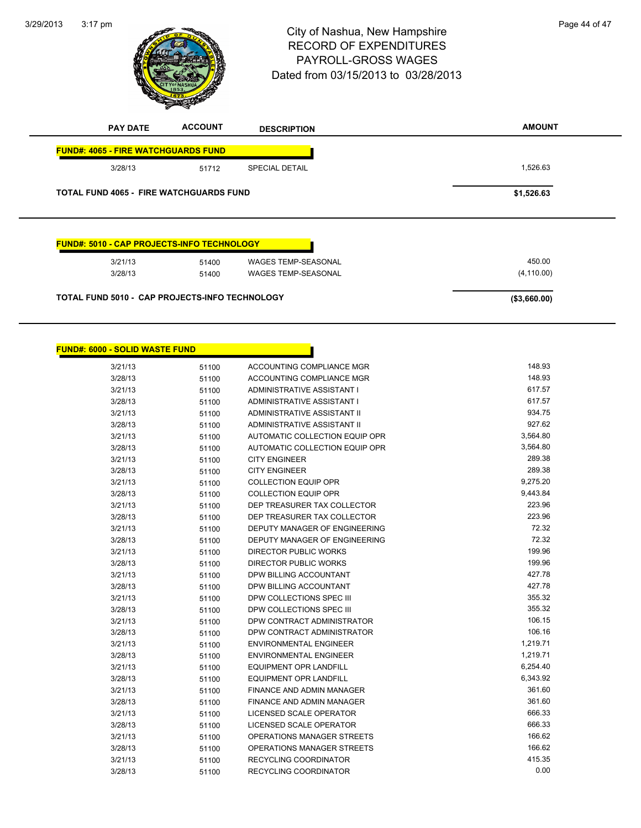3:17 pm<br> **City of Nashua, New Hampshire** Page 44 of 47 RECORD OF EXPENDITURES PAYROLL-GROSS WAGES Dated from 03/15/2013 to 03/28/2013

**AMOUNT PAY DATE ACCOUNT DESCRIPTION FUND#: 4065 - FIRE WATCHGUARDS FUND** 3/28/13 51712 SPECIAL DETAIL 5/28/13 51712 5 1,526.63 **TOTAL FUND 4065 - FIRE WATCHGUARDS FUND \$1,526.63 FUND#: 5010 - CAP PROJECTS-INFO TECHNOLOGY**

| <b>TOTAL FUND 5010 - CAP PROJECTS-INFO TECHNOLOGY</b> |       |                     | ( \$3,660.00) |
|-------------------------------------------------------|-------|---------------------|---------------|
| 3/28/13                                               | 51400 | WAGES TEMP-SEASONAL | (4, 110.00)   |
| 3/21/13                                               | 51400 | WAGES TEMP-SEASONAL | 450.00        |

| <b>FUND#: 6000 - SOLID WASTE FUND</b> |       |                                  |          |
|---------------------------------------|-------|----------------------------------|----------|
| 3/21/13                               | 51100 | ACCOUNTING COMPLIANCE MGR        | 148.93   |
| 3/28/13                               | 51100 | ACCOUNTING COMPLIANCE MGR        | 148.93   |
| 3/21/13                               | 51100 | ADMINISTRATIVE ASSISTANT I       | 617.57   |
| 3/28/13                               | 51100 | ADMINISTRATIVE ASSISTANT I       | 617.57   |
| 3/21/13                               | 51100 | ADMINISTRATIVE ASSISTANT II      | 934.75   |
| 3/28/13                               | 51100 | ADMINISTRATIVE ASSISTANT II      | 927.62   |
| 3/21/13                               | 51100 | AUTOMATIC COLLECTION EQUIP OPR   | 3,564.80 |
| 3/28/13                               | 51100 | AUTOMATIC COLLECTION EQUIP OPR   | 3,564.80 |
| 3/21/13                               | 51100 | <b>CITY ENGINEER</b>             | 289.38   |
| 3/28/13                               | 51100 | <b>CITY ENGINEER</b>             | 289.38   |
| 3/21/13                               | 51100 | <b>COLLECTION EQUIP OPR</b>      | 9,275.20 |
| 3/28/13                               | 51100 | <b>COLLECTION EQUIP OPR</b>      | 9,443.84 |
| 3/21/13                               | 51100 | DEP TREASURER TAX COLLECTOR      | 223.96   |
| 3/28/13                               | 51100 | DEP TREASURER TAX COLLECTOR      | 223.96   |
| 3/21/13                               | 51100 | DEPUTY MANAGER OF ENGINEERING    | 72.32    |
| 3/28/13                               | 51100 | DEPUTY MANAGER OF ENGINEERING    | 72.32    |
| 3/21/13                               | 51100 | <b>DIRECTOR PUBLIC WORKS</b>     | 199.96   |
| 3/28/13                               | 51100 | <b>DIRECTOR PUBLIC WORKS</b>     | 199.96   |
| 3/21/13                               | 51100 | DPW BILLING ACCOUNTANT           | 427.78   |
| 3/28/13                               | 51100 | DPW BILLING ACCOUNTANT           | 427.78   |
| 3/21/13                               | 51100 | DPW COLLECTIONS SPEC III         | 355.32   |
| 3/28/13                               | 51100 | DPW COLLECTIONS SPEC III         | 355.32   |
| 3/21/13                               | 51100 | DPW CONTRACT ADMINISTRATOR       | 106.15   |
| 3/28/13                               | 51100 | DPW CONTRACT ADMINISTRATOR       | 106.16   |
| 3/21/13                               | 51100 | <b>ENVIRONMENTAL ENGINEER</b>    | 1,219.71 |
| 3/28/13                               | 51100 | <b>ENVIRONMENTAL ENGINEER</b>    | 1,219.71 |
| 3/21/13                               | 51100 | <b>EQUIPMENT OPR LANDFILL</b>    | 6,254.40 |
| 3/28/13                               | 51100 | <b>EQUIPMENT OPR LANDFILL</b>    | 6,343.92 |
| 3/21/13                               | 51100 | <b>FINANCE AND ADMIN MANAGER</b> | 361.60   |
| 3/28/13                               | 51100 | FINANCE AND ADMIN MANAGER        | 361.60   |
| 3/21/13                               | 51100 | LICENSED SCALE OPERATOR          | 666.33   |
| 3/28/13                               | 51100 | LICENSED SCALE OPERATOR          | 666.33   |
| 3/21/13                               | 51100 | OPERATIONS MANAGER STREETS       | 166.62   |
| 3/28/13                               | 51100 | OPERATIONS MANAGER STREETS       | 166.62   |
| 3/21/13                               | 51100 | <b>RECYCLING COORDINATOR</b>     | 415.35   |
| 3/28/13                               | 51100 | <b>RECYCLING COORDINATOR</b>     | 0.00     |



# 3/29/2013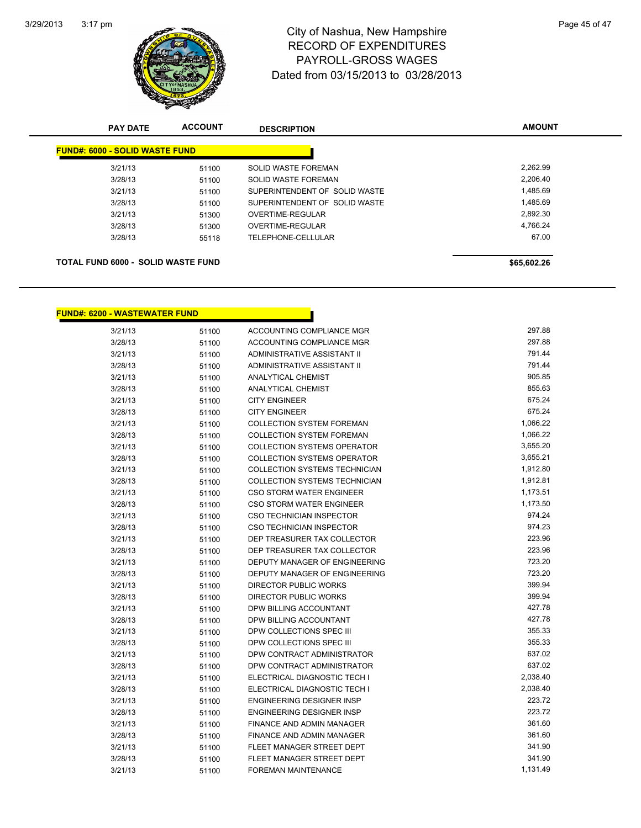

## 3:17 pm<br> **City of Nashua, New Hampshire** Page 45 of 47 RECORD OF EXPENDITURES PAYROLL-GROSS WAGES Dated from 03/15/2013 to 03/28/2013

| <b>PAY DATE</b>                           | <b>ACCOUNT</b> | <b>DESCRIPTION</b>            | <b>AMOUNT</b> |
|-------------------------------------------|----------------|-------------------------------|---------------|
| <b>FUND#: 6000 - SOLID WASTE FUND</b>     |                |                               |               |
| 3/21/13                                   | 51100          | SOLID WASTE FOREMAN           | 2,262.99      |
| 3/28/13                                   | 51100          | SOLID WASTE FOREMAN           | 2,206.40      |
| 3/21/13                                   | 51100          | SUPERINTENDENT OF SOLID WASTE | 1,485.69      |
| 3/28/13                                   | 51100          | SUPERINTENDENT OF SOLID WASTE | 1,485.69      |
| 3/21/13                                   | 51300          | OVERTIME-REGULAR              | 2,892.30      |
| 3/28/13                                   | 51300          | OVERTIME-REGULAR              | 4,766.24      |
| 3/28/13                                   | 55118          | TELEPHONE-CELLULAR            | 67.00         |
|                                           |                |                               |               |
| <b>TOTAL FUND 6000 - SOLID WASTE FUND</b> |                |                               | \$65,602.26   |

## **FUND#: 6200 - WASTEWATER FUND**

| 3/21/13 | 51100 | ACCOUNTING COMPLIANCE MGR            | 297.88   |
|---------|-------|--------------------------------------|----------|
| 3/28/13 | 51100 | <b>ACCOUNTING COMPLIANCE MGR</b>     | 297.88   |
| 3/21/13 | 51100 | <b>ADMINISTRATIVE ASSISTANT II</b>   | 791.44   |
| 3/28/13 | 51100 | <b>ADMINISTRATIVE ASSISTANT II</b>   | 791.44   |
| 3/21/13 | 51100 | <b>ANALYTICAL CHEMIST</b>            | 905.85   |
| 3/28/13 | 51100 | <b>ANALYTICAL CHEMIST</b>            | 855.63   |
| 3/21/13 | 51100 | <b>CITY ENGINEER</b>                 | 675.24   |
| 3/28/13 | 51100 | <b>CITY ENGINEER</b>                 | 675.24   |
| 3/21/13 | 51100 | <b>COLLECTION SYSTEM FOREMAN</b>     | 1,066.22 |
| 3/28/13 | 51100 | <b>COLLECTION SYSTEM FOREMAN</b>     | 1,066.22 |
| 3/21/13 | 51100 | <b>COLLECTION SYSTEMS OPERATOR</b>   | 3,655.20 |
| 3/28/13 | 51100 | <b>COLLECTION SYSTEMS OPERATOR</b>   | 3,655.21 |
| 3/21/13 | 51100 | COLLECTION SYSTEMS TECHNICIAN        | 1,912.80 |
| 3/28/13 | 51100 | <b>COLLECTION SYSTEMS TECHNICIAN</b> | 1,912.81 |
| 3/21/13 | 51100 | <b>CSO STORM WATER ENGINEER</b>      | 1,173.51 |
| 3/28/13 | 51100 | <b>CSO STORM WATER ENGINEER</b>      | 1,173.50 |
| 3/21/13 | 51100 | CSO TECHNICIAN INSPECTOR             | 974.24   |
| 3/28/13 | 51100 | <b>CSO TECHNICIAN INSPECTOR</b>      | 974.23   |
| 3/21/13 | 51100 | DEP TREASURER TAX COLLECTOR          | 223.96   |
| 3/28/13 | 51100 | DEP TREASURER TAX COLLECTOR          | 223.96   |
| 3/21/13 | 51100 | DEPUTY MANAGER OF ENGINEERING        | 723.20   |
| 3/28/13 | 51100 | DEPUTY MANAGER OF ENGINEERING        | 723.20   |
| 3/21/13 | 51100 | DIRECTOR PUBLIC WORKS                | 399.94   |
| 3/28/13 | 51100 | <b>DIRECTOR PUBLIC WORKS</b>         | 399.94   |
| 3/21/13 | 51100 | <b>DPW BILLING ACCOUNTANT</b>        | 427.78   |
| 3/28/13 | 51100 | DPW BILLING ACCOUNTANT               | 427.78   |
| 3/21/13 | 51100 | DPW COLLECTIONS SPEC III             | 355.33   |
| 3/28/13 | 51100 | DPW COLLECTIONS SPEC III             | 355.33   |
| 3/21/13 | 51100 | DPW CONTRACT ADMINISTRATOR           | 637.02   |
| 3/28/13 | 51100 | DPW CONTRACT ADMINISTRATOR           | 637.02   |
| 3/21/13 | 51100 | ELECTRICAL DIAGNOSTIC TECH I         | 2,038.40 |
| 3/28/13 | 51100 | ELECTRICAL DIAGNOSTIC TECH I         | 2,038.40 |
| 3/21/13 | 51100 | <b>ENGINEERING DESIGNER INSP</b>     | 223.72   |
| 3/28/13 | 51100 | <b>ENGINEERING DESIGNER INSP</b>     | 223.72   |
| 3/21/13 | 51100 | FINANCE AND ADMIN MANAGER            | 361.60   |
| 3/28/13 | 51100 | <b>FINANCE AND ADMIN MANAGER</b>     | 361.60   |
| 3/21/13 | 51100 | FLEET MANAGER STREET DEPT            | 341.90   |
| 3/28/13 | 51100 | FLEET MANAGER STREET DEPT            | 341.90   |
| 3/21/13 | 51100 | <b>FOREMAN MAINTENANCE</b>           | 1,131.49 |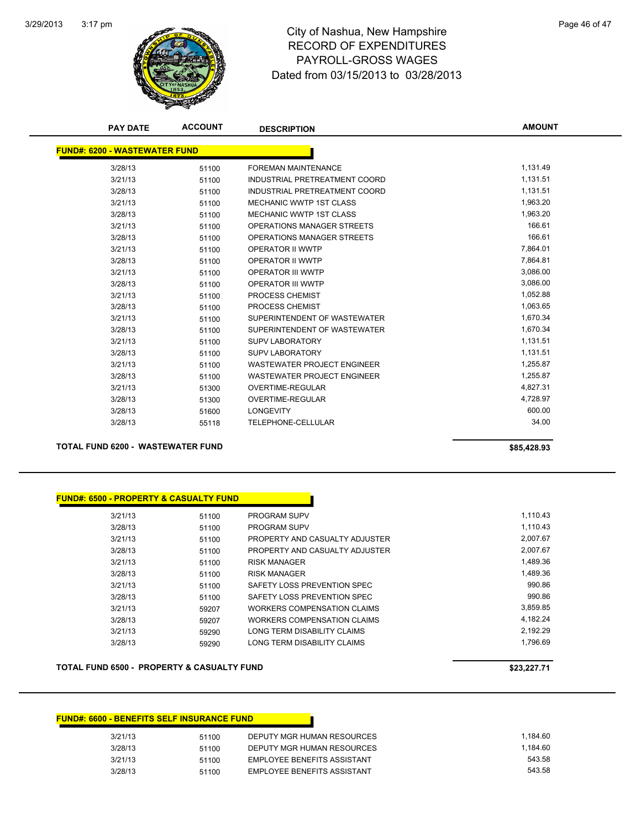

## 3:17 pm<br> **City of Nashua, New Hampshire** Page 46 of 47 RECORD OF EXPENDITURES PAYROLL-GROSS WAGES Dated from 03/15/2013 to 03/28/2013

| <b>PAY DATE</b>                          | <b>ACCOUNT</b> | <b>DESCRIPTION</b>                 | <b>AMOUNT</b> |
|------------------------------------------|----------------|------------------------------------|---------------|
| <b>FUND#: 6200 - WASTEWATER FUND</b>     |                |                                    |               |
| 3/28/13                                  | 51100          | <b>FOREMAN MAINTENANCE</b>         | 1,131.49      |
| 3/21/13                                  | 51100          | INDUSTRIAL PRETREATMENT COORD      | 1,131.51      |
| 3/28/13                                  | 51100          | INDUSTRIAL PRETREATMENT COORD      | 1,131.51      |
| 3/21/13                                  | 51100          | <b>MECHANIC WWTP 1ST CLASS</b>     | 1,963.20      |
| 3/28/13                                  | 51100          | <b>MECHANIC WWTP 1ST CLASS</b>     | 1,963.20      |
| 3/21/13                                  | 51100          | OPERATIONS MANAGER STREETS         | 166.61        |
| 3/28/13                                  | 51100          | OPERATIONS MANAGER STREETS         | 166.61        |
| 3/21/13                                  | 51100          | <b>OPERATOR II WWTP</b>            | 7,864.01      |
| 3/28/13                                  | 51100          | OPERATOR II WWTP                   | 7,864.81      |
| 3/21/13                                  | 51100          | <b>OPERATOR III WWTP</b>           | 3,086.00      |
| 3/28/13                                  | 51100          | <b>OPERATOR III WWTP</b>           | 3,086.00      |
| 3/21/13                                  | 51100          | <b>PROCESS CHEMIST</b>             | 1,052.88      |
| 3/28/13                                  | 51100          | PROCESS CHEMIST                    | 1,063.65      |
| 3/21/13                                  | 51100          | SUPERINTENDENT OF WASTEWATER       | 1,670.34      |
| 3/28/13                                  | 51100          | SUPERINTENDENT OF WASTEWATER       | 1,670.34      |
| 3/21/13                                  | 51100          | <b>SUPV LABORATORY</b>             | 1,131.51      |
| 3/28/13                                  | 51100          | <b>SUPV LABORATORY</b>             | 1,131.51      |
| 3/21/13                                  | 51100          | <b>WASTEWATER PROJECT ENGINEER</b> | 1,255.87      |
| 3/28/13                                  | 51100          | <b>WASTEWATER PROJECT ENGINEER</b> | 1,255.87      |
| 3/21/13                                  | 51300          | OVERTIME-REGULAR                   | 4,827.31      |
| 3/28/13                                  | 51300          | <b>OVERTIME-REGULAR</b>            | 4,728.97      |
| 3/28/13                                  | 51600          | <b>LONGEVITY</b>                   | 600.00        |
| 3/28/13                                  | 55118          | <b>TELEPHONE-CELLULAR</b>          | 34.00         |
| <b>TOTAL FUND 6200 - WASTEWATER FUND</b> |                |                                    | \$85,428.93   |

#### **FUND#: 6500 - PROPERTY & CASUALTY FUND**

| 3/21/13 | 51100 | <b>PROGRAM SUPV</b>            | 1.110.43 |
|---------|-------|--------------------------------|----------|
| 3/28/13 | 51100 | <b>PROGRAM SUPV</b>            | 1.110.43 |
| 3/21/13 | 51100 | PROPERTY AND CASUALTY ADJUSTER | 2.007.67 |
| 3/28/13 | 51100 | PROPERTY AND CASUALTY ADJUSTER | 2.007.67 |
| 3/21/13 | 51100 | <b>RISK MANAGER</b>            | 1.489.36 |
| 3/28/13 | 51100 | <b>RISK MANAGER</b>            | 1.489.36 |
| 3/21/13 | 51100 | SAFETY LOSS PREVENTION SPEC    | 990.86   |
| 3/28/13 | 51100 | SAFETY LOSS PREVENTION SPEC    | 990.86   |
| 3/21/13 | 59207 | WORKERS COMPENSATION CLAIMS    | 3.859.85 |
| 3/28/13 | 59207 | WORKERS COMPENSATION CLAIMS    | 4.182.24 |
| 3/21/13 | 59290 | LONG TERM DISABILITY CLAIMS    | 2.192.29 |
| 3/28/13 | 59290 | LONG TERM DISABILITY CLAIMS    | 1.796.69 |
|         |       |                                |          |

#### **TOTAL FUND 6500 - PROPERTY & CASUALTY FUND \$23,227.71**

#### **FUND#: 6600 - BENEFITS SELF INSURANCE FUND** 3/21/13 51100 DEPUTY MGR HUMAN RESOURCES 1,184.60 3/28/13 51100 DEPUTY MGR HUMAN RESOURCES 1,184.60 3/21/13 51100 EMPLOYEE BENEFITS ASSISTANT 543.58 3/28/13 51100 EMPLOYEE BENEFITS ASSISTANT 543.58